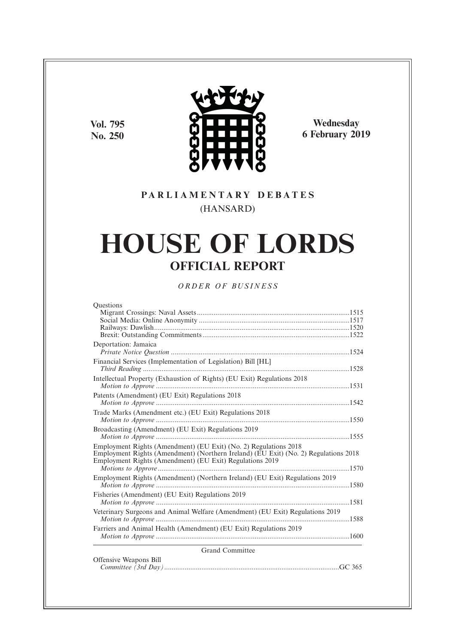**Vol. 795 No. 250**



**Wednesday 6 February 2019**

# **P A R L I A M E N T A R Y D E B A T E S** (HANSARD)

# **HOUSE OF LORDS OFFICIAL REPORT**

*O R D E R O F BU S I N E S S*

| Questions                                                                                                                                                                                                           |
|---------------------------------------------------------------------------------------------------------------------------------------------------------------------------------------------------------------------|
|                                                                                                                                                                                                                     |
|                                                                                                                                                                                                                     |
|                                                                                                                                                                                                                     |
|                                                                                                                                                                                                                     |
| Deportation: Jamaica                                                                                                                                                                                                |
| Financial Services (Implementation of Legislation) Bill [HL]                                                                                                                                                        |
| Intellectual Property (Exhaustion of Rights) (EU Exit) Regulations 2018                                                                                                                                             |
| Patents (Amendment) (EU Exit) Regulations 2018                                                                                                                                                                      |
|                                                                                                                                                                                                                     |
| Trade Marks (Amendment etc.) (EU Exit) Regulations 2018                                                                                                                                                             |
| Broadcasting (Amendment) (EU Exit) Regulations 2019                                                                                                                                                                 |
| Employment Rights (Amendment) (EU Exit) (No. 2) Regulations 2018<br>Employment Rights (Amendment) (Northern Ireland) (EU Exit) (No. 2) Regulations 2018<br>Employment Rights (Amendment) (EU Exit) Regulations 2019 |
| Employment Rights (Amendment) (Northern Ireland) (EU Exit) Regulations 2019                                                                                                                                         |
| Fisheries (Amendment) (EU Exit) Regulations 2019                                                                                                                                                                    |
| Veterinary Surgeons and Animal Welfare (Amendment) (EU Exit) Regulations 2019                                                                                                                                       |
| Farriers and Animal Health (Amendment) (EU Exit) Regulations 2019                                                                                                                                                   |
| <b>Grand Committee</b>                                                                                                                                                                                              |
| Offensive Weapons Bill                                                                                                                                                                                              |

| Ofference weapons bill |  |
|------------------------|--|
|                        |  |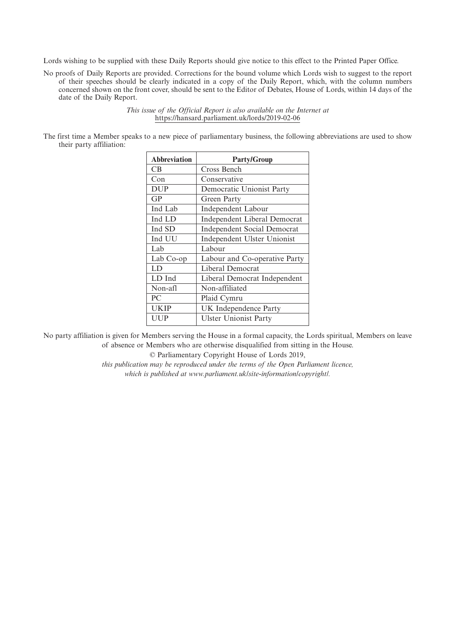Lords wishing to be supplied with these Daily Reports should give notice to this effect to the Printed Paper Office.

No proofs of Daily Reports are provided. Corrections for the bound volume which Lords wish to suggest to the report of their speeches should be clearly indicated in a copy of the Daily Report, which, with the column numbers concerned shown on the front cover, should be sent to the Editor of Debates, House of Lords, within 14 days of the date of the Daily Report.

> *This issue of the Official Report is also available on the Internet at* https://hansard.parliament.uk/lords/2019-02-06

The first time a Member speaks to a new piece of parliamentary business, the following abbreviations are used to show their party affiliation:

| <b>Abbreviation</b> | <b>Party/Group</b>                 |
|---------------------|------------------------------------|
| <b>CB</b>           | Cross Bench                        |
| Con                 | Conservative                       |
| <b>DUP</b>          | Democratic Unionist Party          |
| GP                  | Green Party                        |
| Ind Lab             | <b>Independent Labour</b>          |
| Ind LD              | Independent Liberal Democrat       |
| Ind SD              | <b>Independent Social Democrat</b> |
| Ind UU              | Independent Ulster Unionist        |
| Lab                 | Labour                             |
| Lab Co-op           | Labour and Co-operative Party      |
| LD                  | Liberal Democrat                   |
| LD Ind              | Liberal Democrat Independent       |
| Non-afl             | Non-affiliated                     |
| PC                  | Plaid Cymru                        |
| UKIP                | UK Independence Party              |
| UUP                 | <b>Ulster Unionist Party</b>       |

No party affiliation is given for Members serving the House in a formal capacity, the Lords spiritual, Members on leave of absence or Members who are otherwise disqualified from sitting in the House.

© Parliamentary Copyright House of Lords 2019,

*this publication may be reproduced under the terms of the Open Parliament licence, which is published at www.parliament.uk/site-information/copyright/.*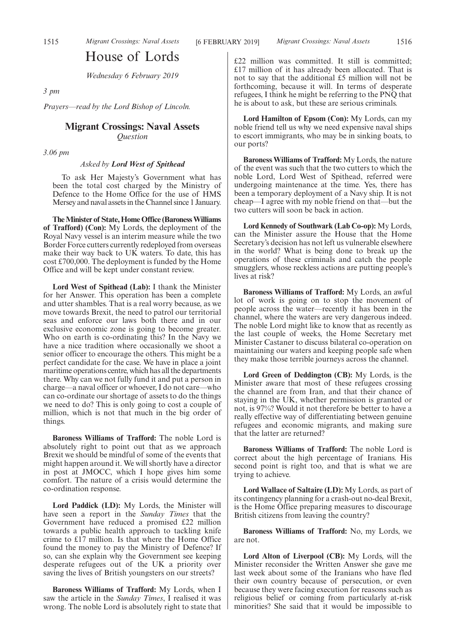# House of Lords

*Wednesday 6 February 2019*

*3 pm*

*Prayers—read by the Lord Bishop of Lincoln.*

## **Migrant Crossings: Naval Assets** *Question*

*3.06 pm*

*Asked by Lord West of Spithead*

To ask Her Majesty's Government what has been the total cost charged by the Ministry of Defence to the Home Office for the use of HMS Mersey and naval assets in the Channel since 1 January.

**The Minister of State, Home Office (Baroness Williams of Trafford) (Con):** My Lords, the deployment of the Royal Navy vessel is an interim measure while the two Border Force cutters currently redeployed from overseas make their way back to UK waters. To date, this has cost £700,000. The deployment is funded by the Home Office and will be kept under constant review.

**Lord West of Spithead (Lab):** I thank the Minister for her Answer. This operation has been a complete and utter shambles. That is a real worry because, as we move towards Brexit, the need to patrol our territorial seas and enforce our laws both there and in our exclusive economic zone is going to become greater. Who on earth is co-ordinating this? In the Navy we have a nice tradition where occasionally we shoot a senior officer to encourage the others. This might be a perfect candidate for the case. We have in place a joint maritime operations centre, which has all the departments there. Why can we not fully fund it and put a person in charge—a naval officer or whoever, I do not care—who can co-ordinate our shortage of assets to do the things we need to do? This is only going to cost a couple of million, which is not that much in the big order of things.

**Baroness Williams of Trafford:** The noble Lord is absolutely right to point out that as we approach Brexit we should be mindful of some of the events that might happen around it. We will shortly have a director in post at JMOCC, which I hope gives him some comfort. The nature of a crisis would determine the co-ordination response.

**Lord Paddick (LD):** My Lords, the Minister will have seen a report in the *Sunday Times* that the Government have reduced a promised £22 million towards a public health approach to tackling knife crime to £17 million. Is that where the Home Office found the money to pay the Ministry of Defence? If so, can she explain why the Government see keeping desperate refugees out of the UK a priority over saving the lives of British youngsters on our streets?

**Baroness Williams of Trafford:** My Lords, when I saw the article in the *Sunday Times*, I realised it was wrong. The noble Lord is absolutely right to state that £22 million was committed. It still is committed; £17 million of it has already been allocated. That is not to say that the additional £5 million will not be forthcoming, because it will. In terms of desperate refugees, I think he might be referring to the PNQ that he is about to ask, but these are serious criminals.

**Lord Hamilton of Epsom (Con):** My Lords, can my noble friend tell us why we need expensive naval ships to escort immigrants, who may be in sinking boats, to our ports?

**Baroness Williams of Trafford:** My Lords, the nature of the event was such that the two cutters to which the noble Lord, Lord West of Spithead, referred were undergoing maintenance at the time. Yes, there has been a temporary deployment of a Navy ship. It is not cheap—I agree with my noble friend on that—but the two cutters will soon be back in action.

**Lord Kennedy of Southwark (Lab Co-op):** My Lords, can the Minister assure the House that the Home Secretary's decision has not left us vulnerable elsewhere in the world? What is being done to break up the operations of these criminals and catch the people smugglers, whose reckless actions are putting people's lives at risk?

**Baroness Williams of Trafford:** My Lords, an awful lot of work is going on to stop the movement of people across the water—recently it has been in the channel, where the waters are very dangerous indeed. The noble Lord might like to know that as recently as the last couple of weeks, the Home Secretary met Minister Castaner to discuss bilateral co-operation on maintaining our waters and keeping people safe when they make those terrible journeys across the channel.

**Lord Green of Deddington (CB):** My Lords, is the Minister aware that most of these refugees crossing the channel are from Iran, and that their chance of staying in the UK, whether permission is granted or not, is 97%? Would it not therefore be better to have a really effective way of differentiating between genuine refugees and economic migrants, and making sure that the latter are returned?

**Baroness Williams of Trafford:** The noble Lord is correct about the high percentage of Iranians. His second point is right too, and that is what we are trying to achieve.

**Lord Wallace of Saltaire (LD):** My Lords, as part of its contingency planning for a crash-out no-deal Brexit, is the Home Office preparing measures to discourage British citizens from leaving the country?

**Baroness Williams of Trafford:** No, my Lords, we are not.

**Lord Alton of Liverpool (CB):** My Lords, will the Minister reconsider the Written Answer she gave me last week about some of the Iranians who have fled their own country because of persecution, or even because they were facing execution for reasons such as religious belief or coming from particularly at-risk minorities? She said that it would be impossible to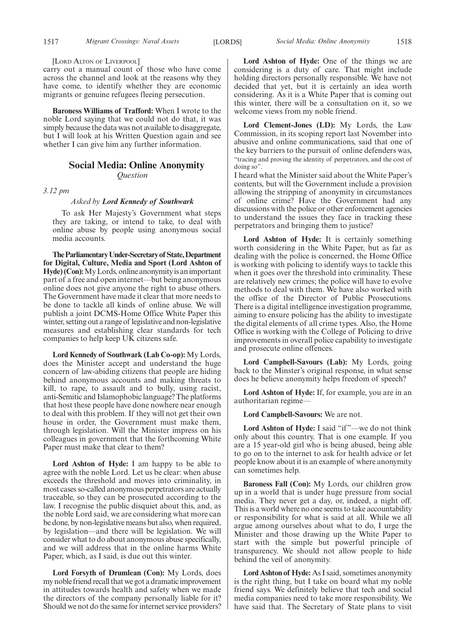#### [LORD ALTON OF LIVERPOOL]

carry out a manual count of those who have come across the channel and look at the reasons why they have come, to identify whether they are economic migrants or genuine refugees fleeing persecution.

**Baroness Williams of Trafford:** When I wrote to the noble Lord saying that we could not do that, it was simply because the data was not available to disaggregate, but I will look at his Written Question again and see whether I can give him any further information.

## **Social Media: Online Anonymity**

*Question*

*3.12 pm*

#### *Asked by Lord Kennedy of Southwark*

To ask Her Majesty's Government what steps they are taking, or intend to take, to deal with online abuse by people using anonymous social media accounts.

**TheParliamentaryUnder-Secretaryof State,Department for Digital, Culture, Media and Sport (Lord Ashton of Hyde) (Con):**My Lords, online anonymity is an important part of a free and open internet—but being anonymous online does not give anyone the right to abuse others. The Government have made it clear that more needs to be done to tackle all kinds of online abuse. We will publish a joint DCMS-Home Office White Paper this winter, setting out a range of legislative and non-legislative measures and establishing clear standards for tech companies to help keep UK citizens safe.

**Lord Kennedy of Southwark (Lab Co-op):** My Lords, does the Minister accept and understand the huge concern of law-abiding citizens that people are hiding behind anonymous accounts and making threats to kill, to rape, to assault and to bully, using racist, anti-Semitic and Islamophobic language? The platforms that host these people have done nowhere near enough to deal with this problem. If they will not get their own house in order, the Government must make them, through legislation. Will the Minister impress on his colleagues in government that the forthcoming White Paper must make that clear to them?

**Lord Ashton of Hyde:** I am happy to be able to agree with the noble Lord. Let us be clear: when abuse exceeds the threshold and moves into criminality, in most cases so-called anonymous perpetrators are actually traceable, so they can be prosecuted according to the law. I recognise the public disquiet about this, and, as the noble Lord said, we are considering what more can be done, by non-legislative means but also, when required, by legislation—and there will be legislation. We will consider what to do about anonymous abuse specifically, and we will address that in the online harms White Paper, which, as I said, is due out this winter.

**Lord Forsyth of Drumlean (Con):** My Lords, does my noble friend recall that we got a dramatic improvement in attitudes towards health and safety when we made the directors of the company personally liable for it? Should we not do the same for internet service providers?

**Lord Ashton of Hyde:** One of the things we are considering is a duty of care. That might include holding directors personally responsible. We have not decided that yet, but it is certainly an idea worth considering. As it is a White Paper that is coming out this winter, there will be a consultation on it, so we welcome views from my noble friend.

**Lord Clement-Jones (LD):** My Lords, the Law Commission, in its scoping report last November into abusive and online communications, said that one of the key barriers to the pursuit of online defenders was, "tracing and proving the identity of perpetrators, and the cost of doing so".

I heard what the Minister said about the White Paper's contents, but will the Government include a provision allowing the stripping of anonymity in circumstances of online crime? Have the Government had any discussions with the police or other enforcement agencies to understand the issues they face in tracking these perpetrators and bringing them to justice?

**Lord Ashton of Hyde:** It is certainly something worth considering in the White Paper, but as far as dealing with the police is concerned, the Home Office is working with policing to identify ways to tackle this when it goes over the threshold into criminality. These are relatively new crimes; the police will have to evolve methods to deal with them. We have also worked with the office of the Director of Public Prosecutions. There is a digital intelligence investigation programme, aiming to ensure policing has the ability to investigate the digital elements of all crime types. Also, the Home Office is working with the College of Policing to drive improvements in overall police capability to investigate and prosecute online offences.

**Lord Campbell-Savours (Lab):** My Lords, going back to the Minster's original response, in what sense does he believe anonymity helps freedom of speech?

**Lord Ashton of Hyde:** If, for example, you are in an authoritarian regime—

**Lord Campbell-Savours:** We are not.

**Lord Ashton of Hyde:** I said "if"—we do not think only about this country. That is one example. If you are a 15 year-old girl who is being abused, being able to go on to the internet to ask for health advice or let people know about it is an example of where anonymity can sometimes help.

**Baroness Fall (Con):** My Lords, our children grow up in a world that is under huge pressure from social media. They never get a day, or, indeed, a night off. This is a world where no one seems to take accountability or responsibility for what is said at all. While we all argue among ourselves about what to do, I urge the Minister and those drawing up the White Paper to start with the simple but powerful principle of transparency. We should not allow people to hide behind the veil of anonymity.

**Lord Ashton of Hyde:** As I said, sometimes anonymity is the right thing, but I take on board what my noble friend says. We definitely believe that tech and social media companies need to take more responsibility. We have said that. The Secretary of State plans to visit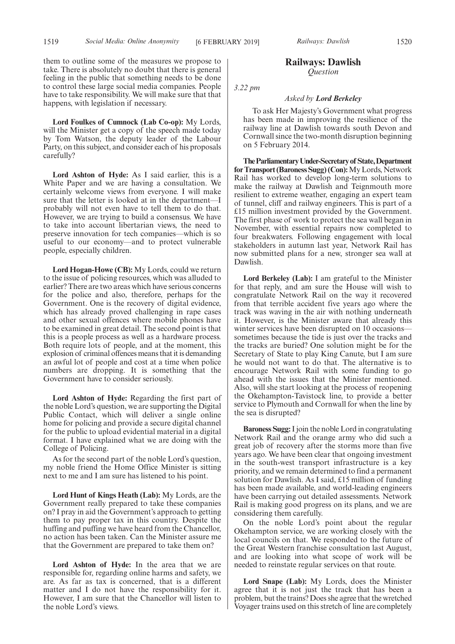**Lord Foulkes of Cumnock (Lab Co-op):** My Lords, will the Minister get a copy of the speech made today by Tom Watson, the deputy leader of the Labour Party, on this subject, and consider each of his proposals carefully?

**Lord Ashton of Hyde:** As I said earlier, this is a White Paper and we are having a consultation. We certainly welcome views from everyone. I will make sure that the letter is looked at in the department—I probably will not even have to tell them to do that. However, we are trying to build a consensus. We have to take into account libertarian views, the need to preserve innovation for tech companies—which is so useful to our economy—and to protect vulnerable people, especially children.

**Lord Hogan-Howe (CB):** My Lords, could we return to the issue of policing resources, which was alluded to earlier? There are two areas which have serious concerns for the police and also, therefore, perhaps for the Government. One is the recovery of digital evidence, which has already proved challenging in rape cases and other sexual offences where mobile phones have to be examined in great detail. The second point is that this is a people process as well as a hardware process. Both require lots of people, and at the moment, this explosion of criminal offences means that it is demanding an awful lot of people and cost at a time when police numbers are dropping. It is something that the Government have to consider seriously.

**Lord Ashton of Hyde:** Regarding the first part of the noble Lord's question, we are supporting the Digital Public Contact, which will deliver a single online home for policing and provide a secure digital channel for the public to upload evidential material in a digital format. I have explained what we are doing with the College of Policing.

As for the second part of the noble Lord's question, my noble friend the Home Office Minister is sitting next to me and I am sure has listened to his point.

**Lord Hunt of Kings Heath (Lab):** My Lords, are the Government really prepared to take these companies on? I pray in aid the Government's approach to getting them to pay proper tax in this country. Despite the huffing and puffing we have heard from the Chancellor, no action has been taken. Can the Minister assure me that the Government are prepared to take them on?

**Lord Ashton of Hyde:** In the area that we are responsible for, regarding online harms and safety, we are. As far as tax is concerned, that is a different matter and I do not have the responsibility for it. However, I am sure that the Chancellor will listen to the noble Lord's views.

## **Railways: Dawlish** *Question*

*3.22 pm*

#### *Asked by Lord Berkeley*

To ask Her Majesty's Government what progress has been made in improving the resilience of the railway line at Dawlish towards south Devon and Cornwall since the two-month disruption beginning on 5 February 2014.

**TheParliamentaryUnder-Secretaryof State,Department for Transport (Baroness Sugg) (Con):**My Lords, Network Rail has worked to develop long-term solutions to make the railway at Dawlish and Teignmouth more resilient to extreme weather, engaging an expert team of tunnel, cliff and railway engineers. This is part of a £15 million investment provided by the Government. The first phase of work to protect the sea wall began in November, with essential repairs now completed to four breakwaters. Following engagement with local stakeholders in autumn last year, Network Rail has now submitted plans for a new, stronger sea wall at Dawlish.

**Lord Berkeley (Lab):** I am grateful to the Minister for that reply, and am sure the House will wish to congratulate Network Rail on the way it recovered from that terrible accident five years ago where the track was waving in the air with nothing underneath it. However, is the Minister aware that already this winter services have been disrupted on 10 occasions sometimes because the tide is just over the tracks and the tracks are buried? One solution might be for the Secretary of State to play King Canute, but I am sure he would not want to do that. The alternative is to encourage Network Rail with some funding to go ahead with the issues that the Minister mentioned. Also, will she start looking at the process of reopening the Okehampton-Tavistock line, to provide a better service to Plymouth and Cornwall for when the line by the sea is disrupted?

**Baroness Sugg:**I join the noble Lord in congratulating Network Rail and the orange army who did such a great job of recovery after the storms more than five years ago. We have been clear that ongoing investment in the south-west transport infrastructure is a key priority, and we remain determined to find a permanent solution for Dawlish. As I said, £15 million of funding has been made available, and world-leading engineers have been carrying out detailed assessments. Network Rail is making good progress on its plans, and we are considering them carefully.

On the noble Lord's point about the regular Okehampton service, we are working closely with the local councils on that. We responded to the future of the Great Western franchise consultation last August, and are looking into what scope of work will be needed to reinstate regular services on that route.

**Lord Snape (Lab):** My Lords, does the Minister agree that it is not just the track that has been a problem, but the trains? Does she agree that the wretched Voyager trains used on this stretch of line are completely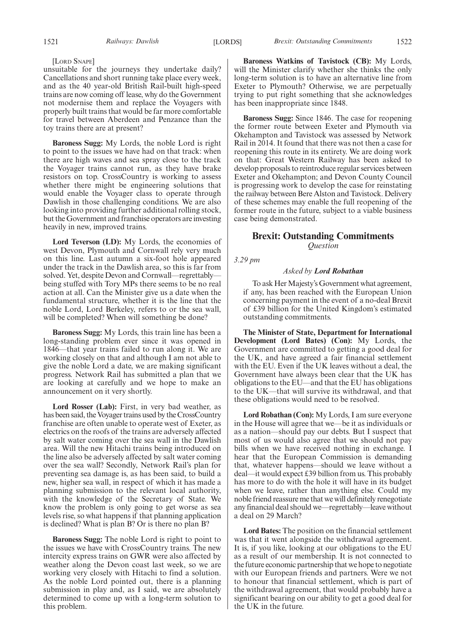#### [LORD SNAPE]

unsuitable for the journeys they undertake daily? Cancellations and short running take place every week, and as the 40 year-old British Rail-built high-speed trains are now coming off lease, why do the Government not modernise them and replace the Voyagers with properly built trains that would be far more comfortable for travel between Aberdeen and Penzance than the toy trains there are at present?

**Baroness Sugg:** My Lords, the noble Lord is right to point to the issues we have had on that track: when there are high waves and sea spray close to the track the Voyager trains cannot run, as they have brake resistors on top. CrossCountry is working to assess whether there might be engineering solutions that would enable the Voyager class to operate through Dawlish in those challenging conditions. We are also looking into providing further additional rolling stock, but the Government and franchise operators are investing heavily in new, improved trains.

**Lord Teverson (LD):** My Lords, the economies of west Devon, Plymouth and Cornwall rely very much on this line. Last autumn a six-foot hole appeared under the track in the Dawlish area, so this is far from solved. Yet, despite Devon and Cornwall—regrettably being stuffed with Tory MPs there seems to be no real action at all. Can the Minister give us a date when the fundamental structure, whether it is the line that the noble Lord, Lord Berkeley, refers to or the sea wall, will be completed? When will something be done?

**Baroness Sugg:** My Lords, this train line has been a long-standing problem ever since it was opened in 1846—that year trains failed to run along it. We are working closely on that and although I am not able to give the noble Lord a date, we are making significant progress. Network Rail has submitted a plan that we are looking at carefully and we hope to make an announcement on it very shortly.

**Lord Rosser (Lab):** First, in very bad weather, as has been said, the Voyager trains used by the CrossCountry franchise are often unable to operate west of Exeter, as electrics on the roofs of the trains are adversely affected by salt water coming over the sea wall in the Dawlish area. Will the new Hitachi trains being introduced on the line also be adversely affected by salt water coming over the sea wall? Secondly, Network Rail's plan for preventing sea damage is, as has been said, to build a new, higher sea wall, in respect of which it has made a planning submission to the relevant local authority, with the knowledge of the Secretary of State. We know the problem is only going to get worse as sea levels rise, so what happens if that planning application is declined? What is plan B? Or is there no plan B?

**Baroness Sugg:** The noble Lord is right to point to the issues we have with CrossCountry trains. The new intercity express trains on GWR were also affected by weather along the Devon coast last week, so we are working very closely with Hitachi to find a solution. As the noble Lord pointed out, there is a planning submission in play and, as I said, we are absolutely determined to come up with a long-term solution to this problem.

**Baroness Watkins of Tavistock (CB):** My Lords, will the Minister clarify whether she thinks the only long-term solution is to have an alternative line from Exeter to Plymouth? Otherwise, we are perpetually trying to put right something that she acknowledges has been inappropriate since 1848.

**Baroness Sugg:** Since 1846. The case for reopening the former route between Exeter and Plymouth via Okehampton and Tavistock was assessed by Network Rail in 2014. It found that there was not then a case for reopening this route in its entirety. We are doing work on that: Great Western Railway has been asked to develop proposals to reintroduce regular services between Exeter and Okehampton; and Devon County Council is progressing work to develop the case for reinstating the railway between Bere Alston and Tavistock. Delivery of these schemes may enable the full reopening of the former route in the future, subject to a viable business case being demonstrated.

## **Brexit: Outstanding Commitments** *Question*

*3.29 pm*

### *Asked by Lord Robathan*

To ask Her Majesty's Government what agreement, if any, has been reached with the European Union concerning payment in the event of a no-deal Brexit of £39 billion for the United Kingdom's estimated outstanding commitments.

**The Minister of State, Department for International Development (Lord Bates) (Con):** My Lords, the Government are committed to getting a good deal for the UK, and have agreed a fair financial settlement with the EU. Even if the UK leaves without a deal, the Government have always been clear that the UK has obligations to the EU—and that the EU has obligations to the UK—that will survive its withdrawal, and that these obligations would need to be resolved.

**Lord Robathan (Con):** My Lords, I am sure everyone in the House will agree that we—be it as individuals or as a nation—should pay our debts. But I suspect that most of us would also agree that we should not pay bills when we have received nothing in exchange. I hear that the European Commission is demanding that, whatever happens—should we leave without a deal—it would expect £39 billion from us. This probably has more to do with the hole it will have in its budget when we leave, rather than anything else. Could my noble friend reassure me that we will definitely renegotiate any financial deal should we—regrettably—leave without a deal on 29 March?

**Lord Bates:** The position on the financial settlement was that it went alongside the withdrawal agreement. It is, if you like, looking at our obligations to the EU as a result of our membership. It is not connected to the future economic partnership that we hope to negotiate with our European friends and partners. Were we not to honour that financial settlement, which is part of the withdrawal agreement, that would probably have a significant bearing on our ability to get a good deal for the UK in the future.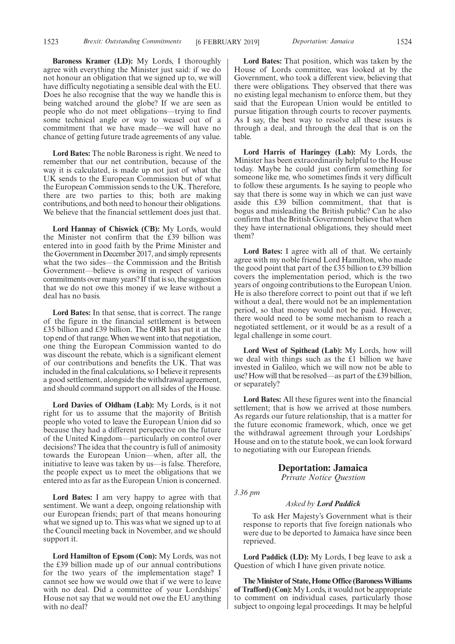**Baroness Kramer (LD):** My Lords, I thoroughly agree with everything the Minister just said: if we do not honour an obligation that we signed up to, we will have difficulty negotiating a sensible deal with the EU. Does he also recognise that the way we handle this is being watched around the globe? If we are seen as people who do not meet obligations—trying to find some technical angle or way to weasel out of a commitment that we have made—we will have no chance of getting future trade agreements of any value.

**Lord Bates:** The noble Baroness is right. We need to remember that our net contribution, because of the way it is calculated, is made up not just of what the UK sends to the European Commission but of what the European Commission sends to the UK. Therefore, there are two parties to this; both are making contributions, and both need to honour their obligations. We believe that the financial settlement does just that.

**Lord Hannay of Chiswick (CB):** My Lords, would the Minister not confirm that the £39 billion was entered into in good faith by the Prime Minister and the Government in December 2017, and simply represents what the two sides—the Commission and the British Government—believe is owing in respect of various commitments over many years? If that is so, the suggestion that we do not owe this money if we leave without a deal has no basis.

**Lord Bates:** In that sense, that is correct. The range of the figure in the financial settlement is between £35 billion and £39 billion. The OBR has put it at the top end of that range. When we went into that negotiation, one thing the European Commission wanted to do was discount the rebate, which is a significant element of our contributions and benefits the UK. That was included in the final calculations, so I believe it represents a good settlement, alongside the withdrawal agreement, and should command support on all sides of the House.

**Lord Davies of Oldham (Lab):** My Lords, is it not right for us to assume that the majority of British people who voted to leave the European Union did so because they had a different perspective on the future of the United Kingdom—particularly on control over decisions? The idea that the country is full of animosity towards the European Union—when, after all, the initiative to leave was taken by us—is false. Therefore, the people expect us to meet the obligations that we entered into as far as the European Union is concerned.

**Lord Bates:** I am very happy to agree with that sentiment. We want a deep, ongoing relationship with our European friends; part of that means honouring what we signed up to. This was what we signed up to at the Council meeting back in November, and we should support it.

**Lord Hamilton of Epsom (Con):** My Lords, was not the £39 billion made up of our annual contributions for the two years of the implementation stage? I cannot see how we would owe that if we were to leave with no deal. Did a committee of your Lordships' House not say that we would not owe the EU anything with no deal?

**Lord Bates:** That position, which was taken by the House of Lords committee, was looked at by the Government, who took a different view, believing that there were obligations. They observed that there was no existing legal mechanism to enforce them, but they said that the European Union would be entitled to pursue litigation through courts to recover payments. As I say, the best way to resolve all these issues is through a deal, and through the deal that is on the table.

**Lord Harris of Haringey (Lab):** My Lords, the Minister has been extraordinarily helpful to the House today. Maybe he could just confirm something for someone like me, who sometimes finds it very difficult to follow these arguments. Is he saying to people who say that there is some way in which we can just wave aside this £39 billion commitment, that that is bogus and misleading the British public? Can he also confirm that the British Government believe that when they have international obligations, they should meet them?

**Lord Bates:** I agree with all of that. We certainly agree with my noble friend Lord Hamilton, who made the good point that part of the £35 billion to £39 billion covers the implementation period, which is the two years of ongoing contributions to the European Union. He is also therefore correct to point out that if we left without a deal, there would not be an implementation period, so that money would not be paid. However, there would need to be some mechanism to reach a negotiated settlement, or it would be as a result of a legal challenge in some court.

**Lord West of Spithead (Lab):** My Lords, how will we deal with things such as the £1 billion we have invested in Galileo, which we will now not be able to use? How will that be resolved—as part of the £39 billion, or separately?

**Lord Bates:** All these figures went into the financial settlement; that is how we arrived at those numbers. As regards our future relationship, that is a matter for the future economic framework, which, once we get the withdrawal agreement through your Lordships' House and on to the statute book, we can look forward to negotiating with our European friends.

## **Deportation: Jamaica**

*Private Notice Question*

*3.36 pm*

#### *Asked by Lord Paddick*

To ask Her Majesty's Government what is their response to reports that five foreign nationals who were due to be deported to Jamaica have since been reprieved.

**Lord Paddick (LD):** My Lords, I beg leave to ask a Question of which I have given private notice.

**The Minister of State, Home Office (Baroness Williams of Trafford) (Con):**My Lords, it would not be appropriate to comment on individual cases, particularly those subject to ongoing legal proceedings. It may be helpful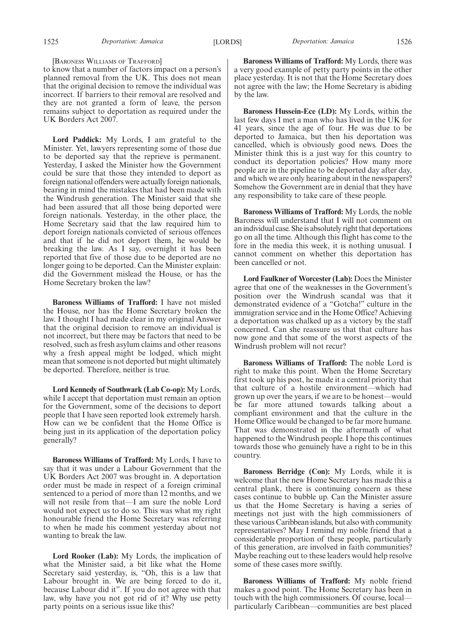#### [BARONESS WILLIAMS OF TRAFFORD]

to know that a number of factors impact on a person's planned removal from the UK. This does not mean that the original decision to remove the individual was incorrect. If barriers to their removal are resolved and they are not granted a form of leave, the person remains subject to deportation as required under the UK Borders Act 2007.

**Lord Paddick:** My Lords, I am grateful to the Minister. Yet, lawyers representing some of those due to be deported say that the reprieve is permanent. Yesterday, I asked the Minister how the Government could be sure that those they intended to deport as foreign national offenders were actually foreign nationals, bearing in mind the mistakes that had been made with the Windrush generation. The Minister said that she had been assured that all those being deported were foreign nationals. Yesterday, in the other place, the Home Secretary said that the law required him to deport foreign nationals convicted of serious offences and that if he did not deport them, he would be breaking the law. As I say, overnight it has been reported that five of those due to be deported are no longer going to be deported. Can the Minister explain: did the Government mislead the House, or has the Home Secretary broken the law?

**Baroness Williams of Trafford:** I have not misled the House, nor has the Home Secretary broken the law. I thought I had made clear in my original Answer that the original decision to remove an individual is not incorrect, but there may be factors that need to be resolved, such as fresh asylum claims and other reasons why a fresh appeal might be lodged, which might mean that someone is not deported but might ultimately be deported. Therefore, neither is true.

**Lord Kennedy of Southwark (Lab Co-op):** My Lords, while I accept that deportation must remain an option for the Government, some of the decisions to deport people that I have seen reported look extremely harsh. How can we be confident that the Home Office is being just in its application of the deportation policy generally?

**Baroness Williams of Trafford:** My Lords, I have to say that it was under a Labour Government that the UK Borders Act 2007 was brought in. A deportation order must be made in respect of a foreign criminal sentenced to a period of more than 12 months, and we will not resile from that—I am sure the noble Lord would not expect us to do so. This was what my right honourable friend the Home Secretary was referring to when he made his comment yesterday about not wanting to break the law.

**Lord Rooker (Lab):** My Lords, the implication of what the Minister said, a bit like what the Home Secretary said yesterday, is, "Oh, this is a law that Labour brought in. We are being forced to do it, because Labour did it". If you do not agree with that law, why have you not got rid of it? Why use petty party points on a serious issue like this?

**Baroness Williams of Trafford:** My Lords, there was a very good example of petty party points in the other place yesterday. It is not that the Home Secretary does not agree with the law; the Home Secretary is abiding by the law.

**Baroness Hussein-Ece (LD):** My Lords, within the last few days I met a man who has lived in the UK for 41 years, since the age of four. He was due to be deported to Jamaica, but then his deportation was cancelled, which is obviously good news. Does the Minister think this is a just way for this country to conduct its deportation policies? How many more people are in the pipeline to be deported day after day, and which we are only hearing about in the newspapers? Somehow the Government are in denial that they have any responsibility to take care of these people.

**Baroness Williams of Trafford:** My Lords, the noble Baroness will understand that I will not comment on an individual case. She is absolutely right that deportations go on all the time. Although this flight has come to the fore in the media this week, it is nothing unusual. I cannot comment on whether this deportation has been cancelled or not.

**Lord Faulkner of Worcester (Lab):** Does the Minister agree that one of the weaknesses in the Government's position over the Windrush scandal was that it demonstrated evidence of a "Gotcha!" culture in the immigration service and in the Home Office? Achieving a deportation was chalked up as a victory by the staff concerned. Can she reassure us that that culture has now gone and that some of the worst aspects of the Windrush problem will not recur?

**Baroness Williams of Trafford:** The noble Lord is right to make this point. When the Home Secretary first took up his post, he made it a central priority that that culture of a hostile environment—which had grown up over the years, if we are to be honest—would be far more attuned towards talking about a compliant environment and that the culture in the Home Office would be changed to be far more humane. That was demonstrated in the aftermath of what happened to the Windrush people. I hope this continues towards those who genuinely have a right to be in this country.

**Baroness Berridge (Con):** My Lords, while it is welcome that the new Home Secretary has made this a central plank, there is continuing concern as these cases continue to bubble up. Can the Minister assure us that the Home Secretary is having a series of meetings not just with the high commissioners of these various Caribbean islands, but also with community representatives? May I remind my noble friend that a considerable proportion of these people, particularly of this generation, are involved in faith communities? Maybe reaching out to these leaders would help resolve some of these cases more swiftly.

**Baroness Williams of Trafford:** My noble friend makes a good point. The Home Secretary has been in touch with the high commissioners. Of course, local particularly Caribbean—communities are best placed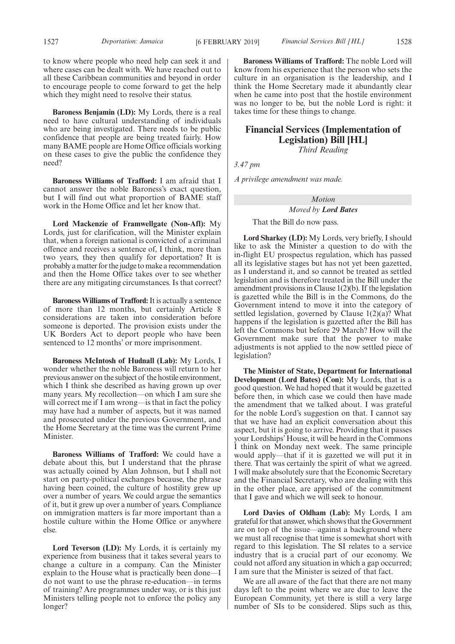to know where people who need help can seek it and where cases can be dealt with. We have reached out to all these Caribbean communities and beyond in order to encourage people to come forward to get the help which they might need to resolve their status.

**Baroness Benjamin (LD):** My Lords, there is a real need to have cultural understanding of individuals who are being investigated. There needs to be public confidence that people are being treated fairly. How many BAME people are Home Office officials working on these cases to give the public the confidence they need?

**Baroness Williams of Trafford:** I am afraid that I cannot answer the noble Baroness's exact question, but I will find out what proportion of BAME staff work in the Home Office and let her know that.

**Lord Mackenzie of Framwellgate (Non-Afl):** My Lords, just for clarification, will the Minister explain that, when a foreign national is convicted of a criminal offence and receives a sentence of, I think, more than two years, they then qualify for deportation? It is probably a matter for the judge to make a recommendation and then the Home Office takes over to see whether there are any mitigating circumstances. Is that correct?

**Baroness Williams of Trafford:**It is actually a sentence of more than 12 months, but certainly Article 8 considerations are taken into consideration before someone is deported. The provision exists under the UK Borders Act to deport people who have been sentenced to 12 months' or more imprisonment.

**Baroness McIntosh of Hudnall (Lab):** My Lords, I wonder whether the noble Baroness will return to her previous answer on the subject of the hostile environment, which I think she described as having grown up over many years. My recollection—on which I am sure she will correct me if I am wrong—is that in fact the policy may have had a number of aspects, but it was named and prosecuted under the previous Government, and the Home Secretary at the time was the current Prime Minister.

**Baroness Williams of Trafford:** We could have a debate about this, but I understand that the phrase was actually coined by Alan Johnson, but I shall not start on party-political exchanges because, the phrase having been coined, the culture of hostility grew up over a number of years. We could argue the semantics of it, but it grew up over a number of years. Compliance on immigration matters is far more important than a hostile culture within the Home Office or anywhere else.

**Lord Teverson (LD):** My Lords, it is certainly my experience from business that it takes several years to change a culture in a company. Can the Minister explain to the House what is practically been done—I do not want to use the phrase re-education—in terms of training? Are programmes under way, or is this just Ministers telling people not to enforce the policy any longer?

**Baroness Williams of Trafford:** The noble Lord will know from his experience that the person who sets the culture in an organisation is the leadership, and I think the Home Secretary made it abundantly clear when he came into post that the hostile environment was no longer to be, but the noble Lord is right: it takes time for these things to change.

## **Financial Services (Implementation of Legislation) Bill [HL]** *Third Reading*

*3.47 pm*

*A privilege amendment was made.*

*Motion*

#### *Moved by Lord Bates*

That the Bill do now pass.

**Lord Sharkey (LD):** My Lords, very briefly, I should like to ask the Minister a question to do with the in-flight EU prospectus regulation, which has passed all its legislative stages but has not yet been gazetted, as I understand it, and so cannot be treated as settled legislation and is therefore treated in the Bill under the amendment provisions in Clause 1(2)(b). If the legislation is gazetted while the Bill is in the Commons, do the Government intend to move it into the category of settled legislation, governed by Clause  $1(2)(a)$ ? What happens if the legislation is gazetted after the Bill has left the Commons but before 29 March? How will the Government make sure that the power to make adjustments is not applied to the now settled piece of legislation?

**The Minister of State, Department for International Development (Lord Bates) (Con):** My Lords, that is a good question. We had hoped that it would be gazetted before then, in which case we could then have made the amendment that we talked about. I was grateful for the noble Lord's suggestion on that. I cannot say that we have had an explicit conversation about this aspect, but it is going to arrive. Providing that it passes your Lordships' House, it will be heard in the Commons I think on Monday next week. The same principle would apply—that if it is gazetted we will put it in there. That was certainly the spirit of what we agreed. I will make absolutely sure that the Economic Secretary and the Financial Secretary, who are dealing with this in the other place, are apprised of the commitment that I gave and which we will seek to honour.

**Lord Davies of Oldham (Lab):** My Lords, I am grateful for that answer, which shows that the Government are on top of the issue—against a background where we must all recognise that time is somewhat short with regard to this legislation. The SI relates to a service industry that is a crucial part of our economy. We could not afford any situation in which a gap occurred; I am sure that the Minister is seized of that fact.

We are all aware of the fact that there are not many days left to the point where we are due to leave the European Community, yet there is still a very large number of SIs to be considered. Slips such as this,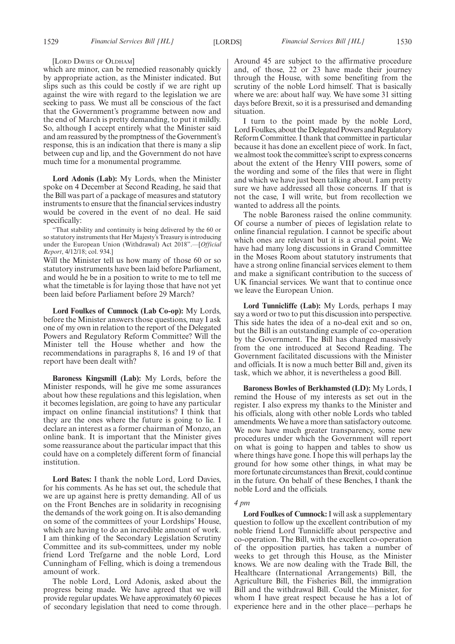#### [LORD DAVIES OF OLDHAM]

which are minor, can be remedied reasonably quickly by appropriate action, as the Minister indicated. But slips such as this could be costly if we are right up against the wire with regard to the legislation we are seeking to pass. We must all be conscious of the fact that the Government's programme between now and the end of March is pretty demanding, to put it mildly. So, although I accept entirely what the Minister said and am reassured by the promptness of the Government's response, this is an indication that there is many a slip between cup and lip, and the Government do not have much time for a monumental programme.

**Lord Adonis (Lab):** My Lords, when the Minister spoke on 4 December at Second Reading, he said that the Bill was part of a package of measures and statutory instruments to ensure that the financial services industry would be covered in the event of no deal. He said specifically:

"That stability and continuity is being delivered by the 60 or so statutory instruments that Her Majesty's Treasury is introducing under the European Union (Withdrawal) Act 2018".—[*Official Report*, 4/12/18; col. 934.]

Will the Minister tell us how many of those 60 or so statutory instruments have been laid before Parliament, and would he be in a position to write to me to tell me what the timetable is for laying those that have not yet been laid before Parliament before 29 March?

**Lord Foulkes of Cumnock (Lab Co-op):** My Lords, before the Minister answers those questions, may I ask one of my own in relation to the report of the Delegated Powers and Regulatory Reform Committee? Will the Minister tell the House whether and how the recommendations in paragraphs 8, 16 and 19 of that report have been dealt with?

**Baroness Kingsmill (Lab):** My Lords, before the Minister responds, will he give me some assurances about how these regulations and this legislation, when it becomes legislation, are going to have any particular impact on online financial institutions? I think that they are the ones where the future is going to lie. I declare an interest as a former chairman of Monzo, an online bank. It is important that the Minister gives some reassurance about the particular impact that this could have on a completely different form of financial institution.

**Lord Bates:** I thank the noble Lord, Lord Davies, for his comments. As he has set out, the schedule that we are up against here is pretty demanding. All of us on the Front Benches are in solidarity in recognising the demands of the work going on. It is also demanding on some of the committees of your Lordships' House, which are having to do an incredible amount of work. I am thinking of the Secondary Legislation Scrutiny Committee and its sub-committees, under my noble friend Lord Trefgarne and the noble Lord, Lord Cunningham of Felling, which is doing a tremendous amount of work.

The noble Lord, Lord Adonis, asked about the progress being made. We have agreed that we will provide regular updates. We have approximately 60 pieces of secondary legislation that need to come through. Around 45 are subject to the affirmative procedure and, of those, 22 or 23 have made their journey through the House, with some benefiting from the scrutiny of the noble Lord himself. That is basically where we are: about half way. We have some 31 sitting days before Brexit, so it is a pressurised and demanding situation.

I turn to the point made by the noble Lord, Lord Foulkes, about the Delegated Powers and Regulatory Reform Committee. I thank that committee in particular because it has done an excellent piece of work. In fact, we almost took the committee's script to express concerns about the extent of the Henry VIII powers, some of the wording and some of the files that were in flight and which we have just been talking about. I am pretty sure we have addressed all those concerns. If that is not the case, I will write, but from recollection we wanted to address all the points.

The noble Baroness raised the online community. Of course a number of pieces of legislation relate to online financial regulation. I cannot be specific about which ones are relevant but it is a crucial point. We have had many long discussions in Grand Committee in the Moses Room about statutory instruments that have a strong online financial services element to them and make a significant contribution to the success of UK financial services. We want that to continue once we leave the European Union.

**Lord Tunnicliffe (Lab):** My Lords, perhaps I may say a word or two to put this discussion into perspective. This side hates the idea of a no-deal exit and so on, but the Bill is an outstanding example of co-operation by the Government. The Bill has changed massively from the one introduced at Second Reading. The Government facilitated discussions with the Minister and officials. It is now a much better Bill and, given its task, which we abhor, it is nevertheless a good Bill.

**Baroness Bowles of Berkhamsted (LD):** My Lords, I remind the House of my interests as set out in the register. I also express my thanks to the Minister and his officials, along with other noble Lords who tabled amendments. We have a more than satisfactory outcome. We now have much greater transparency, some new procedures under which the Government will report on what is going to happen and tables to show us where things have gone. I hope this will perhaps lay the ground for how some other things, in what may be more fortunate circumstances than Brexit, could continue in the future. On behalf of these Benches, I thank the noble Lord and the officials.

#### *4 pm*

**Lord Foulkes of Cumnock:**I will ask a supplementary question to follow up the excellent contribution of my noble friend Lord Tunnicliffe about perspective and co-operation. The Bill, with the excellent co-operation of the opposition parties, has taken a number of weeks to get through this House, as the Minister knows. We are now dealing with the Trade Bill, the Healthcare (International Arrangements) Bill, the Agriculture Bill, the Fisheries Bill, the immigration Bill and the withdrawal Bill. Could the Minister, for whom I have great respect because he has a lot of experience here and in the other place—perhaps he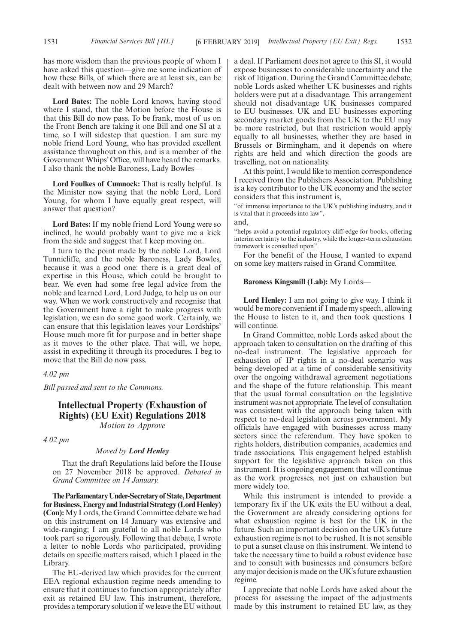has more wisdom than the previous people of whom I have asked this question—give me some indication of how these Bills, of which there are at least six, can be dealt with between now and 29 March?

**Lord Bates:** The noble Lord knows, having stood where I stand, that the Motion before the House is that this Bill do now pass. To be frank, most of us on the Front Bench are taking it one Bill and one SI at a time, so I will sidestep that question. I am sure my noble friend Lord Young, who has provided excellent assistance throughout on this, and is a member of the Government Whips' Office, will have heard the remarks. I also thank the noble Baroness, Lady Bowles—

**Lord Foulkes of Cumnock:** That is really helpful. Is the Minister now saying that the noble Lord, Lord Young, for whom I have equally great respect, will answer that question?

**Lord Bates:** If my noble friend Lord Young were so inclined, he would probably want to give me a kick from the side and suggest that I keep moving on.

I turn to the point made by the noble Lord, Lord Tunnicliffe, and the noble Baroness, Lady Bowles, because it was a good one: there is a great deal of expertise in this House, which could be brought to bear. We even had some free legal advice from the noble and learned Lord, Lord Judge, to help us on our way. When we work constructively and recognise that the Government have a right to make progress with legislation, we can do some good work. Certainly, we can ensure that this legislation leaves your Lordships' House much more fit for purpose and in better shape as it moves to the other place. That will, we hope, assist in expediting it through its procedures. I beg to move that the Bill do now pass.

#### *4.02 pm*

*Bill passed and sent to the Commons.*

## **Intellectual Property (Exhaustion of Rights) (EU Exit) Regulations 2018** *Motion to Approve*

*4.02 pm*

#### *Moved by Lord Henley*

That the draft Regulations laid before the House on 27 November 2018 be approved. *Debated in Grand Committee on 14 January.*

**TheParliamentaryUnder-Secretaryof State,Department for Business, Energy and Industrial Strategy (Lord Henley) (Con):** My Lords, the Grand Committee debate we had on this instrument on 14 January was extensive and wide-ranging; I am grateful to all noble Lords who took part so rigorously. Following that debate, I wrote a letter to noble Lords who participated, providing details on specific matters raised, which I placed in the Library.

The EU-derived law which provides for the current EEA regional exhaustion regime needs amending to ensure that it continues to function appropriately after exit as retained EU law. This instrument, therefore, provides a temporary solution if we leave the EU without a deal. If Parliament does not agree to this SI, it would expose businesses to considerable uncertainty and the risk of litigation. During the Grand Committee debate, noble Lords asked whether UK businesses and rights holders were put at a disadvantage. This arrangement should not disadvantage UK businesses compared to EU businesses. UK and EU businesses exporting secondary market goods from the UK to the EU may be more restricted, but that restriction would apply equally to all businesses, whether they are based in Brussels or Birmingham, and it depends on where rights are held and which direction the goods are travelling, not on nationality.

At this point, I would like to mention correspondence I received from the Publishers Association. Publishing is a key contributor to the UK economy and the sector considers that this instrument is,

"of immense importance to the UK's publishing industry, and it is vital that it proceeds into law",

and,

"helps avoid a potential regulatory cliff-edge for books, offering interim certainty to the industry, while the longer-term exhaustion framework is consulted upon".

For the benefit of the House, I wanted to expand on some key matters raised in Grand Committee.

#### **Baroness Kingsmill (Lab):** My Lords—

**Lord Henley:** I am not going to give way. I think it would be more convenient if I made my speech, allowing the House to listen to it, and then took questions. I will continue.

In Grand Committee, noble Lords asked about the approach taken to consultation on the drafting of this no-deal instrument. The legislative approach for exhaustion of IP rights in a no-deal scenario was being developed at a time of considerable sensitivity over the ongoing withdrawal agreement negotiations and the shape of the future relationship. This meant that the usual formal consultation on the legislative instrument was not appropriate. The level of consultation was consistent with the approach being taken with respect to no-deal legislation across government. My officials have engaged with businesses across many sectors since the referendum. They have spoken to rights holders, distribution companies, academics and trade associations. This engagement helped establish support for the legislative approach taken on this instrument. It is ongoing engagement that will continue as the work progresses, not just on exhaustion but more widely too.

While this instrument is intended to provide a temporary fix if the UK exits the EU without a deal, the Government are already considering options for what exhaustion regime is best for the UK in the future. Such an important decision on the UK's future exhaustion regime is not to be rushed. It is not sensible to put a sunset clause on this instrument. We intend to take the necessary time to build a robust evidence base and to consult with businesses and consumers before any major decision is made on the UK's future exhaustion regime.

I appreciate that noble Lords have asked about the process for assessing the impact of the adjustments made by this instrument to retained EU law, as they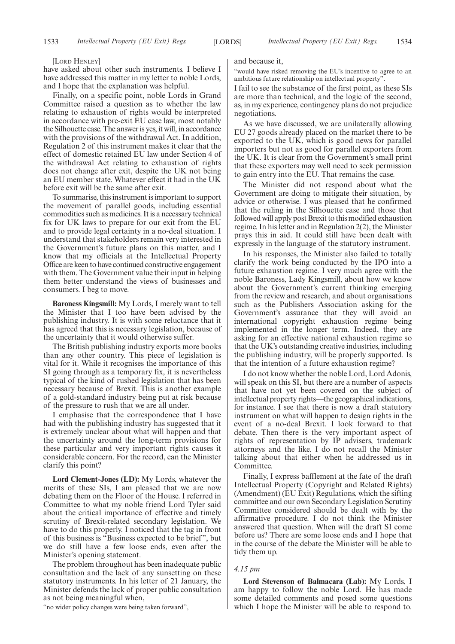#### [LORD HENLEY]

have asked about other such instruments. I believe I have addressed this matter in my letter to noble Lords, and I hope that the explanation was helpful.

Finally, on a specific point, noble Lords in Grand Committee raised a question as to whether the law relating to exhaustion of rights would be interpreted in accordance with pre-exit EU case law, most notably the Silhouette case. The answer is yes, it will, in accordance with the provisions of the withdrawal Act. In addition, Regulation 2 of this instrument makes it clear that the effect of domestic retained EU law under Section 4 of the withdrawal Act relating to exhaustion of rights does not change after exit, despite the UK not being an EU member state. Whatever effect it had in the UK before exit will be the same after exit.

To summarise, this instrument is important to support the movement of parallel goods, including essential commodities such as medicines. It is a necessary technical fix for UK laws to prepare for our exit from the EU and to provide legal certainty in a no-deal situation. I understand that stakeholders remain very interested in the Government's future plans on this matter, and I know that my officials at the Intellectual Property Office are keen to have continued constructive engagement with them. The Government value their input in helping them better understand the views of businesses and consumers. I beg to move.

**Baroness Kingsmill:** My Lords, I merely want to tell the Minister that I too have been advised by the publishing industry. It is with some reluctance that it has agreed that this is necessary legislation, because of the uncertainty that it would otherwise suffer.

The British publishing industry exports more books than any other country. This piece of legislation is vital for it. While it recognises the importance of this SI going through as a temporary fix, it is nevertheless typical of the kind of rushed legislation that has been necessary because of Brexit. This is another example of a gold-standard industry being put at risk because of the pressure to rush that we are all under.

I emphasise that the correspondence that I have had with the publishing industry has suggested that it is extremely unclear about what will happen and that the uncertainty around the long-term provisions for these particular and very important rights causes it considerable concern. For the record, can the Minister clarify this point?

**Lord Clement-Jones (LD):** My Lords, whatever the merits of these SIs, I am pleased that we are now debating them on the Floor of the House. I referred in Committee to what my noble friend Lord Tyler said about the critical importance of effective and timely scrutiny of Brexit-related secondary legislation. We have to do this properly. I noticed that the tag in front of this business is "Business expected to be brief", but we do still have a few loose ends, even after the Minister's opening statement.

The problem throughout has been inadequate public consultation and the lack of any sunsetting on these statutory instruments. In his letter of 21 January, the Minister defends the lack of proper public consultation as not being meaningful when,

"no wider policy changes were being taken forward",

and because it,

"would have risked removing the EU's incentive to agree to an ambitious future relationship on intellectual property".

I fail to see the substance of the first point, as these SIs are more than technical, and the logic of the second, as, in my experience, contingency plans do not prejudice negotiations.

As we have discussed, we are unilaterally allowing EU 27 goods already placed on the market there to be exported to the UK, which is good news for parallel importers but not as good for parallel exporters from the UK. It is clear from the Government's small print that these exporters may well need to seek permission to gain entry into the EU. That remains the case.

The Minister did not respond about what the Government are doing to mitigate their situation, by advice or otherwise. I was pleased that he confirmed that the ruling in the Silhouette case and those that followed will apply post Brexit to this modified exhaustion regime. In his letter and in Regulation 2(2), the Minister prays this in aid. It could still have been dealt with expressly in the language of the statutory instrument.

In his responses, the Minister also failed to totally clarify the work being conducted by the IPO into a future exhaustion regime. I very much agree with the noble Baroness, Lady Kingsmill, about how we know about the Government's current thinking emerging from the review and research, and about organisations such as the Publishers Association asking for the Government's assurance that they will avoid an international copyright exhaustion regime being implemented in the longer term. Indeed, they are asking for an effective national exhaustion regime so that the UK's outstanding creative industries, including the publishing industry, will be properly supported. Is that the intention of a future exhaustion regime?

I do not know whether the noble Lord, Lord Adonis, will speak on this SI, but there are a number of aspects that have not yet been covered on the subject of intellectual property rights—the geographical indications, for instance. I see that there is now a draft statutory instrument on what will happen to design rights in the event of a no-deal Brexit. I look forward to that debate. Then there is the very important aspect of rights of representation by IP advisers, trademark attorneys and the like. I do not recall the Minister talking about that either when he addressed us in Committee.

Finally, I express bafflement at the fate of the draft Intellectual Property (Copyright and Related Rights) (Amendment) (EU Exit) Regulations, which the sifting committee and our own Secondary Legislation Scrutiny Committee considered should be dealt with by the affirmative procedure. I do not think the Minister answered that question. When will the draft SI come before us? There are some loose ends and I hope that in the course of the debate the Minister will be able to tidy them up.

#### *4.15 pm*

**Lord Stevenson of Balmacara (Lab):** My Lords, I am happy to follow the noble Lord. He has made some detailed comments and posed some questions which I hope the Minister will be able to respond to.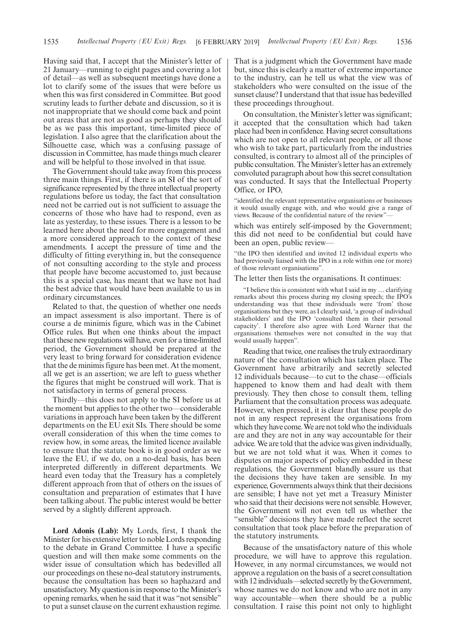Having said that, I accept that the Minister's letter of 21 January—running to eight pages and covering a lot of detail—as well as subsequent meetings have done a lot to clarify some of the issues that were before us when this was first considered in Committee. But good scrutiny leads to further debate and discussion, so it is not inappropriate that we should come back and point out areas that are not as good as perhaps they should be as we pass this important, time-limited piece of legislation. I also agree that the clarification about the Silhouette case, which was a confusing passage of discussion in Committee, has made things much clearer and will be helpful to those involved in that issue.

The Government should take away from this process three main things. First, if there is an SI of the sort of significance represented by the three intellectual property regulations before us today, the fact that consultation need not be carried out is not sufficient to assuage the concerns of those who have had to respond, even as late as yesterday, to these issues. There is a lesson to be learned here about the need for more engagement and a more considered approach to the context of these amendments. I accept the pressure of time and the difficulty of fitting everything in, but the consequence of not consulting according to the style and process that people have become accustomed to, just because this is a special case, has meant that we have not had the best advice that would have been available to us in ordinary circumstances.

Related to that, the question of whether one needs an impact assessment is also important. There is of course a de minimis figure, which was in the Cabinet Office rules. But when one thinks about the impact that these new regulations will have, even for a time-limited period, the Government should be prepared at the very least to bring forward for consideration evidence that the de minimis figure has been met. At the moment, all we get is an assertion; we are left to guess whether the figures that might be construed will work. That is not satisfactory in terms of general process.

Thirdly—this does not apply to the SI before us at the moment but applies to the other two—considerable variations in approach have been taken by the different departments on the EU exit SIs. There should be some overall consideration of this when the time comes to review how, in some areas, the limited licence available to ensure that the statute book is in good order as we leave the EU, if we do, on a no-deal basis, has been interpreted differently in different departments. We heard even today that the Treasury has a completely different approach from that of others on the issues of consultation and preparation of estimates that I have been talking about. The public interest would be better served by a slightly different approach.

**Lord Adonis (Lab):** My Lords, first, I thank the Minister for his extensive letter to noble Lords responding to the debate in Grand Committee. I have a specific question and will then make some comments on the wider issue of consultation which has bedevilled all our proceedings on these no-deal statutory instruments, because the consultation has been so haphazard and unsatisfactory. My question is in response to the Minister's opening remarks, when he said that it was "not sensible" to put a sunset clause on the current exhaustion regime. That is a judgment which the Government have made but, since this is clearly a matter of extreme importance to the industry, can he tell us what the view was of stakeholders who were consulted on the issue of the sunset clause? I understand that that issue has bedevilled these proceedings throughout.

On consultation, the Minister's letter was significant; it accepted that the consultation which had taken place had been in confidence. Having secret consultations which are not open to all relevant people, or all those who wish to take part, particularly from the industries consulted, is contrary to almost all of the principles of public consultation. The Minister's letter has an extremely convoluted paragraph about how this secret consultation was conducted. It says that the Intellectual Property Office, or IPO,

"identified the relevant representative organisations or businesses it would usually engage with, and who would give a range of views. Because of the confidential nature of the review"—

which was entirely self-imposed by the Government; this did not need to be confidential but could have been an open, public review—

"the IPO then identified and invited 12 individual experts who had previously liaised with the IPO in a role within one (or more) of those relevant organisations".

The letter then lists the organisations. It continues:

"I believe this is consistent with what I said in my … clarifying remarks about this process during my closing speech; the IPO's understanding was that these individuals were 'from' those organisations but they were, as I clearly said, 'a group of individual stakeholders' and the IPO 'consulted them in their personal capacity'. I therefore also agree with Lord Warner that the organisations themselves were not consulted in the way that would usually happen".

Reading that twice, one realises the truly extraordinary nature of the consultation which has taken place. The Government have arbitrarily and secretly selected 12 individuals because—to cut to the chase—officials happened to know them and had dealt with them previously. They then chose to consult them, telling Parliament that the consultation process was adequate. However, when pressed, it is clear that these people do not in any respect represent the organisations from which they have come. We are not told who the individuals are and they are not in any way accountable for their advice. We are told that the advice was given individually, but we are not told what it was. When it comes to disputes on major aspects of policy embedded in these regulations, the Government blandly assure us that the decisions they have taken are sensible. In my experience, Governments always think that their decisions are sensible; I have not yet met a Treasury Minister who said that their decisions were not sensible. However, the Government will not even tell us whether the "sensible" decisions they have made reflect the secret consultation that took place before the preparation of the statutory instruments.

Because of the unsatisfactory nature of this whole procedure, we will have to approve this regulation. However, in any normal circumstances, we would not approve a regulation on the basis of a secret consultation with 12 individuals—selected secretly by the Government, whose names we do not know and who are not in any way accountable—when there should be a public consultation. I raise this point not only to highlight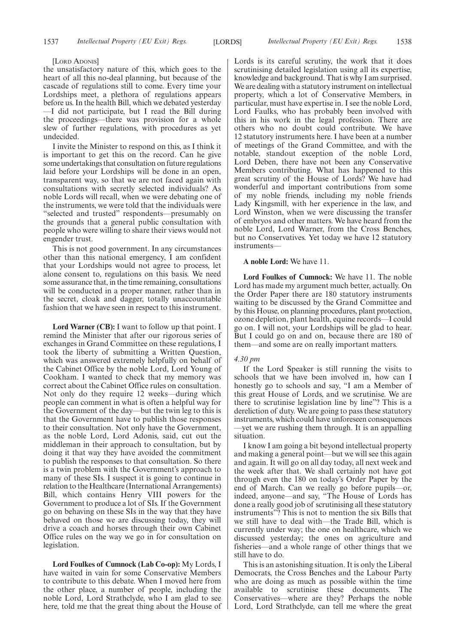#### [LORD ADONIS]

the unsatisfactory nature of this, which goes to the heart of all this no-deal planning, but because of the cascade of regulations still to come. Every time your Lordships meet, a plethora of regulations appears before us. In the health Bill, which we debated yesterday —I did not participate, but I read the Bill during the proceedings—there was provision for a whole slew of further regulations, with procedures as yet undecided.

I invite the Minister to respond on this, as I think it is important to get this on the record. Can he give some undertakings that consultation on future regulations laid before your Lordships will be done in an open, transparent way, so that we are not faced again with consultations with secretly selected individuals? As noble Lords will recall, when we were debating one of the instruments, we were told that the individuals were "selected and trusted" respondents—presumably on the grounds that a general public consultation with people who were willing to share their views would not engender trust.

This is not good government. In any circumstances other than this national emergency, I am confident that your Lordships would not agree to process, let alone consent to, regulations on this basis. We need some assurance that, in the time remaining, consultations will be conducted in a proper manner, rather than in the secret, cloak and dagger, totally unaccountable fashion that we have seen in respect to this instrument.

**Lord Warner (CB):** I want to follow up that point. I remind the Minister that after our rigorous series of exchanges in Grand Committee on these regulations, I took the liberty of submitting a Written Question, which was answered extremely helpfully on behalf of the Cabinet Office by the noble Lord, Lord Young of Cookham. I wanted to check that my memory was correct about the Cabinet Office rules on consultation. Not only do they require 12 weeks—during which people can comment in what is often a helpful way for the Government of the day—but the twin leg to this is that the Government have to publish those responses to their consultation. Not only have the Government, as the noble Lord, Lord Adonis, said, cut out the middleman in their approach to consultation, but by doing it that way they have avoided the commitment to publish the responses to that consultation. So there is a twin problem with the Government's approach to many of these SIs. I suspect it is going to continue in relation to the Healthcare (International Arrangements) Bill, which contains Henry VIII powers for the Government to produce a lot of SIs. If the Government go on behaving on these SIs in the way that they have behaved on those we are discussing today, they will drive a coach and horses through their own Cabinet Office rules on the way we go in for consultation on legislation.

**Lord Foulkes of Cumnock (Lab Co-op):** My Lords, I have waited in vain for some Conservative Members to contribute to this debate. When I moved here from the other place, a number of people, including the noble Lord, Lord Strathclyde, who I am glad to see here, told me that the great thing about the House of Lords is its careful scrutiny, the work that it does scrutinising detailed legislation using all its expertise, knowledge and background. That is why I am surprised. We are dealing with a statutory instrument on intellectual property, which a lot of Conservative Members, in particular, must have expertise in. I see the noble Lord, Lord Faulks, who has probably been involved with this in his work in the legal profession. There are others who no doubt could contribute. We have 12 statutory instruments here. I have been at a number of meetings of the Grand Committee, and with the notable, standout exception of the noble Lord, Lord Deben, there have not been any Conservative Members contributing. What has happened to this great scrutiny of the House of Lords? We have had wonderful and important contributions from some of my noble friends, including my noble friends Lady Kingsmill, with her experience in the law, and Lord Winston, when we were discussing the transfer of embryos and other matters. We have heard from the noble Lord, Lord Warner, from the Cross Benches, but no Conservatives. Yet today we have 12 statutory instruments—

#### **A noble Lord:** We have 11.

**Lord Foulkes of Cumnock:** We have 11. The noble Lord has made my argument much better, actually. On the Order Paper there are 180 statutory instruments waiting to be discussed by the Grand Committee and by this House, on planning procedures, plant protection, ozone depletion, plant health, equine records—I could go on. I will not, your Lordships will be glad to hear. But I could go on and on, because there are 180 of them—and some are on really important matters.

#### *4.30 pm*

If the Lord Speaker is still running the visits to schools that we have been involved in, how can I honestly go to schools and say, "I am a Member of this great House of Lords, and we scrutinise. We are there to scrutinise legislation line by line"? This is a dereliction of duty. We are going to pass these statutory instruments, which could have unforeseen consequences —yet we are rushing them through. It is an appalling situation.

I know I am going a bit beyond intellectual property and making a general point—but we will see this again and again. It will go on all day today, all next week and the week after that. We shall certainly not have got through even the 180 on today's Order Paper by the end of March. Can we really go before pupils—or, indeed, anyone—and say, "The House of Lords has done a really good job of scrutinising all these statutory instruments"? This is not to mention the six Bills that we still have to deal with—the Trade Bill, which is currently under way; the one on healthcare, which we discussed yesterday; the ones on agriculture and fisheries—and a whole range of other things that we still have to do.

This is an astonishing situation. It is only the Liberal Democrats, the Cross Benches and the Labour Party who are doing as much as possible within the time available to scrutinise these documents. The Conservatives—where are they? Perhaps the noble Lord, Lord Strathclyde, can tell me where the great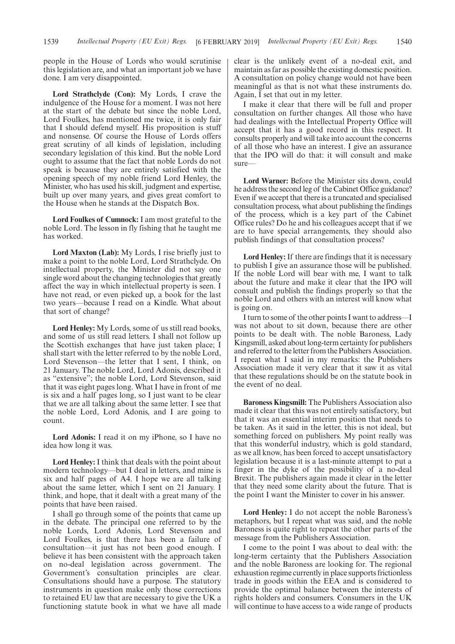people in the House of Lords who would scrutinise this legislation are, and what an important job we have done. I am very disappointed.

**Lord Strathclyde (Con):** My Lords, I crave the indulgence of the House for a moment. I was not here at the start of the debate but since the noble Lord, Lord Foulkes, has mentioned me twice, it is only fair that I should defend myself. His proposition is stuff and nonsense. Of course the House of Lords offers great scrutiny of all kinds of legislation, including secondary legislation of this kind. But the noble Lord ought to assume that the fact that noble Lords do not speak is because they are entirely satisfied with the opening speech of my noble friend Lord Henley, the Minister, who has used his skill, judgment and expertise, built up over many years, and gives great comfort to the House when he stands at the Dispatch Box.

**Lord Foulkes of Cumnock:** I am most grateful to the noble Lord. The lesson in fly fishing that he taught me has worked.

**Lord Maxton (Lab):** My Lords, I rise briefly just to make a point to the noble Lord, Lord Strathclyde. On intellectual property, the Minister did not say one single word about the changing technologies that greatly affect the way in which intellectual property is seen. I have not read, or even picked up, a book for the last two years—because I read on a Kindle. What about that sort of change?

**Lord Henley:** My Lords, some of us still read books, and some of us still read letters. I shall not follow up the Scottish exchanges that have just taken place; I shall start with the letter referred to by the noble Lord, Lord Stevenson—the letter that I sent, I think, on 21 January. The noble Lord, Lord Adonis, described it as "extensive"; the noble Lord, Lord Stevenson, said that it was eight pages long. What I have in front of me is six and a half pages long, so I just want to be clear that we are all talking about the same letter. I see that the noble Lord, Lord Adonis, and I are going to count.

**Lord Adonis:** I read it on my iPhone, so I have no idea how long it was.

**Lord Henley:** I think that deals with the point about modern technology—but I deal in letters, and mine is six and half pages of A4. I hope we are all talking about the same letter, which I sent on 21 January. I think, and hope, that it dealt with a great many of the points that have been raised.

I shall go through some of the points that came up in the debate. The principal one referred to by the noble Lords, Lord Adonis, Lord Stevenson and Lord Foulkes, is that there has been a failure of consultation—it just has not been good enough. I believe it has been consistent with the approach taken on no-deal legislation across government. The Government's consultation principles are clear. Consultations should have a purpose. The statutory instruments in question make only those corrections to retained EU law that are necessary to give the UK a functioning statute book in what we have all made clear is the unlikely event of a no-deal exit, and maintain as far as possible the existing domestic position. A consultation on policy change would not have been meaningful as that is not what these instruments do. Again, I set that out in my letter.

I make it clear that there will be full and proper consultation on further changes. All those who have had dealings with the Intellectual Property Office will accept that it has a good record in this respect. It consults properly and will take into account the concerns of all those who have an interest. I give an assurance that the IPO will do that: it will consult and make sure—

**Lord Warner:** Before the Minister sits down, could he address the second leg of the Cabinet Office guidance? Even if we accept that there is a truncated and specialised consultation process, what about publishing the findings of the process, which is a key part of the Cabinet Office rules? Do he and his colleagues accept that if we are to have special arrangements, they should also publish findings of that consultation process?

**Lord Henley:** If there are findings that it is necessary to publish I give an assurance those will be published. If the noble Lord will bear with me, I want to talk about the future and make it clear that the IPO will consult and publish the findings properly so that the noble Lord and others with an interest will know what is going on.

I turn to some of the other points I want to address—I was not about to sit down, because there are other points to be dealt with. The noble Baroness, Lady Kingsmill, asked about long-term certainty for publishers and referred to the letter from the Publishers Association. I repeat what I said in my remarks: the Publishers Association made it very clear that it saw it as vital that these regulations should be on the statute book in the event of no deal.

**Baroness Kingsmill:** The Publishers Association also made it clear that this was not entirely satisfactory, but that it was an essential interim position that needs to be taken. As it said in the letter, this is not ideal, but something forced on publishers. My point really was that this wonderful industry, which is gold standard, as we all know, has been forced to accept unsatisfactory legislation because it is a last-minute attempt to put a finger in the dyke of the possibility of a no-deal Brexit. The publishers again made it clear in the letter that they need some clarity about the future. That is the point I want the Minister to cover in his answer.

**Lord Henley:** I do not accept the noble Baroness's metaphors, but I repeat what was said, and the noble Baroness is quite right to repeat the other parts of the message from the Publishers Association.

I come to the point I was about to deal with: the long-term certainty that the Publishers Association and the noble Baroness are looking for. The regional exhaustion regime currently in place supports frictionless trade in goods within the EEA and is considered to provide the optimal balance between the interests of rights holders and consumers. Consumers in the UK will continue to have access to a wide range of products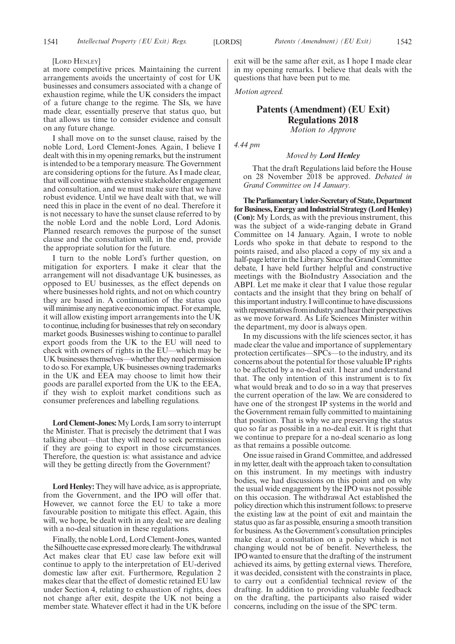[LORD HENLEY]

at more competitive prices. Maintaining the current arrangements avoids the uncertainty of cost for UK businesses and consumers associated with a change of exhaustion regime, while the UK considers the impact of a future change to the regime. The SIs, we have made clear, essentially preserve that status quo, but that allows us time to consider evidence and consult on any future change.

I shall move on to the sunset clause, raised by the noble Lord, Lord Clement-Jones. Again, I believe I dealt with this in my opening remarks, but the instrument is intended to be a temporary measure. The Government are considering options for the future. As I made clear, that will continue with extensive stakeholder engagement and consultation, and we must make sure that we have robust evidence. Until we have dealt with that, we will need this in place in the event of no deal. Therefore it is not necessary to have the sunset clause referred to by the noble Lord and the noble Lord, Lord Adonis. Planned research removes the purpose of the sunset clause and the consultation will, in the end, provide the appropriate solution for the future.

I turn to the noble Lord's further question, on mitigation for exporters. I make it clear that the arrangement will not disadvantage UK businesses, as opposed to EU businesses, as the effect depends on where businesses hold rights, and not on which country they are based in. A continuation of the status quo will minimise any negative economic impact. For example, it will allow existing import arrangements into the UK to continue, including for businesses that rely on secondary market goods. Businesses wishing to continue to parallel export goods from the UK to the EU will need to check with owners of rights in the EU—which may be UK businesses themselves—whether they need permission to do so. For example, UK businesses owning trademarks in the UK and EEA may choose to limit how their goods are parallel exported from the UK to the EEA, if they wish to exploit market conditions such as consumer preferences and labelling regulations.

**Lord Clement-Jones:**My Lords, I am sorry to interrupt the Minister. That is precisely the detriment that I was talking about—that they will need to seek permission if they are going to export in those circumstances. Therefore, the question is: what assistance and advice will they be getting directly from the Government?

**Lord Henley:** They will have advice, as is appropriate, from the Government, and the IPO will offer that. However, we cannot force the EU to take a more favourable position to mitigate this effect. Again, this will, we hope, be dealt with in any deal; we are dealing with a no-deal situation in these regulations.

Finally, the noble Lord, Lord Clement-Jones, wanted the Silhouette case expressed more clearly. The withdrawal Act makes clear that EU case law before exit will continue to apply to the interpretation of EU-derived domestic law after exit. Furthermore, Regulation 2 makes clear that the effect of domestic retained EU law under Section 4, relating to exhaustion of rights, does not change after exit, despite the UK not being a member state. Whatever effect it had in the UK before exit will be the same after exit, as I hope I made clear in my opening remarks. I believe that deals with the questions that have been put to me.

*Motion agreed.*

## **Patents (Amendment) (EU Exit) Regulations 2018** *Motion to Approve*

*4.44 pm*

#### *Moved by Lord Henley*

That the draft Regulations laid before the House on 28 November 2018 be approved. *Debated in Grand Committee on 14 January.*

**TheParliamentaryUnder-Secretaryof State,Department for Business, Energy and Industrial Strategy (Lord Henley) (Con):** My Lords, as with the previous instrument, this was the subject of a wide-ranging debate in Grand Committee on 14 January. Again, I wrote to noble Lords who spoke in that debate to respond to the points raised, and also placed a copy of my six and a half-page letter in the Library. Since the Grand Committee debate, I have held further helpful and constructive meetings with the BioIndustry Association and the ABPI. Let me make it clear that I value those regular contacts and the insight that they bring on behalf of this important industry. I will continue to have discussions with representatives from industry and hear their perspectives as we move forward. As Life Sciences Minister within the department, my door is always open.

In my discussions with the life sciences sector, it has made clear the value and importance of supplementary protection certificates—SPCs—to the industry, and its concerns about the potential for those valuable IP rights to be affected by a no-deal exit. I hear and understand that. The only intention of this instrument is to fix what would break and to do so in a way that preserves the current operation of the law. We are considered to have one of the strongest IP systems in the world and the Government remain fully committed to maintaining that position. That is why we are preserving the status quo so far as possible in a no-deal exit. It is right that we continue to prepare for a no-deal scenario as long as that remains a possible outcome.

One issue raised in Grand Committee, and addressed in my letter, dealt with the approach taken to consultation on this instrument. In my meetings with industry bodies, we had discussions on this point and on why the usual wide engagement by the IPO was not possible on this occasion. The withdrawal Act established the policy direction which this instrument follows: to preserve the existing law at the point of exit and maintain the status quo as far as possible, ensuring a smooth transition for business. As the Government's consultation principles make clear, a consultation on a policy which is not changing would not be of benefit. Nevertheless, the IPO wanted to ensure that the drafting of the instrument achieved its aims, by getting external views. Therefore, it was decided, consistent with the constraints in place, to carry out a confidential technical review of the drafting. In addition to providing valuable feedback on the drafting, the participants also raised wider concerns, including on the issue of the SPC term.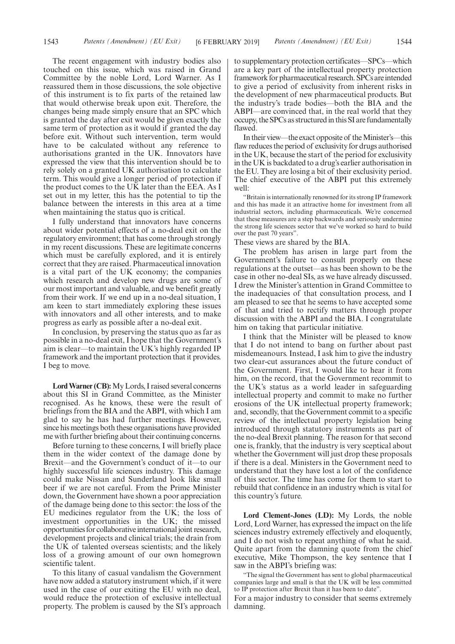The recent engagement with industry bodies also touched on this issue, which was raised in Grand Committee by the noble Lord, Lord Warner. As I reassured them in those discussions, the sole objective of this instrument is to fix parts of the retained law that would otherwise break upon exit. Therefore, the changes being made simply ensure that an SPC which is granted the day after exit would be given exactly the same term of protection as it would if granted the day before exit. Without such intervention, term would have to be calculated without any reference to authorisations granted in the UK. Innovators have expressed the view that this intervention should be to rely solely on a granted UK authorisation to calculate term. This would give a longer period of protection if the product comes to the UK later than the EEA. As I set out in my letter, this has the potential to tip the balance between the interests in this area at a time when maintaining the status quo is critical.

I fully understand that innovators have concerns about wider potential effects of a no-deal exit on the regulatory environment; that has come through strongly in my recent discussions. These are legitimate concerns which must be carefully explored, and it is entirely correct that they are raised. Pharmaceutical innovation is a vital part of the UK economy; the companies which research and develop new drugs are some of our most important and valuable, and we benefit greatly from their work. If we end up in a no-deal situation, I am keen to start immediately exploring these issues with innovators and all other interests, and to make progress as early as possible after a no-deal exit.

In conclusion, by preserving the status quo as far as possible in a no-deal exit, I hope that the Government's aim is clear—to maintain the UK's highly regarded IP framework and the important protection that it provides. I beg to move.

**Lord Warner (CB):**My Lords, I raised several concerns about this SI in Grand Committee, as the Minister recognised. As he knows, these were the result of briefings from the BIA and the ABPI, with which I am glad to say he has had further meetings. However, since his meetings both these organisations have provided me with further briefing about their continuing concerns.

Before turning to these concerns, I will briefly place them in the wider context of the damage done by Brexit—and the Government's conduct of it—to our highly successful life sciences industry. This damage could make Nissan and Sunderland look like small beer if we are not careful. From the Prime Minister down, the Government have shown a poor appreciation of the damage being done to this sector: the loss of the EU medicines regulator from the UK; the loss of investment opportunities in the UK; the missed opportunities for collaborative international joint research, development projects and clinical trials; the drain from the UK of talented overseas scientists; and the likely loss of a growing amount of our own homegrown scientific talent.

To this litany of casual vandalism the Government have now added a statutory instrument which, if it were used in the case of our exiting the EU with no deal, would reduce the protection of exclusive intellectual property. The problem is caused by the SI's approach to supplementary protection certificates—SPCs—which are a key part of the intellectual property protection framework for pharmaceutical research. SPCs are intended to give a period of exclusivity from inherent risks in the development of new pharmaceutical products. But the industry's trade bodies—both the BIA and the ABPI—are convinced that, in the real world that they occupy, the SPCs as structured in this SI are fundamentally flawed.

In their view—the exact opposite of the Minister's—this flaw reduces the period of exclusivity for drugs authorised in the UK, because the start of the period for exclusivity in the UK is backdated to a drug's earlier authorisation in the EU. They are losing a bit of their exclusivity period. The chief executive of the ABPI put this extremely well:

"Britain is internationally renowned for its strong IP framework and this has made it an attractive home for investment from all industrial sectors, including pharmaceuticals. We're concerned that these measures are a step backwards and seriously undermine the strong life sciences sector that we've worked so hard to build over the past 70 years".

These views are shared by the BIA.

The problem has arisen in large part from the Government's failure to consult properly on these regulations at the outset—as has been shown to be the case in other no-deal SIs, as we have already discussed. I drew the Minister's attention in Grand Committee to the inadequacies of that consultation process, and I am pleased to see that he seems to have accepted some of that and tried to rectify matters through proper discussion with the ABPI and the BIA. I congratulate him on taking that particular initiative.

I think that the Minister will be pleased to know that I do not intend to bang on further about past misdemeanours. Instead, I ask him to give the industry two clear-cut assurances about the future conduct of the Government. First, I would like to hear it from him, on the record, that the Government recommit to the UK's status as a world leader in safeguarding intellectual property and commit to make no further erosions of the UK intellectual property framework; and, secondly, that the Government commit to a specific review of the intellectual property legislation being introduced through statutory instruments as part of the no-deal Brexit planning. The reason for that second one is, frankly, that the industry is very sceptical about whether the Government will just drop these proposals if there is a deal. Ministers in the Government need to understand that they have lost a lot of the confidence of this sector. The time has come for them to start to rebuild that confidence in an industry which is vital for this country's future.

**Lord Clement-Jones (LD):** My Lords, the noble Lord, Lord Warner, has expressed the impact on the life sciences industry extremely effectively and eloquently, and I do not wish to repeat anything of what he said. Quite apart from the damning quote from the chief executive, Mike Thompson, the key sentence that I saw in the ABPI's briefing was:

"The signal the Government has sent to global pharmaceutical companies large and small is that the UK will be less committed to IP protection after Brexit than it has been to date".

For a major industry to consider that seems extremely damning.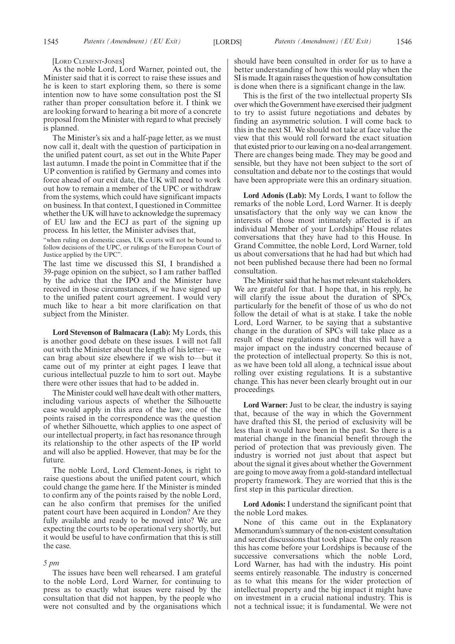[LORD CLEMENT-JONES]

As the noble Lord, Lord Warner, pointed out, the Minister said that it is correct to raise these issues and he is keen to start exploring them, so there is some intention now to have some consultation post the SI rather than proper consultation before it. I think we are looking forward to hearing a bit more of a concrete proposal from the Minister with regard to what precisely is planned.

The Minister's six and a half-page letter, as we must now call it, dealt with the question of participation in the unified patent court, as set out in the White Paper last autumn. I made the point in Committee that if the UP convention is ratified by Germany and comes into force ahead of our exit date, the UK will need to work out how to remain a member of the UPC or withdraw from the systems, which could have significant impacts on business. In that context, I questioned in Committee whether the UK will have to acknowledge the supremacy of EU law and the ECJ as part of the signing up process. In his letter, the Minister advises that,

"when ruling on domestic cases, UK courts will not be bound to follow decisions of the UPC, or rulings of the European Court of Justice applied by the UPC".

The last time we discussed this SI, I brandished a 39-page opinion on the subject, so I am rather baffled by the advice that the IPO and the Minister have received in those circumstances, if we have signed up to the unified patent court agreement. I would very much like to hear a bit more clarification on that subject from the Minister.

**Lord Stevenson of Balmacara (Lab):** My Lords, this is another good debate on these issues. I will not fall out with the Minister about the length of his letter—we can brag about size elsewhere if we wish to—but it came out of my printer at eight pages. I leave that curious intellectual puzzle to him to sort out. Maybe there were other issues that had to be added in.

The Minister could well have dealt with other matters, including various aspects of whether the Silhouette case would apply in this area of the law; one of the points raised in the correspondence was the question of whether Silhouette, which applies to one aspect of our intellectual property, in fact has resonance through its relationship to the other aspects of the IP world and will also be applied. However, that may be for the future.

The noble Lord, Lord Clement-Jones, is right to raise questions about the unified patent court, which could change the game here. If the Minister is minded to confirm any of the points raised by the noble Lord, can he also confirm that premises for the unified patent court have been acquired in London? Are they fully available and ready to be moved into? We are expecting the courts to be operational very shortly, but it would be useful to have confirmation that this is still the case.

#### *5 pm*

The issues have been well rehearsed. I am grateful to the noble Lord, Lord Warner, for continuing to press as to exactly what issues were raised by the consultation that did not happen, by the people who were not consulted and by the organisations which should have been consulted in order for us to have a better understanding of how this would play when the SI is made. It again raises the question of how consultation is done when there is a significant change in the law.

This is the first of the two intellectual property SIs over which the Government have exercised their judgment to try to assist future negotiations and debates by finding an asymmetric solution. I will come back to this in the next SI. We should not take at face value the view that this would roll forward the exact situation that existed prior to our leaving on a no-deal arrangement. There are changes being made. They may be good and sensible, but they have not been subject to the sort of consultation and debate nor to the costings that would have been appropriate were this an ordinary situation.

**Lord Adonis (Lab):** My Lords, I want to follow the remarks of the noble Lord, Lord Warner. It is deeply unsatisfactory that the only way we can know the interests of those most intimately affected is if an individual Member of your Lordships' House relates conversations that they have had to this House. In Grand Committee, the noble Lord, Lord Warner, told us about conversations that he had had but which had not been published because there had been no formal consultation.

The Minister said that he has met relevant stakeholders. We are grateful for that. I hope that, in his reply, he will clarify the issue about the duration of SPCs, particularly for the benefit of those of us who do not follow the detail of what is at stake. I take the noble Lord, Lord Warner, to be saying that a substantive change in the duration of SPCs will take place as a result of these regulations and that this will have a major impact on the industry concerned because of the protection of intellectual property. So this is not, as we have been told all along, a technical issue about rolling over existing regulations. It is a substantive change. This has never been clearly brought out in our proceedings.

**Lord Warner:** Just to be clear, the industry is saying that, because of the way in which the Government have drafted this SI, the period of exclusivity will be less than it would have been in the past. So there is a material change in the financial benefit through the period of protection that was previously given. The industry is worried not just about that aspect but about the signal it gives about whether the Government are going to move away from a gold-standard intellectual property framework. They are worried that this is the first step in this particular direction.

**Lord Adonis:** I understand the significant point that the noble Lord makes.

None of this came out in the Explanatory Memorandum's summary of the non-existent consultation and secret discussions that took place. The only reason this has come before your Lordships is because of the successive conversations which the noble Lord, Lord Warner, has had with the industry. His point seems entirely reasonable. The industry is concerned as to what this means for the wider protection of intellectual property and the big impact it might have on investment in a crucial national industry. This is not a technical issue; it is fundamental. We were not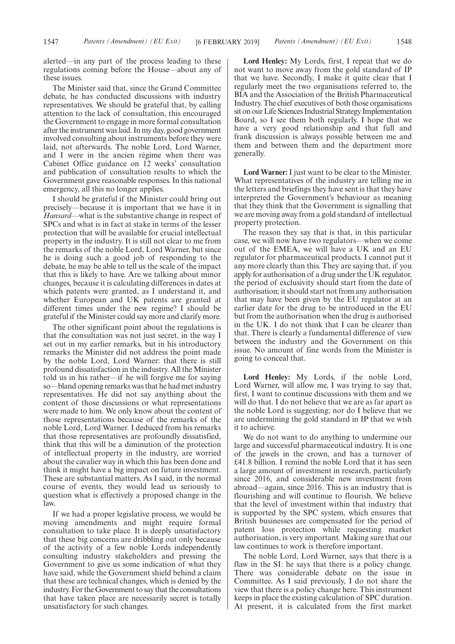alerted—in any part of the process leading to these regulations coming before the House—about any of these issues.

The Minister said that, since the Grand Committee debate, he has conducted discussions with industry representatives. We should be grateful that, by calling attention to the lack of consultation, this encouraged the Government to engage in more formal consultation after the instrument was laid. In my day, good government involved consulting about instruments before they were laid, not afterwards. The noble Lord, Lord Warner, and I were in the ancien régime when there was Cabinet Office guidance on 12 weeks' consultation and publication of consultation results to which the Government gave reasonable responses. In this national emergency, all this no longer applies.

I should be grateful if the Minister could bring out precisely—because it is important that we have it in *Hansard*—what is the substantive change in respect of SPCs and what is in fact at stake in terms of the lesser protection that will be available for crucial intellectual property in the industry. It is still not clear to me from the remarks of the noble Lord, Lord Warner, but since he is doing such a good job of responding to the debate, he may be able to tell us the scale of the impact that this is likely to have. Are we talking about minor changes, because it is calculating differences in dates at which patents were granted, as I understand it, and whether European and UK patents are granted at different times under the new regime? I should be grateful if the Minister could say more and clarify more.

The other significant point about the regulations is that the consultation was not just secret, in the way I set out in my earlier remarks, but in his introductory remarks the Minister did not address the point made by the noble Lord, Lord Warner: that there is still profound dissatisfaction in the industry. All the Minister told us in his rather—if he will forgive me for saying so—bland opening remarks was that he had met industry representatives. He did not say anything about the content of those discussions or what representations were made to him. We only know about the content of those representations because of the remarks of the noble Lord, Lord Warner. I deduced from his remarks that those representatives are profoundly dissatisfied, think that this will be a diminution of the protection of intellectual property in the industry, are worried about the cavalier way in which this has been done and think it might have a big impact on future investment. These are substantial matters. As I said, in the normal course of events, they would lead us seriously to question what is effectively a proposed change in the law.

If we had a proper legislative process, we would be moving amendments and might require formal consultation to take place. It is deeply unsatisfactory that these big concerns are dribbling out only because of the activity of a few noble Lords independently consulting industry stakeholders and pressing the Government to give us some indication of what they have said, while the Government shield behind a claim that these are technical changes, which is denied by the industry. For the Government to say that the consultations that have taken place are necessarily secret is totally unsatisfactory for such changes.

**Lord Henley:** My Lords, first, I repeat that we do not want to move away from the gold standard of IP that we have. Secondly, I make it quite clear that I regularly meet the two organisations referred to, the BIA and the Association of the British Pharmaceutical Industry. The chief executives of both those organisations sit on our Life Sciences Industrial Strategy Implementation Board, so I see them both regularly. I hope that we have a very good relationship and that full and frank discussion is always possible between me and them and between them and the department more generally.

**Lord Warner:** I just want to be clear to the Minister. What representatives of the industry are telling me in the letters and briefings they have sent is that they have interpreted the Government's behaviour as meaning that they think that the Government is signalling that we are moving away from a gold standard of intellectual property protection.

The reason they say that is that, in this particular case, we will now have two regulators—when we come out of the EMEA, we will have a UK and an EU regulator for pharmaceutical products. I cannot put it any more clearly than this. They are saying that, if you apply for authorisation of a drug under the UK regulator, the period of exclusivity should start from the date of authorisation; it should start not from any authorisation that may have been given by the EU regulator at an earlier date for the drug to be introduced in the EU but from the authorisation when the drug is authorised in the UK. I do not think that I can be clearer than that. There is clearly a fundamental difference of view between the industry and the Government on this issue. No amount of fine words from the Minister is going to conceal that.

**Lord Henley:** My Lords, if the noble Lord, Lord Warner, will allow me, I was trying to say that, first, I want to continue discussions with them and we will do that. I do not believe that we are as far apart as the noble Lord is suggesting; nor do I believe that we are undermining the gold standard in IP that we wish it to achieve.

We do not want to do anything to undermine our large and successful pharmaceutical industry. It is one of the jewels in the crown, and has a turnover of £41.8 billion. I remind the noble Lord that it has seen a large amount of investment in research, particularly since 2016, and considerable new investment from abroad—again, since 2016. This is an industry that is flourishing and will continue to flourish. We believe that the level of investment within that industry that is supported by the SPC system, which ensures that British businesses are compensated for the period of patent loss protection while requesting market authorisation, is very important. Making sure that our law continues to work is therefore important.

The noble Lord, Lord Warner, says that there is a flaw in the SI: he says that there is a policy change. There was considerable debate on the issue in Committee. As I said previously, I do not share the view that there is a policy change here. This instrument keeps in place the existing calculation of SPC duration. At present, it is calculated from the first market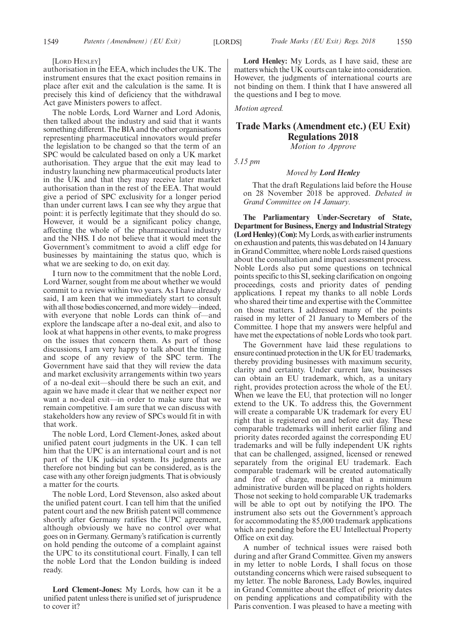[LORD HENLEY]

authorisation in the EEA, which includes the UK. The instrument ensures that the exact position remains in place after exit and the calculation is the same. It is precisely this kind of deficiency that the withdrawal Act gave Ministers powers to affect.

The noble Lords, Lord Warner and Lord Adonis, then talked about the industry and said that it wants something different. The BIA and the other organisations representing pharmaceutical innovators would prefer the legislation to be changed so that the term of an SPC would be calculated based on only a UK market authorisation. They argue that the exit may lead to industry launching new pharmaceutical products later in the UK and that they may receive later market authorisation than in the rest of the EEA. That would give a period of SPC exclusivity for a longer period than under current laws. I can see why they argue that point: it is perfectly legitimate that they should do so. However, it would be a significant policy change, affecting the whole of the pharmaceutical industry and the NHS. I do not believe that it would meet the Government's commitment to avoid a cliff edge for businesses by maintaining the status quo, which is what we are seeking to do, on exit day.

I turn now to the commitment that the noble Lord, Lord Warner, sought from me about whether we would commit to a review within two years. As I have already said, I am keen that we immediately start to consult with all those bodies concerned, and more widely—indeed, with everyone that noble Lords can think of—and explore the landscape after a no-deal exit, and also to look at what happens in other events, to make progress on the issues that concern them. As part of those discussions, I am very happy to talk about the timing and scope of any review of the SPC term. The Government have said that they will review the data and market exclusivity arrangements within two years of a no-deal exit—should there be such an exit, and again we have made it clear that we neither expect nor want a no-deal exit—in order to make sure that we remain competitive. I am sure that we can discuss with stakeholders how any review of SPCs would fit in with that work.

The noble Lord, Lord Clement-Jones, asked about unified patent court judgments in the UK. I can tell him that the UPC is an international court and is not part of the UK judicial system. Its judgments are therefore not binding but can be considered, as is the case with any other foreign judgments. That is obviously a matter for the courts.

The noble Lord, Lord Stevenson, also asked about the unified patent court. I can tell him that the unified patent court and the new British patent will commence shortly after Germany ratifies the UPC agreement, although obviously we have no control over what goes on in Germany. Germany's ratification is currently on hold pending the outcome of a complaint against the UPC to its constitutional court. Finally, I can tell the noble Lord that the London building is indeed ready.

**Lord Clement-Jones:** My Lords, how can it be a unified patent unless there is unified set of jurisprudence to cover it?

**Lord Henley:** My Lords, as I have said, these are matters which the UK courts can take into consideration. However, the judgments of international courts are not binding on them. I think that I have answered all the questions and I beg to move.

*Motion agreed.*

## **Trade Marks (Amendment etc.) (EU Exit) Regulations 2018**

*Motion to Approve*

*5.15 pm*

#### *Moved by Lord Henley*

That the draft Regulations laid before the House on 28 November 2018 be approved. *Debated in Grand Committee on 14 January.*

**The Parliamentary Under-Secretary of State, Department for Business, Energy and Industrial Strategy (Lord Henley) (Con):**My Lords, as with earlier instruments on exhaustion and patents, this was debated on 14 January in Grand Committee, where noble Lords raised questions about the consultation and impact assessment process. Noble Lords also put some questions on technical points specific to this SI, seeking clarification on ongoing proceedings, costs and priority dates of pending applications. I repeat my thanks to all noble Lords who shared their time and expertise with the Committee on those matters. I addressed many of the points raised in my letter of 21 January to Members of the Committee. I hope that my answers were helpful and have met the expectations of noble Lords who took part.

The Government have laid these regulations to ensure continued protection in the UK for EU trademarks, thereby providing businesses with maximum security, clarity and certainty. Under current law, businesses can obtain an EU trademark, which, as a unitary right, provides protection across the whole of the EU. When we leave the EU, that protection will no longer extend to the UK. To address this, the Government will create a comparable UK trademark for every EU right that is registered on and before exit day. These comparable trademarks will inherit earlier filing and priority dates recorded against the corresponding EU trademarks and will be fully independent UK rights that can be challenged, assigned, licensed or renewed separately from the original EU trademark. Each comparable trademark will be created automatically and free of charge, meaning that a minimum administrative burden will be placed on rights holders. Those not seeking to hold comparable UK trademarks will be able to opt out by notifying the IPO. The instrument also sets out the Government's approach for accommodating the 85,000 trademark applications which are pending before the EU Intellectual Property Office on exit day.

A number of technical issues were raised both during and after Grand Committee. Given my answers in my letter to noble Lords, I shall focus on those outstanding concerns which were raised subsequent to my letter. The noble Baroness, Lady Bowles, inquired in Grand Committee about the effect of priority dates on pending applications and compatibility with the Paris convention. I was pleased to have a meeting with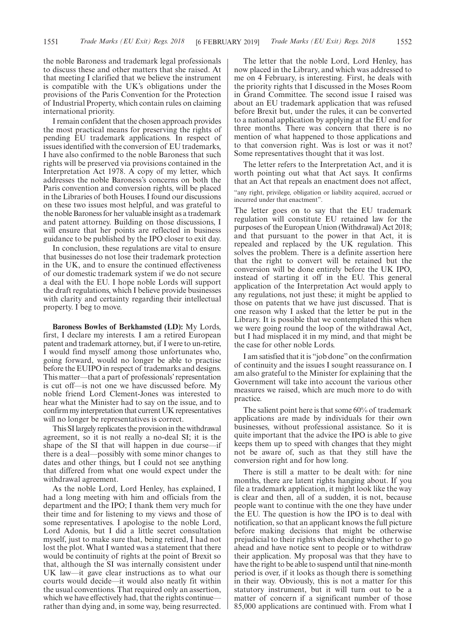the noble Baroness and trademark legal professionals to discuss these and other matters that she raised. At that meeting I clarified that we believe the instrument is compatible with the UK's obligations under the provisions of the Paris Convention for the Protection of Industrial Property, which contain rules on claiming international priority.

I remain confident that the chosen approach provides the most practical means for preserving the rights of pending EU trademark applications. In respect of issues identified with the conversion of EU trademarks, I have also confirmed to the noble Baroness that such rights will be preserved via provisions contained in the Interpretation Act 1978. A copy of my letter, which addresses the noble Baroness's concerns on both the Paris convention and conversion rights, will be placed in the Libraries of both Houses. I found our discussions on these two issues most helpful, and was grateful to the noble Baroness for her valuable insight as a trademark and patent attorney. Building on those discussions, I will ensure that her points are reflected in business guidance to be published by the IPO closer to exit day.

In conclusion, these regulations are vital to ensure that businesses do not lose their trademark protection in the UK, and to ensure the continued effectiveness of our domestic trademark system if we do not secure a deal with the EU. I hope noble Lords will support the draft regulations, which I believe provide businesses with clarity and certainty regarding their intellectual property. I beg to move.

**Baroness Bowles of Berkhamsted (LD):** My Lords, first, I declare my interests. I am a retired European patent and trademark attorney, but, if I were to un-retire, I would find myself among those unfortunates who, going forward, would no longer be able to practise before the EUIPO in respect of trademarks and designs. This matter—that a part of professionals'representation is cut off—is not one we have discussed before. My noble friend Lord Clement-Jones was interested to hear what the Minister had to say on the issue, and to confirm my interpretation that current UK representatives will no longer be representatives is correct.

This SI largely replicates the provision in the withdrawal agreement, so it is not really a no-deal SI; it is the shape of the SI that will happen in due course—if there is a deal—possibly with some minor changes to dates and other things, but I could not see anything that differed from what one would expect under the withdrawal agreement.

As the noble Lord, Lord Henley, has explained, I had a long meeting with him and officials from the department and the IPO; I thank them very much for their time and for listening to my views and those of some representatives. I apologise to the noble Lord, Lord Adonis, but I did a little secret consultation myself, just to make sure that, being retired, I had not lost the plot. What I wanted was a statement that there would be continuity of rights at the point of Brexit so that, although the SI was internally consistent under UK law—it gave clear instructions as to what our courts would decide—it would also neatly fit within the usual conventions. That required only an assertion, which we have effectively had, that the rights continuerather than dying and, in some way, being resurrected.

The letter that the noble Lord, Lord Henley, has now placed in the Library, and which was addressed to me on 4 February, is interesting. First, he deals with the priority rights that I discussed in the Moses Room in Grand Committee. The second issue I raised was about an EU trademark application that was refused before Brexit but, under the rules, it can be converted to a national application by applying at the EU end for three months. There was concern that there is no mention of what happened to those applications and to that conversion right. Was is lost or was it not? Some representatives thought that it was lost.

The letter refers to the Interpretation Act, and it is worth pointing out what that Act says. It confirms that an Act that repeals an enactment does not affect, "any right, privilege, obligation or liability acquired, accrued or incurred under that enactment".

The letter goes on to say that the EU trademark regulation will constitute EU retained law for the purposes of the European Union (Withdrawal) Act 2018; and that pursuant to the power in that Act, it is repealed and replaced by the UK regulation. This solves the problem. There is a definite assertion here that the right to convert will be retained but the conversion will be done entirely before the UK IPO, instead of starting it off in the EU. This general application of the Interpretation Act would apply to any regulations, not just these; it might be applied to those on patents that we have just discussed. That is one reason why I asked that the letter be put in the Library. It is possible that we contemplated this when we were going round the loop of the withdrawal Act, but I had misplaced it in my mind, and that might be the case for other noble Lords.

I am satisfied that it is "job done"on the confirmation of continuity and the issues I sought reassurance on. I am also grateful to the Minister for explaining that the Government will take into account the various other measures we raised, which are much more to do with practice.

The salient point here is that some 60% of trademark applications are made by individuals for their own businesses, without professional assistance. So it is quite important that the advice the IPO is able to give keeps them up to speed with changes that they might not be aware of, such as that they still have the conversion right and for how long.

There is still a matter to be dealt with: for nine months, there are latent rights hanging about. If you file a trademark application, it might look like the way is clear and then, all of a sudden, it is not, because people want to continue with the one they have under the EU. The question is how the IPO is to deal with notification, so that an applicant knows the full picture before making decisions that might be otherwise prejudicial to their rights when deciding whether to go ahead and have notice sent to people or to withdraw their application. My proposal was that they have to have the right to be able to suspend until that nine-month period is over, if it looks as though there is something in their way. Obviously, this is not a matter for this statutory instrument, but it will turn out to be a matter of concern if a significant number of those 85,000 applications are continued with. From what I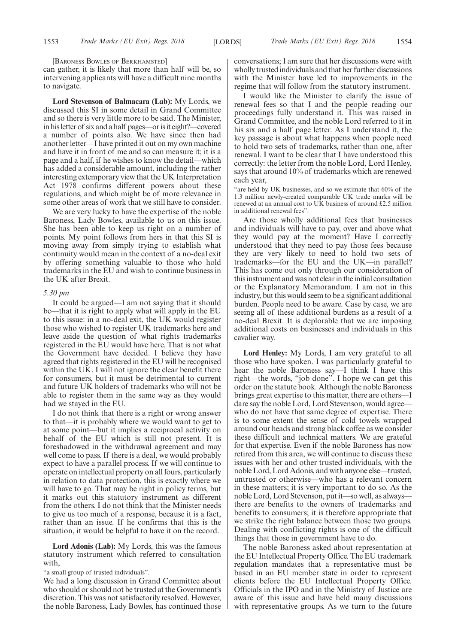[BARONESS BOWLES OF BERKHAMSTED]

can gather, it is likely that more than half will be, so intervening applicants will have a difficult nine months to navigate.

**Lord Stevenson of Balmacara (Lab):** My Lords, we discussed this SI in some detail in Grand Committee and so there is very little more to be said. The Minister, in his letter of six and a half pages—or is it eight?—covered a number of points also. We have since then had another letter—I have printed it out on my own machine and have it in front of me and so can measure it; it is a page and a half, if he wishes to know the detail—which has added a considerable amount, including the rather interesting extemporary view that the UK Interpretation Act 1978 confirms different powers about these regulations, and which might be of more relevance in some other areas of work that we still have to consider.

We are very lucky to have the expertise of the noble Baroness, Lady Bowles, available to us on this issue. She has been able to keep us right on a number of points. My point follows from hers in that this SI is moving away from simply trying to establish what continuity would mean in the context of a no-deal exit by offering something valuable to those who hold trademarks in the EU and wish to continue business in the UK after Brexit.

#### *5.30 pm*

It could be argued—I am not saying that it should be—that it is right to apply what will apply in the EU to this issue: in a no-deal exit, the UK would register those who wished to register UK trademarks here and leave aside the question of what rights trademarks registered in the EU would have here. That is not what the Government have decided. I believe they have agreed that rights registered in the EU will be recognised within the UK. I will not ignore the clear benefit there for consumers, but it must be detrimental to current and future UK holders of trademarks who will not be able to register them in the same way as they would had we stayed in the EU.

I do not think that there is a right or wrong answer to that—it is probably where we would want to get to at some point—but it implies a reciprocal activity on behalf of the EU which is still not present. It is foreshadowed in the withdrawal agreement and may well come to pass. If there is a deal, we would probably expect to have a parallel process. If we will continue to operate on intellectual property on all fours, particularly in relation to data protection, this is exactly where we will have to go. That may be right in policy terms, but it marks out this statutory instrument as different from the others. I do not think that the Minister needs to give us too much of a response, because it is a fact, rather than an issue. If he confirms that this is the situation, it would be helpful to have it on the record.

**Lord Adonis (Lab):** My Lords, this was the famous statutory instrument which referred to consultation with,

"a small group of trusted individuals".

We had a long discussion in Grand Committee about who should or should not be trusted at the Government's discretion. This was not satisfactorily resolved. However, the noble Baroness, Lady Bowles, has continued those conversations; I am sure that her discussions were with wholly trusted individuals and that her further discussions with the Minister have led to improvements in the regime that will follow from the statutory instrument.

I would like the Minister to clarify the issue of renewal fees so that I and the people reading our proceedings fully understand it. This was raised in Grand Committee, and the noble Lord referred to it in his six and a half page letter. As I understand it, the key passage is about what happens when people need to hold two sets of trademarks, rather than one, after renewal. I want to be clear that I have understood this correctly: the letter from the noble Lord, Lord Henley, says that around 10% of trademarks which are renewed each year,

"are held by UK businesses, and so we estimate that 60% of the 1.3 million newly-created comparable UK trade marks will be renewed at an annual cost to UK business of around £2.5 million in additional renewal fees".

Are those wholly additional fees that businesses and individuals will have to pay, over and above what they would pay at the moment? Have I correctly understood that they need to pay those fees because they are very likely to need to hold two sets of trademarks—for the EU and the UK—in parallel? This has come out only through our consideration of this instrument and was not clear in the initial consultation or the Explanatory Memorandum. I am not in this industry, but this would seem to be a significant additional burden. People need to be aware. Case by case, we are seeing all of these additional burdens as a result of a no-deal Brexit. It is deplorable that we are imposing additional costs on businesses and individuals in this cavalier way.

**Lord Henley:** My Lords, I am very grateful to all those who have spoken. I was particularly grateful to hear the noble Baroness say—I think I have this right—the words, "job done". I hope we can get this order on the statute book. Although the noble Baroness brings great expertise to this matter, there are others—I dare say the noble Lord, Lord Stevenson, would agree who do not have that same degree of expertise. There is to some extent the sense of cold towels wrapped around our heads and strong black coffee as we consider these difficult and technical matters. We are grateful for that expertise. Even if the noble Baroness has now retired from this area, we will continue to discuss these issues with her and other trusted individuals, with the noble Lord, Lord Adonis, and with anyone else—trusted, untrusted or otherwise—who has a relevant concern in these matters; it is very important to do so. As the noble Lord, Lord Stevenson, put it—so well, as always there are benefits to the owners of trademarks and benefits to consumers; it is therefore appropriate that we strike the right balance between those two groups. Dealing with conflicting rights is one of the difficult things that those in government have to do.

The noble Baroness asked about representation at the EU Intellectual Property Office. The EU trademark regulation mandates that a representative must be based in an EU member state in order to represent clients before the EU Intellectual Property Office. Officials in the IPO and in the Ministry of Justice are aware of this issue and have held many discussions with representative groups. As we turn to the future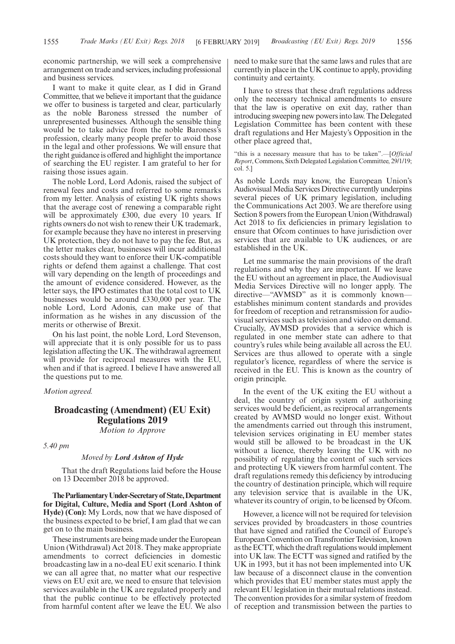economic partnership, we will seek a comprehensive arrangement on trade and services, including professional and business services.

I want to make it quite clear, as I did in Grand Committee, that we believe it important that the guidance we offer to business is targeted and clear, particularly as the noble Baroness stressed the number of unrepresented businesses. Although the sensible thing would be to take advice from the noble Baroness's profession, clearly many people prefer to avoid those in the legal and other professions. We will ensure that the right guidance is offered and highlight the importance of searching the EU register. I am grateful to her for raising those issues again.

The noble Lord, Lord Adonis, raised the subject of renewal fees and costs and referred to some remarks from my letter. Analysis of existing UK rights shows that the average cost of renewing a comparable right will be approximately £300, due every 10 years. If rights owners do not wish to renew their UK trademark, for example because they have no interest in preserving UK protection, they do not have to pay the fee. But, as the letter makes clear, businesses will incur additional costs should they want to enforce their UK-compatible rights or defend them against a challenge. That cost will vary depending on the length of proceedings and the amount of evidence considered. However, as the letter says, the IPO estimates that the total cost to UK businesses would be around £330,000 per year. The noble Lord, Lord Adonis, can make use of that information as he wishes in any discussion of the merits or otherwise of Brexit.

On his last point, the noble Lord, Lord Stevenson, will appreciate that it is only possible for us to pass legislation affecting the UK. The withdrawal agreement will provide for reciprocal measures with the EU, when and if that is agreed. I believe I have answered all the questions put to me.

#### *Motion agreed.*

## **Broadcasting (Amendment) (EU Exit) Regulations 2019** *Motion to Approve*

*5.40 pm*

#### *Moved by Lord Ashton of Hyde*

That the draft Regulations laid before the House on 13 December 2018 be approved.

**TheParliamentaryUnder-Secretaryof State,Department for Digital, Culture, Media and Sport (Lord Ashton of Hyde) (Con):** My Lords, now that we have disposed of the business expected to be brief, I am glad that we can get on to the main business.

These instruments are being made under the European Union (Withdrawal) Act 2018. They make appropriate amendments to correct deficiencies in domestic broadcasting law in a no-deal EU exit scenario. I think we can all agree that, no matter what our respective views on EU exit are, we need to ensure that television services available in the UK are regulated properly and that the public continue to be effectively protected from harmful content after we leave the EU. We also

need to make sure that the same laws and rules that are currently in place in the UK continue to apply, providing continuity and certainty.

I have to stress that these draft regulations address only the necessary technical amendments to ensure that the law is operative on exit day, rather than introducing sweeping new powers into law. The Delegated Legislation Committee has been content with these draft regulations and Her Majesty's Opposition in the other place agreed that,

"this is a necessary measure that has to be taken".—[*Official Report*, Commons, Sixth Delegated Legislation Committee, 29/1/19; col. 5.]

As noble Lords may know, the European Union's Audiovisual Media Services Directive currently underpins several pieces of UK primary legislation, including the Communications Act 2003. We are therefore using Section 8 powers from the European Union (Withdrawal) Act 2018 to fix deficiencies in primary legislation to ensure that Ofcom continues to have jurisdiction over services that are available to UK audiences, or are established in the UK.

Let me summarise the main provisions of the draft regulations and why they are important. If we leave the EU without an agreement in place, the Audiovisual Media Services Directive will no longer apply. The directive—"AVMSD" as it is commonly known establishes minimum content standards and provides for freedom of reception and retransmission for audiovisual services such as television and video on demand. Crucially, AVMSD provides that a service which is regulated in one member state can adhere to that country's rules while being available all across the EU. Services are thus allowed to operate with a single regulator's licence, regardless of where the service is received in the EU. This is known as the country of origin principle.

In the event of the UK exiting the EU without a deal, the country of origin system of authorising services would be deficient, as reciprocal arrangements created by AVMSD would no longer exist. Without the amendments carried out through this instrument, television services originating in EU member states would still be allowed to be broadcast in the UK without a licence, thereby leaving the UK with no possibility of regulating the content of such services and protecting UK viewers from harmful content. The draft regulations remedy this deficiency by introducing the country of destination principle, which will require any television service that is available in the UK, whatever its country of origin, to be licensed by Ofcom.

However, a licence will not be required for television services provided by broadcasters in those countries that have signed and ratified the Council of Europe's European Convention on Transfrontier Television, known as the ECTT, which the draft regulations would implement into UK law. The ECTT was signed and ratified by the UK in 1993, but it has not been implemented into UK law because of a disconnect clause in the convention which provides that EU member states must apply the relevant EU legislation in their mutual relations instead. The convention provides for a similar system of freedom of reception and transmission between the parties to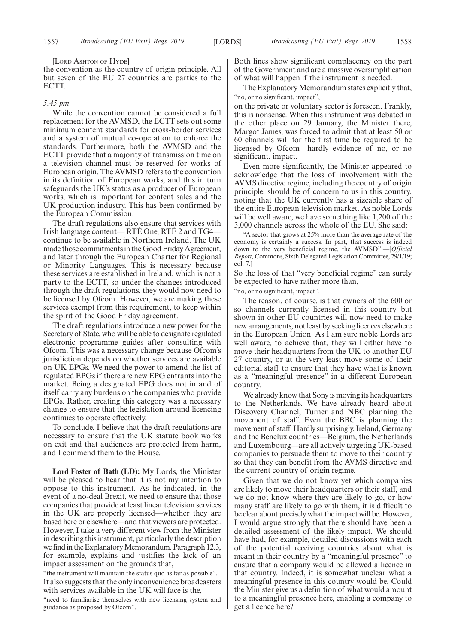[LORD ASHTON OF HYDE]

the convention as the country of origin principle. All but seven of the EU 27 countries are parties to the ECTT.

#### *5.45 pm*

While the convention cannot be considered a full replacement for the AVMSD, the ECTT sets out some minimum content standards for cross-border services and a system of mutual co-operation to enforce the standards. Furthermore, both the AVMSD and the ECTT provide that a majority of transmission time on a television channel must be reserved for works of European origin. The AVMSD refers to the convention in its definition of European works, and this in turn safeguards the UK's status as a producer of European works, which is important for content sales and the UK production industry. This has been confirmed by the European Commission.

The draft regulations also ensure that services with Irish language content— RTÉ One, RTÉ 2 and TG4 continue to be available in Northern Ireland. The UK made those commitments in the Good Friday Agreement, and later through the European Charter for Regional or Minority Languages. This is necessary because these services are established in Ireland, which is not a party to the ECTT, so under the changes introduced through the draft regulations, they would now need to be licensed by Ofcom. However, we are making these services exempt from this requirement, to keep within the spirit of the Good Friday agreement.

The draft regulations introduce a new power for the Secretary of State, who will be able to designate regulated electronic programme guides after consulting with Ofcom. This was a necessary change because Ofcom's jurisdiction depends on whether services are available on UK EPGs. We need the power to amend the list of regulated EPGs if there are new EPG entrants into the market. Being a designated EPG does not in and of itself carry any burdens on the companies who provide EPGs. Rather, creating this category was a necessary change to ensure that the legislation around licencing continues to operate effectively.

To conclude, I believe that the draft regulations are necessary to ensure that the UK statute book works on exit and that audiences are protected from harm, and I commend them to the House.

**Lord Foster of Bath (LD):** My Lords, the Minister will be pleased to hear that it is not my intention to oppose to this instrument. As he indicated, in the event of a no-deal Brexit, we need to ensure that those companies that provide at least linear television services in the UK are properly licensed—whether they are based here or elsewhere—and that viewers are protected. However, I take a very different view from the Minister in describing this instrument, particularly the description we find in the Explanatory Memorandum. Paragraph 12.3, for example, explains and justifies the lack of an impact assessment on the grounds that,

"the instrument will maintain the status quo as far as possible". It also suggests that the only inconvenience broadcasters with services available in the UK will face is the,

"need to familiarise themselves with new licensing system and guidance as proposed by Ofcom".

Both lines show significant complacency on the part of the Government and are a massive oversimplification of what will happen if the instrument is needed.

The Explanatory Memorandum states explicitly that, "no, or no significant, impact",

on the private or voluntary sector is foreseen. Frankly, this is nonsense. When this instrument was debated in the other place on 29 January, the Minister there, Margot James, was forced to admit that at least 50 or 60 channels will for the first time be required to be licensed by Ofcom—hardly evidence of no, or no significant, impact.

Even more significantly, the Minister appeared to acknowledge that the loss of involvement with the AVMS directive regime, including the country of origin principle, should be of concern to us in this country, noting that the UK currently has a sizeable share of the entire European television market. As noble Lords will be well aware, we have something like 1,200 of the 3,000 channels across the whole of the EU. She said:

"A sector that grows at 25% more than the average rate of the economy is certainly a success. In part, that success is indeed down to the very beneficial regime, the AVMSD".—[*Official Report,* Commons, Sixth Delegated Legislation Committee, 29/1/19; col. 7.]

So the loss of that "very beneficial regime" can surely be expected to have rather more than,

"no, or no significant, impact".

The reason, of course, is that owners of the 600 or so channels currently licensed in this country but shown in other EU countries will now need to make new arrangements, not least by seeking licences elsewhere in the European Union. As I am sure noble Lords are well aware, to achieve that, they will either have to move their headquarters from the UK to another EU 27 country, or at the very least move some of their editorial staff to ensure that they have what is known as a "meaningful presence" in a different European country.

We already know that Sony is moving its headquarters to the Netherlands. We have already heard about Discovery Channel, Turner and NBC planning the movement of staff. Even the BBC is planning the movement of staff. Hardly surprisingly, Ireland, Germany and the Benelux countries—Belgium, the Netherlands and Luxembourg—are all actively targeting UK-based companies to persuade them to move to their country so that they can benefit from the AVMS directive and the current country of origin regime.

Given that we do not know yet which companies are likely to move their headquarters or their staff, and we do not know where they are likely to go, or how many staff are likely to go with them, it is difficult to be clear about precisely what the impact will be. However, I would argue strongly that there should have been a detailed assessment of the likely impact. We should have had, for example, detailed discussions with each of the potential receiving countries about what is meant in their country by a "meaningful presence" to ensure that a company would be allowed a licence in that country. Indeed, it is somewhat unclear what a meaningful presence in this country would be. Could the Minister give us a definition of what would amount to a meaningful presence here, enabling a company to get a licence here?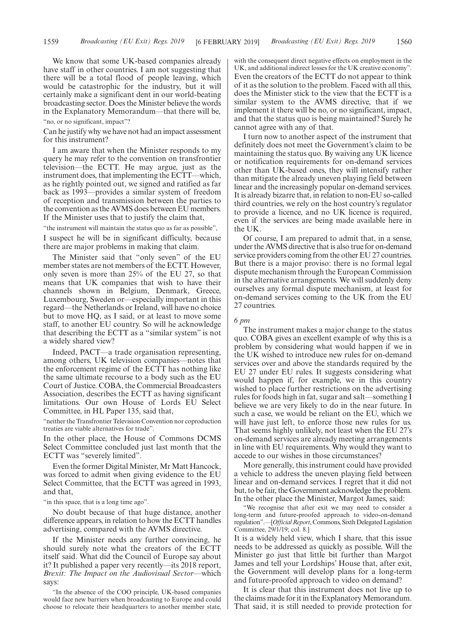We know that some UK-based companies already have staff in other countries. I am not suggesting that there will be a total flood of people leaving, which would be catastrophic for the industry, but it will certainly make a significant dent in our world-beating broadcasting sector. Does the Minister believe the words in the Explanatory Memorandum—that there will be,

#### "no, or no significant, impact"?

Can he justify why we have not had an impact assessment for this instrument?

I am aware that when the Minister responds to my query he may refer to the convention on transfrontier television—the ECTT. He may argue, just as the instrument does, that implementing the ECTT—which, as he rightly pointed out, we signed and ratified as far back as 1993—provides a similar system of freedom of reception and transmission between the parties to the convention as the AVMS does between EU members. If the Minister uses that to justify the claim that,

"the instrument will maintain the status quo as far as possible",

I suspect he will be in significant difficulty, because there are major problems in making that claim.

The Minister said that "only seven" of the EU member states are not members of the ECTT. However, only seven is more than 25% of the EU 27, so that means that UK companies that wish to have their channels shown in Belgium, Denmark, Greece, Luxembourg, Sweden or—especially important in this regard—the Netherlands or Ireland, will have no choice but to move HQ, as I said, or at least to move some staff, to another EU country. So will he acknowledge that describing the ECTT as a "similar system" is not a widely shared view?

Indeed, PACT—a trade organisation representing, among others, UK television companies—notes that the enforcement regime of the ECTT has nothing like the same ultimate recourse to a body such as the EU Court of Justice. COBA, the Commercial Broadcasters Association, describes the ECTT as having significant limitations. Our own House of Lords EU Select Committee, in HL Paper 135, said that,

"neither the Transfrontier Television Convention nor coproduction treaties are viable alternatives for trade".

In the other place, the House of Commons DCMS Select Committee concluded just last month that the ECTT was "severely limited".

Even the former Digital Minister, Mr Matt Hancock, was forced to admit when giving evidence to the EU Select Committee, that the ECTT was agreed in 1993, and that,

"in this space, that is a long time ago".

No doubt because of that huge distance, another difference appears, in relation to how the ECTT handles advertising, compared with the AVMS directive.

If the Minister needs any further convincing, he should surely note what the creators of the ECTT itself said. What did the Council of Europe say about it? It published a paper very recently—its 2018 report, *Brexit: The Impact on the Audiovisual Sector*—which says:

"In the absence of the COO principle, UK-based companies would face new barriers when broadcasting to Europe and could choose to relocate their headquarters to another member state, with the consequent direct negative effects on employment in the UK, and additional indirect losses for the UK creative economy". Even the creators of the ECTT do not appear to think of it as the solution to the problem. Faced with all this, does the Minister stick to the view that the ECTT is a similar system to the AVMS directive, that if we implement it there will be no, or no significant, impact, and that the status quo is being maintained? Surely he cannot agree with any of that.

I turn now to another aspect of the instrument that definitely does not meet the Government's claim to be maintaining the status quo. By waiving any UK licence or notification requirements for on-demand services other than UK-based ones, they will intensify rather than mitigate the already uneven playing field between linear and the increasingly popular on-demand services. It is already bizarre that, in relation to non-EU so-called third countries, we rely on the host country's regulator to provide a licence, and no UK licence is required, even if the services are being made available here in the UK.

Of course, I am prepared to admit that, in a sense, under the AVMS directive that is also true for on-demand service providers coming from the other EU 27 countries. But there is a major proviso: there is no formal legal dispute mechanism through the European Commission in the alternative arrangements. We will suddenly deny ourselves any formal dispute mechanism, at least for on-demand services coming to the UK from the EU 27 countries.

#### *6 pm*

The instrument makes a major change to the status quo. COBA gives an excellent example of why this is a problem by considering what would happen if we in the UK wished to introduce new rules for on-demand services over and above the standards required by the EU 27 under EU rules. It suggests considering what would happen if, for example, we in this country wished to place further restrictions on the advertising rules for foods high in fat, sugar and salt—something I believe we are very likely to do in the near future. In such a case, we would be reliant on the EU, which we will have just left, to enforce those new rules for us. That seems highly unlikely, not least when the EU 27's on-demand services are already meeting arrangements in line with EU requirements. Why would they want to accede to our wishes in those circumstances?

More generally, this instrument could have provided a vehicle to address the uneven playing field between linear and on-demand services. I regret that it did not but, to be fair, the Government acknowledge the problem. In the other place the Minister, Margot James, said:

"We recognise that after exit we may need to consider a long-term and future-proofed approach to video-on-demand regulation".—[*Official Report*, Commons, Sixth Delegated Legislation Committee, 29/1/19; col. 8.]

It is a widely held view, which I share, that this issue needs to be addressed as quickly as possible. Will the Minister go just that little bit further than Margot James and tell your Lordships' House that, after exit, the Government will develop plans for a long-term and future-proofed approach to video on demand?

It is clear that this instrument does not live up to the claims made for it in the Explanatory Memorandum. That said, it is still needed to provide protection for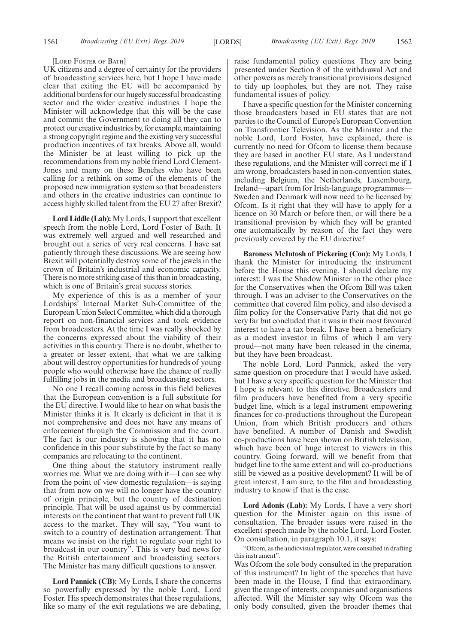#### [LORD FOSTER OF BATH]

UK citizens and a degree of certainty for the providers of broadcasting services here, but I hope I have made clear that exiting the EU will be accompanied by additional burdens for our hugely successful broadcasting sector and the wider creative industries. I hope the Minister will acknowledge that this will be the case and commit the Government to doing all they can to protect our creative industries by, for example, maintaining a strong copyright regime and the existing very successful production incentives of tax breaks. Above all, would the Minister be at least willing to pick up the recommendations from my noble friend Lord Clement-Jones and many on these Benches who have been calling for a rethink on some of the elements of the proposed new immigration system so that broadcasters and others in the creative industries can continue to access highly skilled talent from the EU 27 after Brexit?

**Lord Liddle (Lab):** My Lords, I support that excellent speech from the noble Lord, Lord Foster of Bath. It was extremely well argued and well researched and brought out a series of very real concerns. I have sat patiently through these discussions. We are seeing how Brexit will potentially destroy some of the jewels in the crown of Britain's industrial and economic capacity. There is no more striking case of this than in broadcasting, which is one of Britain's great success stories.

My experience of this is as a member of your Lordships' Internal Market Sub-Committee of the European Union Select Committee, which did a thorough report on non-financial services and took evidence from broadcasters. At the time I was really shocked by the concerns expressed about the viability of their activities in this country. There is no doubt, whether to a greater or lesser extent, that what we are talking about will destroy opportunities for hundreds of young people who would otherwise have the chance of really fulfilling jobs in the media and broadcasting sectors.

No one I recall coming across in this field believes that the European convention is a full substitute for the EU directive. I would like to hear on what basis the Minister thinks it is. It clearly is deficient in that it is not comprehensive and does not have any means of enforcement through the Commission and the court. The fact is our industry is showing that it has no confidence in this poor substitute by the fact so many companies are relocating to the continent.

One thing about the statutory instrument really worries me. What we are doing with it—I can see why from the point of view domestic regulation—is saying that from now on we will no longer have the country of origin principle, but the country of destination principle. That will be used against us by commercial interests on the continent that want to prevent full UK access to the market. They will say, "You want to switch to a country of destination arrangement. That means we insist on the right to regulate your right to broadcast in our country". This is very bad news for the British entertainment and broadcasting sectors. The Minister has many difficult questions to answer.

**Lord Pannick (CB):** My Lords, I share the concerns so powerfully expressed by the noble Lord, Lord Foster. His speech demonstrates that these regulations, like so many of the exit regulations we are debating, raise fundamental policy questions. They are being presented under Section 8 of the withdrawal Act and other powers as merely transitional provisions designed to tidy up loopholes, but they are not. They raise fundamental issues of policy.

I have a specific question for the Minister concerning those broadcasters based in EU states that are not parties to the Council of Europe's European Convention on Transfrontier Television. As the Minister and the noble Lord, Lord Foster, have explained, there is currently no need for Ofcom to license them because they are based in another EU state. As I understand these regulations, and the Minister will correct me if I am wrong, broadcasters based in non-convention states, including Belgium, the Netherlands, Luxembourg, Ireland—apart from for Irish-language programmes— Sweden and Denmark will now need to be licensed by Ofcom. Is it right that they will have to apply for a licence on 30 March or before then, or will there be a transitional provision by which they will be granted one automatically by reason of the fact they were previously covered by the EU directive?

**Baroness McIntosh of Pickering (Con):** My Lords, I thank the Minister for introducing the instrument before the House this evening. I should declare my interest: I was the Shadow Minister in the other place for the Conservatives when the Ofcom Bill was taken through. I was an adviser to the Conservatives on the committee that covered film policy, and also devised a film policy for the Conservative Party that did not go very far but concluded that it was in their most favoured interest to have a tax break. I have been a beneficiary as a modest investor in films of which I am very proud—not many have been released in the cinema, but they have been broadcast.

The noble Lord, Lord Pannick, asked the very same question on procedure that I would have asked, but I have a very specific question for the Minister that I hope is relevant to this directive. Broadcasters and film producers have benefited from a very specific budget line, which is a legal instrument empowering finances for co-productions throughout the European Union, from which British producers and others have benefited. A number of Danish and Swedish co-productions have been shown on British television, which have been of huge interest to viewers in this country. Going forward, will we benefit from that budget line to the same extent and will co-productions still be viewed as a positive development? It will be of great interest, I am sure, to the film and broadcasting industry to know if that is the case.

**Lord Adonis (Lab):** My Lords, I have a very short question for the Minister again on this issue of consultation. The broader issues were raised in the excellent speech made by the noble Lord, Lord Foster. On consultation, in paragraph 10.1, it says:

"Ofcom, as the audiovisual regulator, were consulted in drafting this instrument".

Was Ofcom the sole body consulted in the preparation of this instrument? In light of the speeches that have been made in the House, I find that extraordinary, given the range of interests, companies and organisations affected. Will the Minister say why Ofcom was the only body consulted, given the broader themes that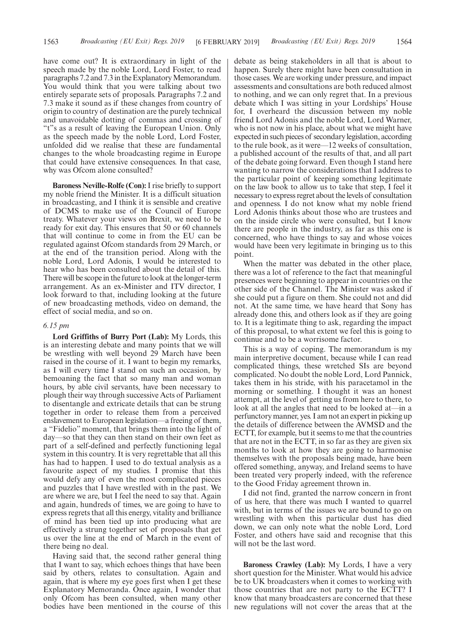have come out? It is extraordinary in light of the speech made by the noble Lord, Lord Foster, to read paragraphs 7.2 and 7.3 in the Explanatory Memorandum. You would think that you were talking about two entirely separate sets of proposals. Paragraphs 7.2 and 7.3 make it sound as if these changes from country of origin to country of destination are the purely technical and unavoidable dotting of commas and crossing of "t"s as a result of leaving the European Union. Only as the speech made by the noble Lord, Lord Foster, unfolded did we realise that these are fundamental changes to the whole broadcasting regime in Europe that could have extensive consequences. In that case, why was Ofcom alone consulted?

**Baroness Neville-Rolfe (Con):**I rise briefly to support my noble friend the Minister. It is a difficult situation in broadcasting, and I think it is sensible and creative of DCMS to make use of the Council of Europe treaty. Whatever your views on Brexit, we need to be ready for exit day. This ensures that 50 or 60 channels that will continue to come in from the EU can be regulated against Ofcom standards from 29 March, or at the end of the transition period. Along with the noble Lord, Lord Adonis, I would be interested to hear who has been consulted about the detail of this. There will be scope in the future to look at the longer-term arrangement. As an ex-Minister and ITV director, I look forward to that, including looking at the future of new broadcasting methods, video on demand, the effect of social media, and so on.

#### *6.15 pm*

**Lord Griffiths of Burry Port (Lab):** My Lords, this is an interesting debate and many points that we will be wrestling with well beyond 29 March have been raised in the course of it. I want to begin my remarks, as I will every time I stand on such an occasion, by bemoaning the fact that so many man and woman hours, by able civil servants, have been necessary to plough their way through successive Acts of Parliament to disentangle and extricate details that can be strung together in order to release them from a perceived enslavement to European legislation—a freeing of them, a "Fidelio" moment, that brings them into the light of day—so that they can then stand on their own feet as part of a self-defined and perfectly functioning legal system in this country. It is very regrettable that all this has had to happen. I used to do textual analysis as a favourite aspect of my studies. I promise that this would defy any of even the most complicated pieces and puzzles that I have wrestled with in the past. We are where we are, but I feel the need to say that. Again and again, hundreds of times, we are going to have to express regrets that all this energy, vitality and brilliance of mind has been tied up into producing what are effectively a strung together set of proposals that get us over the line at the end of March in the event of there being no deal.

Having said that, the second rather general thing that I want to say, which echoes things that have been said by others, relates to consultation. Again and again, that is where my eye goes first when I get these Explanatory Memoranda. Once again, I wonder that only Ofcom has been consulted, when many other bodies have been mentioned in the course of this debate as being stakeholders in all that is about to happen. Surely there might have been consultation in those cases. We are working under pressure, and impact assessments and consultations are both reduced almost to nothing, and we can only regret that. In a previous debate which I was sitting in your Lordships' House for, I overheard the discussion between my noble friend Lord Adonis and the noble Lord, Lord Warner, who is not now in his place, about what we might have expected in such pieces of secondary legislation, according to the rule book, as it were—12 weeks of consultation, a published account of the results of that, and all part of the debate going forward. Even though I stand here wanting to narrow the considerations that I address to the particular point of keeping something legitimate on the law book to allow us to take that step, I feel it necessary to express regret about the levels of consultation and openness. I do not know what my noble friend Lord Adonis thinks about those who are trustees and on the inside circle who were consulted, but I know there are people in the industry, as far as this one is concerned, who have things to say and whose voices would have been very legitimate in bringing us to this point.

When the matter was debated in the other place, there was a lot of reference to the fact that meaningful presences were beginning to appear in countries on the other side of the Channel. The Minister was asked if she could put a figure on them. She could not and did not. At the same time, we have heard that Sony has already done this, and others look as if they are going to. It is a legitimate thing to ask, regarding the impact of this proposal, to what extent we feel this is going to continue and to be a worrisome factor.

This is a way of coping. The memorandum is my main interpretive document, because while I can read complicated things, these wretched SIs are beyond complicated. No doubt the noble Lord, Lord Pannick, takes them in his stride, with his paracetamol in the morning or something. I thought it was an honest attempt, at the level of getting us from here to there, to look at all the angles that need to be looked at—in a perfunctory manner, yes. I am not an expert in picking up the details of difference between the AVMSD and the ECTT, for example, but it seems to me that the countries that are not in the ECTT, in so far as they are given six months to look at how they are going to harmonise themselves with the proposals being made, have been offered something, anyway, and Ireland seems to have been treated very properly indeed, with the reference to the Good Friday agreement thrown in.

I did not find, granted the narrow concern in front of us here, that there was much I wanted to quarrel with, but in terms of the issues we are bound to go on wrestling with when this particular dust has died down, we can only note what the noble Lord, Lord Foster, and others have said and recognise that this will not be the last word.

**Baroness Crawley (Lab):** My Lords, I have a very short question for the Minister. What would his advice be to UK broadcasters when it comes to working with those countries that are not party to the ECTT? I know that many broadcasters are concerned that these new regulations will not cover the areas that at the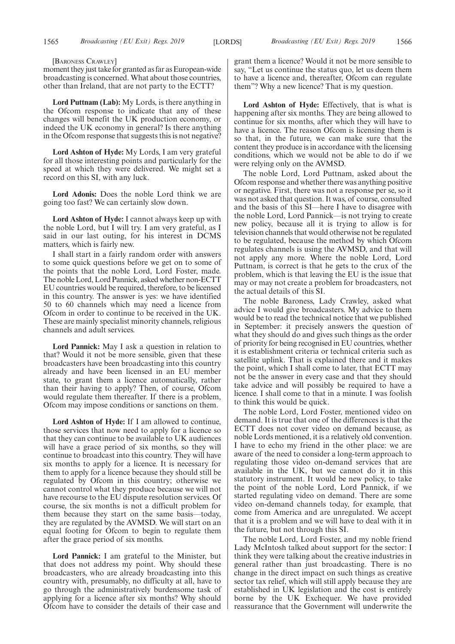[BARONESS CRAWLEY]

moment they just take for granted as far as European-wide broadcasting is concerned. What about those countries, other than Ireland, that are not party to the ECTT?

**Lord Puttnam (Lab):** My Lords, is there anything in the Ofcom response to indicate that any of these changes will benefit the UK production economy, or indeed the UK economy in general? Is there anything in the Ofcom response that suggests this is not negative?

**Lord Ashton of Hyde:** My Lords, I am very grateful for all those interesting points and particularly for the speed at which they were delivered. We might set a record on this SI, with any luck.

**Lord Adonis:** Does the noble Lord think we are going too fast? We can certainly slow down.

**Lord Ashton of Hyde:** I cannot always keep up with the noble Lord, but I will try. I am very grateful, as I said in our last outing, for his interest in DCMS matters, which is fairly new.

I shall start in a fairly random order with answers to some quick questions before we get on to some of the points that the noble Lord, Lord Foster, made. The noble Lord, Lord Pannick, asked whether non-ECTT EU countries would be required, therefore, to be licensed in this country. The answer is yes: we have identified 50 to 60 channels which may need a licence from Ofcom in order to continue to be received in the UK. These are mainly specialist minority channels, religious channels and adult services.

**Lord Pannick:** May I ask a question in relation to that? Would it not be more sensible, given that these broadcasters have been broadcasting into this country already and have been licensed in an EU member state, to grant them a licence automatically, rather than their having to apply? Then, of course, Ofcom would regulate them thereafter. If there is a problem, Ofcom may impose conditions or sanctions on them.

**Lord Ashton of Hyde:** If I am allowed to continue, those services that now need to apply for a licence so that they can continue to be available to UK audiences will have a grace period of six months, so they will continue to broadcast into this country. They will have six months to apply for a licence. It is necessary for them to apply for a licence because they should still be regulated by Ofcom in this country; otherwise we cannot control what they produce because we will not have recourse to the EU dispute resolution services. Of course, the six months is not a difficult problem for them because they start on the same basis—today, they are regulated by the AVMSD. We will start on an equal footing for Ofcom to begin to regulate them after the grace period of six months.

**Lord Pannick:** I am grateful to the Minister, but that does not address my point. Why should these broadcasters, who are already broadcasting into this country with, presumably, no difficulty at all, have to go through the administratively burdensome task of applying for a licence after six months? Why should Ofcom have to consider the details of their case and grant them a licence? Would it not be more sensible to say, "Let us continue the status quo, let us deem them to have a licence and, thereafter, Ofcom can regulate them"? Why a new licence? That is my question.

**Lord Ashton of Hyde:** Effectively, that is what is happening after six months. They are being allowed to continue for six months, after which they will have to have a licence. The reason Ofcom is licensing them is so that, in the future, we can make sure that the content they produce is in accordance with the licensing conditions, which we would not be able to do if we were relying only on the AVMSD.

The noble Lord, Lord Puttnam, asked about the Ofcom response and whether there was anything positive or negative. First, there was not a response per se, so it was not asked that question. It was, of course, consulted and the basis of this SI—here I have to disagree with the noble Lord, Lord Pannick—is not trying to create new policy, because all it is trying to allow is for television channels that would otherwise not be regulated to be regulated, because the method by which Ofcom regulates channels is using the AVMSD, and that will not apply any more. Where the noble Lord, Lord Puttnam, is correct is that he gets to the crux of the problem, which is that leaving the EU is the issue that may or may not create a problem for broadcasters, not the actual details of this SI.

The noble Baroness, Lady Crawley, asked what advice I would give broadcasters. My advice to them would be to read the technical notice that we published in September: it precisely answers the question of what they should do and gives such things as the order of priority for being recognised in EU countries, whether it is establishment criteria or technical criteria such as satellite uplink. That is explained there and it makes the point, which I shall come to later, that ECTT may not be the answer in every case and that they should take advice and will possibly be required to have a licence. I shall come to that in a minute. I was foolish to think this would be quick.

The noble Lord, Lord Foster, mentioned video on demand. It is true that one of the differences is that the ECTT does not cover video on demand because, as noble Lords mentioned, it is a relatively old convention. I have to echo my friend in the other place: we are aware of the need to consider a long-term approach to regulating those video on-demand services that are available in the UK, but we cannot do it in this statutory instrument. It would be new policy, to take the point of the noble Lord, Lord Pannick, if we started regulating video on demand. There are some video on-demand channels today, for example, that come from America and are unregulated. We accept that it is a problem and we will have to deal with it in the future, but not through this SI.

The noble Lord, Lord Foster, and my noble friend Lady McIntosh talked about support for the sector: I think they were talking about the creative industries in general rather than just broadcasting. There is no change in the direct impact on such things as creative sector tax relief, which will still apply because they are established in UK legislation and the cost is entirely borne by the UK Exchequer. We have provided reassurance that the Government will underwrite the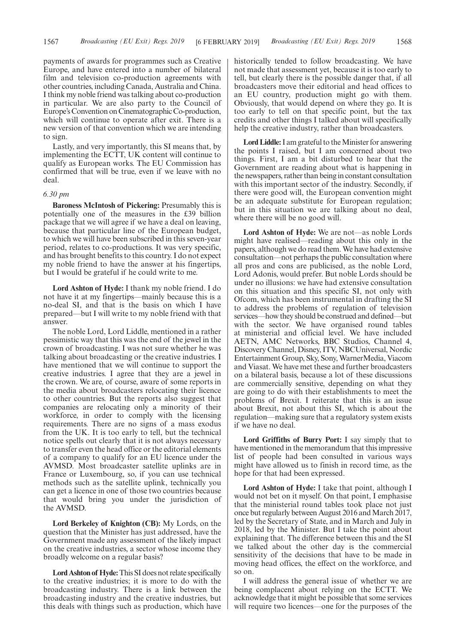payments of awards for programmes such as Creative Europe, and have entered into a number of bilateral film and television co-production agreements with other countries, including Canada, Australia and China. I think my noble friend was talking about co-production in particular. We are also party to the Council of Europe's Convention on Cinematographic Co-production, which will continue to operate after exit. There is a new version of that convention which we are intending to sign.

Lastly, and very importantly, this SI means that, by implementing the ECTT, UK content will continue to qualify as European works. The EU Commission has confirmed that will be true, even if we leave with no deal.

#### *6.30 pm*

**Baroness McIntosh of Pickering:** Presumably this is potentially one of the measures in the £39 billion package that we will agree if we have a deal on leaving, because that particular line of the European budget, to which we will have been subscribed in this seven-year period, relates to co-productions. It was very specific, and has brought benefits to this country. I do not expect my noble friend to have the answer at his fingertips, but I would be grateful if he could write to me.

**Lord Ashton of Hyde:** I thank my noble friend. I do not have it at my fingertips—mainly because this is a no-deal SI, and that is the basis on which I have prepared—but I will write to my noble friend with that answer.

The noble Lord, Lord Liddle, mentioned in a rather pessimistic way that this was the end of the jewel in the crown of broadcasting. I was not sure whether he was talking about broadcasting or the creative industries. I have mentioned that we will continue to support the creative industries. I agree that they are a jewel in the crown. We are, of course, aware of some reports in the media about broadcasters relocating their licence to other countries. But the reports also suggest that companies are relocating only a minority of their workforce, in order to comply with the licensing requirements. There are no signs of a mass exodus from the UK. It is too early to tell, but the technical notice spells out clearly that it is not always necessary to transfer even the head office or the editorial elements of a company to qualify for an EU licence under the AVMSD. Most broadcaster satellite uplinks are in France or Luxembourg, so, if you can use technical methods such as the satellite uplink, technically you can get a licence in one of those two countries because that would bring you under the jurisdiction of the AVMSD.

**Lord Berkeley of Knighton (CB):** My Lords, on the question that the Minister has just addressed, have the Government made any assessment of the likely impact on the creative industries, a sector whose income they broadly welcome on a regular basis?

**Lord Ashton of Hyde:**This SI does not relate specifically to the creative industries; it is more to do with the broadcasting industry. There is a link between the broadcasting industry and the creative industries, but this deals with things such as production, which have historically tended to follow broadcasting. We have not made that assessment yet, because it is too early to tell, but clearly there is the possible danger that, if all broadcasters move their editorial and head offices to an EU country, production might go with them. Obviously, that would depend on where they go. It is too early to tell on that specific point, but the tax credits and other things I talked about will specifically help the creative industry, rather than broadcasters.

**Lord Liddle:**I am grateful to the Minister for answering the points I raised, but I am concerned about two things. First, I am a bit disturbed to hear that the Government are reading about what is happening in the newspapers, rather than being in constant consultation with this important sector of the industry. Secondly, if there were good will, the European convention might be an adequate substitute for European regulation; but in this situation we are talking about no deal, where there will be no good will.

**Lord Ashton of Hyde:** We are not—as noble Lords might have realised—reading about this only in the papers, although we do read them. We have had extensive consultation—not perhaps the public consultation where all pros and cons are publicised, as the noble Lord, Lord Adonis, would prefer. But noble Lords should be under no illusions: we have had extensive consultation on this situation and this specific SI, not only with Ofcom, which has been instrumental in drafting the SI to address the problems of regulation of television services—how they should be construed and defined—but with the sector. We have organised round tables at ministerial and official level. We have included AETN, AMC Networks, BBC Studios, Channel 4, Discovery Channel, Disney, ITV, NBCUniversal, Nordic Entertainment Group, Sky, Sony, WarnerMedia, Viacom and Viasat. We have met these and further broadcasters on a bilateral basis, because a lot of these discussions are commercially sensitive, depending on what they are going to do with their establishments to meet the problems of Brexit. I reiterate that this is an issue about Brexit, not about this SI, which is about the regulation—making sure that a regulatory system exists if we have no deal.

**Lord Griffiths of Burry Port:** I say simply that to have mentioned in the memorandum that this impressive list of people had been consulted in various ways might have allowed us to finish in record time, as the hope for that had been expressed.

**Lord Ashton of Hyde:** I take that point, although I would not bet on it myself. On that point, I emphasise that the ministerial round tables took place not just once but regularly between August 2016 and March 2017, led by the Secretary of State, and in March and July in 2018, led by the Minister. But I take the point about explaining that. The difference between this and the SI we talked about the other day is the commercial sensitivity of the decisions that have to be made in moving head offices, the effect on the workforce, and so on.

I will address the general issue of whether we are being complacent about relying on the ECTT. We acknowledge that it might be possible that some services will require two licences—one for the purposes of the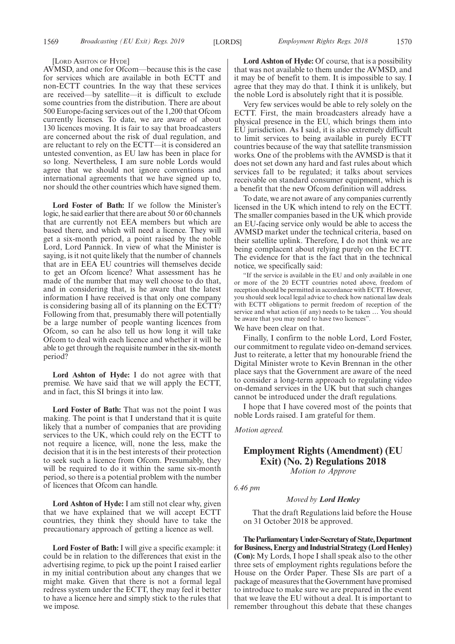#### [LORD ASHTON OF HYDE]

AVMSD, and one for Ofcom—because this is the case for services which are available in both ECTT and non-ECTT countries. In the way that these services are received—by satellite—it is difficult to exclude some countries from the distribution. There are about 500 Europe-facing services out of the 1,200 that Ofcom currently licenses. To date, we are aware of about 130 licences moving. It is fair to say that broadcasters are concerned about the risk of dual regulation, and are reluctant to rely on the ECTT—it is considered an untested convention, as EU law has been in place for so long. Nevertheless, I am sure noble Lords would agree that we should not ignore conventions and international agreements that we have signed up to, nor should the other countries which have signed them.

**Lord Foster of Bath:** If we follow the Minister's logic, he said earlier that there are about 50 or 60 channels that are currently not EEA members but which are based there, and which will need a licence. They will get a six-month period, a point raised by the noble Lord, Lord Pannick. In view of what the Minister is saying, is it not quite likely that the number of channels that are in EEA EU countries will themselves decide to get an Ofcom licence? What assessment has he made of the number that may well choose to do that, and in considering that, is he aware that the latest information I have received is that only one company is considering basing all of its planning on the ECTT? Following from that, presumably there will potentially be a large number of people wanting licences from Ofcom, so can he also tell us how long it will take Ofcom to deal with each licence and whether it will be able to get through the requisite number in the six-month period?

**Lord Ashton of Hyde:** I do not agree with that premise. We have said that we will apply the ECTT, and in fact, this SI brings it into law.

**Lord Foster of Bath:** That was not the point I was making. The point is that I understand that it is quite likely that a number of companies that are providing services to the UK, which could rely on the ECTT to not require a licence, will, none the less, make the decision that it is in the best interests of their protection to seek such a licence from Ofcom. Presumably, they will be required to do it within the same six-month period, so there is a potential problem with the number of licences that Ofcom can handle.

**Lord Ashton of Hyde:** I am still not clear why, given that we have explained that we will accept ECTT countries, they think they should have to take the precautionary approach of getting a licence as well.

**Lord Foster of Bath:** I will give a specific example: it could be in relation to the differences that exist in the advertising regime, to pick up the point I raised earlier in my initial contribution about any changes that we might make. Given that there is not a formal legal redress system under the ECTT, they may feel it better to have a licence here and simply stick to the rules that we impose.

**Lord Ashton of Hyde:** Of course, that is a possibility that was not available to them under the AVMSD, and it may be of benefit to them. It is impossible to say. I agree that they may do that. I think it is unlikely, but the noble Lord is absolutely right that it is possible.

Very few services would be able to rely solely on the ECTT. First, the main broadcasters already have a physical presence in the EU, which brings them into EU jurisdiction. As I said, it is also extremely difficult to limit services to being available in purely ECTT countries because of the way that satellite transmission works. One of the problems with the AVMSD is that it does not set down any hard and fast rules about which services fall to be regulated; it talks about services receivable on standard consumer equipment, which is a benefit that the new Ofcom definition will address.

To date, we are not aware of any companies currently licensed in the UK which intend to rely on the ECTT. The smaller companies based in the UK which provide an EU-facing service only would be able to access the AVMSD market under the technical criteria, based on their satellite uplink. Therefore, I do not think we are being complacent about relying purely on the ECTT. The evidence for that is the fact that in the technical notice, we specifically said:

"If the service is available in the EU and only available in one or more of the 20 ECTT countries noted above, freedom of reception should be permitted in accordance with ECTT. However, you should seek local legal advice to check how national law deals with ECTT obligations to permit freedom of reception of the service and what action (if any) needs to be taken … You should be aware that you may need to have two licences".

We have been clear on that.

Finally, I confirm to the noble Lord, Lord Foster, our commitment to regulate video on-demand services. Just to reiterate, a letter that my honourable friend the Digital Minister wrote to Kevin Brennan in the other place says that the Government are aware of the need to consider a long-term approach to regulating video on-demand services in the UK but that such changes cannot be introduced under the draft regulations.

I hope that I have covered most of the points that noble Lords raised. I am grateful for them.

*Motion agreed.*

## **Employment Rights (Amendment) (EU Exit) (No. 2) Regulations 2018** *Motion to Approve*

*6.46 pm*

*Moved by Lord Henley*

That the draft Regulations laid before the House on 31 October 2018 be approved.

**TheParliamentaryUnder-Secretaryof State,Department for Business, Energy and Industrial Strategy (Lord Henley) (Con):** My Lords, I hope I shall speak also to the other three sets of employment rights regulations before the House on the Order Paper. These SIs are part of a package of measures that the Government have promised to introduce to make sure we are prepared in the event that we leave the EU without a deal. It is important to remember throughout this debate that these changes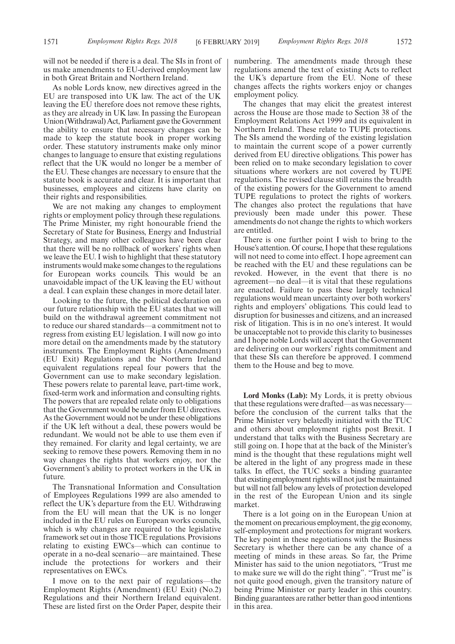will not be needed if there is a deal. The SIs in front of us make amendments to EU-derived employment law in both Great Britain and Northern Ireland.

As noble Lords know, new directives agreed in the EU are transposed into UK law. The act of the UK leaving the EU therefore does not remove these rights, as they are already in UK law. In passing the European Union (Withdrawal) Act, Parliament gave the Government the ability to ensure that necessary changes can be made to keep the statute book in proper working order. These statutory instruments make only minor changes to language to ensure that existing regulations reflect that the UK would no longer be a member of the EU. These changes are necessary to ensure that the statute book is accurate and clear. It is important that businesses, employees and citizens have clarity on their rights and responsibilities.

We are not making any changes to employment rights or employment policy through these regulations. The Prime Minister, my right honourable friend the Secretary of State for Business, Energy and Industrial Strategy, and many other colleagues have been clear that there will be no rollback of workers' rights when we leave the EU. I wish to highlight that these statutory instruments would make some changes to the regulations for European works councils. This would be an unavoidable impact of the UK leaving the EU without a deal. I can explain these changes in more detail later.

Looking to the future, the political declaration on our future relationship with the EU states that we will build on the withdrawal agreement commitment not to reduce our shared standards—a commitment not to regress from existing EU legislation. I will now go into more detail on the amendments made by the statutory instruments. The Employment Rights (Amendment) (EU Exit) Regulations and the Northern Ireland equivalent regulations repeal four powers that the Government can use to make secondary legislation. These powers relate to parental leave, part-time work, fixed-term work and information and consulting rights. The powers that are repealed relate only to obligations that the Government would be under from EU directives. As the Government would not be under these obligations if the UK left without a deal, these powers would be redundant. We would not be able to use them even if they remained. For clarity and legal certainty, we are seeking to remove these powers. Removing them in no way changes the rights that workers enjoy, nor the Government's ability to protect workers in the UK in future.

The Transnational Information and Consultation of Employees Regulations 1999 are also amended to reflect the UK's departure from the EU. Withdrawing from the EU will mean that the UK is no longer included in the EU rules on European works councils, which is why changes are required to the legislative framework set out in those TICE regulations. Provisions relating to existing EWCs—which can continue to operate in a no-deal scenario—are maintained. These include the protections for workers and their representatives on EWCs.

I move on to the next pair of regulations—the Employment Rights (Amendment) (EU Exit) (No.2) Regulations and their Northern Ireland equivalent. These are listed first on the Order Paper, despite their numbering. The amendments made through these regulations amend the text of existing Acts to reflect the UK's departure from the EU. None of these changes affects the rights workers enjoy or changes employment policy.

The changes that may elicit the greatest interest across the House are those made to Section 38 of the Employment Relations Act 1999 and its equivalent in Northern Ireland. These relate to TUPE protections. The SIs amend the wording of the existing legislation to maintain the current scope of a power currently derived from EU directive obligations. This power has been relied on to make secondary legislation to cover situations where workers are not covered by TUPE regulations. The revised clause still retains the breadth of the existing powers for the Government to amend TUPE regulations to protect the rights of workers. The changes also protect the regulations that have previously been made under this power. These amendments do not change the rights to which workers are entitled.

There is one further point I wish to bring to the House's attention. Of course, I hope that these regulations will not need to come into effect. I hope agreement can be reached with the EU and these regulations can be revoked. However, in the event that there is no agreement—no deal—it is vital that these regulations are enacted. Failure to pass these largely technical regulations would mean uncertainty over both workers' rights and employers' obligations. This could lead to disruption for businesses and citizens, and an increased risk of litigation. This is in no one's interest. It would be unacceptable not to provide this clarity to businesses and I hope noble Lords will accept that the Government are delivering on our workers' rights commitment and that these SIs can therefore be approved. I commend them to the House and beg to move.

**Lord Monks (Lab):** My Lords, it is pretty obvious that these regulations were drafted—as was necessary before the conclusion of the current talks that the Prime Minister very belatedly initiated with the TUC and others about employment rights post Brexit. I understand that talks with the Business Secretary are still going on. I hope that at the back of the Minister's mind is the thought that these regulations might well be altered in the light of any progress made in these talks. In effect, the TUC seeks a binding guarantee that existing employment rights will not just be maintained but will not fall below any levels of protection developed in the rest of the European Union and its single market.

There is a lot going on in the European Union at the moment on precarious employment, the gig economy, self-employment and protections for migrant workers. The key point in these negotiations with the Business Secretary is whether there can be any chance of a meeting of minds in these areas. So far, the Prime Minister has said to the union negotiators, "Trust me to make sure we will do the right thing". "Trust me" is not quite good enough, given the transitory nature of being Prime Minister or party leader in this country. Binding guarantees are rather better than good intentions in this area.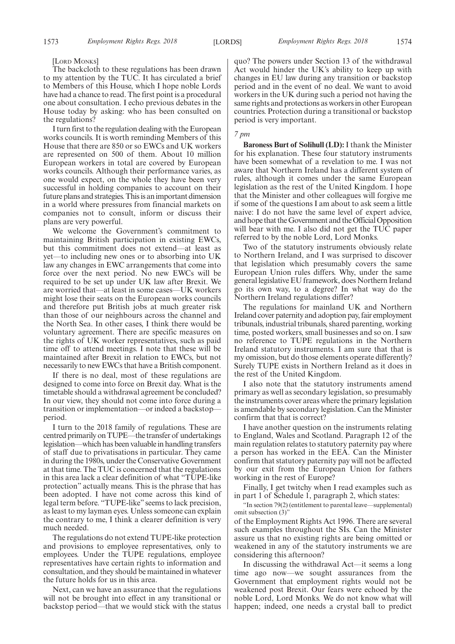#### [LORD MONKS]

The backcloth to these regulations has been drawn to my attention by the TUC. It has circulated a brief to Members of this House, which I hope noble Lords have had a chance to read. The first point is a procedural one about consultation. I echo previous debates in the House today by asking: who has been consulted on the regulations?

I turn first to the regulation dealing with the European works councils. It is worth reminding Members of this House that there are 850 or so EWCs and UK workers are represented on 500 of them. About 10 million European workers in total are covered by European works councils. Although their performance varies, as one would expect, on the whole they have been very successful in holding companies to account on their future plans and strategies. This is an important dimension in a world where pressures from financial markets on companies not to consult, inform or discuss their plans are very powerful.

We welcome the Government's commitment to maintaining British participation in existing EWCs, but this commitment does not extend—at least as yet—to including new ones or to absorbing into UK law any changes in EWC arrangements that come into force over the next period. No new EWCs will be required to be set up under UK law after Brexit. We are worried that—at least in some cases—UK workers might lose their seats on the European works councils and therefore put British jobs at much greater risk than those of our neighbours across the channel and the North Sea. In other cases, I think there would be voluntary agreement. There are specific measures on the rights of UK worker representatives, such as paid time off to attend meetings. I note that these will be maintained after Brexit in relation to EWCs, but not necessarily to new EWCs that have a British component.

If there is no deal, most of these regulations are designed to come into force on Brexit day. What is the timetable should a withdrawal agreement be concluded? In our view, they should not come into force during a transition or implementation—or indeed a backstop period.

I turn to the 2018 family of regulations. These are centred primarily on TUPE—the transfer of undertakings legislation—which has been valuable in handling transfers of staff due to privatisations in particular. They came in during the 1980s, under the Conservative Government at that time. The TUC is concerned that the regulations in this area lack a clear definition of what "TUPE-like protection" actually means. This is the phrase that has been adopted. I have not come across this kind of legal term before. "TUPE-like" seems to lack precision, as least to my layman eyes. Unless someone can explain the contrary to me, I think a clearer definition is very much needed.

The regulations do not extend TUPE-like protection and provisions to employee representatives, only to employees. Under the TUPE regulations, employee representatives have certain rights to information and consultation, and they should be maintained in whatever the future holds for us in this area.

Next, can we have an assurance that the regulations will not be brought into effect in any transitional or backstop period—that we would stick with the status quo? The powers under Section 13 of the withdrawal Act would hinder the UK's ability to keep up with changes in EU law during any transition or backstop period and in the event of no deal. We want to avoid workers in the UK during such a period not having the same rights and protections as workers in other European countries. Protection during a transitional or backstop period is very important.

## *7 pm*

**Baroness Burt of Solihull (LD):** I thank the Minister for his explanation. These four statutory instruments have been somewhat of a revelation to me. I was not aware that Northern Ireland has a different system of rules, although it comes under the same European legislation as the rest of the United Kingdom. I hope that the Minister and other colleagues will forgive me if some of the questions I am about to ask seem a little naive: I do not have the same level of expert advice, and hope that the Government and the Official Opposition will bear with me. I also did not get the TUC paper referred to by the noble Lord, Lord Monks.

Two of the statutory instruments obviously relate to Northern Ireland, and I was surprised to discover that legislation which presumably covers the same European Union rules differs. Why, under the same general legislative EU framework, does Northern Ireland go its own way, to a degree? In what way do the Northern Ireland regulations differ?

The regulations for mainland UK and Northern Ireland cover paternity and adoption pay, fair employment tribunals, industrial tribunals, shared parenting, working time, posted workers, small businesses and so on. I saw no reference to TUPE regulations in the Northern Ireland statutory instruments. I am sure that that is my omission, but do those elements operate differently? Surely TUPE exists in Northern Ireland as it does in the rest of the United Kingdom.

I also note that the statutory instruments amend primary as well as secondary legislation, so presumably the instruments cover areas where the primary legislation is amendable by secondary legislation. Can the Minister confirm that that is correct?

I have another question on the instruments relating to England, Wales and Scotland. Paragraph 12 of the main regulation relates to statutory paternity pay where a person has worked in the EEA. Can the Minister confirm that statutory paternity pay will not be affected by our exit from the European Union for fathers working in the rest of Europe?

Finally, I get twitchy when I read examples such as in part 1 of Schedule 1, paragraph 2, which states:

"In section 79(2) (entitlement to parental leave—supplemental) omit subsection (3)'

of the Employment Rights Act 1996. There are several such examples throughout the SIs. Can the Minister assure us that no existing rights are being omitted or weakened in any of the statutory instruments we are considering this afternoon?

In discussing the withdrawal Act—it seems a long time ago now—we sought assurances from the Government that employment rights would not be weakened post Brexit. Our fears were echoed by the noble Lord, Lord Monks. We do not know what will happen; indeed, one needs a crystal ball to predict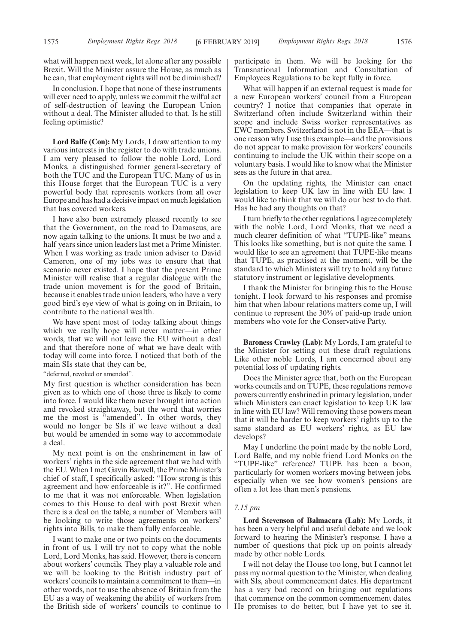what will happen next week, let alone after any possible Brexit. Will the Minister assure the House, as much as he can, that employment rights will not be diminished?

In conclusion, I hope that none of these instruments will ever need to apply, unless we commit the wilful act of self-destruction of leaving the European Union without a deal. The Minister alluded to that. Is he still feeling optimistic?

**Lord Balfe (Con):** My Lords, I draw attention to my various interests in the register to do with trade unions. I am very pleased to follow the noble Lord, Lord Monks, a distinguished former general-secretary of both the TUC and the European TUC. Many of us in this House forget that the European TUC is a very powerful body that represents workers from all over Europe and has had a decisive impact on much legislation that has covered workers.

I have also been extremely pleased recently to see that the Government, on the road to Damascus, are now again talking to the unions. It must be two and a half years since union leaders last met a Prime Minister. When I was working as trade union adviser to David Cameron, one of my jobs was to ensure that that scenario never existed. I hope that the present Prime Minister will realise that a regular dialogue with the trade union movement is for the good of Britain, because it enables trade union leaders, who have a very good bird's eye view of what is going on in Britain, to contribute to the national wealth.

We have spent most of today talking about things which we really hope will never matter—in other words, that we will not leave the EU without a deal and that therefore none of what we have dealt with today will come into force. I noticed that both of the main SIs state that they can be,

"deferred, revoked or amended".

My first question is whether consideration has been given as to which one of those three is likely to come into force. I would like them never brought into action and revoked straightaway, but the word that worries me the most is "amended". In other words, they would no longer be SIs if we leave without a deal but would be amended in some way to accommodate a deal.

My next point is on the enshrinement in law of workers' rights in the side agreement that we had with the EU. When I met Gavin Barwell, the Prime Minister's chief of staff, I specifically asked: "How strong is this agreement and how enforceable is it?". He confirmed to me that it was not enforceable. When legislation comes to this House to deal with post Brexit when there is a deal on the table, a number of Members will be looking to write those agreements on workers' rights into Bills, to make them fully enforceable.

I want to make one or two points on the documents in front of us. I will try not to copy what the noble Lord, Lord Monks, has said. However, there is concern about workers' councils. They play a valuable role and we will be looking to the British industry part of workers'councils to maintain a commitment to them—in other words, not to use the absence of Britain from the EU as a way of weakening the ability of workers from the British side of workers' councils to continue to participate in them. We will be looking for the Transnational Information and Consultation of Employees Regulations to be kept fully in force.

What will happen if an external request is made for a new European workers' council from a European country? I notice that companies that operate in Switzerland often include Switzerland within their scope and include Swiss worker representatives as EWC members. Switzerland is not in the EEA—that is one reason why I use this example—and the provisions do not appear to make provision for workers' councils continuing to include the UK within their scope on a voluntary basis. I would like to know what the Minister sees as the future in that area.

On the updating rights, the Minister can enact legislation to keep UK law in line with EU law. I would like to think that we will do our best to do that. Has he had any thoughts on that?

I turn briefly to the other regulations. I agree completely with the noble Lord, Lord Monks, that we need a much clearer definition of what "TUPE-like" means. This looks like something, but is not quite the same. I would like to see an agreement that TUPE-like means that TUPE, as practised at the moment, will be the standard to which Ministers will try to hold any future statutory instrument or legislative developments.

I thank the Minister for bringing this to the House tonight. I look forward to his responses and promise him that when labour relations matters come up, I will continue to represent the 30% of paid-up trade union members who vote for the Conservative Party.

**Baroness Crawley (Lab):** My Lords, I am grateful to the Minister for setting out these draft regulations. Like other noble Lords, I am concerned about any potential loss of updating rights.

Does the Minister agree that, both on the European works councils and on TUPE, these regulations remove powers currently enshrined in primary legislation, under which Ministers can enact legislation to keep UK law in line with EU law? Will removing those powers mean that it will be harder to keep workers' rights up to the same standard as EU workers' rights, as EU law develops?

May I underline the point made by the noble Lord, Lord Balfe, and my noble friend Lord Monks on the "TUPE-like" reference? TUPE has been a boon, particularly for women workers moving between jobs, especially when we see how women's pensions are often a lot less than men's pensions.

#### *7.15 pm*

**Lord Stevenson of Balmacara (Lab):** My Lords, it has been a very helpful and useful debate and we look forward to hearing the Minister's response. I have a number of questions that pick up on points already made by other noble Lords.

I will not delay the House too long, but I cannot let pass my normal question to the Minister, when dealing with SIs, about commencement dates. His department has a very bad record on bringing out regulations that commence on the common commencement dates. He promises to do better, but I have yet to see it.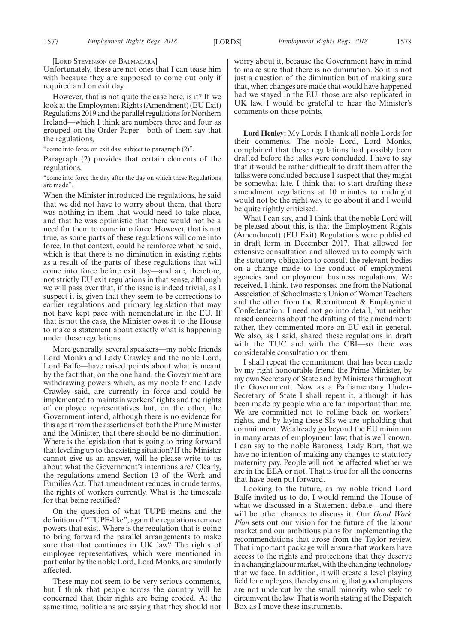[LORD STEVENSON OF BALMACARA]

Unfortunately, these are not ones that I can tease him with because they are supposed to come out only if required and on exit day.

However, that is not quite the case here, is it? If we look at the Employment Rights (Amendment) (EU Exit) Regulations 2019 and the parallel regulations for Northern Ireland—which I think are numbers three and four as grouped on the Order Paper—both of them say that the regulations,

"come into force on exit day, subject to paragraph (2)".

Paragraph (2) provides that certain elements of the regulations,

"come into force the day after the day on which these Regulations are made".

When the Minister introduced the regulations, he said that we did not have to worry about them, that there was nothing in them that would need to take place, and that he was optimistic that there would not be a need for them to come into force. However, that is not true, as some parts of these regulations will come into force. In that context, could he reinforce what he said, which is that there is no diminution in existing rights as a result of the parts of these regulations that will come into force before exit day—and are, therefore, not strictly EU exit regulations in that sense, although we will pass over that, if the issue is indeed trivial, as I suspect it is, given that they seem to be corrections to earlier regulations and primary legislation that may not have kept pace with nomenclature in the EU. If that is not the case, the Minister owes it to the House to make a statement about exactly what is happening under these regulations.

More generally, several speakers—my noble friends Lord Monks and Lady Crawley and the noble Lord, Lord Balfe—have raised points about what is meant by the fact that, on the one hand, the Government are withdrawing powers which, as my noble friend Lady Crawley said, are currently in force and could be implemented to maintain workers' rights and the rights of employee representatives but, on the other, the Government intend, although there is no evidence for this apart from the assertions of both the Prime Minister and the Minister, that there should be no diminution. Where is the legislation that is going to bring forward that levelling up to the existing situation? If the Minister cannot give us an answer, will he please write to us about what the Government's intentions are? Clearly, the regulations amend Section 13 of the Work and Families Act. That amendment reduces, in crude terms, the rights of workers currently. What is the timescale for that being rectified?

On the question of what TUPE means and the definition of "TUPE-like", again the regulations remove powers that exist. Where is the regulation that is going to bring forward the parallel arrangements to make sure that that continues in UK law? The rights of employee representatives, which were mentioned in particular by the noble Lord, Lord Monks, are similarly affected.

These may not seem to be very serious comments, but I think that people across the country will be concerned that their rights are being eroded. At the same time, politicians are saying that they should not worry about it, because the Government have in mind to make sure that there is no diminution. So it is not just a question of the diminution but of making sure that, when changes are made that would have happened had we stayed in the EU, those are also replicated in UK law. I would be grateful to hear the Minister's comments on those points.

**Lord Henley:** My Lords, I thank all noble Lords for their comments. The noble Lord, Lord Monks, complained that these regulations had possibly been drafted before the talks were concluded. I have to say that it would be rather difficult to draft them after the talks were concluded because I suspect that they might be somewhat late. I think that to start drafting these amendment regulations at 10 minutes to midnight would not be the right way to go about it and I would be quite rightly criticised.

What I can say, and I think that the noble Lord will be pleased about this, is that the Employment Rights (Amendment) (EU Exit) Regulations were published in draft form in December 2017. That allowed for extensive consultation and allowed us to comply with the statutory obligation to consult the relevant bodies on a change made to the conduct of employment agencies and employment business regulations. We received, I think, two responses, one from the National Association of Schoolmasters Union of Women Teachers and the other from the Recruitment & Employment Confederation. I need not go into detail, but neither raised concerns about the drafting of the amendment: rather, they commented more on EU exit in general. We also, as I said, shared these regulations in draft with the TUC and with the CBI—so there was considerable consultation on them.

I shall repeat the commitment that has been made by my right honourable friend the Prime Minister, by my own Secretary of State and by Ministers throughout the Government. Now as a Parliamentary Under-Secretary of State I shall repeat it, although it has been made by people who are far important than me. We are committed not to rolling back on workers' rights, and by laying these SIs we are upholding that commitment. We already go beyond the EU minimum in many areas of employment law; that is well known. I can say to the noble Baroness, Lady Burt, that we have no intention of making any changes to statutory maternity pay. People will not be affected whether we are in the EEA or not. That is true for all the concerns that have been put forward.

Looking to the future, as my noble friend Lord Balfe invited us to do, I would remind the House of what we discussed in a Statement debate—and there will be other chances to discuss it. Our *Good Work Plan* sets out our vision for the future of the labour market and our ambitious plans for implementing the recommendations that arose from the Taylor review. That important package will ensure that workers have access to the rights and protections that they deserve in a changing labour market, with the changing technology that we face. In addition, it will create a level playing field for employers, thereby ensuring that good employers are not undercut by the small minority who seek to circumvent the law. That is worth stating at the Dispatch Box as I move these instruments.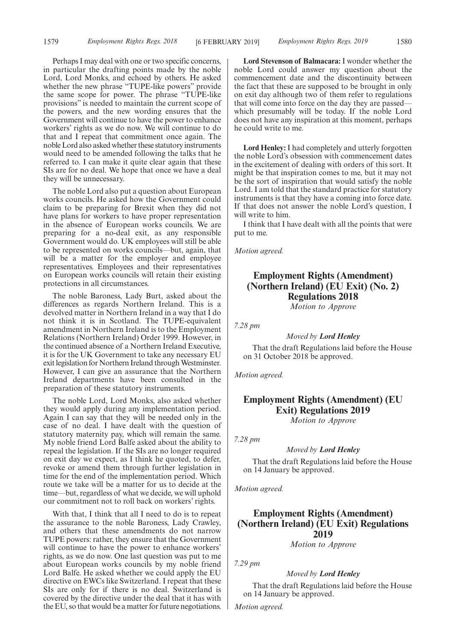Perhaps I may deal with one or two specific concerns, in particular the drafting points made by the noble Lord, Lord Monks, and echoed by others. He asked whether the new phrase "TUPE-like powers" provide the same scope for power. The phrase "TUPE-like provisions" is needed to maintain the current scope of the powers, and the new wording ensures that the Government will continue to have the power to enhance workers' rights as we do now. We will continue to do that and I repeat that commitment once again. The noble Lord also asked whether these statutory instruments would need to be amended following the talks that he referred to. I can make it quite clear again that these SIs are for no deal. We hope that once we have a deal they will be unnecessary.

The noble Lord also put a question about European works councils. He asked how the Government could claim to be preparing for Brexit when they did not have plans for workers to have proper representation in the absence of European works councils. We are preparing for a no-deal exit, as any responsible Government would do. UK employees will still be able to be represented on works councils—but, again, that will be a matter for the employer and employee representatives. Employees and their representatives on European works councils will retain their existing protections in all circumstances.

The noble Baroness, Lady Burt, asked about the differences as regards Northern Ireland. This is a devolved matter in Northern Ireland in a way that I do not think it is in Scotland. The TUPE-equivalent amendment in Northern Ireland is to the Employment Relations (Northern Ireland) Order 1999. However, in the continued absence of a Northern Ireland Executive, it is for the UK Government to take any necessary EU exit legislation for Northern Ireland through Westminster. However, I can give an assurance that the Northern Ireland departments have been consulted in the preparation of these statutory instruments.

The noble Lord, Lord Monks, also asked whether they would apply during any implementation period. Again I can say that they will be needed only in the case of no deal. I have dealt with the question of statutory maternity pay, which will remain the same. My noble friend Lord Balfe asked about the ability to repeal the legislation. If the SIs are no longer required on exit day we expect, as I think he quoted, to defer, revoke or amend them through further legislation in time for the end of the implementation period. Which route we take will be a matter for us to decide at the time—but, regardless of what we decide, we will uphold our commitment not to roll back on workers' rights.

With that, I think that all I need to do is to repeat the assurance to the noble Baroness, Lady Crawley, and others that these amendments do not narrow TUPE powers: rather, they ensure that the Government will continue to have the power to enhance workers' rights, as we do now. One last question was put to me about European works councils by my noble friend Lord Balfe. He asked whether we could apply the EU directive on EWCs like Switzerland. I repeat that these SIs are only for if there is no deal. Switzerland is covered by the directive under the deal that it has with the EU, so that would be a matter for future negotiations.

**Lord Stevenson of Balmacara:** I wonder whether the noble Lord could answer my question about the commencement date and the discontinuity between the fact that these are supposed to be brought in only on exit day although two of them refer to regulations that will come into force on the day they are passed which presumably will be today. If the noble Lord does not have any inspiration at this moment, perhaps he could write to me.

**Lord Henley:** I had completely and utterly forgotten the noble Lord's obsession with commencement dates in the excitement of dealing with orders of this sort. It might be that inspiration comes to me, but it may not be the sort of inspiration that would satisfy the noble Lord. I am told that the standard practice for statutory instruments is that they have a coming into force date. If that does not answer the noble Lord's question, I will write to him.

I think that I have dealt with all the points that were put to me.

*Motion agreed.*

# **Employment Rights (Amendment) (Northern Ireland) (EU Exit) (No. 2) Regulations 2018**

*Motion to Approve*

*7.28 pm*

*Moved by Lord Henley*

That the draft Regulations laid before the House on 31 October 2018 be approved.

*Motion agreed.*

## **Employment Rights (Amendment) (EU Exit) Regulations 2019** *Motion to Approve*

*7.28 pm*

#### *Moved by Lord Henley*

That the draft Regulations laid before the House on 14 January be approved.

*Motion agreed.*

## **Employment Rights (Amendment) (Northern Ireland) (EU Exit) Regulations 2019**

*Motion to Approve*

*7.29 pm*

#### *Moved by Lord Henley*

That the draft Regulations laid before the House on 14 January be approved.

*Motion agreed.*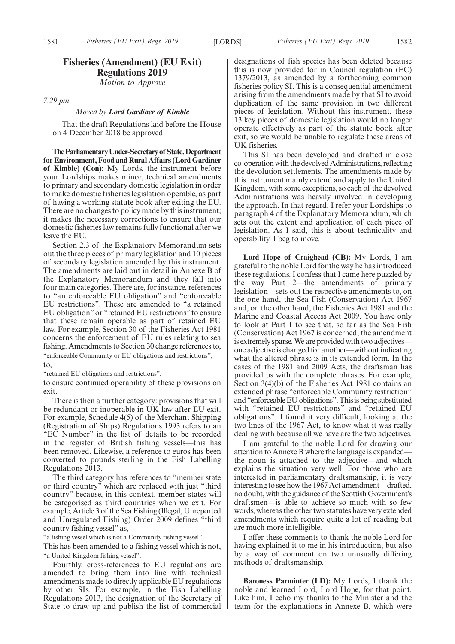## **Fisheries (Amendment) (EU Exit) Regulations 2019**

*Motion to Approve*

*7.29 pm*

#### *Moved by Lord Gardiner of Kimble*

That the draft Regulations laid before the House on 4 December 2018 be approved.

**TheParliamentaryUnder-Secretaryof State,Department for Environment, Food and Rural Affairs (Lord Gardiner of Kimble) (Con):** My Lords, the instrument before your Lordships makes minor, technical amendments to primary and secondary domestic legislation in order to make domestic fisheries legislation operable, as part of having a working statute book after exiting the EU. There are no changes to policy made by this instrument; it makes the necessary corrections to ensure that our domestic fisheries law remains fully functional after we leave the EU.

Section 2.3 of the Explanatory Memorandum sets out the three pieces of primary legislation and 10 pieces of secondary legislation amended by this instrument. The amendments are laid out in detail in Annexe B of the Explanatory Memorandum and they fall into four main categories. There are, for instance, references to "an enforceable EU obligation" and "enforceable EU restrictions". These are amended to "a retained EU obligation" or "retained EU restrictions" to ensure that these remain operable as part of retained EU law. For example, Section 30 of the Fisheries Act 1981 concerns the enforcement of EU rules relating to sea fishing. Amendments to Section 30 change references to, "enforceable Community or EU obligations and restrictions",

to,

"retained EU obligations and restrictions",

to ensure continued operability of these provisions on exit.

There is then a further category: provisions that will be redundant or inoperable in UK law after EU exit. For example, Schedule 4(5) of the Merchant Shipping (Registration of Ships) Regulations 1993 refers to an "EC Number" in the list of details to be recorded in the register of British fishing vessels—this has been removed. Likewise, a reference to euros has been converted to pounds sterling in the Fish Labelling Regulations 2013.

The third category has references to "member state or third country" which are replaced with just "third country" because, in this context, member states will be categorised as third countries when we exit. For example, Article 3 of the Sea Fishing (Illegal, Unreported and Unregulated Fishing) Order 2009 defines "third country fishing vessel" as,

"a fishing vessel which is not a Community fishing vessel".

This has been amended to a fishing vessel which is not, "a United Kingdom fishing vessel".

Fourthly, cross-references to EU regulations are amended to bring them into line with technical amendments made to directly applicable EU regulations by other SIs. For example, in the Fish Labelling Regulations 2013, the designation of the Secretary of State to draw up and publish the list of commercial designations of fish species has been deleted because this is now provided for in Council regulation (EC) 1379/2013, as amended by a forthcoming common fisheries policy SI. This is a consequential amendment arising from the amendments made by that SI to avoid duplication of the same provision in two different pieces of legislation. Without this instrument, these 13 key pieces of domestic legislation would no longer operate effectively as part of the statute book after exit, so we would be unable to regulate these areas of UK fisheries.

This SI has been developed and drafted in close co-operation with the devolved Administrations, reflecting the devolution settlements. The amendments made by this instrument mainly extend and apply to the United Kingdom, with some exceptions, so each of the devolved Administrations was heavily involved in developing the approach. In that regard, I refer your Lordships to paragraph 4 of the Explanatory Memorandum, which sets out the extent and application of each piece of legislation. As I said, this is about technicality and operability. I beg to move.

**Lord Hope of Craighead (CB):** My Lords, I am grateful to the noble Lord for the way he has introduced these regulations. I confess that I came here puzzled by the way Part 2—the amendments of primary legislation—sets out the respective amendments to, on the one hand, the Sea Fish (Conservation) Act 1967 and, on the other hand, the Fisheries Act 1981 and the Marine and Coastal Access Act 2009. You have only to look at Part 1 to see that, so far as the Sea Fish (Conservation) Act 1967 is concerned, the amendment is extremely sparse. We are provided with two adjectives one adjective is changed for another—without indicating what the altered phrase is in its extended form. In the cases of the 1981 and 2009 Acts, the draftsman has provided us with the complete phrases. For example, Section 3(4)(b) of the Fisheries Act 1981 contains an extended phrase "enforceable Community restriction" and "enforceable EU obligations". This is being substituted with "retained EU restrictions" and "retained EU obligations". I found it very difficult, looking at the two lines of the 1967 Act, to know what it was really dealing with because all we have are the two adjectives.

I am grateful to the noble Lord for drawing our attention to Annexe B where the language is expanded the noun is attached to the adjective—and which explains the situation very well. For those who are interested in parliamentary draftsmanship, it is very interesting to see how the 1967 Act amendment—drafted, no doubt, with the guidance of the Scottish Government's draftsmen—is able to achieve so much with so few words, whereas the other two statutes have very extended amendments which require quite a lot of reading but are much more intelligible.

I offer these comments to thank the noble Lord for having explained it to me in his introduction, but also by a way of comment on two unusually differing methods of draftsmanship.

**Baroness Parminter (LD):** My Lords, I thank the noble and learned Lord, Lord Hope, for that point. Like him, I echo my thanks to the Minister and the team for the explanations in Annexe B, which were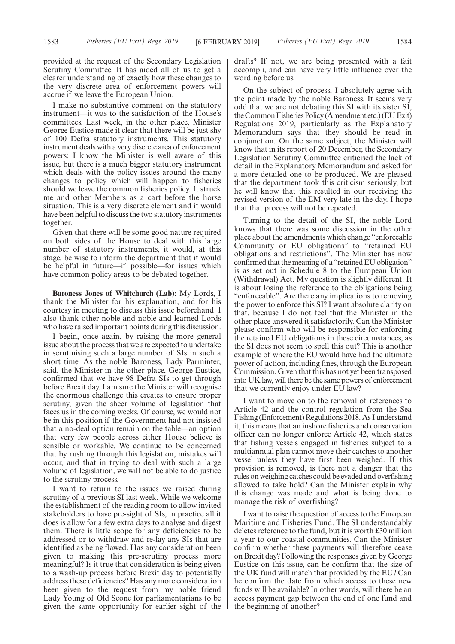provided at the request of the Secondary Legislation Scrutiny Committee. It has aided all of us to get a clearer understanding of exactly how these changes to the very discrete area of enforcement powers will accrue if we leave the European Union.

I make no substantive comment on the statutory instrument—it was to the satisfaction of the House's committees. Last week, in the other place, Minister George Eustice made it clear that there will be just shy of 100 Defra statutory instruments. This statutory instrument deals with a very discrete area of enforcement powers; I know the Minister is well aware of this issue, but there is a much bigger statutory instrument which deals with the policy issues around the many changes to policy which will happen to fisheries should we leave the common fisheries policy. It struck me and other Members as a cart before the horse situation. This is a very discrete element and it would have been helpful to discuss the two statutory instruments together.

Given that there will be some good nature required on both sides of the House to deal with this large number of statutory instruments, it would, at this stage, be wise to inform the department that it would be helpful in future—if possible—for issues which have common policy areas to be debated together.

**Baroness Jones of Whitchurch (Lab):** My Lords, I thank the Minister for his explanation, and for his courtesy in meeting to discuss this issue beforehand. I also thank other noble and noble and learned Lords who have raised important points during this discussion.

I begin, once again, by raising the more general issue about the process that we are expected to undertake in scrutinising such a large number of SIs in such a short time. As the noble Baroness, Lady Parminter, said, the Minister in the other place, George Eustice, confirmed that we have 98 Defra SIs to get through before Brexit day. I am sure the Minister will recognise the enormous challenge this creates to ensure proper scrutiny, given the sheer volume of legislation that faces us in the coming weeks. Of course, we would not be in this position if the Government had not insisted that a no-deal option remain on the table—an option that very few people across either House believe is sensible or workable. We continue to be concerned that by rushing through this legislation, mistakes will occur, and that in trying to deal with such a large volume of legislation, we will not be able to do justice to the scrutiny process.

I want to return to the issues we raised during scrutiny of a previous SI last week. While we welcome the establishment of the reading room to allow invited stakeholders to have pre-sight of SIs, in practice all it does is allow for a few extra days to analyse and digest them. There is little scope for any deficiencies to be addressed or to withdraw and re-lay any SIs that are identified as being flawed. Has any consideration been given to making this pre-scrutiny process more meaningful? Is it true that consideration is being given to a wash-up process before Brexit day to potentially address these deficiencies? Has any more consideration been given to the request from my noble friend Lady Young of Old Scone for parliamentarians to be given the same opportunity for earlier sight of the drafts? If not, we are being presented with a fait accompli, and can have very little influence over the wording before us.

On the subject of process, I absolutely agree with the point made by the noble Baroness. It seems very odd that we are not debating this SI with its sister SI, the Common Fisheries Policy (Amendment etc.) (EU Exit) Regulations 2019, particularly as the Explanatory Memorandum says that they should be read in conjunction. On the same subject, the Minister will know that in its report of 20 December, the Secondary Legislation Scrutiny Committee criticised the lack of detail in the Explanatory Memorandum and asked for a more detailed one to be produced. We are pleased that the department took this criticism seriously, but he will know that this resulted in our receiving the revised version of the EM very late in the day. I hope that that process will not be repeated.

Turning to the detail of the SI, the noble Lord knows that there was some discussion in the other place about the amendments which change "enforceable Community or EU obligations" to "retained EU obligations and restrictions". The Minister has now confirmed that the meaning of a "retained EU obligation" is as set out in Schedule 8 to the European Union (Withdrawal) Act. My question is slightly different. It is about losing the reference to the obligations being "enforceable". Are there any implications to removing the power to enforce this SI? I want absolute clarity on that, because I do not feel that the Minister in the other place answered it satisfactorily. Can the Minister please confirm who will be responsible for enforcing the retained EU obligations in these circumstances, as the SI does not seem to spell this out? This is another example of where the EU would have had the ultimate power of action, including fines, through the European Commission. Given that this has not yet been transposed into UK law, will there be the same powers of enforcement that we currently enjoy under EU law?

I want to move on to the removal of references to Article 42 and the control regulation from the Sea Fishing (Enforcement) Regulations 2018. As I understand it, this means that an inshore fisheries and conservation officer can no longer enforce Article 42, which states that fishing vessels engaged in fisheries subject to a multiannual plan cannot move their catches to another vessel unless they have first been weighed. If this provision is removed, is there not a danger that the rules on weighing catches could be evaded and overfishing allowed to take hold? Can the Minister explain why this change was made and what is being done to manage the risk of overfishing?

I want to raise the question of access to the European Maritime and Fisheries Fund. The SI understandably deletes reference to the fund, but it is worth £30 million a year to our coastal communities. Can the Minister confirm whether these payments will therefore cease on Brexit day? Following the responses given by George Eustice on this issue, can he confirm that the size of the UK fund will match that provided by the EU? Can he confirm the date from which access to these new funds will be available? In other words, will there be an access payment gap between the end of one fund and the beginning of another?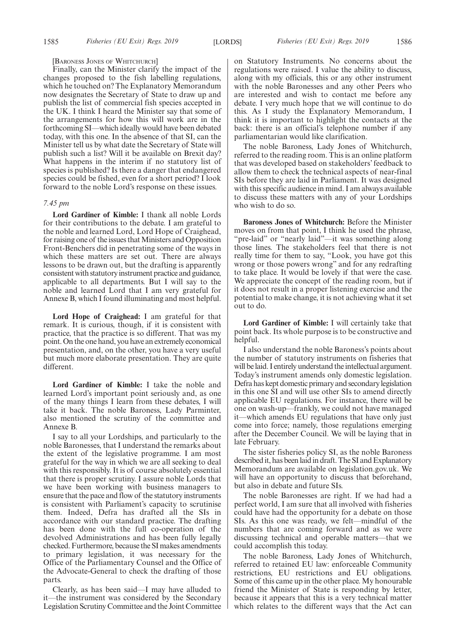#### [BARONESS JONES OF WHITCHURCH]

Finally, can the Minister clarify the impact of the changes proposed to the fish labelling regulations, which he touched on? The Explanatory Memorandum now designates the Secretary of State to draw up and publish the list of commercial fish species accepted in the UK. I think I heard the Minister say that some of the arrangements for how this will work are in the forthcoming SI—which ideally would have been debated today, with this one. In the absence of that SI, can the Minister tell us by what date the Secretary of State will publish such a list? Will it be available on Brexit day? What happens in the interim if no statutory list of species is published? Is there a danger that endangered species could be fished, even for a short period? I look forward to the noble Lord's response on these issues.

#### *7.45 pm*

**Lord Gardiner of Kimble:** I thank all noble Lords for their contributions to the debate. I am grateful to the noble and learned Lord, Lord Hope of Craighead, for raising one of the issues that Ministers and Opposition Front-Benchers did in penetrating some of the ways in which these matters are set out. There are always lessons to be drawn out, but the drafting is apparently consistent with statutory instrument practice and guidance, applicable to all departments. But I will say to the noble and learned Lord that I am very grateful for Annexe B, which I found illuminating and most helpful.

**Lord Hope of Craighead:** I am grateful for that remark. It is curious, though, if it is consistent with practice, that the practice is so different. That was my point. On the one hand, you have an extremely economical presentation, and, on the other, you have a very useful but much more elaborate presentation. They are quite different.

**Lord Gardiner of Kimble:** I take the noble and learned Lord's important point seriously and, as one of the many things I learn from these debates, I will take it back. The noble Baroness, Lady Parminter, also mentioned the scrutiny of the committee and Annexe B.

I say to all your Lordships, and particularly to the noble Baronesses, that I understand the remarks about the extent of the legislative programme. I am most grateful for the way in which we are all seeking to deal with this responsibly. It is of course absolutely essential that there is proper scrutiny. I assure noble Lords that we have been working with business managers to ensure that the pace and flow of the statutory instruments is consistent with Parliament's capacity to scrutinise them. Indeed, Defra has drafted all the SIs in accordance with our standard practice. The drafting has been done with the full co-operation of the devolved Administrations and has been fully legally checked. Furthermore, because the SI makes amendments to primary legislation, it was necessary for the Office of the Parliamentary Counsel and the Office of the Advocate-General to check the drafting of those parts.

Clearly, as has been said—I may have alluded to it—the instrument was considered by the Secondary Legislation Scrutiny Committee and the Joint Committee on Statutory Instruments. No concerns about the regulations were raised. I value the ability to discuss, along with my officials, this or any other instrument with the noble Baronesses and any other Peers who are interested and wish to contact me before any debate. I very much hope that we will continue to do this. As I study the Explanatory Memorandum, I think it is important to highlight the contacts at the back: there is an official's telephone number if any parliamentarian would like clarification.

The noble Baroness, Lady Jones of Whitchurch, referred to the reading room. This is an online platform that was developed based on stakeholders' feedback to allow them to check the technical aspects of near-final SIs before they are laid in Parliament. It was designed with this specific audience in mind. I am always available to discuss these matters with any of your Lordships who wish to do so.

**Baroness Jones of Whitchurch:** Before the Minister moves on from that point, I think he used the phrase, "pre-laid" or "nearly laid"—it was something along those lines. The stakeholders feel that there is not really time for them to say, "Look, you have got this wrong or those powers wrong" and for any redrafting to take place. It would be lovely if that were the case. We appreciate the concept of the reading room, but if it does not result in a proper listening exercise and the potential to make change, it is not achieving what it set out to do.

**Lord Gardiner of Kimble:** I will certainly take that point back. Its whole purpose is to be constructive and helpful.

I also understand the noble Baroness's points about the number of statutory instruments on fisheries that will be laid. I entirely understand the intellectual argument. Today's instrument amends only domestic legislation. Defra has kept domestic primary and secondary legislation in this one SI and will use other SIs to amend directly applicable EU regulations. For instance, there will be one on wash-up—frankly, we could not have managed it—which amends EU regulations that have only just come into force; namely, those regulations emerging after the December Council. We will be laying that in late February.

The sister fisheries policy SI, as the noble Baroness described it, has been laid in draft. The SI and Explanatory Memorandum are available on legislation.gov.uk. We will have an opportunity to discuss that beforehand, but also in debate and future SIs.

The noble Baronesses are right. If we had had a perfect world, I am sure that all involved with fisheries could have had the opportunity for a debate on those SIs. As this one was ready, we felt—mindful of the numbers that are coming forward and as we were discussing technical and operable matters—that we could accomplish this today.

The noble Baroness, Lady Jones of Whitchurch, referred to retained EU law: enforceable Community restrictions, EU restrictions and EU obligations. Some of this came up in the other place. My honourable friend the Minister of State is responding by letter, because it appears that this is a very technical matter which relates to the different ways that the Act can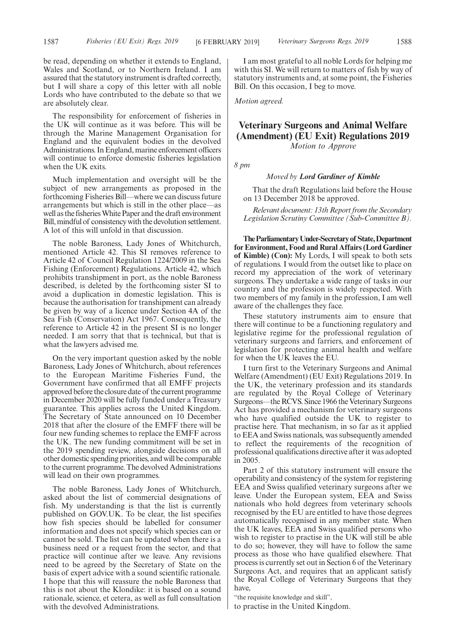be read, depending on whether it extends to England, Wales and Scotland, or to Northern Ireland. I am assured that the statutory instrument is drafted correctly, but I will share a copy of this letter with all noble Lords who have contributed to the debate so that we are absolutely clear.

The responsibility for enforcement of fisheries in the UK will continue as it was before. This will be through the Marine Management Organisation for England and the equivalent bodies in the devolved Administrations. In England, marine enforcement officers will continue to enforce domestic fisheries legislation when the UK exits.

Much implementation and oversight will be the subject of new arrangements as proposed in the forthcoming Fisheries Bill—where we can discuss future arrangements but which is still in the other place—as well as the fisheries White Paper and the draft environment Bill, mindful of consistency with the devolution settlement. A lot of this will unfold in that discussion.

The noble Baroness, Lady Jones of Whitchurch, mentioned Article 42. This SI removes reference to Article 42 of Council Regulation 1224/2009 in the Sea Fishing (Enforcement) Regulations. Article 42, which prohibits transhipment in port, as the noble Baroness described, is deleted by the forthcoming sister SI to avoid a duplication in domestic legislation. This is because the authorisation for transhipment can already be given by way of a licence under Section 4A of the Sea Fish (Conservation) Act 1967. Consequently, the reference to Article 42 in the present SI is no longer needed. I am sorry that that is technical, but that is what the lawyers advised me.

On the very important question asked by the noble Baroness, Lady Jones of Whitchurch, about references to the European Maritime Fisheries Fund, the Government have confirmed that all EMFF projects approved before the closure date of the current programme in December 2020 will be fully funded under a Treasury guarantee. This applies across the United Kingdom. The Secretary of State announced on 10 December 2018 that after the closure of the EMFF there will be four new funding schemes to replace the EMFF across the UK. The new funding commitment will be set in the 2019 spending review, alongside decisions on all other domestic spending priorities, and will be comparable to the current programme. The devolved Administrations will lead on their own programmes.

The noble Baroness, Lady Jones of Whitchurch, asked about the list of commercial designations of fish. My understanding is that the list is currently published on GOV.UK. To be clear, the list specifies how fish species should be labelled for consumer information and does not specify which species can or cannot be sold. The list can be updated when there is a business need or a request from the sector, and that practice will continue after we leave. Any revisions need to be agreed by the Secretary of State on the basis of expert advice with a sound scientific rationale. I hope that this will reassure the noble Baroness that this is not about the Klondike: it is based on a sound rationale, science, et cetera, as well as full consultation with the devolved Administrations.

I am most grateful to all noble Lords for helping me with this SI. We will return to matters of fish by way of statutory instruments and, at some point, the Fisheries Bill. On this occasion, I beg to move.

*Motion agreed.*

# **Veterinary Surgeons and Animal Welfare (Amendment) (EU Exit) Regulations 2019** *Motion to Approve*

*8 pm*

## *Moved by Lord Gardiner of Kimble*

That the draft Regulations laid before the House on 13 December 2018 be approved.

*Relevant document: 13th Report from the Secondary Legislation Scrutiny Committee (Sub-Committee B).*

**TheParliamentaryUnder-Secretaryof State,Department for Environment, Food and Rural Affairs (Lord Gardiner of Kimble) (Con):** My Lords, I will speak to both sets of regulations. I would from the outset like to place on record my appreciation of the work of veterinary surgeons. They undertake a wide range of tasks in our country and the profession is widely respected. With two members of my family in the profession, I am well aware of the challenges they face.

These statutory instruments aim to ensure that there will continue to be a functioning regulatory and legislative regime for the professional regulation of veterinary surgeons and farriers, and enforcement of legislation for protecting animal health and welfare for when the UK leaves the EU.

I turn first to the Veterinary Surgeons and Animal Welfare (Amendment) (EU Exit) Regulations 2019. In the UK, the veterinary profession and its standards are regulated by the Royal College of Veterinary Surgeons—the RCVS. Since 1966 the Veterinary Surgeons Act has provided a mechanism for veterinary surgeons who have qualified outside the UK to register to practise here. That mechanism, in so far as it applied to EEA and Swiss nationals, was subsequently amended to reflect the requirements of the recognition of professional qualifications directive after it was adopted in 2005.

Part 2 of this statutory instrument will ensure the operability and consistency of the system for registering EEA and Swiss qualified veterinary surgeons after we leave. Under the European system, EEA and Swiss nationals who hold degrees from veterinary schools recognised by the EU are entitled to have those degrees automatically recognised in any member state. When the UK leaves, EEA and Swiss qualified persons who wish to register to practise in the UK will still be able to do so; however, they will have to follow the same process as those who have qualified elsewhere. That process is currently set out in Section 6 of the Veterinary Surgeons Act, and requires that an applicant satisfy the Royal College of Veterinary Surgeons that they have,

"the requisite knowledge and skill", to practise in the United Kingdom.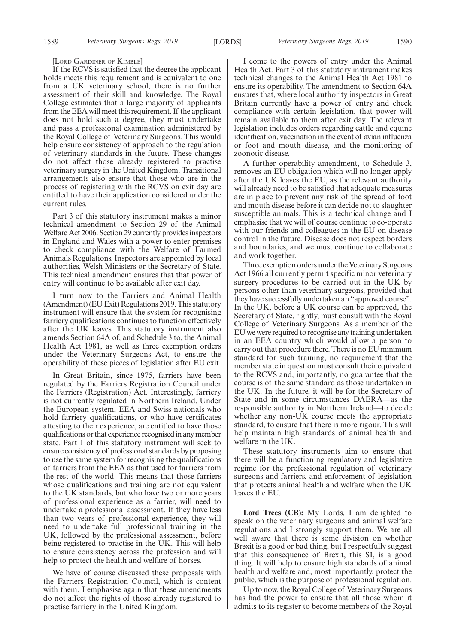[LORD GARDINER OF KIMBLE]

If the RCVS is satisfied that the degree the applicant holds meets this requirement and is equivalent to one from a UK veterinary school, there is no further assessment of their skill and knowledge. The Royal College estimates that a large majority of applicants from the EEA will meet this requirement. If the applicant does not hold such a degree, they must undertake and pass a professional examination administered by the Royal College of Veterinary Surgeons. This would help ensure consistency of approach to the regulation of veterinary standards in the future. These changes do not affect those already registered to practise veterinary surgery in the United Kingdom. Transitional arrangements also ensure that those who are in the process of registering with the RCVS on exit day are entitled to have their application considered under the current rules.

Part 3 of this statutory instrument makes a minor technical amendment to Section 29 of the Animal Welfare Act 2006. Section 29 currently provides inspectors in England and Wales with a power to enter premises to check compliance with the Welfare of Farmed Animals Regulations. Inspectors are appointed by local authorities, Welsh Ministers or the Secretary of State. This technical amendment ensures that that power of entry will continue to be available after exit day.

I turn now to the Farriers and Animal Health (Amendment) (EU Exit) Regulations 2019. This statutory instrument will ensure that the system for recognising farriery qualifications continues to function effectively after the UK leaves. This statutory instrument also amends Section 64A of, and Schedule 3 to, the Animal Health Act 1981, as well as three exemption orders under the Veterinary Surgeons Act, to ensure the operability of these pieces of legislation after EU exit.

In Great Britain, since 1975, farriers have been regulated by the Farriers Registration Council under the Farriers (Registration) Act. Interestingly, farriery is not currently regulated in Northern Ireland. Under the European system, EEA and Swiss nationals who hold farriery qualifications, or who have certificates attesting to their experience, are entitled to have those qualifications or that experience recognised in any member state. Part 1 of this statutory instrument will seek to ensure consistency of professional standards by proposing to use the same system for recognising the qualifications of farriers from the EEA as that used for farriers from the rest of the world. This means that those farriers whose qualifications and training are not equivalent to the UK standards, but who have two or more years of professional experience as a farrier, will need to undertake a professional assessment. If they have less than two years of professional experience, they will need to undertake full professional training in the UK, followed by the professional assessment, before being registered to practise in the UK. This will help to ensure consistency across the profession and will help to protect the health and welfare of horses.

We have of course discussed these proposals with the Farriers Registration Council, which is content with them. I emphasise again that these amendments do not affect the rights of those already registered to practise farriery in the United Kingdom.

I come to the powers of entry under the Animal Health Act. Part 3 of this statutory instrument makes technical changes to the Animal Health Act 1981 to ensure its operability. The amendment to Section 64A ensures that, where local authority inspectors in Great Britain currently have a power of entry and check compliance with certain legislation, that power will remain available to them after exit day. The relevant legislation includes orders regarding cattle and equine identification, vaccination in the event of avian influenza or foot and mouth disease, and the monitoring of zoonotic disease.

A further operability amendment, to Schedule 3, removes an EU obligation which will no longer apply after the UK leaves the EU, as the relevant authority will already need to be satisfied that adequate measures are in place to prevent any risk of the spread of foot and mouth disease before it can decide not to slaughter susceptible animals. This is a technical change and I emphasise that we will of course continue to co-operate with our friends and colleagues in the EU on disease control in the future. Disease does not respect borders and boundaries, and we must continue to collaborate and work together.

Three exemption orders under the Veterinary Surgeons Act 1966 all currently permit specific minor veterinary surgery procedures to be carried out in the UK by persons other than veterinary surgeons, provided that they have successfully undertaken an "approved course". In the UK, before a UK course can be approved, the Secretary of State, rightly, must consult with the Royal College of Veterinary Surgeons. As a member of the EU we were required to recognise any training undertaken in an EEA country which would allow a person to carry out that procedure there. There is no EU minimum standard for such training, no requirement that the member state in question must consult their equivalent to the RCVS and, importantly, no guarantee that the course is of the same standard as those undertaken in the UK. In the future, it will be for the Secretary of State and in some circumstances DAERA—as the responsible authority in Northern Ireland—to decide whether any non-UK course meets the appropriate standard, to ensure that there is more rigour. This will help maintain high standards of animal health and welfare in the UK.

These statutory instruments aim to ensure that there will be a functioning regulatory and legislative regime for the professional regulation of veterinary surgeons and farriers, and enforcement of legislation that protects animal health and welfare when the UK leaves the EU.

**Lord Trees (CB):** My Lords, I am delighted to speak on the veterinary surgeons and animal welfare regulations and I strongly support them. We are all well aware that there is some division on whether Brexit is a good or bad thing, but I respectfully suggest that this consequence of Brexit, this SI, is a good thing. It will help to ensure high standards of animal health and welfare and, most importantly, protect the public, which is the purpose of professional regulation.

Up to now, the Royal College of Veterinary Surgeons has had the power to ensure that all those whom it admits to its register to become members of the Royal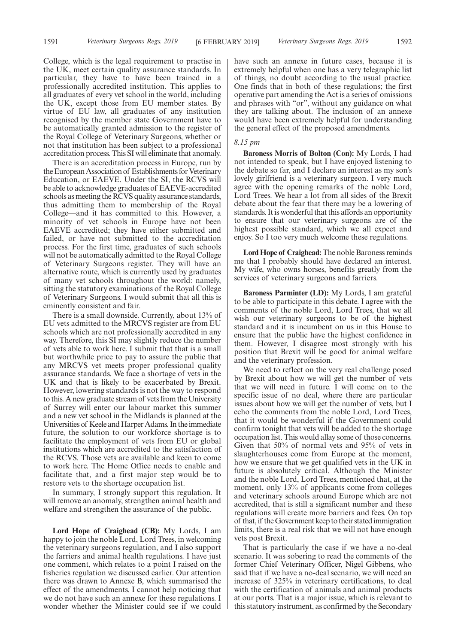College, which is the legal requirement to practise in the UK, meet certain quality assurance standards. In particular, they have to have been trained in a professionally accredited institution. This applies to all graduates of every vet school in the world, including the UK, except those from EU member states. By virtue of EU law, all graduates of any institution recognised by the member state Government have to be automatically granted admission to the register of the Royal College of Veterinary Surgeons, whether or not that institution has been subject to a professional accreditation process. This SI will eliminate that anomaly.

There is an accreditation process in Europe, run by the European Association of Establishments for Veterinary Education, or EAEVE. Under the SI, the RCVS will be able to acknowledge graduates of EAEVE-accredited schools as meeting the RCVS quality assurance standards, thus admitting them to membership of the Royal College—and it has committed to this. However, a minority of vet schools in Europe have not been EAEVE accredited; they have either submitted and failed, or have not submitted to the accreditation process. For the first time, graduates of such schools will not be automatically admitted to the Royal College of Veterinary Surgeons register. They will have an alternative route, which is currently used by graduates of many vet schools throughout the world: namely, sitting the statutory examinations of the Royal College of Veterinary Surgeons. I would submit that all this is eminently consistent and fair.

There is a small downside. Currently, about 13% of EU vets admitted to the MRCVS register are from EU schools which are not professionally accredited in any way. Therefore, this SI may slightly reduce the number of vets able to work here. I submit that that is a small but worthwhile price to pay to assure the public that any MRCVS vet meets proper professional quality assurance standards. We face a shortage of vets in the UK and that is likely to be exacerbated by Brexit. However, lowering standards is not the way to respond to this. A new graduate stream of vets from the University of Surrey will enter our labour market this summer and a new vet school in the Midlands is planned at the Universities of Keele and Harper Adams. In the immediate future, the solution to our workforce shortage is to facilitate the employment of vets from EU or global institutions which are accredited to the satisfaction of the RCVS. Those vets are available and keen to come to work here. The Home Office needs to enable and facilitate that, and a first major step would be to restore vets to the shortage occupation list.

In summary, I strongly support this regulation. It will remove an anomaly, strengthen animal health and welfare and strengthen the assurance of the public.

**Lord Hope of Craighead (CB):** My Lords, I am happy to join the noble Lord, Lord Trees, in welcoming the veterinary surgeons regulation, and I also support the farriers and animal health regulations. I have just one comment, which relates to a point I raised on the fisheries regulation we discussed earlier. Our attention there was drawn to Annexe B, which summarised the effect of the amendments. I cannot help noticing that we do not have such an annexe for these regulations. I wonder whether the Minister could see if we could have such an annexe in future cases, because it is extremely helpful when one has a very telegraphic list of things, no doubt according to the usual practice. One finds that in both of these regulations; the first operative part amending the Act is a series of omissions and phrases with "or", without any guidance on what they are talking about. The inclusion of an annexe would have been extremely helpful for understanding the general effect of the proposed amendments.

#### *8.15 pm*

**Baroness Morris of Bolton (Con):** My Lords, I had not intended to speak, but I have enjoyed listening to the debate so far, and I declare an interest as my son's lovely girlfriend is a veterinary surgeon. I very much agree with the opening remarks of the noble Lord, Lord Trees. We hear a lot from all sides of the Brexit debate about the fear that there may be a lowering of standards. It is wonderful that this affords an opportunity to ensure that our veterinary surgeons are of the highest possible standard, which we all expect and enjoy. So I too very much welcome these regulations.

**Lord Hope of Craighead:**The noble Baroness reminds me that I probably should have declared an interest. My wife, who owns horses, benefits greatly from the services of veterinary surgeons and farriers.

**Baroness Parminter (LD):** My Lords, I am grateful to be able to participate in this debate. I agree with the comments of the noble Lord, Lord Trees, that we all wish our veterinary surgeons to be of the highest standard and it is incumbent on us in this House to ensure that the public have the highest confidence in them. However, I disagree most strongly with his position that Brexit will be good for animal welfare and the veterinary profession.

We need to reflect on the very real challenge posed by Brexit about how we will get the number of vets that we will need in future. I will come on to the specific issue of no deal, where there are particular issues about how we will get the number of vets, but I echo the comments from the noble Lord, Lord Trees, that it would be wonderful if the Government could confirm tonight that vets will be added to the shortage occupation list. This would allay some of those concerns. Given that 50% of normal vets and 95% of vets in slaughterhouses come from Europe at the moment, how we ensure that we get qualified vets in the UK in future is absolutely critical. Although the Minister and the noble Lord, Lord Trees, mentioned that, at the moment, only 13% of applicants come from colleges and veterinary schools around Europe which are not accredited, that is still a significant number and these regulations will create more barriers and fees. On top of that, if the Government keep to their stated immigration limits, there is a real risk that we will not have enough vets post Brexit.

That is particularly the case if we have a no-deal scenario. It was sobering to read the comments of the former Chief Veterinary Officer, Nigel Gibbens, who said that if we have a no-deal scenario, we will need an increase of 325% in veterinary certifications, to deal with the certification of animals and animal products at our ports. That is a major issue, which is relevant to this statutory instrument, as confirmed by the Secondary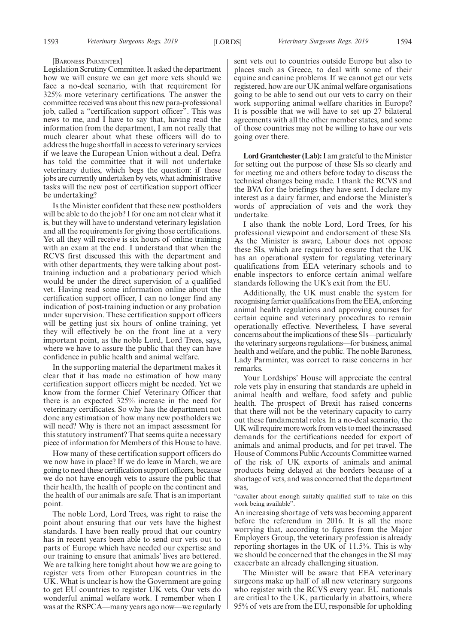#### [BARONESS PARMINTER]

Legislation Scrutiny Committee. It asked the department how we will ensure we can get more vets should we face a no-deal scenario, with that requirement for 325% more veterinary certifications. The answer the committee received was about this new para-professional job, called a "certification support officer". This was news to me, and I have to say that, having read the information from the department, I am not really that much clearer about what these officers will do to address the huge shortfall in access to veterinary services if we leave the European Union without a deal. Defra has told the committee that it will not undertake veterinary duties, which begs the question: if these jobs are currently undertaken by vets, what administrative tasks will the new post of certification support officer be undertaking?

Is the Minister confident that these new postholders will be able to do the job? I for one am not clear what it is, but they will have to understand veterinary legislation and all the requirements for giving those certifications. Yet all they will receive is six hours of online training with an exam at the end. I understand that when the RCVS first discussed this with the department and with other departments, they were talking about posttraining induction and a probationary period which would be under the direct supervision of a qualified vet. Having read some information online about the certification support officer, I can no longer find any indication of post-training induction or any probation under supervision. These certification support officers will be getting just six hours of online training, yet they will effectively be on the front line at a very important point, as the noble Lord, Lord Trees, says, where we have to assure the public that they can have confidence in public health and animal welfare.

In the supporting material the department makes it clear that it has made no estimation of how many certification support officers might be needed. Yet we know from the former Chief Veterinary Officer that there is an expected 325% increase in the need for veterinary certificates. So why has the department not done any estimation of how many new postholders we will need? Why is there not an impact assessment for this statutory instrument? That seems quite a necessary piece of information for Members of this House to have.

How many of these certification support officers do we now have in place? If we do leave in March, we are going to need these certification support officers, because we do not have enough vets to assure the public that their health, the health of people on the continent and the health of our animals are safe. That is an important point.

The noble Lord, Lord Trees, was right to raise the point about ensuring that our vets have the highest standards. I have been really proud that our country has in recent years been able to send our vets out to parts of Europe which have needed our expertise and our training to ensure that animals' lives are bettered. We are talking here tonight about how we are going to register vets from other European countries in the UK. What is unclear is how the Government are going to get EU countries to register UK vets. Our vets do wonderful animal welfare work. I remember when I was at the RSPCA—many years ago now—we regularly sent vets out to countries outside Europe but also to places such as Greece, to deal with some of their equine and canine problems. If we cannot get our vets registered, how are our UK animal welfare organisations going to be able to send out our vets to carry on their work supporting animal welfare charities in Europe? It is possible that we will have to set up 27 bilateral agreements with all the other member states, and some of those countries may not be willing to have our vets going over there.

**Lord Grantchester (Lab):**I am grateful to the Minister for setting out the purpose of these SIs so clearly and for meeting me and others before today to discuss the technical changes being made. I thank the RCVS and the BVA for the briefings they have sent. I declare my interest as a dairy farmer, and endorse the Minister's words of appreciation of vets and the work they undertake.

I also thank the noble Lord, Lord Trees, for his professional viewpoint and endorsement of these SIs. As the Minister is aware, Labour does not oppose these SIs, which are required to ensure that the UK has an operational system for regulating veterinary qualifications from EEA veterinary schools and to enable inspectors to enforce certain animal welfare standards following the UK's exit from the EU.

Additionally, the UK must enable the system for recognising farrier qualifications from the EEA, enforcing animal health regulations and approving courses for certain equine and veterinary procedures to remain operationally effective. Nevertheless, I have several concerns about the implications of these SIs—particularly the veterinary surgeons regulations—for business, animal health and welfare, and the public. The noble Baroness, Lady Parminter, was correct to raise concerns in her remarks.

Your Lordships' House will appreciate the central role vets play in ensuring that standards are upheld in animal health and welfare, food safety and public health. The prospect of Brexit has raised concerns that there will not be the veterinary capacity to carry out these fundamental roles. In a no-deal scenario, the UK will require more work from vets to meet the increased demands for the certifications needed for export of animals and animal products, and for pet travel. The House of Commons Public Accounts Committee warned of the risk of UK exports of animals and animal products being delayed at the borders because of a shortage of vets, and was concerned that the department was,

"cavalier about enough suitably qualified staff to take on this work being available".

An increasing shortage of vets was becoming apparent before the referendum in 2016. It is all the more worrying that, according to figures from the Major Employers Group, the veterinary profession is already reporting shortages in the UK of 11.5%. This is why we should be concerned that the changes in the SI may exacerbate an already challenging situation.

The Minister will be aware that EEA veterinary surgeons make up half of all new veterinary surgeons who register with the RCVS every year. EU nationals are critical to the UK, particularly in abattoirs, where 95% of vets are from the EU, responsible for upholding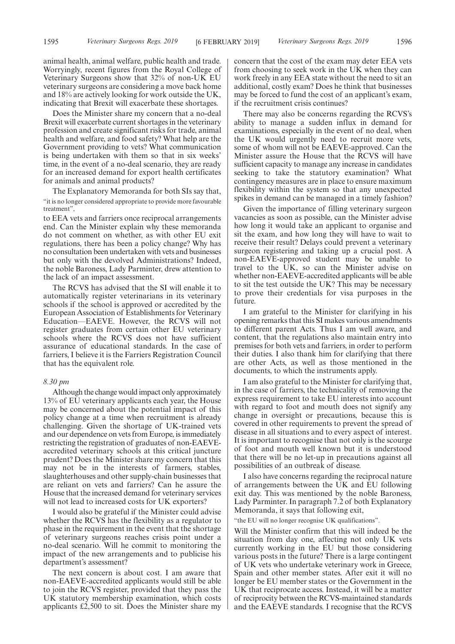animal health, animal welfare, public health and trade. Worryingly, recent figures from the Royal College of Veterinary Surgeons show that 32% of non-UK EU veterinary surgeons are considering a move back home and 18% are actively looking for work outside the UK, indicating that Brexit will exacerbate these shortages.

Does the Minister share my concern that a no-deal Brexit will exacerbate current shortages in the veterinary profession and create significant risks for trade, animal health and welfare, and food safety? What help are the Government providing to vets? What communication is being undertaken with them so that in six weeks' time, in the event of a no-deal scenario, they are ready for an increased demand for export health certificates for animals and animal products?

The Explanatory Memoranda for both SIs say that, "it is no longer considered appropriate to provide more favourable treatment",

to EEA vets and farriers once reciprocal arrangements end. Can the Minister explain why these memoranda do not comment on whether, as with other EU exit regulations, there has been a policy change? Why has no consultation been undertaken with vets and businesses but only with the devolved Administrations? Indeed, the noble Baroness, Lady Parminter, drew attention to the lack of an impact assessment.

The RCVS has advised that the SI will enable it to automatically register veterinarians in its veterinary schools if the school is approved or accredited by the European Association of Establishments for Veterinary Education—EAEVE. However, the RCVS will not register graduates from certain other EU veterinary schools where the RCVS does not have sufficient assurance of educational standards. In the case of farriers, I believe it is the Farriers Registration Council that has the equivalent role.

#### *8.30 pm*

Although the change would impact only approximately 13% of EU veterinary applicants each year, the House may be concerned about the potential impact of this policy change at a time when recruitment is already challenging. Given the shortage of UK-trained vets and our dependence on vets from Europe, is immediately restricting the registration of graduates of non-EAEVEaccredited veterinary schools at this critical juncture prudent? Does the Minister share my concern that this may not be in the interests of farmers, stables, slaughterhouses and other supply-chain businesses that are reliant on vets and farriers? Can he assure the House that the increased demand for veterinary services will not lead to increased costs for UK exporters?

I would also be grateful if the Minister could advise whether the RCVS has the flexibility as a regulator to phase in the requirement in the event that the shortage of veterinary surgeons reaches crisis point under a no-deal scenario. Will he commit to monitoring the impact of the new arrangements and to publicise his department's assessment?

The next concern is about cost. I am aware that non-EAEVE-accredited applicants would still be able to join the RCVS register, provided that they pass the UK statutory membership examination, which costs applicants £2,500 to sit. Does the Minister share my concern that the cost of the exam may deter EEA vets from choosing to seek work in the UK when they can work freely in any EEA state without the need to sit an additional, costly exam? Does he think that businesses may be forced to fund the cost of an applicant's exam, if the recruitment crisis continues?

There may also be concerns regarding the RCVS's ability to manage a sudden influx in demand for examinations, especially in the event of no deal, when the UK would urgently need to recruit more vets, some of whom will not be EAEVE-approved. Can the Minister assure the House that the RCVS will have sufficient capacity to manage any increase in candidates seeking to take the statutory examination? What contingency measures are in place to ensure maximum flexibility within the system so that any unexpected spikes in demand can be managed in a timely fashion?

Given the importance of filling veterinary surgeon vacancies as soon as possible, can the Minister advise how long it would take an applicant to organise and sit the exam, and how long they will have to wait to receive their result? Delays could prevent a veterinary surgeon registering and taking up a crucial post. A non-EAEVE-approved student may be unable to travel to the UK, so can the Minister advise on whether non-EAEVE-accredited applicants will be able to sit the test outside the UK? This may be necessary to prove their credentials for visa purposes in the future.

I am grateful to the Minister for clarifying in his opening remarks that this SI makes various amendments to different parent Acts. Thus I am well aware, and content, that the regulations also maintain entry into premises for both vets and farriers, in order to perform their duties. I also thank him for clarifying that there are other Acts, as well as those mentioned in the documents, to which the instruments apply.

I am also grateful to the Minister for clarifying that, in the case of farriers, the technicality of removing the express requirement to take EU interests into account with regard to foot and mouth does not signify any change in oversight or precautions, because this is covered in other requirements to prevent the spread of disease in all situations and to every aspect of interest. It is important to recognise that not only is the scourge of foot and mouth well known but it is understood that there will be no let-up in precautions against all possibilities of an outbreak of disease.

I also have concerns regarding the reciprocal nature of arrangements between the UK and EU following exit day. This was mentioned by the noble Baroness, Lady Parminter. In paragraph 7.2 of both Explanatory Memoranda, it says that following exit,

"the EU will no longer recognise UK qualifications".

Will the Minister confirm that this will indeed be the situation from day one, affecting not only UK vets currently working in the EU but those considering various posts in the future? There is a large contingent of UK vets who undertake veterinary work in Greece, Spain and other member states. After exit it will no longer be EU member states or the Government in the UK that reciprocate access. Instead, it will be a matter of reciprocity between the RCVS-maintained standards and the EAEVE standards. I recognise that the RCVS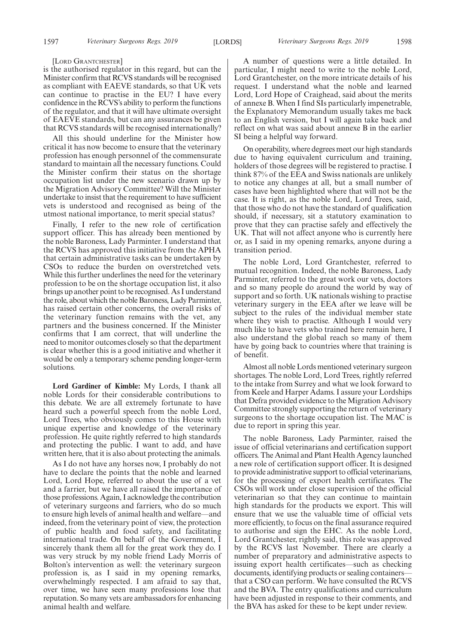#### [LORD GRANTCHESTER]

is the authorised regulator in this regard, but can the Minister confirm that RCVS standards will be recognised as compliant with EAEVE standards, so that UK vets can continue to practise in the EU? I have every confidence in the RCVS's ability to perform the functions of the regulator, and that it will have ultimate oversight of EAEVE standards, but can any assurances be given that RCVS standards will be recognised internationally?

All this should underline for the Minister how critical it has now become to ensure that the veterinary profession has enough personnel of the commensurate standard to maintain all the necessary functions. Could the Minister confirm their status on the shortage occupation list under the new scenario drawn up by the Migration Advisory Committee? Will the Minister undertake to insist that the requirement to have sufficient vets is understood and recognised as being of the utmost national importance, to merit special status?

Finally, I refer to the new role of certification support officer. This has already been mentioned by the noble Baroness, Lady Parminter. I understand that the RCVS has approved this initiative from the APHA that certain administrative tasks can be undertaken by CSOs to reduce the burden on overstretched vets. While this further underlines the need for the veterinary profession to be on the shortage occupation list, it also brings up another point to be recognised. As I understand the role, about which the noble Baroness, Lady Parminter, has raised certain other concerns, the overall risks of the veterinary function remains with the vet, any partners and the business concerned. If the Minister confirms that I am correct, that will underline the need to monitor outcomes closely so that the department is clear whether this is a good initiative and whether it would be only a temporary scheme pending longer-term solutions.

**Lord Gardiner of Kimble:** My Lords, I thank all noble Lords for their considerable contributions to this debate. We are all extremely fortunate to have heard such a powerful speech from the noble Lord, Lord Trees, who obviously comes to this House with unique expertise and knowledge of the veterinary profession. He quite rightly referred to high standards and protecting the public. I want to add, and have written here, that it is also about protecting the animals.

As I do not have any horses now, I probably do not have to declare the points that the noble and learned Lord, Lord Hope, referred to about the use of a vet and a farrier, but we have all raised the importance of those professions. Again, I acknowledge the contribution of veterinary surgeons and farriers, who do so much to ensure high levels of animal health and welfare—and indeed, from the veterinary point of view, the protection of public health and food safety, and facilitating international trade. On behalf of the Government, I sincerely thank them all for the great work they do. I was very struck by my noble friend Lady Morris of Bolton's intervention as well: the veterinary surgeon profession is, as I said in my opening remarks, overwhelmingly respected. I am afraid to say that, over time, we have seen many professions lose that reputation. So many vets are ambassadors for enhancing animal health and welfare.

A number of questions were a little detailed. In particular, I might need to write to the noble Lord, Lord Grantchester, on the more intricate details of his request. I understand what the noble and learned Lord, Lord Hope of Craighead, said about the merits of annexe B. When I find SIs particularly impenetrable, the Explanatory Memorandum usually takes me back to an English version, but I will again take back and reflect on what was said about annexe B in the earlier SI being a helpful way forward.

On operability, where degrees meet our high standards due to having equivalent curriculum and training, holders of those degrees will be registered to practise. I think 87% of the EEA and Swiss nationals are unlikely to notice any changes at all, but a small number of cases have been highlighted where that will not be the case. It is right, as the noble Lord, Lord Trees, said, that those who do not have the standard of qualification should, if necessary, sit a statutory examination to prove that they can practise safely and effectively the UK. That will not affect anyone who is currently here or, as I said in my opening remarks, anyone during a transition period.

The noble Lord, Lord Grantchester, referred to mutual recognition. Indeed, the noble Baroness, Lady Parminter, referred to the great work our vets, doctors and so many people do around the world by way of support and so forth. UK nationals wishing to practise veterinary surgery in the EEA after we leave will be subject to the rules of the individual member state where they wish to practise. Although I would very much like to have vets who trained here remain here, I also understand the global reach so many of them have by going back to countries where that training is of benefit.

Almost all noble Lords mentioned veterinary surgeon shortages. The noble Lord, Lord Trees, rightly referred to the intake from Surrey and what we look forward to from Keele and Harper Adams. I assure your Lordships that Defra provided evidence to the Migration Advisory Committee strongly supporting the return of veterinary surgeons to the shortage occupation list. The MAC is due to report in spring this year.

The noble Baroness, Lady Parminter, raised the issue of official veterinarians and certification support officers. The Animal and Plant Health Agency launched a new role of certification support officer. It is designed to provide administrative support to official veterinarians, for the processing of export health certificates. The CSOs will work under close supervision of the official veterinarian so that they can continue to maintain high standards for the products we export. This will ensure that we use the valuable time of official vets more efficiently, to focus on the final assurance required to authorise and sign the EHC. As the noble Lord, Lord Grantchester, rightly said, this role was approved by the RCVS last November. There are clearly a number of preparatory and administrative aspects to issuing export health certificates—such as checking documents, identifying products or sealing containers that a CSO can perform. We have consulted the RCVS and the BVA. The entry qualifications and curriculum have been adjusted in response to their comments, and the BVA has asked for these to be kept under review.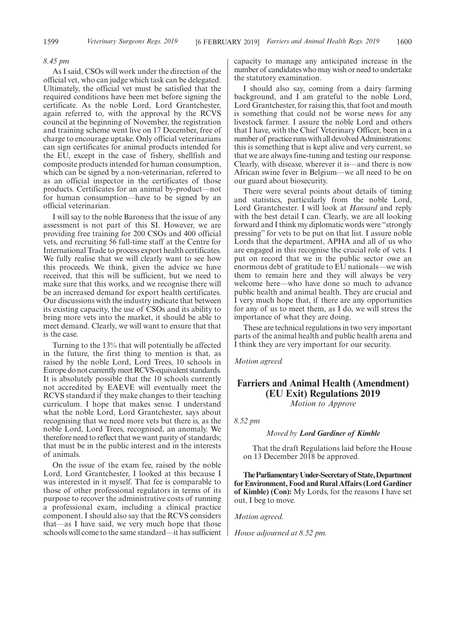#### *8.45 pm*

As I said, CSOs will work under the direction of the official vet, who can judge which task can be delegated. Ultimately, the official vet must be satisfied that the required conditions have been met before signing the certificate. As the noble Lord, Lord Grantchester, again referred to, with the approval by the RCVS council at the beginning of November, the registration and training scheme went live on 17 December, free of charge to encourage uptake. Only official veterinarians can sign certificates for animal products intended for the EU, except in the case of fishery, shellfish and composite products intended for human consumption, which can be signed by a non-veterinarian, referred to as an official inspector in the certificates of those products. Certificates for an animal by-product—not for human consumption—have to be signed by an official veterinarian.

I will say to the noble Baroness that the issue of any assessment is not part of this SI. However, we are providing free training for 200 CSOs and 400 official vets, and recruiting 56 full-time staff at the Centre for International Trade to process export health certificates. We fully realise that we will clearly want to see how this proceeds. We think, given the advice we have received, that this will be sufficient, but we need to make sure that this works, and we recognise there will be an increased demand for export health certificates. Our discussions with the industry indicate that between its existing capacity, the use of CSOs and its ability to bring more vets into the market, it should be able to meet demand. Clearly, we will want to ensure that that is the case.

Turning to the 13% that will potentially be affected in the future, the first thing to mention is that, as raised by the noble Lord, Lord Trees, 10 schools in Europe do not currently meet RCVS-equivalent standards. It is absolutely possible that the 10 schools currently not accredited by EAEVE will eventually meet the RCVS standard if they make changes to their teaching curriculum. I hope that makes sense. I understand what the noble Lord, Lord Grantchester, says about recognising that we need more vets but there is, as the noble Lord, Lord Trees, recognised, an anomaly. We therefore need to reflect that we want parity of standards; that must be in the public interest and in the interests of animals.

On the issue of the exam fee, raised by the noble Lord, Lord Grantchester, I looked at this because I was interested in it myself. That fee is comparable to those of other professional regulators in terms of its purpose to recover the administrative costs of running a professional exam, including a clinical practice component. I should also say that the RCVS considers that—as I have said, we very much hope that those schools will come to the same standard—it has sufficient

capacity to manage any anticipated increase in the number of candidates who may wish or need to undertake the statutory examination.

I should also say, coming from a dairy farming background, and I am grateful to the noble Lord, Lord Grantchester, for raising this, that foot and mouth is something that could not be worse news for any livestock farmer. I assure the noble Lord and others that I have, with the Chief Veterinary Officer, been in a number of practice runs with all devolved Administrations: this is something that is kept alive and very current, so that we are always fine-tuning and testing our response. Clearly, with disease, wherever it is—and there is now African swine fever in Belgium—we all need to be on our guard about biosecurity.

There were several points about details of timing and statistics, particularly from the noble Lord, Lord Grantchester. I will look at *Hansard* and reply with the best detail I can. Clearly, we are all looking forward and I think my diplomatic words were "strongly pressing" for vets to be put on that list. I assure noble Lords that the department, APHA and all of us who are engaged in this recognise the crucial role of vets. I put on record that we in the public sector owe an enormous debt of gratitude to EU nationals—we wish them to remain here and they will always be very welcome here—who have done so much to advance public health and animal health. They are crucial and I very much hope that, if there are any opportunities for any of us to meet them, as I do, we will stress the importance of what they are doing.

These are technical regulations in two very important parts of the animal health and public health arena and I think they are very important for our security.

*Motion agreed.*

# **Farriers and Animal Health (Amendment) (EU Exit) Regulations 2019** *Motion to Approve*

*8.52 pm*

*Moved by Lord Gardiner of Kimble*

That the draft Regulations laid before the House on 13 December 2018 be approved.

**TheParliamentaryUnder-Secretaryof State,Department for Environment, Food and Rural Affairs (Lord Gardiner of Kimble) (Con):** My Lords, for the reasons I have set out, I beg to move.

*Motion agreed.*

*House adjourned at 8.52 pm.*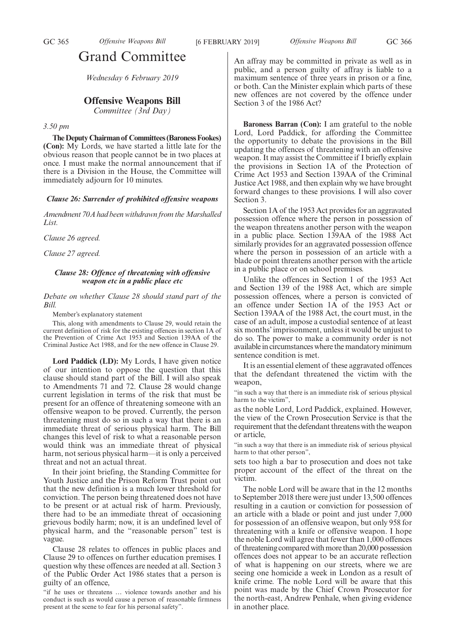# Grand Committee

*Wednesday 6 February 2019*

# **Offensive Weapons Bill**

*Committee (3rd Day)*

## *3.50 pm*

**The Deputy Chairman of Committees (Baroness Fookes) (Con):** My Lords, we have started a little late for the obvious reason that people cannot be in two places at once. I must make the normal announcement that if there is a Division in the House, the Committee will immediately adjourn for 10 minutes.

## *Clause 26: Surrender of prohibited offensive weapons*

*Amendment 70A had been withdrawn from the Marshalled List.*

*Clause 26 agreed.*

*Clause 27 agreed.*

# *Clause 28: Offence of threatening with offensive weapon etc in a public place etc*

*Debate on whether Clause 28 should stand part of the Bill.*

Member's explanatory statement

This, along with amendments to Clause 29, would retain the current definition of risk for the existing offences in section 1A of the Prevention of Crime Act 1953 and Section 139AA of the Criminal Justice Act 1988, and for the new offence in Clause 29.

**Lord Paddick (LD):** My Lords, I have given notice of our intention to oppose the question that this clause should stand part of the Bill. I will also speak to Amendments 71 and 72. Clause 28 would change current legislation in terms of the risk that must be present for an offence of threatening someone with an offensive weapon to be proved. Currently, the person threatening must do so in such a way that there is an immediate threat of serious physical harm. The Bill changes this level of risk to what a reasonable person would think was an immediate threat of physical harm, not serious physical harm—it is only a perceived threat and not an actual threat.

In their joint briefing, the Standing Committee for Youth Justice and the Prison Reform Trust point out that the new definition is a much lower threshold for conviction. The person being threatened does not have to be present or at actual risk of harm. Previously, there had to be an immediate threat of occasioning grievous bodily harm; now, it is an undefined level of physical harm, and the "reasonable person" test is vague.

Clause 28 relates to offences in public places and Clause 29 to offences on further education premises. I question why these offences are needed at all. Section 3 of the Public Order Act 1986 states that a person is guilty of an offence,

An affray may be committed in private as well as in public, and a person guilty of affray is liable to a maximum sentence of three years in prison or a fine, or both. Can the Minister explain which parts of these new offences are not covered by the offence under Section 3 of the 1986 Act?

**Baroness Barran (Con):** I am grateful to the noble Lord, Lord Paddick, for affording the Committee the opportunity to debate the provisions in the Bill updating the offences of threatening with an offensive weapon. It may assist the Committee if I briefly explain the provisions in Section 1A of the Protection of Crime Act 1953 and Section 139AA of the Criminal Justice Act 1988, and then explain why we have brought forward changes to these provisions. I will also cover Section 3.

Section 1A of the 1953 Act provides for an aggravated possession offence where the person in possession of the weapon threatens another person with the weapon in a public place. Section 139AA of the 1988 Act similarly provides for an aggravated possession offence where the person in possession of an article with a blade or point threatens another person with the article in a public place or on school premises.

Unlike the offences in Section 1 of the 1953 Act and Section 139 of the 1988 Act, which are simple possession offences, where a person is convicted of an offence under Section 1A of the 1953 Act or Section 139AA of the 1988 Act, the court must, in the case of an adult, impose a custodial sentence of at least six months' imprisonment, unless it would be unjust to do so. The power to make a community order is not available in circumstances where the mandatory minimum sentence condition is met.

It is an essential element of these aggravated offences that the defendant threatened the victim with the weapon.

"in such a way that there is an immediate risk of serious physical harm to the victim",

as the noble Lord, Lord Paddick, explained. However, the view of the Crown Prosecution Service is that the requirement that the defendant threatens with the weapon or article,

"in such a way that there is an immediate risk of serious physical harm to that other person",

sets too high a bar to prosecution and does not take proper account of the effect of the threat on the victim.

The noble Lord will be aware that in the 12 months to September 2018 there were just under 13,500 offences resulting in a caution or conviction for possession of an article with a blade or point and just under 7,000 for possession of an offensive weapon, but only 958 for threatening with a knife or offensive weapon. I hope the noble Lord will agree that fewer than 1,000 offences of threatening compared with more than 20,000 possession offences does not appear to be an accurate reflection of what is happening on our streets, where we are seeing one homicide a week in London as a result of knife crime. The noble Lord will be aware that this point was made by the Chief Crown Prosecutor for the north-east, Andrew Penhale, when giving evidence in another place.

<sup>&</sup>quot;if he uses or threatens … violence towards another and his conduct is such as would cause a person of reasonable firmness present at the scene to fear for his personal safety".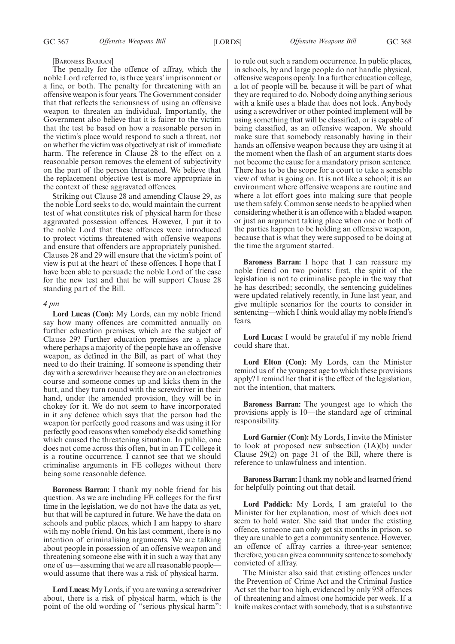#### [BARONESS BARRAN]

The penalty for the offence of affray, which the noble Lord referred to, is three years' imprisonment or a fine, or both. The penalty for threatening with an offensive weapon is four years. The Government consider that that reflects the seriousness of using an offensive weapon to threaten an individual. Importantly, the Government also believe that it is fairer to the victim that the test be based on how a reasonable person in the victim's place would respond to such a threat, not on whether the victim was objectively at risk of immediate harm. The reference in Clause 28 to the effect on a reasonable person removes the element of subjectivity on the part of the person threatened. We believe that the replacement objective test is more appropriate in the context of these aggravated offences.

Striking out Clause 28 and amending Clause 29, as the noble Lord seeks to do, would maintain the current test of what constitutes risk of physical harm for these aggravated possession offences. However, I put it to the noble Lord that these offences were introduced to protect victims threatened with offensive weapons and ensure that offenders are appropriately punished. Clauses 28 and 29 will ensure that the victim's point of view is put at the heart of these offences. I hope that I have been able to persuade the noble Lord of the case for the new test and that he will support Clause 28 standing part of the Bill.

#### *4 pm*

**Lord Lucas (Con):** My Lords, can my noble friend say how many offences are committed annually on further education premises, which are the subject of Clause 29? Further education premises are a place where perhaps a majority of the people have an offensive weapon, as defined in the Bill, as part of what they need to do their training. If someone is spending their day with a screwdriver because they are on an electronics course and someone comes up and kicks them in the butt, and they turn round with the screwdriver in their hand, under the amended provision, they will be in chokey for it. We do not seem to have incorporated in it any defence which says that the person had the weapon for perfectly good reasons and was using it for perfectly good reasons when somebody else did something which caused the threatening situation. In public, one does not come across this often, but in an FE college it is a routine occurrence. I cannot see that we should criminalise arguments in FE colleges without there being some reasonable defence.

**Baroness Barran:** I thank my noble friend for his question. As we are including FE colleges for the first time in the legislation, we do not have the data as yet, but that will be captured in future. We have the data on schools and public places, which I am happy to share with my noble friend. On his last comment, there is no intention of criminalising arguments. We are talking about people in possession of an offensive weapon and threatening someone else with it in such a way that any one of us—assuming that we are all reasonable people would assume that there was a risk of physical harm.

**Lord Lucas:**My Lords, if you are waving a screwdriver about, there is a risk of physical harm, which is the point of the old wording of "serious physical harm": to rule out such a random occurrence. In public places, in schools, by and large people do not handle physical, offensive weapons openly. In a further education college, a lot of people will be, because it will be part of what they are required to do. Nobody doing anything serious with a knife uses a blade that does not lock. Anybody using a screwdriver or other pointed implement will be using something that will be classified, or is capable of being classified, as an offensive weapon. We should make sure that somebody reasonably having in their hands an offensive weapon because they are using it at the moment when the flash of an argument starts does not become the cause for a mandatory prison sentence. There has to be the scope for a court to take a sensible view of what is going on. It is not like a school; it is an environment where offensive weapons are routine and where a lot effort goes into making sure that people use them safely. Common sense needs to be applied when considering whether it is an offence with a bladed weapon or just an argument taking place when one or both of the parties happen to be holding an offensive weapon, because that is what they were supposed to be doing at the time the argument started.

**Baroness Barran:** I hope that I can reassure my noble friend on two points: first, the spirit of the legislation is not to criminalise people in the way that he has described; secondly, the sentencing guidelines were updated relatively recently, in June last year, and give multiple scenarios for the courts to consider in sentencing—which I think would allay my noble friend's fears.

**Lord Lucas:** I would be grateful if my noble friend could share that.

**Lord Elton (Con):** My Lords, can the Minister remind us of the youngest age to which these provisions apply? I remind her that it is the effect of the legislation, not the intention, that matters.

**Baroness Barran:** The youngest age to which the provisions apply is 10—the standard age of criminal responsibility.

**Lord Garnier (Con):** My Lords, I invite the Minister to look at proposed new subsection (1A)(b) under Clause 29(2) on page 31 of the Bill, where there is reference to unlawfulness and intention.

**Baroness Barran:**I thank my noble and learned friend for helpfully pointing out that detail.

**Lord Paddick:** My Lords, I am grateful to the Minister for her explanation, most of which does not seem to hold water. She said that under the existing offence, someone can only get six months in prison, so they are unable to get a community sentence. However, an offence of affray carries a three-year sentence; therefore, you can give a community sentence to somebody convicted of affray.

The Minister also said that existing offences under the Prevention of Crime Act and the Criminal Justice Act set the bar too high, evidenced by only 958 offences of threatening and almost one homicide per week. If a knife makes contact with somebody, that is a substantive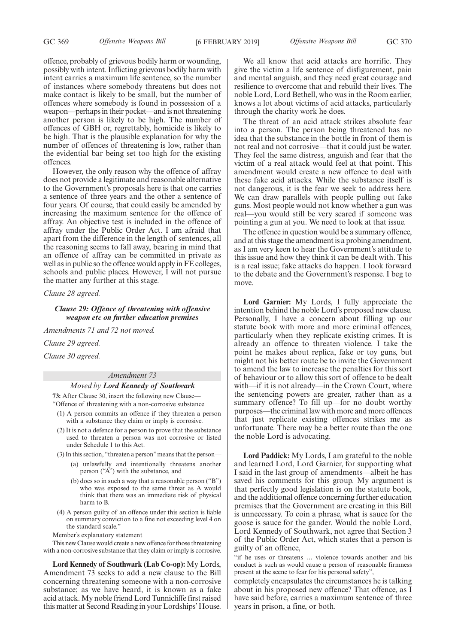offence, probably of grievous bodily harm or wounding, possibly with intent. Inflicting grievous bodily harm with intent carries a maximum life sentence, so the number of instances where somebody threatens but does not make contact is likely to be small, but the number of offences where somebody is found in possession of a weapon—perhaps in their pocket—and is not threatening another person is likely to be high. The number of offences of GBH or, regrettably, homicide is likely to be high. That is the plausible explanation for why the number of offences of threatening is low, rather than the evidential bar being set too high for the existing offences.

However, the only reason why the offence of affray does not provide a legitimate and reasonable alternative to the Government's proposals here is that one carries a sentence of three years and the other a sentence of four years. Of course, that could easily be amended by increasing the maximum sentence for the offence of affray. An objective test is included in the offence of affray under the Public Order Act. I am afraid that apart from the difference in the length of sentences, all the reasoning seems to fall away, bearing in mind that an offence of affray can be committed in private as well as in public so the offence would apply in FE colleges, schools and public places. However, I will not pursue the matter any further at this stage.

*Clause 28 agreed.*

*Clause 29: Offence of threatening with offensive weapon etc on further education premises*

*Amendments 71 and 72 not moved.*

*Clause 29 agreed.*

*Clause 30 agreed.*

#### *Amendment 73*

# *Moved by Lord Kennedy of Southwark*

**73:** After Clause 30, insert the following new Clause— "Offence of threatening with a non-corrosive substance

- (1) A person commits an offence if they threaten a person with a substance they claim or imply is corrosive.
- (2) It is not a defence for a person to prove that the substance used to threaten a person was not corrosive or listed under Schedule 1 to this Act.
- (3) In this section, "threaten a person"means that the person—
	- (a) unlawfully and intentionally threatens another person ("A") with the substance, and
		- (b) does so in such a way that a reasonable person ("B") who was exposed to the same threat as A would think that there was an immediate risk of physical harm to B.
- (4) A person guilty of an offence under this section is liable on summary conviction to a fine not exceeding level 4 on the standard scale."

Member's explanatory statement

This new Clause would create a new offence for those threatening with a non-corrosive substance that they claim or imply is corrosive.

**Lord Kennedy of Southwark (Lab Co-op):** My Lords, Amendment 73 seeks to add a new clause to the Bill concerning threatening someone with a non-corrosive substance; as we have heard, it is known as a fake acid attack. My noble friend Lord Tunnicliffe first raised this matter at Second Reading in your Lordships'House.

We all know that acid attacks are horrific. They give the victim a life sentence of disfigurement, pain and mental anguish, and they need great courage and resilience to overcome that and rebuild their lives. The noble Lord, Lord Bethell, who was in the Room earlier, knows a lot about victims of acid attacks, particularly through the charity work he does.

The threat of an acid attack strikes absolute fear into a person. The person being threatened has no idea that the substance in the bottle in front of them is not real and not corrosive—that it could just be water. They feel the same distress, anguish and fear that the victim of a real attack would feel at that point. This amendment would create a new offence to deal with these fake acid attacks. While the substance itself is not dangerous, it is the fear we seek to address here. We can draw parallels with people pulling out fake guns. Most people would not know whether a gun was real—you would still be very scared if someone was pointing a gun at you. We need to look at that issue.

The offence in question would be a summary offence, and at this stage the amendment is a probing amendment, as I am very keen to hear the Government's attitude to this issue and how they think it can be dealt with. This is a real issue; fake attacks do happen. I look forward to the debate and the Government's response. I beg to move.

**Lord Garnier:** My Lords, I fully appreciate the intention behind the noble Lord's proposed new clause. Personally, I have a concern about filling up our statute book with more and more criminal offences, particularly when they replicate existing crimes. It is already an offence to threaten violence. I take the point he makes about replica, fake or toy guns, but might not his better route be to invite the Government to amend the law to increase the penalties for this sort of behaviour or to allow this sort of offence to be dealt with—if it is not already—in the Crown Court, where the sentencing powers are greater, rather than as a summary offence? To fill up—for no doubt worthy purposes—the criminal law with more and more offences that just replicate existing offences strikes me as unfortunate. There may be a better route than the one the noble Lord is advocating.

**Lord Paddick:** My Lords, I am grateful to the noble and learned Lord, Lord Garnier, for supporting what I said in the last group of amendments—albeit he has saved his comments for this group. My argument is that perfectly good legislation is on the statute book, and the additional offence concerning further education premises that the Government are creating in this Bill is unnecessary. To coin a phrase, what is sauce for the goose is sauce for the gander. Would the noble Lord, Lord Kennedy of Southwark, not agree that Section 3 of the Public Order Act, which states that a person is guilty of an offence,

"if he uses or threatens … violence towards another and his conduct is such as would cause a person of reasonable firmness present at the scene to fear for his personal safety",

completely encapsulates the circumstances he is talking about in his proposed new offence? That offence, as I have said before, carries a maximum sentence of three years in prison, a fine, or both.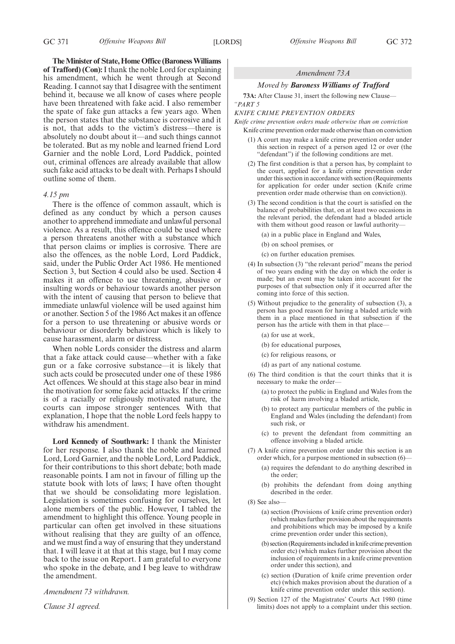**The Minister of State, Home Office (Baroness Williams of Trafford) (Con):**I thank the noble Lord for explaining his amendment, which he went through at Second Reading. I cannot say that I disagree with the sentiment behind it, because we all know of cases where people have been threatened with fake acid. I also remember the spate of fake gun attacks a few years ago. When the person states that the substance is corrosive and it is not, that adds to the victim's distress—there is absolutely no doubt about it—and such things cannot be tolerated. But as my noble and learned friend Lord Garnier and the noble Lord, Lord Paddick, pointed out, criminal offences are already available that allow such fake acid attacks to be dealt with. Perhaps I should outline some of them.

#### *4.15 pm*

There is the offence of common assault, which is defined as any conduct by which a person causes another to apprehend immediate and unlawful personal violence. As a result, this offence could be used where a person threatens another with a substance which that person claims or implies is corrosive. There are also the offences, as the noble Lord, Lord Paddick, said, under the Public Order Act 1986. He mentioned Section 3, but Section 4 could also be used. Section 4 makes it an offence to use threatening, abusive or insulting words or behaviour towards another person with the intent of causing that person to believe that immediate unlawful violence will be used against him or another. Section 5 of the 1986 Act makes it an offence for a person to use threatening or abusive words or behaviour or disorderly behaviour which is likely to cause harassment, alarm or distress.

When noble Lords consider the distress and alarm that a fake attack could cause—whether with a fake gun or a fake corrosive substance—it is likely that such acts could be prosecuted under one of these 1986 Act offences. We should at this stage also bear in mind the motivation for some fake acid attacks. If the crime is of a racially or religiously motivated nature, the courts can impose stronger sentences. With that explanation, I hope that the noble Lord feels happy to withdraw his amendment.

**Lord Kennedy of Southwark:** I thank the Minister for her response. I also thank the noble and learned Lord, Lord Garnier, and the noble Lord, Lord Paddick, for their contributions to this short debate; both made reasonable points. I am not in favour of filling up the statute book with lots of laws; I have often thought that we should be consolidating more legislation. Legislation is sometimes confusing for ourselves, let alone members of the public. However, I tabled the amendment to highlight this offence. Young people in particular can often get involved in these situations without realising that they are guilty of an offence, and we must find a way of ensuring that they understand that. I will leave it at that at this stage, but I may come back to the issue on Report. I am grateful to everyone who spoke in the debate, and I beg leave to withdraw the amendment.

*Amendment 73 withdrawn.*

*Clause 31 agreed.*

# *Amendment 73A*

#### *Moved by Baroness Williams of Trafford*

**73A:** After Clause 31, insert the following new Clause— *"PART 5*

# *KNIFE CRIME PREVENTION ORDERS*

*Knife crime prevention orders made otherwise than on conviction* Knife crime prevention order made otherwise than on conviction

- (1) A court may make a knife crime prevention order under this section in respect of a person aged 12 or over (the "defendant") if the following conditions are met.
- (2) The first condition is that a person has, by complaint to the court, applied for a knife crime prevention order under this section in accordance with section (Requirements for application for order under section (Knife crime prevention order made otherwise than on conviction)).
- (3) The second condition is that the court is satisfied on the balance of probabilities that, on at least two occasions in the relevant period, the defendant had a bladed article with them without good reason or lawful authority—
	- (a) in a public place in England and Wales,
	- (b) on school premises, or
	- (c) on further education premises.
- (4) In subsection (3) "the relevant period" means the period of two years ending with the day on which the order is made; but an event may be taken into account for the purposes of that subsection only if it occurred after the coming into force of this section.
- (5) Without prejudice to the generality of subsection (3), a person has good reason for having a bladed article with them in a place mentioned in that subsection if the person has the article with them in that place—
	- (a) for use at work,
	- (b) for educational purposes,
	- (c) for religious reasons, or
	- (d) as part of any national costume.
- (6) The third condition is that the court thinks that it is necessary to make the order—
	- (a) to protect the public in England and Wales from the risk of harm involving a bladed article,
	- (b) to protect any particular members of the public in England and Wales (including the defendant) from such risk, or
	- (c) to prevent the defendant from committing an offence involving a bladed article.
- (7) A knife crime prevention order under this section is an order which, for a purpose mentioned in subsection (6)—
	- (a) requires the defendant to do anything described in the order;
	- (b) prohibits the defendant from doing anything described in the order.
- (8) See also—
	- (a) section (Provisions of knife crime prevention order) (which makes further provision about the requirements and prohibitions which may be imposed by a knife crime prevention order under this section),
	- (b) section (Requirements included in knife crime prevention order etc) (which makes further provision about the inclusion of requirements in a knife crime prevention order under this section), and
	- (c) section (Duration of knife crime prevention order etc) (which makes provision about the duration of a knife crime prevention order under this section).
- (9) Section 127 of the Magistrates' Courts Act 1980 (time limits) does not apply to a complaint under this section.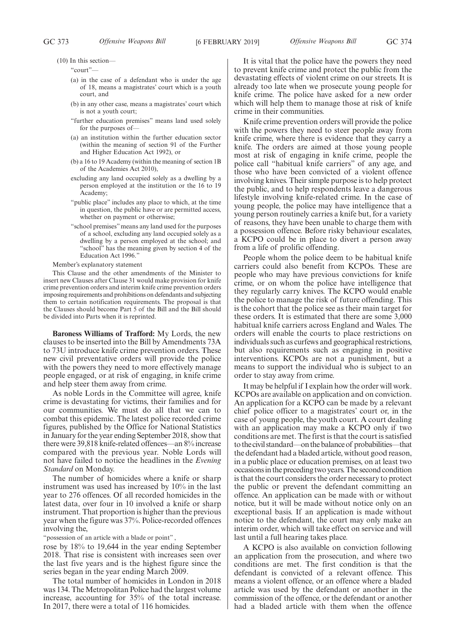(10) In this section—

"court"—

- (a) in the case of a defendant who is under the age of 18, means a magistrates' court which is a youth court, and
- (b) in any other case, means a magistrates' court which is not a youth court;
- "further education premises" means land used solely for the purposes of—
- (a) an institution within the further education sector (within the meaning of section 91 of the Further and Higher Education Act 1992), or
- (b) a 16 to 19 Academy (within the meaning of section 1B of the Academies Act 2010),
- excluding any land occupied solely as a dwelling by a person employed at the institution or the 16 to 19 Academy;
- "public place" includes any place to which, at the time in question, the public have or are permitted access, whether on payment or otherwise;
- "school premises" means any land used for the purposes of a school, excluding any land occupied solely as a dwelling by a person employed at the school; and "school" has the meaning given by section 4 of the Education Act 1996."

Member's explanatory statement

This Clause and the other amendments of the Minister to insert new Clauses after Clause 31 would make provision for knife crime prevention orders and interim knife crime prevention orders imposing requirements and prohibitions on defendants and subjecting them to certain notification requirements. The proposal is that the Clauses should become Part 5 of the Bill and the Bill should be divided into Parts when it is reprinted.

**Baroness Williams of Trafford:** My Lords, the new clauses to be inserted into the Bill by Amendments 73A to 73U introduce knife crime prevention orders. These new civil preventative orders will provide the police with the powers they need to more effectively manage people engaged, or at risk of engaging, in knife crime and help steer them away from crime.

As noble Lords in the Committee will agree, knife crime is devastating for victims, their families and for our communities. We must do all that we can to combat this epidemic. The latest police recorded crime figures, published by the Office for National Statistics in January for the year ending September 2018, show that there were 39,818 knife-related offences—an 8% increase compared with the previous year. Noble Lords will not have failed to notice the headlines in the *Evening Standard* on Monday.

The number of homicides where a knife or sharp instrument was used has increased by 10% in the last year to 276 offences. Of all recorded homicides in the latest data, over four in 10 involved a knife or sharp instrument. That proportion is higher than the previous year when the figure was 37%. Police-recorded offences involving the,

"possession of an article with a blade or point",

rose by 18% to 19,644 in the year ending September 2018. That rise is consistent with increases seen over the last five years and is the highest figure since the series began in the year ending March 2009.

The total number of homicides in London in 2018 was 134. The Metropolitan Police had the largest volume increase, accounting for 35% of the total increase. In 2017, there were a total of 116 homicides.

It is vital that the police have the powers they need to prevent knife crime and protect the public from the devastating effects of violent crime on our streets. It is already too late when we prosecute young people for knife crime. The police have asked for a new order which will help them to manage those at risk of knife crime in their communities.

Knife crime prevention orders will provide the police with the powers they need to steer people away from knife crime, where there is evidence that they carry a knife. The orders are aimed at those young people most at risk of engaging in knife crime, people the police call "habitual knife carriers" of any age, and those who have been convicted of a violent offence involving knives. Their simple purpose is to help protect the public, and to help respondents leave a dangerous lifestyle involving knife-related crime. In the case of young people, the police may have intelligence that a young person routinely carries a knife but, for a variety of reasons, they have been unable to charge them with a possession offence. Before risky behaviour escalates, a KCPO could be in place to divert a person away from a life of prolific offending.

People whom the police deem to be habitual knife carriers could also benefit from KCPOs. These are people who may have previous convictions for knife crime, or on whom the police have intelligence that they regularly carry knives. The KCPO would enable the police to manage the risk of future offending. This is the cohort that the police see as their main target for these orders. It is estimated that there are some 3,000 habitual knife carriers across England and Wales. The orders will enable the courts to place restrictions on individuals such as curfews and geographical restrictions, but also requirements such as engaging in positive interventions. KCPOs are not a punishment, but a means to support the individual who is subject to an order to stay away from crime.

It may be helpful if I explain how the order will work. KCPOs are available on application and on conviction. An application for a KCPO can be made by a relevant chief police officer to a magistrates' court or, in the case of young people, the youth court. A court dealing with an application may make a KCPO only if two conditions are met. The first is that the court is satisfied tothecivilstandard—onthebalanceof probabilities—that the defendant had a bladed article, without good reason, in a public place or education premises, on at least two occasions in the preceding two years. The second condition is that the court considers the order necessary to protect the public or prevent the defendant committing an offence. An application can be made with or without notice, but it will be made without notice only on an exceptional basis. If an application is made without notice to the defendant, the court may only make an interim order, which will take effect on service and will last until a full hearing takes place.

A KCPO is also available on conviction following an application from the prosecution, and where two conditions are met. The first condition is that the defendant is convicted of a relevant offence. This means a violent offence, or an offence where a bladed article was used by the defendant or another in the commission of the offence, or the defendant or another had a bladed article with them when the offence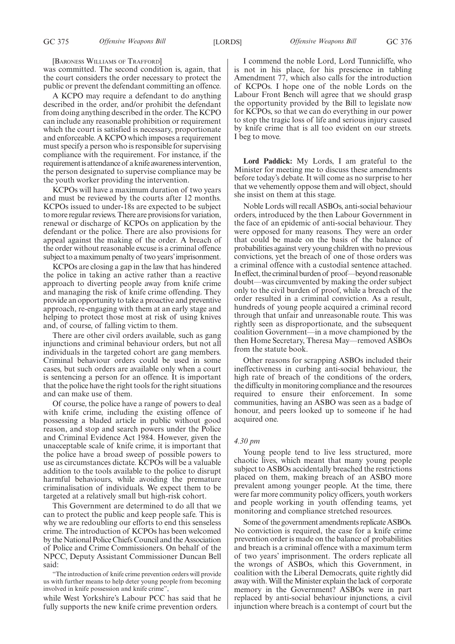[BARONESS WILLIAMS OF TRAFFORD]

was committed. The second condition is, again, that the court considers the order necessary to protect the public or prevent the defendant committing an offence.

A KCPO may require a defendant to do anything described in the order, and/or prohibit the defendant from doing anything described in the order. The KCPO can include any reasonable prohibition or requirement which the court is satisfied is necessary, proportionate and enforceable. A KCPO which imposes a requirement must specify a person who is responsible for supervising compliance with the requirement. For instance, if the requirement is attendance of a knife awareness intervention, the person designated to supervise compliance may be the youth worker providing the intervention.

KCPOs will have a maximum duration of two years and must be reviewed by the courts after 12 months. KCPOs issued to under-18s are expected to be subject to more regular reviews. There are provisions for variation, renewal or discharge of KCPOs on application by the defendant or the police. There are also provisions for appeal against the making of the order. A breach of the order without reasonable excuse is a criminal offence subject to a maximum penalty of two years'imprisonment.

KCPOs are closing a gap in the law that has hindered the police in taking an active rather than a reactive approach to diverting people away from knife crime and managing the risk of knife crime offending. They provide an opportunity to take a proactive and preventive approach, re-engaging with them at an early stage and helping to protect those most at risk of using knives and, of course, of falling victim to them.

There are other civil orders available, such as gang injunctions and criminal behaviour orders, but not all individuals in the targeted cohort are gang members. Criminal behaviour orders could be used in some cases, but such orders are available only when a court is sentencing a person for an offence. It is important that the police have the right tools for the right situations and can make use of them.

Of course, the police have a range of powers to deal with knife crime, including the existing offence of possessing a bladed article in public without good reason, and stop and search powers under the Police and Criminal Evidence Act 1984. However, given the unacceptable scale of knife crime, it is important that the police have a broad sweep of possible powers to use as circumstances dictate. KCPOs will be a valuable addition to the tools available to the police to disrupt harmful behaviours, while avoiding the premature criminalisation of individuals. We expect them to be targeted at a relatively small but high-risk cohort.

This Government are determined to do all that we can to protect the public and keep people safe. This is why we are redoubling our efforts to end this senseless crime. The introduction of KCPOs has been welcomed by the National Police Chiefs Council and the Association of Police and Crime Commissioners. On behalf of the NPCC, Deputy Assistant Commissioner Duncan Bell said:

"The introduction of knife crime prevention orders will provide us with further means to help deter young people from becoming involved in knife possession and knife crime",

while West Yorkshire's Labour PCC has said that he fully supports the new knife crime prevention orders.

I commend the noble Lord, Lord Tunnicliffe, who is not in his place, for his prescience in tabling Amendment 77, which also calls for the introduction of KCPOs. I hope one of the noble Lords on the Labour Front Bench will agree that we should grasp the opportunity provided by the Bill to legislate now for KCPOs, so that we can do everything in our power to stop the tragic loss of life and serious injury caused by knife crime that is all too evident on our streets. I beg to move.

**Lord Paddick:** My Lords, I am grateful to the Minister for meeting me to discuss these amendments before today's debate. It will come as no surprise to her that we vehemently oppose them and will object, should she insist on them at this stage.

Noble Lords will recall ASBOs, anti-social behaviour orders, introduced by the then Labour Government in the face of an epidemic of anti-social behaviour. They were opposed for many reasons. They were an order that could be made on the basis of the balance of probabilities against very young children with no previous convictions, yet the breach of one of those orders was a criminal offence with a custodial sentence attached. In effect, the criminal burden of proof—beyond reasonable doubt—was circumvented by making the order subject only to the civil burden of proof, while a breach of the order resulted in a criminal conviction. As a result, hundreds of young people acquired a criminal record through that unfair and unreasonable route. This was rightly seen as disproportionate, and the subsequent coalition Government—in a move championed by the then Home Secretary, Theresa May—removed ASBOs from the statute book.

Other reasons for scrapping ASBOs included their ineffectiveness in curbing anti-social behaviour, the high rate of breach of the conditions of the orders, the difficulty in monitoring compliance and the resources required to ensure their enforcement. In some communities, having an ASBO was seen as a badge of honour, and peers looked up to someone if he had acquired one.

# *4.30 pm*

Young people tend to live less structured, more chaotic lives, which meant that many young people subject to ASBOs accidentally breached the restrictions placed on them, making breach of an ASBO more prevalent among younger people. At the time, there were far more community policy officers, youth workers and people working in youth offending teams, yet monitoring and compliance stretched resources.

Some of the government amendments replicate ASBOs. No conviction is required, the case for a knife crime prevention order is made on the balance of probabilities and breach is a criminal offence with a maximum term of two years' imprisonment. The orders replicate all the wrongs of ASBOs, which this Government, in coalition with the Liberal Democrats, quite rightly did away with. Will the Minister explain the lack of corporate memory in the Government? ASBOs were in part replaced by anti-social behaviour injunctions, a civil injunction where breach is a contempt of court but the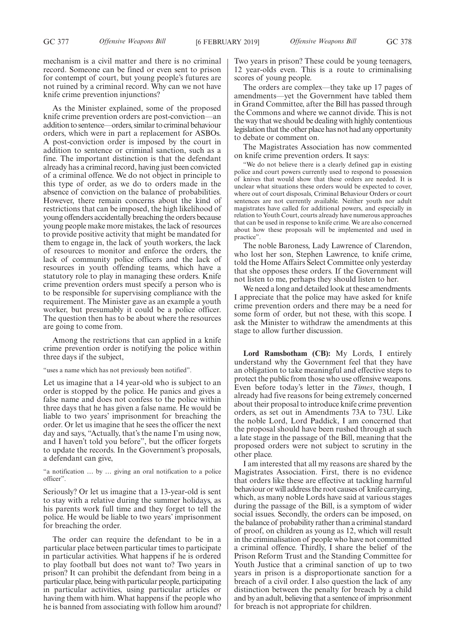mechanism is a civil matter and there is no criminal record. Someone can be fined or even sent to prison for contempt of court, but young people's futures are not ruined by a criminal record. Why can we not have knife crime prevention injunctions?

As the Minister explained, some of the proposed knife crime prevention orders are post-conviction—an addition to sentence—orders, similar to criminal behaviour orders, which were in part a replacement for ASBOs. A post-conviction order is imposed by the court in addition to sentence or criminal sanction, such as a fine. The important distinction is that the defendant already has a criminal record, having just been convicted of a criminal offence. We do not object in principle to this type of order, as we do to orders made in the absence of conviction on the balance of probabilities. However, there remain concerns about the kind of restrictions that can be imposed, the high likelihood of young offenders accidentally breaching the orders because young people make more mistakes, the lack of resources to provide positive activity that might be mandated for them to engage in, the lack of youth workers, the lack of resources to monitor and enforce the orders, the lack of community police officers and the lack of resources in youth offending teams, which have a statutory role to play in managing these orders. Knife crime prevention orders must specify a person who is to be responsible for supervising compliance with the requirement. The Minister gave as an example a youth worker, but presumably it could be a police officer. The question then has to be about where the resources are going to come from.

Among the restrictions that can applied in a knife crime prevention order is notifying the police within three days if the subject,

"uses a name which has not previously been notified".

Let us imagine that a 14 year-old who is subject to an order is stopped by the police. He panics and gives a false name and does not confess to the police within three days that he has given a false name. He would be liable to two years' imprisonment for breaching the order. Or let us imagine that he sees the officer the next day and says, "Actually, that's the name I'm using now, and I haven't told you before", but the officer forgets to update the records. In the Government's proposals, a defendant can give,

"a notification … by … giving an oral notification to a police officer".

Seriously? Or let us imagine that a 13-year-old is sent to stay with a relative during the summer holidays, as his parents work full time and they forget to tell the police. He would be liable to two years' imprisonment for breaching the order.

The order can require the defendant to be in a particular place between particular times to participate in particular activities. What happens if he is ordered to play football but does not want to? Two years in prison? It can prohibit the defendant from being in a particular place, being with particular people, participating in particular activities, using particular articles or having them with him. What happens if the people who he is banned from associating with follow him around? Two years in prison? These could be young teenagers, 12 year-olds even. This is a route to criminalising scores of young people.

The orders are complex—they take up 17 pages of amendments—yet the Government have tabled them in Grand Committee, after the Bill has passed through the Commons and where we cannot divide. This is not the way that we should be dealing with highly contentious legislation that the other place has not had any opportunity to debate or comment on.

The Magistrates Association has now commented on knife crime prevention orders. It says:

"We do not believe there is a clearly defined gap in existing police and court powers currently used to respond to possession of knives that would show that these orders are needed. It is unclear what situations these orders would be expected to cover, where out of court disposals, Criminal Behaviour Orders or court sentences are not currently available. Neither youth nor adult magistrates have called for additional powers, and especially in relation to Youth Court, courts already have numerous approaches that can be used in response to knife crime. We are also concerned about how these proposals will be implemented and used in practice".

The noble Baroness, Lady Lawrence of Clarendon, who lost her son, Stephen Lawrence, to knife crime, told the Home Affairs Select Committee only yesterday that she opposes these orders. If the Government will not listen to me, perhaps they should listen to her.

We need a long and detailed look at these amendments. I appreciate that the police may have asked for knife crime prevention orders and there may be a need for some form of order, but not these, with this scope. I ask the Minister to withdraw the amendments at this stage to allow further discussion.

**Lord Ramsbotham (CB):** My Lords, I entirely understand why the Government feel that they have an obligation to take meaningful and effective steps to protect the public from those who use offensive weapons. Even before today's letter in the *Times*, though, I already had five reasons for being extremely concerned about their proposal to introduce knife crime prevention orders, as set out in Amendments 73A to 73U. Like the noble Lord, Lord Paddick, I am concerned that the proposal should have been rushed through at such a late stage in the passage of the Bill, meaning that the proposed orders were not subject to scrutiny in the other place.

I am interested that all my reasons are shared by the Magistrates Association. First, there is no evidence that orders like these are effective at tackling harmful behaviour or will address the root causes of knife carrying, which, as many noble Lords have said at various stages during the passage of the Bill, is a symptom of wider social issues. Secondly, the orders can be imposed, on the balance of probability rather than a criminal standard of proof, on children as young as 12, which will result in the criminalisation of people who have not committed a criminal offence. Thirdly, I share the belief of the Prison Reform Trust and the Standing Committee for Youth Justice that a criminal sanction of up to two years in prison is a disproportionate sanction for a breach of a civil order. I also question the lack of any distinction between the penalty for breach by a child and by an adult, believing that a sentence of imprisonment for breach is not appropriate for children.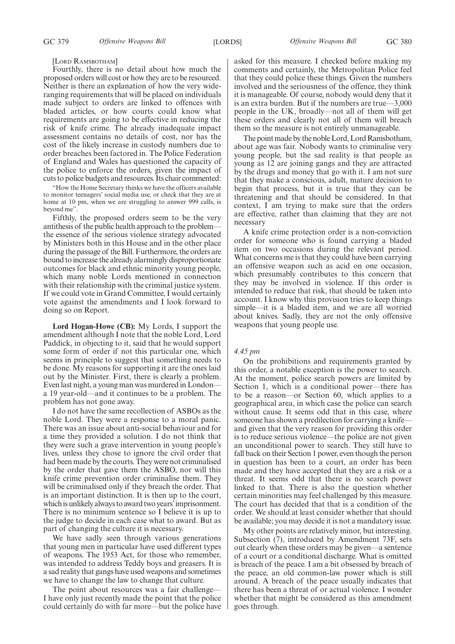#### [LORD RAMSBOTHAM]

Fourthly, there is no detail about how much the proposed orders will cost or how they are to be resourced. Neither is there an explanation of how the very wideranging requirements that will be placed on individuals made subject to orders are linked to offences with bladed articles, or how courts could know what requirements are going to be effective in reducing the risk of knife crime. The already inadequate impact assessment contains no details of cost, nor has the cost of the likely increase in custody numbers due to order breaches been factored in. The Police Federation of England and Wales has questioned the capacity of the police to enforce the orders, given the impact of cuts to police budgets and resources. Its chair commented:

"How the Home Secretary thinks we have the officers available to monitor teenagers' social media use, or check that they are at home at 10 pm, when we are struggling to answer 999 calls, is beyond me".

Fifthly, the proposed orders seem to be the very antithesis of the public health approach to the problem the essence of the serious violence strategy advocated by Ministers both in this House and in the other place during the passage of the Bill. Furthermore, the orders are bound to increase the already alarmingly disproportionate outcomes for black and ethnic minority young people, which many noble Lords mentioned in connection with their relationship with the criminal justice system. If we could vote in Grand Committee, I would certainly vote against the amendments and I look forward to doing so on Report.

**Lord Hogan-Howe (CB):** My Lords, I support the amendment although I note that the noble Lord, Lord Paddick, in objecting to it, said that he would support some form of order if not this particular one, which seems in principle to suggest that something needs to be done. My reasons for supporting it are the ones laid out by the Minister. First, there is clearly a problem. Even last night, a young man was murdered in London a 19 year-old—and it continues to be a problem. The problem has not gone away.

I do not have the same recollection of ASBOs as the noble Lord. They were a response to a moral panic. There was an issue about anti-social behaviour and for a time they provided a solution. I do not think that they were such a grave intervention in young people's lives, unless they chose to ignore the civil order that had been made by the courts. They were not criminalised by the order that gave them the ASBO, nor will this knife crime prevention order criminalise them. They will be criminalised only if they breach the order. That is an important distinction. It is then up to the court, which is unlikely always to award two years' imprisonment. There is no minimum sentence so I believe it is up to the judge to decide in each case what to award. But as part of changing the culture it is necessary.

We have sadly seen through various generations that young men in particular have used different types of weapons. The 1953 Act, for those who remember, was intended to address Teddy boys and greasers. It is a sad reality that gangs have used weapons and sometimes we have to change the law to change that culture.

The point about resources was a fair challenge— I have only just recently made the point that the police could certainly do with far more—but the police have asked for this measure. I checked before making my comments and certainly, the Metropolitan Police feel that they could police these things. Given the numbers involved and the seriousness of the offence, they think it is manageable. Of course, nobody would deny that it is an extra burden. But if the numbers are true—3,000 people in the UK, broadly—not all of them will get these orders and clearly not all of them will breach them so the measure is not entirely unmanageable.

The point made by the noble Lord, Lord Ramsbotham, about age was fair. Nobody wants to criminalise very young people, but the sad reality is that people as young as 12 are joining gangs and they are attracted by the drugs and money that go with it. I am not sure that they make a conscious, adult, mature decision to begin that process, but it is true that they can be threatening and that should be considered. In that context, I am trying to make sure that the orders are effective, rather than claiming that they are not necessary

A knife crime protection order is a non-conviction order for someone who is found carrying a bladed item on two occasions during the relevant period. What concerns me is that they could have been carrying an offensive weapon such as acid on one occasion, which presumably contributes to this concern that they may be involved in violence. If this order is intended to reduce that risk, that should be taken into account. I know why this provision tries to keep things simple—it is a bladed item, and we are all worried about knives. Sadly, they are not the only offensive weapons that young people use.

#### *4.45 pm*

On the prohibitions and requirements granted by this order, a notable exception is the power to search. At the moment, police search powers are limited by Section 1, which is a conditional power—there has to be a reason—or Section 60, which applies to a geographical area, in which case the police can search without cause. It seems odd that in this case, where someone has shown a predilection for carrying a knife and given that the very reason for providing this order is to reduce serious violence—the police are not given an unconditional power to search. They still have to fall back on their Section 1 power, even though the person in question has been to a court, an order has been made and they have accepted that they are a risk or a threat. It seems odd that there is no search power linked to that. There is also the question whether certain minorities may feel challenged by this measure. The court has decided that that is a condition of the order. We should at least consider whether that should be available; you may decide it is not a mandatory issue.

My other points are relatively minor, but interesting. Subsection (7), introduced by Amendment 73F, sets out clearly when these orders may be given—a sentence of a court or a conditional discharge. What is omitted is breach of the peace. I am a bit obsessed by breach of the peace, an old common-law power which is still around. A breach of the peace usually indicates that there has been a threat of or actual violence. I wonder whether that might be considered as this amendment goes through.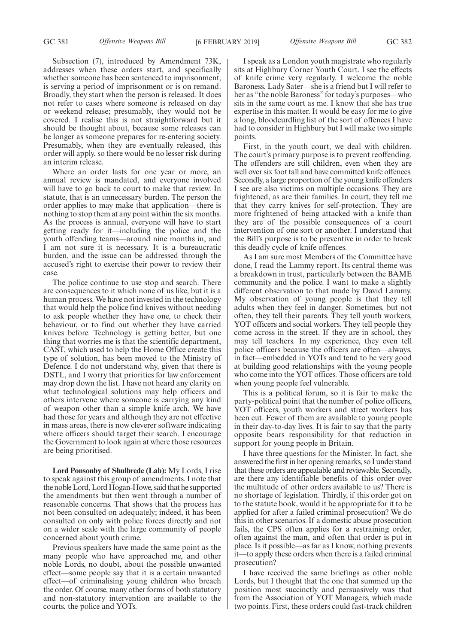Subsection (7), introduced by Amendment 73K, addresses when these orders start, and specifically whether someone has been sentenced to imprisonment, is serving a period of imprisonment or is on remand. Broadly, they start when the person is released. It does not refer to cases where someone is released on day or weekend release; presumably, they would not be covered. I realise this is not straightforward but it should be thought about, because some releases can be longer as someone prepares for re-entering society. Presumably, when they are eventually released, this order will apply, so there would be no lesser risk during an interim release.

Where an order lasts for one year or more, an annual review is mandated, and everyone involved will have to go back to court to make that review. In statute, that is an unnecessary burden. The person the order applies to may make that application—there is nothing to stop them at any point within the six months. As the process is annual, everyone will have to start getting ready for it—including the police and the youth offending teams—around nine months in, and I am not sure it is necessary. It is a bureaucratic burden, and the issue can be addressed through the accused's right to exercise their power to review their case.

The police continue to use stop and search. There are consequences to it which none of us like, but it is a human process. We have not invested in the technology that would help the police find knives without needing to ask people whether they have one, to check their behaviour, or to find out whether they have carried knives before. Technology is getting better, but one thing that worries me is that the scientific department, CAST, which used to help the Home Office create this type of solution, has been moved to the Ministry of Defence. I do not understand why, given that there is DSTL, and I worry that priorities for law enforcement may drop down the list. I have not heard any clarity on what technological solutions may help officers and others intervene where someone is carrying any kind of weapon other than a simple knife arch. We have had those for years and although they are not effective in mass areas, there is now cleverer software indicating where officers should target their search. I encourage the Government to look again at where those resources are being prioritised.

**Lord Ponsonby of Shulbrede (Lab):** My Lords, I rise to speak against this group of amendments. I note that the noble Lord, Lord Hogan-Howe, said that he supported the amendments but then went through a number of reasonable concerns. That shows that the process has not been consulted on adequately; indeed, it has been consulted on only with police forces directly and not on a wider scale with the large community of people concerned about youth crime.

Previous speakers have made the same point as the many people who have approached me, and other noble Lords, no doubt, about the possible unwanted effect—some people say that it is a certain unwanted effect—of criminalising young children who breach the order. Of course, many other forms of both statutory and non-statutory intervention are available to the courts, the police and YOTs.

I speak as a London youth magistrate who regularly sits at Highbury Corner Youth Court. I see the effects of knife crime very regularly. I welcome the noble Baroness, Lady Sater—she is a friend but I will refer to her as "the noble Baroness" for today's purposes—who sits in the same court as me. I know that she has true expertise in this matter. It would be easy for me to give a long, bloodcurdling list of the sort of offences I have had to consider in Highbury but I will make two simple points.

First, in the youth court, we deal with children. The court's primary purpose is to prevent reoffending. The offenders are still children, even when they are well over six foot tall and have committed knife offences. Secondly, a large proportion of the young knife offenders I see are also victims on multiple occasions. They are frightened, as are their families. In court, they tell me that they carry knives for self-protection. They are more frightened of being attacked with a knife than they are of the possible consequences of a court intervention of one sort or another. I understand that the Bill's purpose is to be preventive in order to break this deadly cycle of knife offences.

As I am sure most Members of the Committee have done, I read the Lammy report. Its central theme was a breakdown in trust, particularly between the BAME community and the police. I want to make a slightly different observation to that made by David Lammy. My observation of young people is that they tell adults when they feel in danger. Sometimes, but not often, they tell their parents. They tell youth workers, YOT officers and social workers. They tell people they come across in the street. If they are in school, they may tell teachers. In my experience, they even tell police officers because the officers are often—always, in fact—embedded in YOTs and tend to be very good at building good relationships with the young people who come into the YOT offices. Those officers are told when young people feel vulnerable.

This is a political forum, so it is fair to make the party-political point that the number of police officers, YOT officers, youth workers and street workers has been cut. Fewer of them are available to young people in their day-to-day lives. It is fair to say that the party opposite bears responsibility for that reduction in support for young people in Britain.

I have three questions for the Minister. In fact, she answered the first in her opening remarks, so I understand that these orders are appealable and reviewable. Secondly, are there any identifiable benefits of this order over the multitude of other orders available to us? There is no shortage of legislation. Thirdly, if this order got on to the statute book, would it be appropriate for it to be applied for after a failed criminal prosecution? We do this in other scenarios. If a domestic abuse prosecution fails, the CPS often applies for a restraining order, often against the man, and often that order is put in place. Is it possible—as far as I know, nothing prevents it—to apply these orders when there is a failed criminal prosecution?

I have received the same briefings as other noble Lords, but I thought that the one that summed up the position most succinctly and persuasively was that from the Association of YOT Managers, which made two points. First, these orders could fast-track children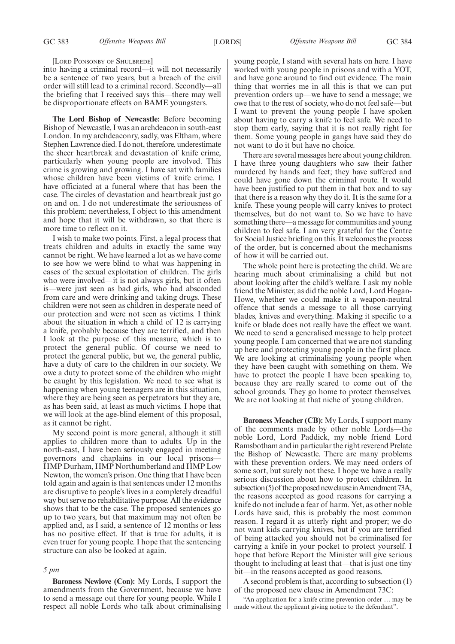#### [LORD PONSONBY OF SHULBREDE]

into having a criminal record—it will not necessarily be a sentence of two years, but a breach of the civil order will still lead to a criminal record. Secondly—all the briefing that I received says this—there may well be disproportionate effects on BAME youngsters.

**The Lord Bishop of Newcastle:** Before becoming Bishop of Newcastle, I was an archdeacon in south-east London. In my archdeaconry, sadly, was Eltham, where Stephen Lawrence died. I do not, therefore, underestimate the sheer heartbreak and devastation of knife crime, particularly when young people are involved. This crime is growing and growing. I have sat with families whose children have been victims of knife crime. I have officiated at a funeral where that has been the case. The circles of devastation and heartbreak just go on and on. I do not underestimate the seriousness of this problem; nevertheless, I object to this amendment and hope that it will be withdrawn, so that there is more time to reflect on it.

I wish to make two points. First, a legal process that treats children and adults in exactly the same way cannot be right. We have learned a lot as we have come to see how we were blind to what was happening in cases of the sexual exploitation of children. The girls who were involved—it is not always girls, but it often is—were just seen as bad girls, who had absconded from care and were drinking and taking drugs. These children were not seen as children in desperate need of our protection and were not seen as victims. I think about the situation in which a child of 12 is carrying a knife, probably because they are terrified, and then I look at the purpose of this measure, which is to protect the general public. Of course we need to protect the general public, but we, the general public, have a duty of care to the children in our society. We owe a duty to protect some of the children who might be caught by this legislation. We need to see what is happening when young teenagers are in this situation, where they are being seen as perpetrators but they are, as has been said, at least as much victims. I hope that we will look at the age-blind element of this proposal, as it cannot be right.

My second point is more general, although it still applies to children more than to adults. Up in the north-east, I have been seriously engaged in meeting governors and chaplains in our local prisons— HMP Durham, HMP Northumberland and HMP Low Newton, the women's prison. One thing that I have been told again and again is that sentences under 12 months are disruptive to people's lives in a completely dreadful way but serve no rehabilitative purpose. All the evidence shows that to be the case. The proposed sentences go up to two years, but that maximum may not often be applied and, as I said, a sentence of 12 months or less has no positive effect. If that is true for adults, it is even truer for young people. I hope that the sentencing structure can also be looked at again.

#### *5 pm*

**Baroness Newlove (Con):** My Lords, I support the amendments from the Government, because we have to send a message out there for young people. While I respect all noble Lords who talk about criminalising young people, I stand with several hats on here. I have worked with young people in prisons and with a YOT, and have gone around to find out evidence. The main thing that worries me in all this is that we can put prevention orders up—we have to send a message; we owe that to the rest of society, who do not feel safe—but I want to prevent the young people I have spoken about having to carry a knife to feel safe. We need to stop them early, saying that it is not really right for them. Some young people in gangs have said they do not want to do it but have no choice.

There are several messages here about young children. I have three young daughters who saw their father murdered by hands and feet; they have suffered and could have gone down the criminal route. It would have been justified to put them in that box and to say that there is a reason why they do it. It is the same for a knife. These young people will carry knives to protect themselves, but do not want to. So we have to have something there—a message for communities and young children to feel safe. I am very grateful for the Centre for Social Justice briefing on this. It welcomes the process of the order, but is concerned about the mechanisms of how it will be carried out.

The whole point here is protecting the child. We are hearing much about criminalising a child but not about looking after the child's welfare. I ask my noble friend the Minister, as did the noble Lord, Lord Hogan-Howe, whether we could make it a weapon-neutral offence that sends a message to all those carrying blades, knives and everything. Making it specific to a knife or blade does not really have the effect we want. We need to send a generalised message to help protect young people. I am concerned that we are not standing up here and protecting young people in the first place. We are looking at criminalising young people when they have been caught with something on them. We have to protect the people I have been speaking to, because they are really scared to come out of the school grounds. They go home to protect themselves. We are not looking at that niche of young children.

**Baroness Meacher (CB):** My Lords, I support many of the comments made by other noble Lords—the noble Lord, Lord Paddick, my noble friend Lord Ramsbotham and in particular the right reverend Prelate the Bishop of Newcastle. There are many problems with these prevention orders. We may need orders of some sort, but surely not these. I hope we have a really serious discussion about how to protect children. In subsection (5) of the proposed new clause in Amendment 73A, the reasons accepted as good reasons for carrying a knife do not include a fear of harm. Yet, as other noble Lords have said, this is probably the most common reason. I regard it as utterly right and proper; we do not want kids carrying knives, but if you are terrified of being attacked you should not be criminalised for carrying a knife in your pocket to protect yourself. I hope that before Report the Minister will give serious thought to including at least that—that is just one tiny bit—in the reasons accepted as good reasons.

A second problem is that, according to subsection (1) of the proposed new clause in Amendment 73C:

"An application for a knife crime prevention order … may be made without the applicant giving notice to the defendant".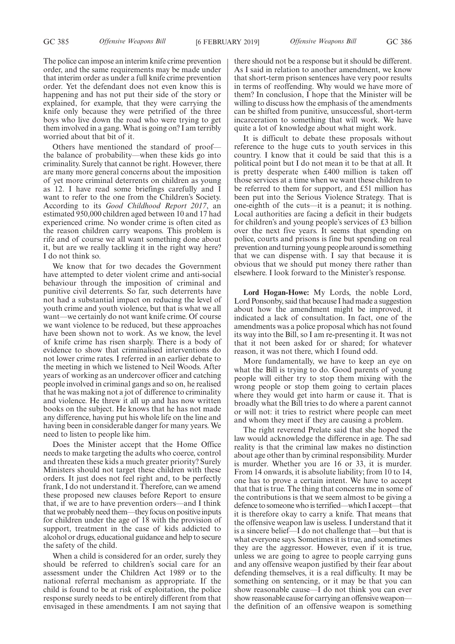The police can impose an interim knife crime prevention order, and the same requirements may be made under that interim order as under a full knife crime prevention order. Yet the defendant does not even know this is happening and has not put their side of the story or explained, for example, that they were carrying the knife only because they were petrified of the three boys who live down the road who were trying to get them involved in a gang. What is going on? I am terribly worried about that bit of it.

Others have mentioned the standard of proof the balance of probability—when these kids go into criminality. Surely that cannot be right. However, there are many more general concerns about the imposition of yet more criminal deterrents on children as young as 12. I have read some briefings carefully and I want to refer to the one from the Children's Society. According to its *Good Childhood Report 2017*, an estimated 950,000 children aged between 10 and 17 had experienced crime. No wonder crime is often cited as the reason children carry weapons. This problem is rife and of course we all want something done about it, but are we really tackling it in the right way here? I do not think so.

We know that for two decades the Government have attempted to deter violent crime and anti-social behaviour through the imposition of criminal and punitive civil deterrents. So far, such deterrents have not had a substantial impact on reducing the level of youth crime and youth violence, but that is what we all want—we certainly do not want knife crime. Of course we want violence to be reduced, but these approaches have been shown not to work. As we know, the level of knife crime has risen sharply. There is a body of evidence to show that criminalised interventions do not lower crime rates. I referred in an earlier debate to the meeting in which we listened to Neil Woods. After years of working as an undercover officer and catching people involved in criminal gangs and so on, he realised that he was making not a jot of difference to criminality and violence. He threw it all up and has now written books on the subject. He knows that he has not made any difference, having put his whole life on the line and having been in considerable danger for many years. We need to listen to people like him.

Does the Minister accept that the Home Office needs to make targeting the adults who coerce, control and threaten these kids a much greater priority? Surely Ministers should not target these children with these orders. It just does not feel right and, to be perfectly frank, I do not understand it. Therefore, can we amend these proposed new clauses before Report to ensure that, if we are to have prevention orders—and I think that we probably need them—they focus on positive inputs for children under the age of 18 with the provision of support, treatment in the case of kids addicted to alcohol or drugs, educational guidance and help to secure the safety of the child.

When a child is considered for an order, surely they should be referred to children's social care for an assessment under the Children Act 1989 or to the national referral mechanism as appropriate. If the child is found to be at risk of exploitation, the police response surely needs to be entirely different from that envisaged in these amendments. I am not saying that there should not be a response but it should be different. As I said in relation to another amendment, we know that short-term prison sentences have very poor results in terms of reoffending. Why would we have more of them? In conclusion, I hope that the Minister will be willing to discuss how the emphasis of the amendments can be shifted from punitive, unsuccessful, short-term incarceration to something that will work. We have quite a lot of knowledge about what might work.

It is difficult to debate these proposals without reference to the huge cuts to youth services in this country. I know that it could be said that this is a political point but I do not mean it to be that at all. It is pretty desperate when £400 million is taken off those services at a time when we want these children to be referred to them for support, and £51 million has been put into the Serious Violence Strategy. That is one-eighth of the cuts—it is a peanut; it is nothing. Local authorities are facing a deficit in their budgets for children's and young people's services of £3 billion over the next five years. It seems that spending on police, courts and prisons is fine but spending on real prevention and turning young people around is something that we can dispense with. I say that because it is obvious that we should put money there rather than elsewhere. I look forward to the Minister's response.

**Lord Hogan-Howe:** My Lords, the noble Lord, Lord Ponsonby, said that because I had made a suggestion about how the amendment might be improved, it indicated a lack of consultation. In fact, one of the amendments was a police proposal which has not found its way into the Bill, so I am re-presenting it. It was not that it not been asked for or shared; for whatever reason, it was not there, which I found odd.

More fundamentally, we have to keep an eye on what the Bill is trying to do. Good parents of young people will either try to stop them mixing with the wrong people or stop them going to certain places where they would get into harm or cause it. That is broadly what the Bill tries to do where a parent cannot or will not: it tries to restrict where people can meet and whom they meet if they are causing a problem.

The right reverend Prelate said that she hoped the law would acknowledge the difference in age. The sad reality is that the criminal law makes no distinction about age other than by criminal responsibility. Murder is murder. Whether you are 16 or 33, it is murder. From 14 onwards, it is absolute liability; from 10 to 14, one has to prove a certain intent. We have to accept that that is true. The thing that concerns me in some of the contributions is that we seem almost to be giving a defence to someone who is terrified—which I accept—that it is therefore okay to carry a knife. That means that the offensive weapon law is useless. I understand that it is a sincere belief—I do not challenge that—but that is what everyone says. Sometimes it is true, and sometimes they are the aggressor. However, even if it is true, unless we are going to agree to people carrying guns and any offensive weapon justified by their fear about defending themselves, it is a real difficulty. It may be something on sentencing, or it may be that you can show reasonable cause—I do not think you can ever show reasonable cause for carrying an offensive weapon the definition of an offensive weapon is something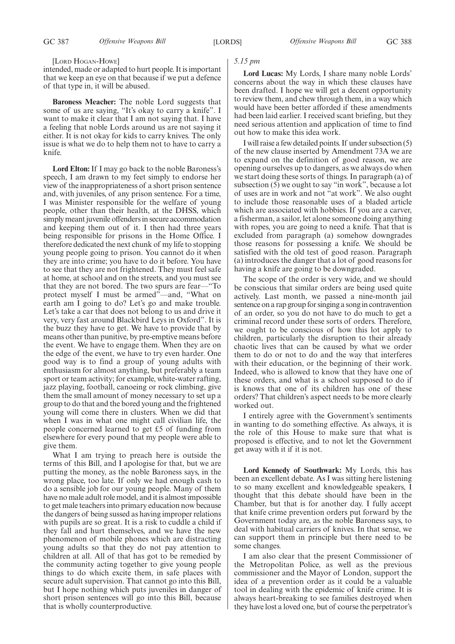#### [LORD HOGAN-HOWE]

intended, made or adapted to hurt people. It is important that we keep an eye on that because if we put a defence of that type in, it will be abused.

**Baroness Meacher:** The noble Lord suggests that some of us are saying, "It's okay to carry a knife". I want to make it clear that I am not saying that. I have a feeling that noble Lords around us are not saying it either. It is not okay for kids to carry knives. The only issue is what we do to help them not to have to carry a knife.

**Lord Elton:** If I may go back to the noble Baroness's speech, I am drawn to my feet simply to endorse her view of the inappropriateness of a short prison sentence and, with juveniles, of any prison sentence. For a time, I was Minister responsible for the welfare of young people, other than their health, at the DHSS, which simply meant juvenile offenders in secure accommodation and keeping them out of it. I then had three years being responsible for prisons in the Home Office. I therefore dedicated the next chunk of my life to stopping young people going to prison. You cannot do it when they are into crime; you have to do it before. You have to see that they are not frightened. They must feel safe at home, at school and on the streets, and you must see that they are not bored. The two spurs are fear—"To protect myself I must be armed"—and, "What on earth am I going to do? Let's go and make trouble. Let's take a car that does not belong to us and drive it very, very fast around Blackbird Leys in Oxford". It is the buzz they have to get. We have to provide that by means other than punitive, by pre-emptive means before the event. We have to engage them. When they are on the edge of the event, we have to try even harder. One good way is to find a group of young adults with enthusiasm for almost anything, but preferably a team sport or team activity; for example, white-water rafting, jazz playing, football, canoeing or rock climbing, give them the small amount of money necessary to set up a group to do that and the bored young and the frightened young will come there in clusters. When we did that when I was in what one might call civilian life, the people concerned learned to get £5 of funding from elsewhere for every pound that my people were able to give them.

What I am trying to preach here is outside the terms of this Bill, and I apologise for that, but we are putting the money, as the noble Baroness says, in the wrong place, too late. If only we had enough cash to do a sensible job for our young people. Many of them have no male adult role model, and it is almost impossible to get male teachers into primary education now because the dangers of being sussed as having improper relations with pupils are so great. It is a risk to cuddle a child if they fall and hurt themselves, and we have the new phenomenon of mobile phones which are distracting young adults so that they do not pay attention to children at all. All of that has got to be remedied by the community acting together to give young people things to do which excite them, in safe places with secure adult supervision. That cannot go into this Bill, but I hope nothing which puts juveniles in danger of short prison sentences will go into this Bill, because that is wholly counterproductive.

# *5.15 pm*

**Lord Lucas:** My Lords, I share many noble Lords' concerns about the way in which these clauses have been drafted. I hope we will get a decent opportunity to review them, and chew through them, in a way which would have been better afforded if these amendments had been laid earlier. I received scant briefing, but they need serious attention and application of time to find out how to make this idea work.

I will raise a few detailed points. If under subsection (5) of the new clause inserted by Amendment 73A we are to expand on the definition of good reason, we are opening ourselves up to dangers, as we always do when we start doing these sorts of things. In paragraph (a) of subsection (5) we ought to say "in work", because a lot of uses are in work and not "at work". We also ought to include those reasonable uses of a bladed article which are associated with hobbies. If you are a carver, a fisherman, a sailor, let alone someone doing anything with ropes, you are going to need a knife. That that is excluded from paragraph (a) somehow downgrades those reasons for possessing a knife. We should be satisfied with the old test of good reason. Paragraph (a) introduces the danger that a lot of good reasons for having a knife are going to be downgraded.

The scope of the order is very wide, and we should be conscious that similar orders are being used quite actively. Last month, we passed a nine-month jail sentence on a rap group for singing a song in contravention of an order, so you do not have to do much to get a criminal record under these sorts of orders. Therefore, we ought to be conscious of how this lot apply to children, particularly the disruption to their already chaotic lives that can be caused by what we order them to do or not to do and the way that interferes with their education, or the beginning of their work. Indeed, who is allowed to know that they have one of these orders, and what is a school supposed to do if is knows that one of its children has one of these orders? That children's aspect needs to be more clearly worked out.

I entirely agree with the Government's sentiments in wanting to do something effective. As always, it is the role of this House to make sure that what is proposed is effective, and to not let the Government get away with it if it is not.

**Lord Kennedy of Southwark:** My Lords, this has been an excellent debate. As I was sitting here listening to so many excellent and knowledgeable speakers, I thought that this debate should have been in the Chamber, but that is for another day. I fully accept that knife crime prevention orders put forward by the Government today are, as the noble Baroness says, to deal with habitual carriers of knives. In that sense, we can support them in principle but there need to be some changes.

I am also clear that the present Commissioner of the Metropolitan Police, as well as the previous commissioner and the Mayor of London, support the idea of a prevention order as it could be a valuable tool in dealing with the epidemic of knife crime. It is always heart-breaking to see families destroyed when they have lost a loved one, but of course the perpetrator's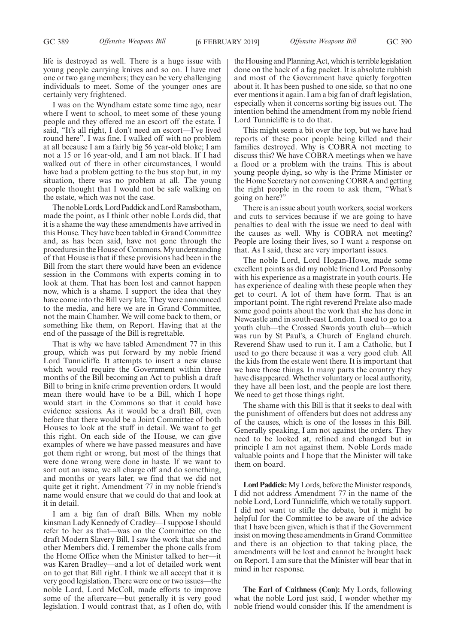life is destroyed as well. There is a huge issue with young people carrying knives and so on. I have met one or two gang members; they can be very challenging individuals to meet. Some of the younger ones are certainly very frightened.

I was on the Wyndham estate some time ago, near where I went to school, to meet some of these young people and they offered me an escort off the estate. I said, "It's all right, I don't need an escort—I've lived round here". I was fine. I walked off with no problem at all because I am a fairly big 56 year-old bloke; I am not a 15 or 16 year-old, and I am not black. If I had walked out of there in other circumstances, I would have had a problem getting to the bus stop but, in my situation, there was no problem at all. The young people thought that I would not be safe walking on the estate, which was not the case.

The noble Lords, Lord Paddick and Lord Ramsbotham, made the point, as I think other noble Lords did, that it is a shame the way these amendments have arrived in this House. They have been tabled in Grand Committee and, as has been said, have not gone through the procedures in the House of Commons. My understanding of that House is that if these provisions had been in the Bill from the start there would have been an evidence session in the Commons with experts coming in to look at them. That has been lost and cannot happen now, which is a shame. I support the idea that they have come into the Bill very late. They were announced to the media, and here we are in Grand Committee, not the main Chamber. We will come back to them, or something like them, on Report. Having that at the end of the passage of the Bill is regrettable.

That is why we have tabled Amendment 77 in this group, which was put forward by my noble friend Lord Tunnicliffe. It attempts to insert a new clause which would require the Government within three months of the Bill becoming an Act to publish a draft Bill to bring in knife crime prevention orders. It would mean there would have to be a Bill, which I hope would start in the Commons so that it could have evidence sessions. As it would be a draft Bill, even before that there would be a Joint Committee of both Houses to look at the stuff in detail. We want to get this right. On each side of the House, we can give examples of where we have passed measures and have got them right or wrong, but most of the things that were done wrong were done in haste. If we want to sort out an issue, we all charge off and do something, and months or years later, we find that we did not quite get it right. Amendment 77 in my noble friend's name would ensure that we could do that and look at it in detail.

I am a big fan of draft Bills. When my noble kinsman Lady Kennedy of Cradley—I suppose I should refer to her as that—was on the Committee on the draft Modern Slavery Bill, I saw the work that she and other Members did. I remember the phone calls from the Home Office when the Minister talked to her—it was Karen Bradley—and a lot of detailed work went on to get that Bill right. I think we all accept that it is very good legislation. There were one or two issues—the noble Lord, Lord McColl, made efforts to improve some of the aftercare—but generally it is very good legislation. I would contrast that, as I often do, with

the Housing and Planning Act, which is terrible legislation done on the back of a fag packet. It is absolute rubbish and most of the Government have quietly forgotten about it. It has been pushed to one side, so that no one ever mentions it again. I am a big fan of draft legislation, especially when it concerns sorting big issues out. The intention behind the amendment from my noble friend Lord Tunnicliffe is to do that.

This might seem a bit over the top, but we have had reports of these poor people being killed and their families destroyed. Why is COBRA not meeting to discuss this? We have COBRA meetings when we have a flood or a problem with the trains. This is about young people dying, so why is the Prime Minister or the Home Secretary not convening COBRA and getting the right people in the room to ask them, "What's going on here?"

There is an issue about youth workers, social workers and cuts to services because if we are going to have penalties to deal with the issue we need to deal with the causes as well. Why is COBRA not meeting? People are losing their lives, so I want a response on that. As I said, these are very important issues.

The noble Lord, Lord Hogan-Howe, made some excellent points as did my noble friend Lord Ponsonby with his experience as a magistrate in youth courts. He has experience of dealing with these people when they get to court. A lot of them have form. That is an important point. The right reverend Prelate also made some good points about the work that she has done in Newcastle and in south-east London. I used to go to a youth club—the Crossed Swords youth club—which was run by St Paul's, a Church of England church. Reverend Shaw used to run it. I am a Catholic, but I used to go there because it was a very good club. All the kids from the estate went there. It is important that we have those things. In many parts the country they have disappeared. Whether voluntary or local authority, they have all been lost, and the people are lost there. We need to get those things right.

The shame with this Bill is that it seeks to deal with the punishment of offenders but does not address any of the causes, which is one of the losses in this Bill. Generally speaking, I am not against the orders. They need to be looked at, refined and changed but in principle I am not against them. Noble Lords made valuable points and I hope that the Minister will take them on board.

**Lord Paddick:**My Lords, before the Minister responds, I did not address Amendment 77 in the name of the noble Lord, Lord Tunnicliffe, which we totally support. I did not want to stifle the debate, but it might be helpful for the Committee to be aware of the advice that I have been given, which is that if the Government insist on moving these amendments in Grand Committee and there is an objection to that taking place, the amendments will be lost and cannot be brought back on Report. I am sure that the Minister will bear that in mind in her response.

**The Earl of Caithness (Con):** My Lords, following what the noble Lord just said, I wonder whether my noble friend would consider this. If the amendment is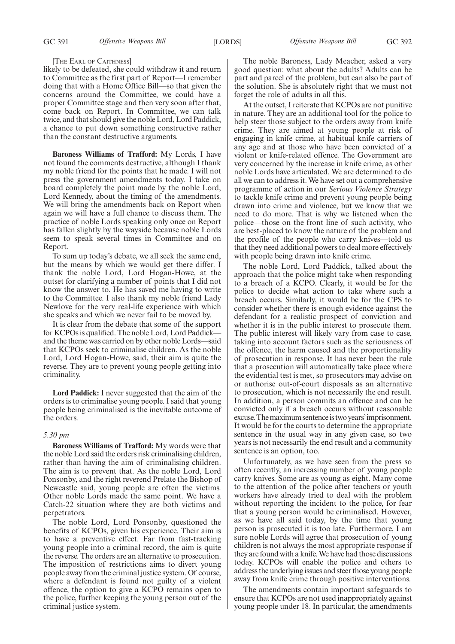# GC 391 *Offensive Weapons Bill* [LORDS] *Offensive Weapons Bill* GC 392

#### [THE EARL OF CAITHNESS]

likely to be defeated, she could withdraw it and return to Committee as the first part of Report—I remember doing that with a Home Office Bill—so that given the concerns around the Committee, we could have a proper Committee stage and then very soon after that, come back on Report. In Committee, we can talk twice, and that should give the noble Lord, Lord Paddick, a chance to put down something constructive rather than the constant destructive arguments.

**Baroness Williams of Trafford:** My Lords, I have not found the comments destructive, although I thank my noble friend for the points that he made. I will not press the government amendments today. I take on board completely the point made by the noble Lord, Lord Kennedy, about the timing of the amendments. We will bring the amendments back on Report when again we will have a full chance to discuss them. The practice of noble Lords speaking only once on Report has fallen slightly by the wayside because noble Lords seem to speak several times in Committee and on Report.

To sum up today's debate, we all seek the same end, but the means by which we would get there differ. I thank the noble Lord, Lord Hogan-Howe, at the outset for clarifying a number of points that I did not know the answer to. He has saved me having to write to the Committee. I also thank my noble friend Lady Newlove for the very real-life experience with which she speaks and which we never fail to be moved by.

It is clear from the debate that some of the support for KCPOs is qualified. The noble Lord, Lord Paddick and the theme was carried on by other noble Lords—said that KCPOs seek to criminalise children. As the noble Lord, Lord Hogan-Howe, said, their aim is quite the reverse. They are to prevent young people getting into criminality.

**Lord Paddick:** I never suggested that the aim of the orders is to criminalise young people. I said that young people being criminalised is the inevitable outcome of the orders.

## *5.30 pm*

**Baroness Williams of Trafford:** My words were that the noble Lord said the orders risk criminalising children, rather than having the aim of criminalising children. The aim is to prevent that. As the noble Lord, Lord Ponsonby, and the right reverend Prelate the Bishop of Newcastle said, young people are often the victims. Other noble Lords made the same point. We have a Catch-22 situation where they are both victims and perpetrators.

The noble Lord, Lord Ponsonby, questioned the benefits of KCPOs, given his experience. Their aim is to have a preventive effect. Far from fast-tracking young people into a criminal record, the aim is quite the reverse. The orders are an alternative to prosecution. The imposition of restrictions aims to divert young people away from the criminal justice system. Of course, where a defendant is found not guilty of a violent offence, the option to give a KCPO remains open to the police, further keeping the young person out of the criminal justice system.

The noble Baroness, Lady Meacher, asked a very good question: what about the adults? Adults can be part and parcel of the problem, but can also be part of the solution. She is absolutely right that we must not forget the role of adults in all this.

At the outset, I reiterate that KCPOs are not punitive in nature. They are an additional tool for the police to help steer those subject to the orders away from knife crime. They are aimed at young people at risk of engaging in knife crime, at habitual knife carriers of any age and at those who have been convicted of a violent or knife-related offence. The Government are very concerned by the increase in knife crime, as other noble Lords have articulated. We are determined to do all we can to address it. We have set out a comprehensive programme of action in our *Serious Violence Strategy* to tackle knife crime and prevent young people being drawn into crime and violence, but we know that we need to do more. That is why we listened when the police—those on the front line of such activity, who are best-placed to know the nature of the problem and the profile of the people who carry knives—told us that they need additional powers to deal more effectively with people being drawn into knife crime.

The noble Lord, Lord Paddick, talked about the approach that the police might take when responding to a breach of a KCPO. Clearly, it would be for the police to decide what action to take where such a breach occurs. Similarly, it would be for the CPS to consider whether there is enough evidence against the defendant for a realistic prospect of conviction and whether it is in the public interest to prosecute them. The public interest will likely vary from case to case, taking into account factors such as the seriousness of the offence, the harm caused and the proportionality of prosecution in response. It has never been the rule that a prosecution will automatically take place where the evidential test is met, so prosecutors may advise on or authorise out-of-court disposals as an alternative to prosecution, which is not necessarily the end result. In addition, a person commits an offence and can be convicted only if a breach occurs without reasonable excuse. The maximum sentence is two years' imprisonment. It would be for the courts to determine the appropriate sentence in the usual way in any given case, so two years is not necessarily the end result and a community sentence is an option, too.

Unfortunately, as we have seen from the press so often recently, an increasing number of young people carry knives. Some are as young as eight. Many come to the attention of the police after teachers or youth workers have already tried to deal with the problem without reporting the incident to the police, for fear that a young person would be criminalised. However, as we have all said today, by the time that young person is prosecuted it is too late. Furthermore, I am sure noble Lords will agree that prosecution of young children is not always the most appropriate response if they are found with a knife. We have had those discussions today. KCPOs will enable the police and others to address the underlying issues and steer those young people away from knife crime through positive interventions.

The amendments contain important safeguards to ensure that KCPOs are not used inappropriately against young people under 18. In particular, the amendments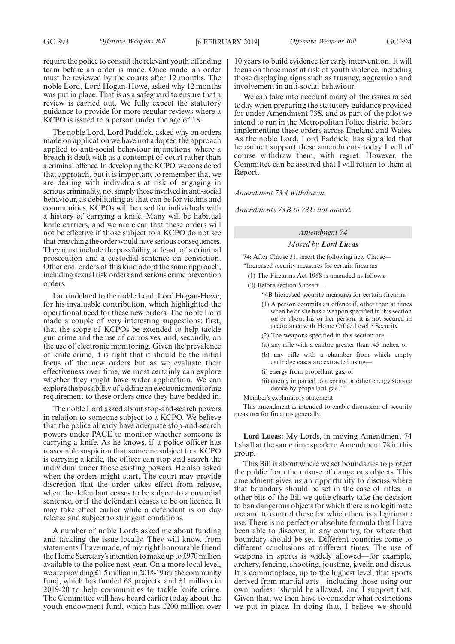require the police to consult the relevant youth offending team before an order is made. Once made, an order must be reviewed by the courts after 12 months. The noble Lord, Lord Hogan-Howe, asked why 12 months was put in place. That is as a safeguard to ensure that a review is carried out. We fully expect the statutory guidance to provide for more regular reviews where a KCPO is issued to a person under the age of 18.

The noble Lord, Lord Paddick, asked why on orders made on application we have not adopted the approach applied to anti-social behaviour injunctions, where a breach is dealt with as a contempt of court rather than a criminal offence. In developing the KCPO, we considered that approach, but it is important to remember that we are dealing with individuals at risk of engaging in serious criminality, not simply those involved in anti-social behaviour, as debilitating as that can be for victims and communities. KCPOs will be used for individuals with a history of carrying a knife. Many will be habitual knife carriers, and we are clear that these orders will not be effective if those subject to a KCPO do not see that breaching the order would have serious consequences. They must include the possibility, at least, of a criminal prosecution and a custodial sentence on conviction. Other civil orders of this kind adopt the same approach, including sexual risk orders and serious crime prevention orders.

I am indebted to the noble Lord, Lord Hogan-Howe, for his invaluable contribution, which highlighted the operational need for these new orders. The noble Lord made a couple of very interesting suggestions: first, that the scope of KCPOs be extended to help tackle gun crime and the use of corrosives, and, secondly, on the use of electronic monitoring. Given the prevalence of knife crime, it is right that it should be the initial focus of the new orders but as we evaluate their effectiveness over time, we most certainly can explore whether they might have wider application. We can explore the possibility of adding an electronic monitoring requirement to these orders once they have bedded in.

The noble Lord asked about stop-and-search powers in relation to someone subject to a KCPO. We believe that the police already have adequate stop-and-search powers under PACE to monitor whether someone is carrying a knife. As he knows, if a police officer has reasonable suspicion that someone subject to a KCPO is carrying a knife, the officer can stop and search the individual under those existing powers. He also asked when the orders might start. The court may provide discretion that the order takes effect from release, when the defendant ceases to be subject to a custodial sentence, or if the defendant ceases to be on licence. It may take effect earlier while a defendant is on day release and subject to stringent conditions.

A number of noble Lords asked me about funding and tackling the issue locally. They will know, from statements I have made, of my right honourable friend the Home Secretary's intention to make up to £970 million available to the police next year. On a more local level, we are providing  $\overline{\pounds}1.5$  million in 2018-19 for the community fund, which has funded 68 projects, and £1 million in 2019-20 to help communities to tackle knife crime. The Committee will have heard earlier today about the youth endowment fund, which has £200 million over

10 years to build evidence for early intervention. It will focus on those most at risk of youth violence, including those displaying signs such as truancy, aggression and involvement in anti-social behaviour.

We can take into account many of the issues raised today when preparing the statutory guidance provided for under Amendment 73S, and as part of the pilot we intend to run in the Metropolitan Police district before implementing these orders across England and Wales. As the noble Lord, Lord Paddick, has signalled that he cannot support these amendments today I will of course withdraw them, with regret. However, the Committee can be assured that I will return to them at Report.

*Amendment 73A withdrawn.*

*Amendments 73B to 73U not moved.*

# *Amendment 74*

#### *Moved by Lord Lucas*

**74:** After Clause 31, insert the following new Clause— "Increased security measures for certain firearms

- (1) The Firearms Act 1968 is amended as follows.
- (2) Before section 5 insert—
	- "4B Increased security measures for certain firearms
	- (1) A person commits an offence if, other than at times when he or she has a weapon specified in this section on or about his or her person, it is not secured in accordance with Home Office Level 3 Security.
	- (2) The weapons specified in this section are—
	- (a) any rifle with a calibre greater than .45 inches, or
	- (b) any rifle with a chamber from which empty cartridge cases are extracted using—
	- (i) energy from propellant gas, or
	- (ii) energy imparted to a spring or other energy storage device by propellant gas."

Member's explanatory statement

This amendment is intended to enable discussion of security measures for firearms generally.

**Lord Lucas:** My Lords, in moving Amendment 74 I shall at the same time speak to Amendment 78 in this group.

This Bill is about where we set boundaries to protect the public from the misuse of dangerous objects. This amendment gives us an opportunity to discuss where that boundary should be set in the case of rifles. In other bits of the Bill we quite clearly take the decision to ban dangerous objects for which there is no legitimate use and to control those for which there is a legitimate use. There is no perfect or absolute formula that I have been able to discover, in any country, for where that boundary should be set. Different countries come to different conclusions at different times. The use of weapons in sports is widely allowed—for example, archery, fencing, shooting, jousting, javelin and discus. It is commonplace, up to the highest level, that sports derived from martial arts—including those using our own bodies—should be allowed, and I support that. Given that, we then have to consider what restrictions we put in place. In doing that, I believe we should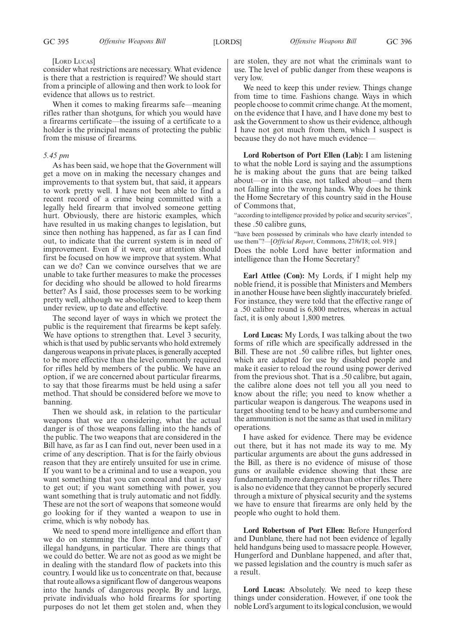#### [LORD LUCAS]

consider what restrictions are necessary. What evidence is there that a restriction is required? We should start from a principle of allowing and then work to look for evidence that allows us to restrict.

When it comes to making firearms safe—meaning rifles rather than shotguns, for which you would have a firearms certificate—the issuing of a certificate to a holder is the principal means of protecting the public from the misuse of firearms.

#### *5.45 pm*

As has been said, we hope that the Government will get a move on in making the necessary changes and improvements to that system but, that said, it appears to work pretty well. I have not been able to find a recent record of a crime being committed with a legally held firearm that involved someone getting hurt. Obviously, there are historic examples, which have resulted in us making changes to legislation, but since then nothing has happened, as far as I can find out, to indicate that the current system is in need of improvement. Even if it were, our attention should first be focused on how we improve that system. What can we do? Can we convince ourselves that we are unable to take further measures to make the processes for deciding who should be allowed to hold firearms better? As I said, those processes seem to be working pretty well, although we absolutely need to keep them under review, up to date and effective.

The second layer of ways in which we protect the public is the requirement that firearms be kept safely. We have options to strengthen that. Level 3 security, which is that used by public servants who hold extremely dangerous weapons in private places, is generally accepted to be more effective than the level commonly required for rifles held by members of the public. We have an option, if we are concerned about particular firearms, to say that those firearms must be held using a safer method. That should be considered before we move to banning.

Then we should ask, in relation to the particular weapons that we are considering, what the actual danger is of those weapons falling into the hands of the public. The two weapons that are considered in the Bill have, as far as I can find out, never been used in a crime of any description. That is for the fairly obvious reason that they are entirely unsuited for use in crime. If you want to be a criminal and to use a weapon, you want something that you can conceal and that is easy to get out; if you want something with power, you want something that is truly automatic and not fiddly. These are not the sort of weapons that someone would go looking for if they wanted a weapon to use in crime, which is why nobody has.

We need to spend more intelligence and effort than we do on stemming the flow into this country of illegal handguns, in particular. There are things that we could do better. We are not as good as we might be in dealing with the standard flow of packets into this country. I would like us to concentrate on that, because that route allows a significant flow of dangerous weapons into the hands of dangerous people. By and large, private individuals who hold firearms for sporting purposes do not let them get stolen and, when they are stolen, they are not what the criminals want to use. The level of public danger from these weapons is very low.

We need to keep this under review. Things change from time to time. Fashions change. Ways in which people choose to commit crime change. At the moment, on the evidence that I have, and I have done my best to ask the Government to show us their evidence, although I have not got much from them, which I suspect is because they do not have much evidence—

**Lord Robertson of Port Ellen (Lab):** I am listening to what the noble Lord is saying and the assumptions he is making about the guns that are being talked about—or in this case, not talked about—and them not falling into the wrong hands. Why does he think the Home Secretary of this country said in the House of Commons that,

"according to intelligence provided by police and security services", these .50 calibre guns,

"have been possessed by criminals who have clearly intended to use them"?—[*Official Report*, Commons, 27/6/18; col. 919.] Does the noble Lord have better information and intelligence than the Home Secretary?

**Earl Attlee (Con):** My Lords, if I might help my noble friend, it is possible that Ministers and Members in another House have been slightly inaccurately briefed. For instance, they were told that the effective range of a .50 calibre round is 6,800 metres, whereas in actual fact, it is only about 1,800 metres.

**Lord Lucas:** My Lords, I was talking about the two forms of rifle which are specifically addressed in the Bill. These are not .50 calibre rifles, but lighter ones, which are adapted for use by disabled people and make it easier to reload the round using power derived from the previous shot. That is a .50 calibre, but again, the calibre alone does not tell you all you need to know about the rifle; you need to know whether a particular weapon is dangerous. The weapons used in target shooting tend to be heavy and cumbersome and the ammunition is not the same as that used in military operations.

I have asked for evidence. There may be evidence out there, but it has not made its way to me. My particular arguments are about the guns addressed in the Bill, as there is no evidence of misuse of those guns or available evidence showing that these are fundamentally more dangerous than other rifles. There is also no evidence that they cannot be properly secured through a mixture of physical security and the systems we have to ensure that firearms are only held by the people who ought to hold them.

**Lord Robertson of Port Ellen:** Before Hungerford and Dunblane, there had not been evidence of legally held handguns being used to massacre people. However, Hungerford and Dunblane happened, and after that, we passed legislation and the country is much safer as a result.

**Lord Lucas:** Absolutely. We need to keep these things under consideration. However, if one took the noble Lord's argument to its logical conclusion, we would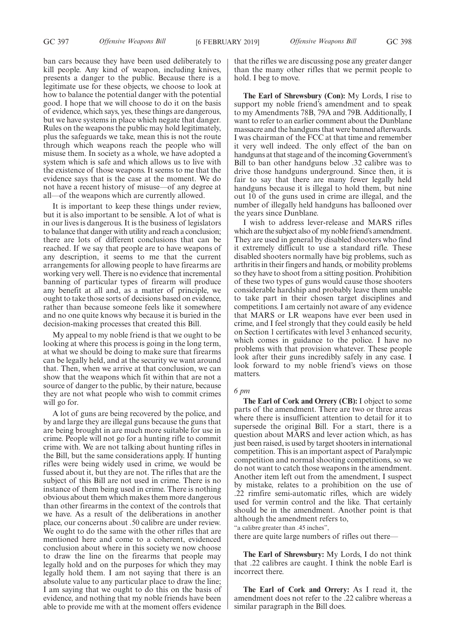ban cars because they have been used deliberately to kill people. Any kind of weapon, including knives, presents a danger to the public. Because there is a legitimate use for these objects, we choose to look at how to balance the potential danger with the potential good. I hope that we will choose to do it on the basis of evidence, which says, yes, these things are dangerous, but we have systems in place which negate that danger. Rules on the weapons the public may hold legitimately, plus the safeguards we take, mean this is not the route through which weapons reach the people who will misuse them. In society as a whole, we have adopted a system which is safe and which allows us to live with the existence of those weapons. It seems to me that the evidence says that is the case at the moment. We do not have a recent history of misuse—of any degree at all—of the weapons which are currently allowed.

It is important to keep these things under review, but it is also important to be sensible. A lot of what is in our lives is dangerous. It is the business of legislators to balance that danger with utility and reach a conclusion; there are lots of different conclusions that can be reached. If we say that people are to have weapons of any description, it seems to me that the current arrangements for allowing people to have firearms are working very well. There is no evidence that incremental banning of particular types of firearm will produce any benefit at all and, as a matter of principle, we ought to take those sorts of decisions based on evidence, rather than because someone feels like it somewhere and no one quite knows why because it is buried in the decision-making processes that created this Bill.

My appeal to my noble friend is that we ought to be looking at where this process is going in the long term, at what we should be doing to make sure that firearms can be legally held, and at the security we want around that. Then, when we arrive at that conclusion, we can show that the weapons which fit within that are not a source of danger to the public, by their nature, because they are not what people who wish to commit crimes will go for.

A lot of guns are being recovered by the police, and by and large they are illegal guns because the guns that are being brought in are much more suitable for use in crime. People will not go for a hunting rifle to commit crime with. We are not talking about hunting rifles in the Bill, but the same considerations apply. If hunting rifles were being widely used in crime, we would be fussed about it, but they are not. The rifles that are the subject of this Bill are not used in crime. There is no instance of them being used in crime. There is nothing obvious about them which makes them more dangerous than other firearms in the context of the controls that we have. As a result of the deliberations in another place, our concerns about .50 calibre are under review. We ought to do the same with the other rifles that are mentioned here and come to a coherent, evidenced conclusion about where in this society we now choose to draw the line on the firearms that people may legally hold and on the purposes for which they may legally hold them. I am not saying that there is an absolute value to any particular place to draw the line; I am saying that we ought to do this on the basis of evidence, and nothing that my noble friends have been able to provide me with at the moment offers evidence

that the rifles we are discussing pose any greater danger than the many other rifles that we permit people to hold. I beg to move.

**The Earl of Shrewsbury (Con):** My Lords, I rise to support my noble friend's amendment and to speak to my Amendments 78B, 79A and 79B. Additionally, I want to refer to an earlier comment about the Dunblane massacre and the handguns that were banned afterwards. I was chairman of the FCC at that time and remember it very well indeed. The only effect of the ban on handguns at that stage and of the incoming Government's Bill to ban other handguns below .32 calibre was to drive those handguns underground. Since then, it is fair to say that there are many fewer legally held handguns because it is illegal to hold them, but nine out 10 of the guns used in crime are illegal, and the number of illegally held handguns has ballooned over the years since Dunblane.

I wish to address lever-release and MARS rifles which are the subject also of my noble friend's amendment. They are used in general by disabled shooters who find it extremely difficult to use a standard rifle. These disabled shooters normally have big problems, such as arthritis in their fingers and hands, or mobility problems so they have to shoot from a sitting position. Prohibition of these two types of guns would cause those shooters considerable hardship and probably leave them unable to take part in their chosen target disciplines and competitions. I am certainly not aware of any evidence that MARS or LR weapons have ever been used in crime, and I feel strongly that they could easily be held on Section 1 certificates with level 3 enhanced security, which comes in guidance to the police. I have no problems with that provision whatever. These people look after their guns incredibly safely in any case. I look forward to my noble friend's views on those matters.

## *6 pm*

**The Earl of Cork and Orrery (CB):** I object to some parts of the amendment. There are two or three areas where there is insufficient attention to detail for it to supersede the original Bill. For a start, there is a question about MARS and lever action which, as has just been raised, is used by target shooters in international competition. This is an important aspect of Paralympic competition and normal shooting competitions, so we do not want to catch those weapons in the amendment. Another item left out from the amendment, I suspect by mistake, relates to a prohibition on the use of .22 rimfire semi-automatic rifles, which are widely used for vermin control and the like. That certainly should be in the amendment. Another point is that although the amendment refers to,

"a calibre greater than .45 inches",

there are quite large numbers of rifles out there—

**The Earl of Shrewsbury:** My Lords, I do not think that .22 calibres are caught. I think the noble Earl is incorrect there.

**The Earl of Cork and Orrery:** As I read it, the amendment does not refer to the .22 calibre whereas a similar paragraph in the Bill does.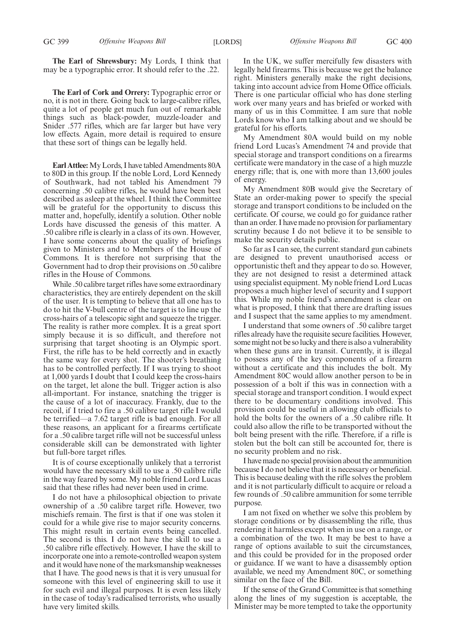**The Earl of Shrewsbury:** My Lords, I think that may be a typographic error. It should refer to the .22.

**The Earl of Cork and Orrery:** Typographic error or no, it is not in there. Going back to large-calibre rifles, quite a lot of people get much fun out of remarkable things such as black-powder, muzzle-loader and Snider .577 rifles, which are far larger but have very low effects. Again, more detail is required to ensure that these sort of things can be legally held.

**Earl Attlee:**My Lords, I have tabled Amendments 80A to 80D in this group. If the noble Lord, Lord Kennedy of Southwark, had not tabled his Amendment 79 concerning .50 calibre rifles, he would have been best described as asleep at the wheel. I think the Committee will be grateful for the opportunity to discuss this matter and, hopefully, identify a solution. Other noble Lords have discussed the genesis of this matter. A .50 calibre rifle is clearly in a class of its own. However, I have some concerns about the quality of briefings given to Ministers and to Members of the House of Commons. It is therefore not surprising that the Government had to drop their provisions on .50 calibre rifles in the House of Commons.

While .50 calibre target rifles have some extraordinary characteristics, they are entirely dependent on the skill of the user. It is tempting to believe that all one has to do to hit the V-bull centre of the target is to line up the cross-hairs of a telescopic sight and squeeze the trigger. The reality is rather more complex. It is a great sport simply because it is so difficult, and therefore not surprising that target shooting is an Olympic sport. First, the rifle has to be held correctly and in exactly the same way for every shot. The shooter's breathing has to be controlled perfectly. If I was trying to shoot at 1,000 yards I doubt that I could keep the cross-hairs on the target, let alone the bull. Trigger action is also all-important. For instance, snatching the trigger is the cause of a lot of inaccuracy. Frankly, due to the recoil, if I tried to fire a .50 calibre target rifle I would be terrified—a 7.62 target rifle is bad enough. For all these reasons, an applicant for a firearms certificate for a .50 calibre target rifle will not be successful unless considerable skill can be demonstrated with lighter but full-bore target rifles.

It is of course exceptionally unlikely that a terrorist would have the necessary skill to use a .50 calibre rifle in the way feared by some. My noble friend Lord Lucas said that these rifles had never been used in crime.

I do not have a philosophical objection to private ownership of a .50 calibre target rifle. However, two mischiefs remain. The first is that if one was stolen it could for a while give rise to major security concerns. This might result in certain events being cancelled. The second is this. I do not have the skill to use a .50 calibre rifle effectively. However, I have the skill to incorporate one into a remote-controlled weapon system and it would have none of the marksmanship weaknesses that I have. The good news is that it is very unusual for someone with this level of engineering skill to use it for such evil and illegal purposes. It is even less likely in the case of today's radicalised terrorists, who usually have very limited skills.

In the UK, we suffer mercifully few disasters with legally held firearms. This is because we get the balance right. Ministers generally make the right decisions, taking into account advice from Home Office officials. There is one particular official who has done sterling work over many years and has briefed or worked with many of us in this Committee. I am sure that noble Lords know who I am talking about and we should be grateful for his efforts.

My Amendment 80A would build on my noble friend Lord Lucas's Amendment 74 and provide that special storage and transport conditions on a firearms certificate were mandatory in the case of a high muzzle energy rifle; that is, one with more than 13,600 joules of energy.

My Amendment 80B would give the Secretary of State an order-making power to specify the special storage and transport conditions to be included on the certificate. Of course, we could go for guidance rather than an order. I have made no provision for parliamentary scrutiny because I do not believe it to be sensible to make the security details public.

So far as I can see, the current standard gun cabinets are designed to prevent unauthorised access or opportunistic theft and they appear to do so. However, they are not designed to resist a determined attack using specialist equipment. My noble friend Lord Lucas proposes a much higher level of security and I support this. While my noble friend's amendment is clear on what is proposed, I think that there are drafting issues and I suspect that the same applies to my amendment.

I understand that some owners of .50 calibre target rifles already have the requisite secure facilities. However, some might not be so lucky and there is also a vulnerability when these guns are in transit. Currently, it is illegal to possess any of the key components of a firearm without a certificate and this includes the bolt. My Amendment 80C would allow another person to be in possession of a bolt if this was in connection with a special storage and transport condition. I would expect there to be documentary conditions involved. This provision could be useful in allowing club officials to hold the bolts for the owners of a .50 calibre rifle. It could also allow the rifle to be transported without the bolt being present with the rifle. Therefore, if a rifle is stolen but the bolt can still be accounted for, there is no security problem and no risk.

I have made no special provision about the ammunition because I do not believe that it is necessary or beneficial. This is because dealing with the rifle solves the problem and it is not particularly difficult to acquire or reload a few rounds of .50 calibre ammunition for some terrible purpose.

I am not fixed on whether we solve this problem by storage conditions or by disassembling the rifle, thus rendering it harmless except when in use on a range, or a combination of the two. It may be best to have a range of options available to suit the circumstances, and this could be provided for in the proposed order or guidance. If we want to have a disassembly option available, we need my Amendment 80C, or something similar on the face of the Bill.

If the sense of the Grand Committee is that something along the lines of my suggestion is acceptable, the Minister may be more tempted to take the opportunity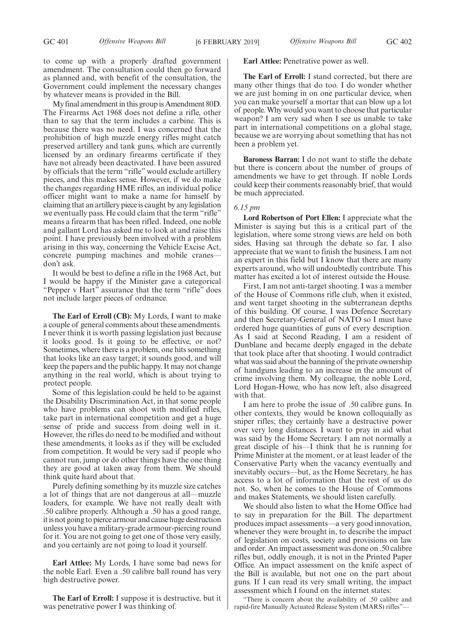My final amendment in this group is Amendment 80D. The Firearms Act 1968 does not define a rifle, other than to say that the term includes a carbine. This is because there was no need. I was concerned that the prohibition of high muzzle energy rifles might catch preserved artillery and tank guns, which are currently licensed by an ordinary firearms certificate if they have not already been deactivated. I have been assured by officials that the term "rifle" would exclude artillery pieces, and this makes sense. However, if we do make the changes regarding HME rifles, an individual police officer might want to make a name for himself by claiming that an artillery piece is caught by any legislation we eventually pass. He could claim that the term "rifle" means a firearm that has been rifled. Indeed, one noble and gallant Lord has asked me to look at and raise this point. I have previously been involved with a problem arising in this way, concerning the Vehicle Excise Act, concrete pumping machines and mobile cranes don't ask.

It would be best to define a rifle in the 1968 Act, but I would be happy if the Minister gave a categorical "Pepper v Hart" assurance that the term "rifle" does not include larger pieces of ordnance.

**The Earl of Erroll (CB):** My Lords, I want to make a couple of general comments about these amendments. I never think it is worth passing legislation just because it looks good. Is it going to be effective, or not? Sometimes, where there is a problem, one hits something that looks like an easy target; it sounds good, and will keep the papers and the public happy. It may not change anything in the real world, which is about trying to protect people.

Some of this legislation could be held to be against the Disability Discrimination Act, in that some people who have problems can shoot with modified rifles, take part in international competition and get a huge sense of pride and success from doing well in it. However, the rifles do need to be modified and without these amendments, it looks as if they will be excluded from competition. It would be very sad if people who cannot run, jump or do other things have the one thing they are good at taken away from them. We should think quite hard about that.

Purely defining something by its muzzle size catches a lot of things that are not dangerous at all—muzzle loaders, for example. We have not really dealt with .50 calibre properly. Although a .50 has a good range, it is not going to pierce armour and cause huge destruction unless you have a military-grade armour-piercing round for it. You are not going to get one of those very easily, and you certainly are not going to load it yourself.

**Earl Attlee:** My Lords, I have some bad news for the noble Earl. Even a .50 calibre ball round has very high destructive power.

**The Earl of Erroll:** I suppose it is destructive, but it was penetrative power I was thinking of.

# **Earl Attlee:** Penetrative power as well.

**The Earl of Erroll:** I stand corrected, but there are many other things that do too. I do wonder whether we are just homing in on one particular device, when you can make yourself a mortar that can blow up a lot of people. Why would you want to choose that particular weapon? I am very sad when I see us unable to take part in international competitions on a global stage, because we are worrying about something that has not been a problem yet.

**Baroness Barran:** I do not want to stifle the debate but there is concern about the number of groups of amendments we have to get through. If noble Lords could keep their comments reasonably brief, that would be much appreciated.

#### *6.15 pm*

**Lord Robertson of Port Ellen:** I appreciate what the Minister is saying but this is a critical part of the legislation, where some strong views are held on both sides. Having sat through the debate so far, I also appreciate that we want to finish the business. I am not an expert in this field but I know that there are many experts around, who will undoubtedly contribute. This matter has excited a lot of interest outside the House.

First, I am not anti-target shooting. I was a member of the House of Commons rifle club, when it existed, and went target shooting in the subterranean depths of this building. Of course, I was Defence Secretary and then Secretary-General of NATO so I must have ordered huge quantities of guns of every description. As I said at Second Reading, I am a resident of Dunblane and became deeply engaged in the debate that took place after that shooting. I would contradict what was said about the banning of the private ownership of handguns leading to an increase in the amount of crime involving them. My colleague, the noble Lord, Lord Hogan-Howe, who has now left, also disagreed with that.

I am here to probe the issue of .50 calibre guns. In other contexts, they would be known colloquially as sniper rifles; they certainly have a destructive power over very long distances. I want to pray in aid what was said by the Home Secretary. I am not normally a great disciple of his—I think that he is running for Prime Minister at the moment, or at least leader of the Conservative Party when the vacancy eventually and inevitably occurs—but, as the Home Secretary, he has access to a lot of information that the rest of us do not. So, when he comes to the House of Commons and makes Statements, we should listen carefully.

We should also listen to what the Home Office had to say in preparation for the Bill. The department produces impact assessments—a very good innovation, whenever they were brought in, to describe the impact of legislation on costs, society and provisions on law and order. An impact assessment was done on .50 calibre rifles but, oddly enough, it is not in the Printed Paper Office. An impact assessment on the knife aspect of the Bill is available, but not one on the part about guns. If I can read its very small writing, the impact assessment which I found on the internet states:

"There is concern about the availability of .50 calibre and rapid-fire Manually Actuated Release System (MARS) rifles"—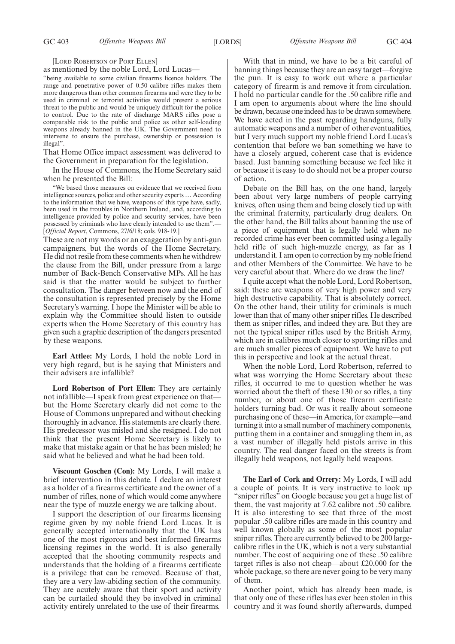[LORD ROBERTSON OF PORT ELLEN]

as mentioned by the noble Lord, Lord Lucas—

"being available to some civilian firearms licence holders. The range and penetrative power of 0.50 calibre rifles makes them more dangerous than other common firearms and were they to be used in criminal or terrorist activities would present a serious threat to the public and would be uniquely difficult for the police to control. Due to the rate of discharge MARS rifles pose a comparable risk to the public and police as other self-loading weapons already banned in the UK. The Government need to intervene to ensure the purchase, ownership or possession is illegal".

That Home Office impact assessment was delivered to the Government in preparation for the legislation.

In the House of Commons, the Home Secretary said when he presented the Bill:

"We based those measures on evidence that we received from intelligence sources, police and other security experts … According to the information that we have, weapons of this type have, sadly, been used in the troubles in Northern Ireland, and, according to intelligence provided by police and security services, have been possessed by criminals who have clearly intended to use them".— [*Official Report*, Commons, 27/6/18; cols. 918-19.]

These are not my words or an exaggeration by anti-gun campaigners, but the words of the Home Secretary. He did not resile from these comments when he withdrew the clause from the Bill, under pressure from a large number of Back-Bench Conservative MPs. All he has said is that the matter would be subject to further consultation. The danger between now and the end of the consultation is represented precisely by the Home Secretary's warning. I hope the Minister will be able to explain why the Committee should listen to outside experts when the Home Secretary of this country has given such a graphic description of the dangers presented by these weapons.

**Earl Attlee:** My Lords, I hold the noble Lord in very high regard, but is he saying that Ministers and their advisers are infallible?

**Lord Robertson of Port Ellen:** They are certainly not infallible—I speak from great experience on that but the Home Secretary clearly did not come to the House of Commons unprepared and without checking thoroughly in advance. His statements are clearly there. His predecessor was misled and she resigned. I do not think that the present Home Secretary is likely to make that mistake again or that he has been misled; he said what he believed and what he had been told.

**Viscount Goschen (Con):** My Lords, I will make a brief intervention in this debate. I declare an interest as a holder of a firearms certificate and the owner of a number of rifles, none of which would come anywhere near the type of muzzle energy we are talking about.

I support the description of our firearms licensing regime given by my noble friend Lord Lucas. It is generally accepted internationally that the UK has one of the most rigorous and best informed firearms licensing regimes in the world. It is also generally accepted that the shooting community respects and understands that the holding of a firearms certificate is a privilege that can be removed. Because of that, they are a very law-abiding section of the community. They are acutely aware that their sport and activity can be curtailed should they be involved in criminal activity entirely unrelated to the use of their firearms.

With that in mind, we have to be a bit careful of banning things because they are an easy target—forgive the pun. It is easy to work out where a particular category of firearm is and remove it from circulation. I hold no particular candle for the .50 calibre rifle and I am open to arguments about where the line should be drawn, because one indeed has to be drawn somewhere. We have acted in the past regarding handguns, fully automatic weapons and a number of other eventualities, but I very much support my noble friend Lord Lucas's contention that before we ban something we have to have a closely argued, coherent case that is evidence based. Just banning something because we feel like it or because it is easy to do should not be a proper course of action.

Debate on the Bill has, on the one hand, largely been about very large numbers of people carrying knives, often using them and being closely tied up with the criminal fraternity, particularly drug dealers. On the other hand, the Bill talks about banning the use of a piece of equipment that is legally held when no recorded crime has ever been committed using a legally held rifle of such high-muzzle energy, as far as I understand it. I am open to correction by my noble friend and other Members of the Committee. We have to be very careful about that. Where do we draw the line?

I quite accept what the noble Lord, Lord Robertson, said: these are weapons of very high power and very high destructive capability. That is absolutely correct. On the other hand, their utility for criminals is much lower than that of many other sniper rifles. He described them as sniper rifles, and indeed they are. But they are not the typical sniper rifles used by the British Army, which are in calibres much closer to sporting rifles and are much smaller pieces of equipment. We have to put this in perspective and look at the actual threat.

When the noble Lord, Lord Robertson, referred to what was worrying the Home Secretary about these rifles, it occurred to me to question whether he was worried about the theft of these 130 or so rifles, a tiny number, or about one of those firearm certificate holders turning bad. Or was it really about someone purchasing one of these—in America, for example—and turning it into a small number of machinery components, putting them in a container and smuggling them in, as a vast number of illegally held pistols arrive in this country. The real danger faced on the streets is from illegally held weapons, not legally held weapons.

**The Earl of Cork and Orrery:** My Lords, I will add a couple of points. It is very instructive to look up "sniper rifles" on Google because you get a huge list of them, the vast majority at 7.62 calibre not .50 calibre. It is also interesting to see that three of the most popular .50 calibre rifles are made in this country and well known globally as some of the most popular sniper rifles. There are currently believed to be 200 largecalibre rifles in the UK, which is not a very substantial number. The cost of acquiring one of these .50 calibre target rifles is also not cheap—about £20,000 for the whole package, so there are never going to be very many of them.

Another point, which has already been made, is that only one of these rifles has ever been stolen in this country and it was found shortly afterwards, dumped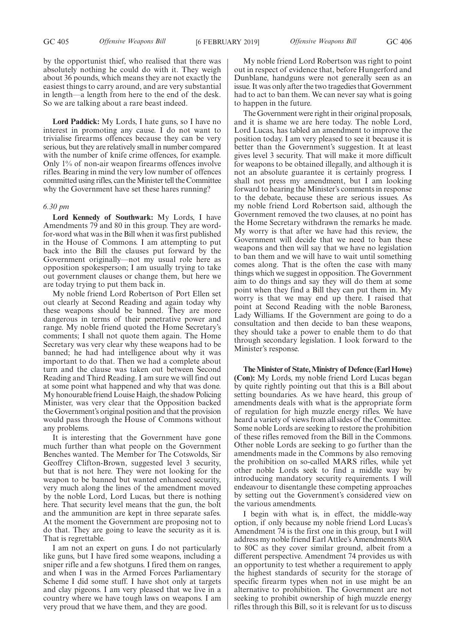by the opportunist thief, who realised that there was absolutely nothing he could do with it. They weigh about 36 pounds, which means they are not exactly the easiest things to carry around, and are very substantial in length—a length from here to the end of the desk. So we are talking about a rare beast indeed.

**Lord Paddick:** My Lords, I hate guns, so I have no interest in promoting any cause. I do not want to trivialise firearms offences because they can be very serious, but they are relatively small in number compared with the number of knife crime offences, for example. Only 1% of non-air weapon firearms offences involve rifles. Bearing in mind the very low number of offences committed using rifles, can the Minister tell the Committee why the Government have set these hares running?

#### *6.30 pm*

**Lord Kennedy of Southwark:** My Lords, I have Amendments 79 and 80 in this group. They are wordfor-word what was in the Bill when it was first published in the House of Commons. I am attempting to put back into the Bill the clauses put forward by the Government originally—not my usual role here as opposition spokesperson; I am usually trying to take out government clauses or change them, but here we are today trying to put them back in.

My noble friend Lord Robertson of Port Ellen set out clearly at Second Reading and again today why these weapons should be banned. They are more dangerous in terms of their penetrative power and range. My noble friend quoted the Home Secretary's comments; I shall not quote them again. The Home Secretary was very clear why these weapons had to be banned; he had had intelligence about why it was important to do that. Then we had a complete about turn and the clause was taken out between Second Reading and Third Reading. I am sure we will find out at some point what happened and why that was done. My honourable friend Louise Haigh, the shadow Policing Minister, was very clear that the Opposition backed the Government's original position and that the provision would pass through the House of Commons without any problems.

It is interesting that the Government have gone much further than what people on the Government Benches wanted. The Member for The Cotswolds, Sir Geoffrey Clifton-Brown, suggested level 3 security, but that is not here. They were not looking for the weapon to be banned but wanted enhanced security, very much along the lines of the amendment moved by the noble Lord, Lord Lucas, but there is nothing here. That security level means that the gun, the bolt and the ammunition are kept in three separate safes. At the moment the Government are proposing not to do that. They are going to leave the security as it is. That is regrettable.

I am not an expert on guns. I do not particularly like guns, but I have fired some weapons, including a sniper rifle and a few shotguns. I fired them on ranges, and when I was in the Armed Forces Parliamentary Scheme I did some stuff. I have shot only at targets and clay pigeons. I am very pleased that we live in a country where we have tough laws on weapons. I am very proud that we have them, and they are good.

My noble friend Lord Robertson was right to point out in respect of evidence that, before Hungerford and Dunblane, handguns were not generally seen as an issue. It was only after the two tragedies that Government had to act to ban them. We can never say what is going to happen in the future.

The Government were right in their original proposals, and it is shame we are here today. The noble Lord, Lord Lucas, has tabled an amendment to improve the position today. I am very pleased to see it because it is better than the Government's suggestion. It at least gives level 3 security. That will make it more difficult for weapons to be obtained illegally, and although it is not an absolute guarantee it is certainly progress. I shall not press my amendment, but I am looking forward to hearing the Minister's comments in response to the debate, because these are serious issues. As my noble friend Lord Robertson said, although the Government removed the two clauses, at no point has the Home Secretary withdrawn the remarks he made. My worry is that after we have had this review, the Government will decide that we need to ban these weapons and then will say that we have no legislation to ban them and we will have to wait until something comes along. That is the often the case with many things which we suggest in opposition. The Government aim to do things and say they will do them at some point when they find a Bill they can put them in. My worry is that we may end up there. I raised that point at Second Reading with the noble Baroness, Lady Williams. If the Government are going to do a consultation and then decide to ban these weapons, they should take a power to enable them to do that through secondary legislation. I look forward to the Minister's response.

**The Minister of State, Ministry of Defence (Earl Howe) (Con):** My Lords, my noble friend Lord Lucas began by quite rightly pointing out that this is a Bill about setting boundaries. As we have heard, this group of amendments deals with what is the appropriate form of regulation for high muzzle energy rifles. We have heard a variety of views from all sides of the Committee. Some noble Lords are seeking to restore the prohibition of these rifles removed from the Bill in the Commons. Other noble Lords are seeking to go further than the amendments made in the Commons by also removing the prohibition on so-called MARS rifles, while yet other noble Lords seek to find a middle way by introducing mandatory security requirements. I will endeavour to disentangle these competing approaches by setting out the Government's considered view on the various amendments.

I begin with what is, in effect, the middle-way option, if only because my noble friend Lord Lucas's Amendment 74 is the first one in this group, but I will address my noble friend Earl Attlee's Amendments 80A to 80C as they cover similar ground, albeit from a different perspective. Amendment 74 provides us with an opportunity to test whether a requirement to apply the highest standards of security for the storage of specific firearm types when not in use might be an alternative to prohibition. The Government are not seeking to prohibit ownership of high muzzle energy rifles through this Bill, so it is relevant for us to discuss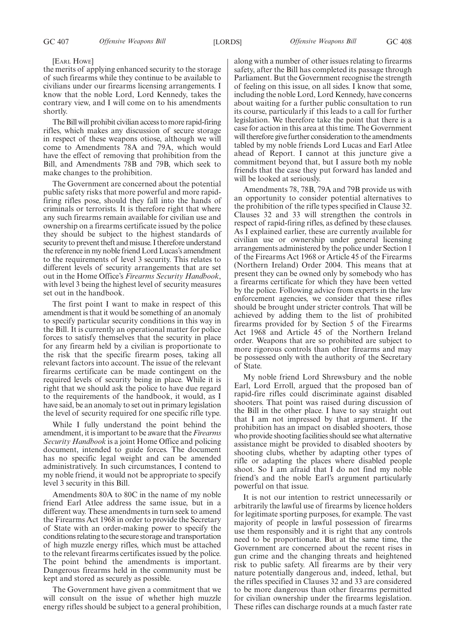#### [EARL HOWE]

the merits of applying enhanced security to the storage of such firearms while they continue to be available to civilians under our firearms licensing arrangements. I know that the noble Lord, Lord Kennedy, takes the contrary view, and I will come on to his amendments shortly.

The Bill will prohibit civilian access to more rapid-firing rifles, which makes any discussion of secure storage in respect of these weapons otiose, although we will come to Amendments 78A and 79A, which would have the effect of removing that prohibition from the Bill, and Amendments 78B and 79B, which seek to make changes to the prohibition.

The Government are concerned about the potential public safety risks that more powerful and more rapidfiring rifles pose, should they fall into the hands of criminals or terrorists. It is therefore right that where any such firearms remain available for civilian use and ownership on a firearms certificate issued by the police they should be subject to the highest standards of security to prevent theft and misuse. I therefore understand the reference in my noble friend Lord Lucas's amendment to the requirements of level 3 security. This relates to different levels of security arrangements that are set out in the Home Office's *Firearms Security Handbook*, with level 3 being the highest level of security measures set out in the handbook.

The first point I want to make in respect of this amendment is that it would be something of an anomaly to specify particular security conditions in this way in the Bill. It is currently an operational matter for police forces to satisfy themselves that the security in place for any firearm held by a civilian is proportionate to the risk that the specific firearm poses, taking all relevant factors into account. The issue of the relevant firearms certificate can be made contingent on the required levels of security being in place. While it is right that we should ask the police to have due regard to the requirements of the handbook, it would, as I have said, be an anomaly to set out in primary legislation the level of security required for one specific rifle type.

While I fully understand the point behind the amendment, it is important to be aware that the *Firearms Security Handbook* is a joint Home Office and policing document, intended to guide forces. The document has no specific legal weight and can be amended administratively. In such circumstances, I contend to my noble friend, it would not be appropriate to specify level 3 security in this Bill.

Amendments 80A to 80C in the name of my noble friend Earl Atlee address the same issue, but in a different way. These amendments in turn seek to amend the Firearms Act 1968 in order to provide the Secretary of State with an order-making power to specify the conditions relating to the secure storage and transportation of high muzzle energy rifles, which must be attached to the relevant firearms certificates issued by the police. The point behind the amendments is important. Dangerous firearms held in the community must be kept and stored as securely as possible.

The Government have given a commitment that we will consult on the issue of whether high muzzle energy rifles should be subject to a general prohibition, along with a number of other issues relating to firearms safety, after the Bill has completed its passage through Parliament. But the Government recognise the strength of feeling on this issue, on all sides. I know that some, including the noble Lord, Lord Kennedy, have concerns about waiting for a further public consultation to run its course, particularly if this leads to a call for further legislation. We therefore take the point that there is a case for action in this area at this time. The Government will therefore give further consideration to the amendments tabled by my noble friends Lord Lucas and Earl Atlee ahead of Report. I cannot at this juncture give a commitment beyond that, but I assure both my noble friends that the case they put forward has landed and will be looked at seriously.

Amendments 78, 78B, 79A and 79B provide us with an opportunity to consider potential alternatives to the prohibition of the rifle types specified in Clause 32. Clauses 32 and 33 will strengthen the controls in respect of rapid-firing rifles, as defined by these clauses. As I explained earlier, these are currently available for civilian use or ownership under general licensing arrangements administered by the police under Section 1 of the Firearms Act 1968 or Article 45 of the Firearms (Northern Ireland) Order 2004. This means that at present they can be owned only by somebody who has a firearms certificate for which they have been vetted by the police. Following advice from experts in the law enforcement agencies, we consider that these rifles should be brought under stricter controls. That will be achieved by adding them to the list of prohibited firearms provided for by Section 5 of the Firearms Act 1968 and Article 45 of the Northern Ireland order. Weapons that are so prohibited are subject to more rigorous controls than other firearms and may be possessed only with the authority of the Secretary of State.

My noble friend Lord Shrewsbury and the noble Earl, Lord Erroll, argued that the proposed ban of rapid-fire rifles could discriminate against disabled shooters. That point was raised during discussion of the Bill in the other place. I have to say straight out that I am not impressed by that argument. If the prohibition has an impact on disabled shooters, those who provide shooting facilities should see what alternative assistance might be provided to disabled shooters by shooting clubs, whether by adapting other types of rifle or adapting the places where disabled people shoot. So I am afraid that I do not find my noble friend's and the noble Earl's argument particularly powerful on that issue.

It is not our intention to restrict unnecessarily or arbitrarily the lawful use of firearms by licence holders for legitimate sporting purposes, for example. The vast majority of people in lawful possession of firearms use them responsibly and it is right that any controls need to be proportionate. But at the same time, the Government are concerned about the recent rises in gun crime and the changing threats and heightened risk to public safety. All firearms are by their very nature potentially dangerous and, indeed, lethal, but the rifles specified in Clauses 32 and 33 are considered to be more dangerous than other firearms permitted for civilian ownership under the firearms legislation. These rifles can discharge rounds at a much faster rate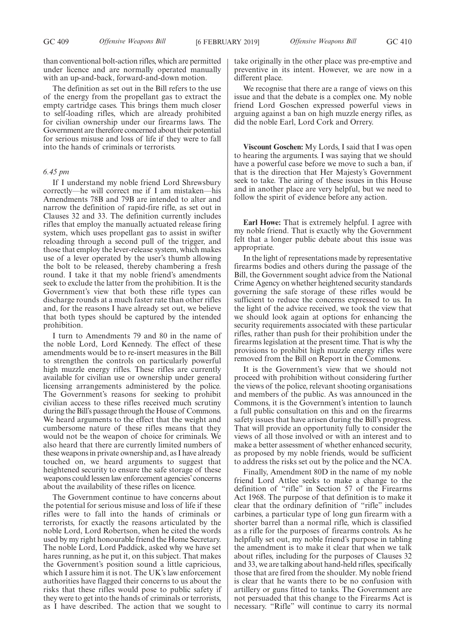different place.

than conventional bolt-action rifles, which are permitted under licence and are normally operated manually with an up-and-back, forward-and-down motion.

The definition as set out in the Bill refers to the use of the energy from the propellant gas to extract the empty cartridge cases. This brings them much closer to self-loading rifles, which are already prohibited for civilian ownership under our firearms laws. The Government are therefore concerned about their potential for serious misuse and loss of life if they were to fall into the hands of criminals or terrorists.

# *6.45 pm*

If I understand my noble friend Lord Shrewsbury correctly—he will correct me if I am mistaken—his Amendments 78B and 79B are intended to alter and narrow the definition of rapid-fire rifle, as set out in Clauses 32 and 33. The definition currently includes rifles that employ the manually actuated release firing system, which uses propellant gas to assist in swifter reloading through a second pull of the trigger, and those that employ the lever-release system, which makes use of a lever operated by the user's thumb allowing the bolt to be released, thereby chambering a fresh round. I take it that my noble friend's amendments seek to exclude the latter from the prohibition. It is the Government's view that both these rifle types can discharge rounds at a much faster rate than other rifles and, for the reasons I have already set out, we believe that both types should be captured by the intended prohibition.

I turn to Amendments 79 and 80 in the name of the noble Lord, Lord Kennedy. The effect of these amendments would be to re-insert measures in the Bill to strengthen the controls on particularly powerful high muzzle energy rifles. These rifles are currently available for civilian use or ownership under general licensing arrangements administered by the police. The Government's reasons for seeking to prohibit civilian access to these rifles received much scrutiny during the Bill's passage through the House of Commons. We heard arguments to the effect that the weight and cumbersome nature of these rifles means that they would not be the weapon of choice for criminals. We also heard that there are currently limited numbers of these weapons in private ownership and, as I have already touched on, we heard arguments to suggest that heightened security to ensure the safe storage of these weapons could lessen law enforcement agencies'concerns about the availability of these rifles on licence.

The Government continue to have concerns about the potential for serious misuse and loss of life if these rifles were to fall into the hands of criminals or terrorists, for exactly the reasons articulated by the noble Lord, Lord Robertson, when he cited the words used by my right honourable friend the Home Secretary. The noble Lord, Lord Paddick, asked why we have set hares running, as he put it, on this subject. That makes the Government's position sound a little capricious, which I assure him it is not. The UK's law enforcement authorities have flagged their concerns to us about the risks that these rifles would pose to public safety if they were to get into the hands of criminals or terrorists, as I have described. The action that we sought to take originally in the other place was pre-emptive and preventive in its intent. However, we are now in a

We recognise that there are a range of views on this issue and that the debate is a complex one. My noble friend Lord Goschen expressed powerful views in arguing against a ban on high muzzle energy rifles, as did the noble Earl, Lord Cork and Orrery.

**Viscount Goschen:** My Lords, I said that I was open to hearing the arguments. I was saying that we should have a powerful case before we move to such a ban, if that is the direction that Her Majesty's Government seek to take. The airing of these issues in this House and in another place are very helpful, but we need to follow the spirit of evidence before any action.

**Earl Howe:** That is extremely helpful. I agree with my noble friend. That is exactly why the Government felt that a longer public debate about this issue was appropriate.

In the light of representations made by representative firearms bodies and others during the passage of the Bill, the Government sought advice from the National Crime Agency on whether heightened security standards governing the safe storage of these rifles would be sufficient to reduce the concerns expressed to us. In the light of the advice received, we took the view that we should look again at options for enhancing the security requirements associated with these particular rifles, rather than push for their prohibition under the firearms legislation at the present time. That is why the provisions to prohibit high muzzle energy rifles were removed from the Bill on Report in the Commons.

It is the Government's view that we should not proceed with prohibition without considering further the views of the police, relevant shooting organisations and members of the public. As was announced in the Commons, it is the Government's intention to launch a full public consultation on this and on the firearms safety issues that have arisen during the Bill's progress. That will provide an opportunity fully to consider the views of all those involved or with an interest and to make a better assessment of whether enhanced security, as proposed by my noble friends, would be sufficient to address the risks set out by the police and the NCA.

Finally, Amendment 80D in the name of my noble friend Lord Attlee seeks to make a change to the definition of "rifle" in Section 57 of the Firearms Act 1968. The purpose of that definition is to make it clear that the ordinary definition of "rifle" includes carbines, a particular type of long gun firearm with a shorter barrel than a normal rifle, which is classified as a rifle for the purposes of firearms controls. As he helpfully set out, my noble friend's purpose in tabling the amendment is to make it clear that when we talk about rifles, including for the purposes of Clauses 32 and 33, we are talking about hand-held rifles, specifically those that are fired from the shoulder. My noble friend is clear that he wants there to be no confusion with artillery or guns fitted to tanks. The Government are not persuaded that this change to the Firearms Act is necessary. "Rifle" will continue to carry its normal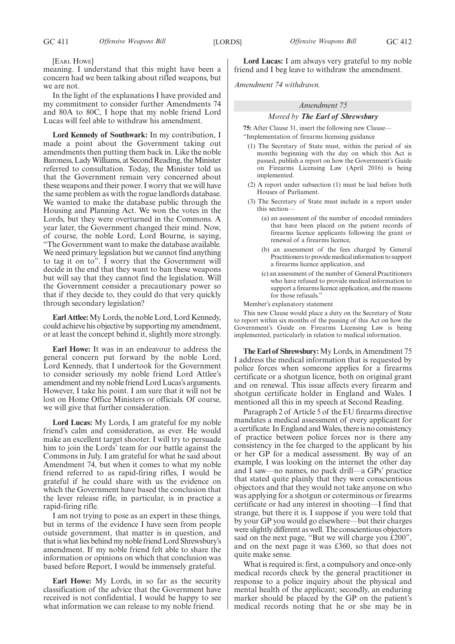[EARL HOWE]

meaning. I understand that this might have been a concern had we been talking about rifled weapons, but we are not.

In the light of the explanations I have provided and my commitment to consider further Amendments 74 and 80A to 80C, I hope that my noble friend Lord Lucas will feel able to withdraw his amendment.

**Lord Kennedy of Southwark:** In my contribution, I made a point about the Government taking out amendments then putting them back in. Like the noble Baroness, Lady Williams, at Second Reading, the Minister referred to consultation. Today, the Minister told us that the Government remain very concerned about these weapons and their power. I worry that we will have the same problem as with the rogue landlords database. We wanted to make the database public through the Housing and Planning Act. We won the votes in the Lords, but they were overturned in the Commons. A year later, the Government changed their mind. Now, of course, the noble Lord, Lord Bourne, is saying, "The Government want to make the database available. We need primary legislation but we cannot find anything to tag it on to". I worry that the Government will decide in the end that they want to ban these weapons but will say that they cannot find the legislation. Will the Government consider a precautionary power so that if they decide to, they could do that very quickly through secondary legislation?

**Earl Attlee:**My Lords, the noble Lord, Lord Kennedy, could achieve his objective by supporting my amendment, or at least the concept behind it, slightly more strongly.

**Earl Howe:** It was in an endeavour to address the general concern put forward by the noble Lord, Lord Kennedy, that I undertook for the Government to consider seriously my noble friend Lord Attlee's amendment and my noble friend Lord Lucas's arguments. However, I take his point. I am sure that it will not be lost on Home Office Ministers or officials. Of course, we will give that further consideration.

**Lord Lucas:** My Lords, I am grateful for my noble friend's calm and consideration, as ever. He would make an excellent target shooter. I will try to persuade him to join the Lords' team for our battle against the Commons in July. I am grateful for what he said about Amendment 74, but when it comes to what my noble friend referred to as rapid-firing rifles, I would be grateful if he could share with us the evidence on which the Government have based the conclusion that the lever release rifle, in particular, is in practice a rapid-firing rifle.

I am not trying to pose as an expert in these things, but in terms of the evidence I have seen from people outside government, that matter is in question, and that is what lies behind my noble friend Lord Shrewsbury's amendment. If my noble friend felt able to share the information or opinions on which that conclusion was based before Report, I would be immensely grateful.

**Earl Howe:** My Lords, in so far as the security classification of the advice that the Government have received is not confidential, I would be happy to see what information we can release to my noble friend.

**Lord Lucas:** I am always very grateful to my noble friend and I beg leave to withdraw the amendment.

*Amendment 74 withdrawn.*

# *Amendment 75*

# *Moved by The Earl of Shrewsbury*

**75:** After Clause 31, insert the following new Clause— "Implementation of firearms licensing guidance

- (1) The Secretary of State must, within the period of six months beginning with the day on which this Act is passed, publish a report on how the Government's Guide on Firearms Licensing Law (April 2016) is being implemented.
- (2) A report under subsection (1) must be laid before both Houses of Parliament.
- (3) The Secretary of State must include in a report under this section—
	- (a) an assessment of the number of encoded reminders that have been placed on the patient records of firearms licence applicants following the grant or renewal of a firearms licence,
	- (b) an assessment of the fees charged by General Practitioners to provide medical information to support a firearms licence application, and
	- (c) an assessment of the number of General Practitioners who have refused to provide medical information to support a firearms licence application, and the reasons for those refusals."

Member's explanatory statement

This new Clause would place a duty on the Secretary of State to report within six months of the passing of this Act on how the Government's Guide on Firearms Licensing Law is being implemented, particularly in relation to medical information.

**The Earl of Shrewsbury:** My Lords, in Amendment 75 I address the medical information that is requested by police forces when someone applies for a firearms certificate or a shotgun licence, both on original grant and on renewal. This issue affects every firearm and shotgun certificate holder in England and Wales. I mentioned all this in my speech at Second Reading.

Paragraph 2 of Article 5 of the EU firearms directive mandates a medical assessment of every applicant for a certificate. In England and Wales, there is no consistency of practice between police forces nor is there any consistency in the fee charged to the applicant by his or her GP for a medical assessment. By way of an example, I was looking on the internet the other day and I saw—no names, no pack drill—a GPs' practice that stated quite plainly that they were conscientious objectors and that they would not take anyone on who was applying for a shotgun or coterminous or firearms certificate or had any interest in shooting—I find that strange, but there it is. I suppose if you were told that by your GP you would go elsewhere—but their charges were slightly different as well. The conscientious objectors said on the next page, "But we will charge you £200", and on the next page it was £360, so that does not quite make sense.

What is required is: first, a compulsory and once-only medical records check by the general practitioner in response to a police inquiry about the physical and mental health of the applicant; secondly, an enduring marker should be placed by the GP on the patient's medical records noting that he or she may be in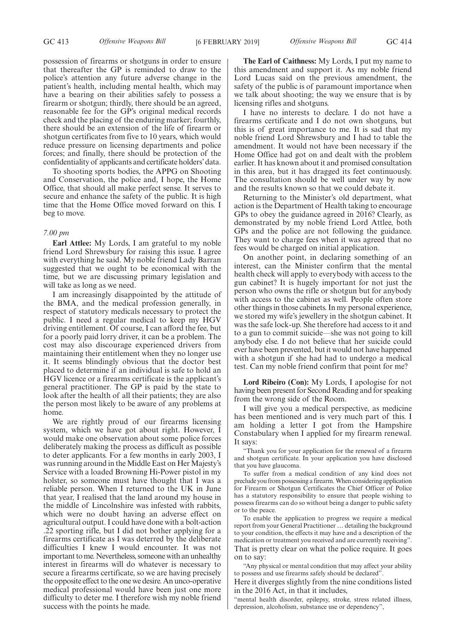possession of firearms or shotguns in order to ensure that thereafter the GP is reminded to draw to the police's attention any future adverse change in the patient's health, including mental health, which may have a bearing on their abilities safely to possess a firearm or shotgun; thirdly, there should be an agreed, reasonable fee for the GP's original medical records check and the placing of the enduring marker; fourthly, there should be an extension of the life of firearm or shotgun certificates from five to 10 years, which would reduce pressure on licensing departments and police forces; and finally, there should be protection of the confidentiality of applicants and certificate holders'data.

To shooting sports bodies, the APPG on Shooting and Conservation, the police and, I hope, the Home Office, that should all make perfect sense. It serves to secure and enhance the safety of the public. It is high time that the Home Office moved forward on this. I beg to move.

#### *7.00 pm*

**Earl Attlee:** My Lords, I am grateful to my noble friend Lord Shrewsbury for raising this issue. I agree with everything he said. My noble friend Lady Barran suggested that we ought to be economical with the time, but we are discussing primary legislation and will take as long as we need.

I am increasingly disappointed by the attitude of the BMA, and the medical profession generally, in respect of statutory medicals necessary to protect the public. I need a regular medical to keep my HGV driving entitlement. Of course, I can afford the fee, but for a poorly paid lorry driver, it can be a problem. The cost may also discourage experienced drivers from maintaining their entitlement when they no longer use it. It seems blindingly obvious that the doctor best placed to determine if an individual is safe to hold an HGV licence or a firearms certificate is the applicant's general practitioner. The GP is paid by the state to look after the health of all their patients; they are also the person most likely to be aware of any problems at home.

We are rightly proud of our firearms licensing system, which we have got about right. However, I would make one observation about some police forces deliberately making the process as difficult as possible to deter applicants. For a few months in early 2003, I was running around in the Middle East on Her Majesty's Service with a loaded Browning Hi-Power pistol in my holster, so someone must have thought that I was a reliable person. When I returned to the UK in June that year, I realised that the land around my house in the middle of Lincolnshire was infested with rabbits, which were no doubt having an adverse effect on agricultural output. I could have done with a bolt-action .22 sporting rifle, but I did not bother applying for a firearms certificate as I was deterred by the deliberate difficulties I knew I would encounter. It was not important to me. Nevertheless, someone with an unhealthy interest in firearms will do whatever is necessary to secure a firearms certificate, so we are having precisely the opposite effect to the one we desire. An unco-operative medical professional would have been just one more difficulty to deter me. I therefore wish my noble friend success with the points he made.

**The Earl of Caithness:** My Lords, I put my name to this amendment and support it. As my noble friend Lord Lucas said on the previous amendment, the safety of the public is of paramount importance when we talk about shooting; the way we ensure that is by licensing rifles and shotguns.

I have no interests to declare. I do not have a firearms certificate and I do not own shotguns, but this is of great importance to me. It is sad that my noble friend Lord Shrewsbury and I had to table the amendment. It would not have been necessary if the Home Office had got on and dealt with the problem earlier. It has known about it and promised consultation in this area, but it has dragged its feet continuously. The consultation should be well under way by now and the results known so that we could debate it.

Returning to the Minister's old department, what action is the Department of Health taking to encourage GPs to obey the guidance agreed in 2016? Clearly, as demonstrated by my noble friend Lord Attlee, both GPs and the police are not following the guidance. They want to charge fees when it was agreed that no fees would be charged on initial application.

On another point, in declaring something of an interest, can the Minister confirm that the mental health check will apply to everybody with access to the gun cabinet? It is hugely important for not just the person who owns the rifle or shotgun but for anybody with access to the cabinet as well. People often store other things in those cabinets. In my personal experience, we stored my wife's jewellery in the shotgun cabinet. It was the safe lock-up. She therefore had access to it and to a gun to commit suicide—she was not going to kill anybody else. I do not believe that her suicide could ever have been prevented, but it would not have happened with a shotgun if she had had to undergo a medical test. Can my noble friend confirm that point for me?

**Lord Ribeiro (Con):** My Lords, I apologise for not having been present for Second Reading and for speaking from the wrong side of the Room.

I will give you a medical perspective, as medicine has been mentioned and is very much part of this. I am holding a letter I got from the Hampshire Constabulary when I applied for my firearm renewal. It says:

Thank you for your application for the renewal of a firearm and shotgun certificate. In your application you have disclosed that you have glaucoma.

To suffer from a medical condition of any kind does not preclude you from possessing a firearm. When considering application for Firearm or Shotgun Certificates the Chief Officer of Police has a statutory responsibility to ensure that people wishing to possess firearms can do so without being a danger to public safety or to the peace.

To enable the application to progress we require a medical report from your General Practitioner … detailing the background to your condition, the effects it may have and a description of the medication or treatment you received and are currently receiving". That is pretty clear on what the police require. It goes on to say:

"Any physical or mental condition that may affect your ability to possess and use firearms safely should be declared".

Here it diverges slightly from the nine conditions listed in the 2016 Act, in that it includes,

"mental health disorder, epilepsy, stroke, stress related illness, depression, alcoholism, substance use or dependency",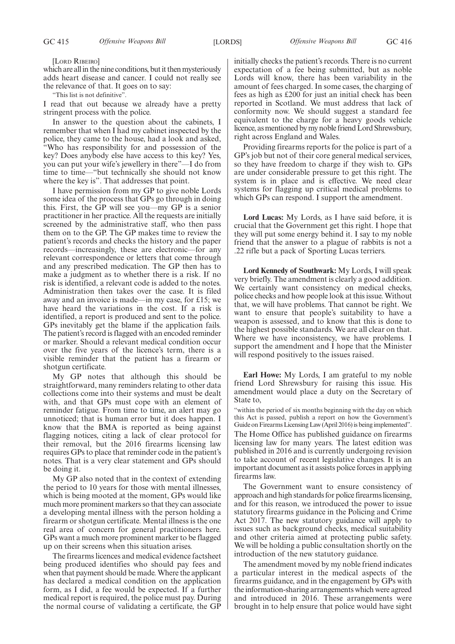#### [LORD RIBEIRO]

which are all in the nine conditions, but it then mysteriously adds heart disease and cancer. I could not really see the relevance of that. It goes on to say:

"This list is not definitive".

I read that out because we already have a pretty stringent process with the police.

In answer to the question about the cabinets, I remember that when I had my cabinet inspected by the police, they came to the house, had a look and asked, "Who has responsibility for and possession of the key? Does anybody else have access to this key? Yes, you can put your wife's jewellery in there"—I do from time to time—"but technically she should not know where the key is". That addresses that point.

I have permission from my GP to give noble Lords some idea of the process that GPs go through in doing this. First, the GP will see you—my GP is a senior practitioner in her practice. All the requests are initially screened by the administrative staff, who then pass them on to the GP. The GP makes time to review the patient's records and checks the history and the paper records—increasingly, these are electronic—for any relevant correspondence or letters that come through and any prescribed medication. The GP then has to make a judgment as to whether there is a risk. If no risk is identified, a relevant code is added to the notes. Administration then takes over the case. It is filed away and an invoice is made—in my case, for £15; we have heard the variations in the cost. If a risk is identified, a report is produced and sent to the police. GPs inevitably get the blame if the application fails. The patient's record is flagged with an encoded reminder or marker. Should a relevant medical condition occur over the five years of the licence's term, there is a visible reminder that the patient has a firearm or shotgun certificate.

My GP notes that although this should be straightforward, many reminders relating to other data collections come into their systems and must be dealt with, and that GPs must cope with an element of reminder fatigue. From time to time, an alert may go unnoticed; that is human error but it does happen. I know that the BMA is reported as being against flagging notices, citing a lack of clear protocol for their removal, but the 2016 firearms licensing law requires GPs to place that reminder code in the patient's notes. That is a very clear statement and GPs should be doing it.

My GP also noted that in the context of extending the period to 10 years for those with mental illnesses, which is being mooted at the moment, GPs would like much more prominent markers so that they can associate a developing mental illness with the person holding a firearm or shotgun certificate. Mental illness is the one real area of concern for general practitioners here. GPs want a much more prominent marker to be flagged up on their screens when this situation arises.

The firearms licences and medical evidence factsheet being produced identifies who should pay fees and when that payment should be made. Where the applicant has declared a medical condition on the application form, as I did, a fee would be expected. If a further medical report is required, the police must pay. During the normal course of validating a certificate, the GP initially checks the patient's records. There is no current expectation of a fee being submitted, but as noble Lords will know, there has been variability in the amount of fees charged. In some cases, the charging of fees as high as £200 for just an initial check has been reported in Scotland. We must address that lack of conformity now. We should suggest a standard fee equivalent to the charge for a heavy goods vehicle licence, as mentioned by my noble friend Lord Shrewsbury, right across England and Wales.

Providing firearms reports for the police is part of a GP's job but not of their core general medical services, so they have freedom to charge if they wish to. GPs are under considerable pressure to get this right. The system is in place and is effective. We need clear systems for flagging up critical medical problems to which GPs can respond. I support the amendment.

**Lord Lucas:** My Lords, as I have said before, it is crucial that the Government get this right. I hope that they will put some energy behind it. I say to my noble friend that the answer to a plague of rabbits is not a .22 rifle but a pack of Sporting Lucas terriers.

**Lord Kennedy of Southwark:** My Lords, I will speak very briefly. The amendment is clearly a good addition. We certainly want consistency on medical checks, police checks and how people look at this issue. Without that, we will have problems. That cannot be right. We want to ensure that people's suitability to have a weapon is assessed, and to know that this is done to the highest possible standards. We are all clear on that. Where we have inconsistency, we have problems. I support the amendment and I hope that the Minister will respond positively to the issues raised.

**Earl Howe:** My Lords, I am grateful to my noble friend Lord Shrewsbury for raising this issue. His amendment would place a duty on the Secretary of State to,

"within the period of six months beginning with the day on which this Act is passed, publish a report on how the Government's Guide on Firearms Licensing Law (April 2016) is being implemented". The Home Office has published guidance on firearms licensing law for many years. The latest edition was published in 2016 and is currently undergoing revision to take account of recent legislative changes. It is an important document as it assists police forces in applying firearms law.

The Government want to ensure consistency of approach and high standards for police firearms licensing, and for this reason, we introduced the power to issue statutory firearms guidance in the Policing and Crime Act 2017. The new statutory guidance will apply to issues such as background checks, medical suitability and other criteria aimed at protecting public safety. We will be holding a public consultation shortly on the introduction of the new statutory guidance.

The amendment moved by my noble friend indicates a particular interest in the medical aspects of the firearms guidance, and in the engagement by GPs with the information-sharing arrangements which were agreed and introduced in 2016. These arrangements were brought in to help ensure that police would have sight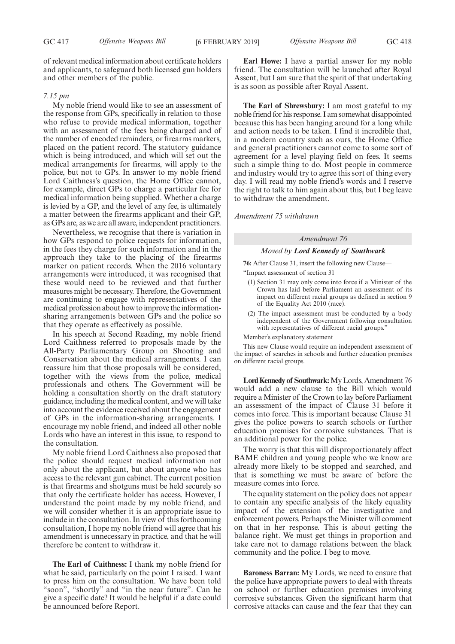of relevant medical information about certificate holders and applicants, to safeguard both licensed gun holders and other members of the public.

## *7.15 pm*

My noble friend would like to see an assessment of the response from GPs, specifically in relation to those who refuse to provide medical information, together with an assessment of the fees being charged and of the number of encoded reminders, or firearms markers, placed on the patient record. The statutory guidance which is being introduced, and which will set out the medical arrangements for firearms, will apply to the police, but not to GPs. In answer to my noble friend Lord Caithness's question, the Home Office cannot, for example, direct GPs to charge a particular fee for medical information being supplied. Whether a charge is levied by a GP, and the level of any fee, is ultimately a matter between the firearms applicant and their GP, as GPs are, as we are all aware, independent practitioners.

Nevertheless, we recognise that there is variation in how GPs respond to police requests for information, in the fees they charge for such information and in the approach they take to the placing of the firearms marker on patient records. When the 2016 voluntary arrangements were introduced, it was recognised that these would need to be reviewed and that further measures might be necessary. Therefore, the Government are continuing to engage with representatives of the medical profession about how to improve the informationsharing arrangements between GPs and the police so that they operate as effectively as possible.

In his speech at Second Reading, my noble friend Lord Caithness referred to proposals made by the All-Party Parliamentary Group on Shooting and Conservation about the medical arrangements. I can reassure him that those proposals will be considered, together with the views from the police, medical professionals and others. The Government will be holding a consultation shortly on the draft statutory guidance, including the medical content, and we will take into account the evidence received about the engagement of GPs in the information-sharing arrangements. I encourage my noble friend, and indeed all other noble Lords who have an interest in this issue, to respond to the consultation.

My noble friend Lord Caithness also proposed that the police should request medical information not only about the applicant, but about anyone who has access to the relevant gun cabinet. The current position is that firearms and shotguns must be held securely so that only the certificate holder has access. However, I understand the point made by my noble friend, and we will consider whether it is an appropriate issue to include in the consultation. In view of this forthcoming consultation, I hope my noble friend will agree that his amendment is unnecessary in practice, and that he will therefore be content to withdraw it.

**The Earl of Caithness:** I thank my noble friend for what he said, particularly on the point I raised. I want to press him on the consultation. We have been told "soon", "shortly" and "in the near future". Can he give a specific date? It would be helpful if a date could be announced before Report.

**Earl Howe:** I have a partial answer for my noble friend. The consultation will be launched after Royal Assent, but I am sure that the spirit of that undertaking is as soon as possible after Royal Assent.

**The Earl of Shrewsbury:** I am most grateful to my noble friend for his response. I am somewhat disappointed because this has been hanging around for a long while and action needs to be taken. I find it incredible that, in a modern country such as ours, the Home Office and general practitioners cannot come to some sort of agreement for a level playing field on fees. It seems such a simple thing to do. Most people in commerce and industry would try to agree this sort of thing every day. I will read my noble friend's words and I reserve the right to talk to him again about this, but I beg leave to withdraw the amendment.

*Amendment 75 withdrawn*

## *Amendment 76*

#### *Moved by Lord Kennedy of Southwark*

**76:** After Clause 31, insert the following new Clause— "Impact assessment of section 31

- (1) Section 31 may only come into force if a Minister of the Crown has laid before Parliament an assessment of its impact on different racial groups as defined in section 9 of the Equality Act 2010 (race).
- (2) The impact assessment must be conducted by a body independent of the Government following consultation with representatives of different racial groups."

Member's explanatory statement

This new Clause would require an independent assessment of the impact of searches in schools and further education premises on different racial groups.

**Lord Kennedy of Southwark:**My Lords, Amendment 76 would add a new clause to the Bill which would require a Minister of the Crown to lay before Parliament an assessment of the impact of Clause 31 before it comes into force. This is important because Clause 31 gives the police powers to search schools or further education premises for corrosive substances. That is an additional power for the police.

The worry is that this will disproportionately affect BAME children and young people who we know are already more likely to be stopped and searched, and that is something we must be aware of before the measure comes into force.

The equality statement on the policy does not appear to contain any specific analysis of the likely equality impact of the extension of the investigative and enforcement powers. Perhaps the Minister will comment on that in her response. This is about getting the balance right. We must get things in proportion and take care not to damage relations between the black community and the police. I beg to move.

**Baroness Barran:** My Lords, we need to ensure that the police have appropriate powers to deal with threats on school or further education premises involving corrosive substances. Given the significant harm that corrosive attacks can cause and the fear that they can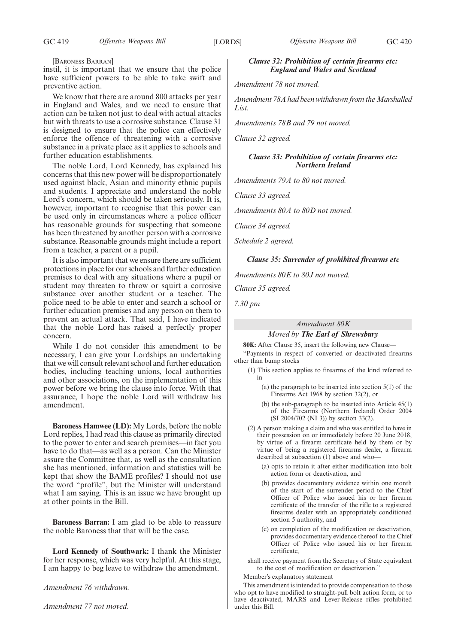#### [BARONESS BARRAN]

instil, it is important that we ensure that the police have sufficient powers to be able to take swift and preventive action.

We know that there are around 800 attacks per year in England and Wales, and we need to ensure that action can be taken not just to deal with actual attacks but with threats to use a corrosive substance. Clause 31 is designed to ensure that the police can effectively enforce the offence of threatening with a corrosive substance in a private place as it applies to schools and further education establishments.

The noble Lord, Lord Kennedy, has explained his concerns that this new power will be disproportionately used against black, Asian and minority ethnic pupils and students. I appreciate and understand the noble Lord's concern, which should be taken seriously. It is, however, important to recognise that this power can be used only in circumstances where a police officer has reasonable grounds for suspecting that someone has been threatened by another person with a corrosive substance. Reasonable grounds might include a report from a teacher, a parent or a pupil.

It is also important that we ensure there are sufficient protections in place for our schools and further education premises to deal with any situations where a pupil or student may threaten to throw or squirt a corrosive substance over another student or a teacher. The police need to be able to enter and search a school or further education premises and any person on them to prevent an actual attack. That said, I have indicated that the noble Lord has raised a perfectly proper concern.

While I do not consider this amendment to be necessary, I can give your Lordships an undertaking that we will consult relevant school and further education bodies, including teaching unions, local authorities and other associations, on the implementation of this power before we bring the clause into force. With that assurance, I hope the noble Lord will withdraw his amendment.

**Baroness Hamwee (LD):** My Lords, before the noble Lord replies, I had read this clause as primarily directed to the power to enter and search premises—in fact you have to do that—as well as a person. Can the Minister assure the Committee that, as well as the consultation she has mentioned, information and statistics will be kept that show the BAME profiles? I should not use the word "profile", but the Minister will understand what I am saying. This is an issue we have brought up at other points in the Bill.

**Baroness Barran:** I am glad to be able to reassure the noble Baroness that that will be the case.

**Lord Kennedy of Southwark:** I thank the Minister for her response, which was very helpful. At this stage, I am happy to beg leave to withdraw the amendment.

*Amendment 76 withdrawn.*

*Amendment 77 not moved.*

# *Clause 32: Prohibition of certain firearms etc: England and Wales and Scotland*

*Amendment 78 not moved.*

*Amendment 78A had been withdrawn from the Marshalled List.*

*Amendments 78B and 79 not moved.*

*Clause 32 agreed.*

# *Clause 33: Prohibition of certain firearms etc: Northern Ireland*

*Amendments 79A to 80 not moved.*

*Clause 33 agreed.*

*Amendments 80A to 80D not moved.*

*Clause 34 agreed.*

*Schedule 2 agreed.*

#### *Clause 35: Surrender of prohibited firearms etc*

*Amendments 80E to 80J not moved.*

*Clause 35 agreed.*

*7.30 pm*

# *Amendment 80K*

*Moved by The Earl of Shrewsbury*

**80K:** After Clause 35, insert the following new Clause— "Payments in respect of converted or deactivated firearms other than bump stocks

- (1) This section applies to firearms of the kind referred to in—
	- (a) the paragraph to be inserted into section 5(1) of the Firearms Act 1968 by section 32(2), or
	- (b) the sub-paragraph to be inserted into Article 45(1) of the Firearms (Northern Ireland) Order 2004 (SI 2004/702 (NI 3)) by section 33(2).
- (2) A person making a claim and who was entitled to have in their possession on or immediately before 20 June 2018, by virtue of a firearm certificate held by them or by virtue of being a registered firearms dealer, a firearm described at subsection (1) above and who—
	- (a) opts to retain it after either modification into bolt action form or deactivation, and
	- (b) provides documentary evidence within one month of the start of the surrender period to the Chief Officer of Police who issued his or her firearm certificate of the transfer of the rifle to a registered firearms dealer with an appropriately conditioned section 5 authority, and
	- (c) on completion of the modification or deactivation, provides documentary evidence thereof to the Chief Officer of Police who issued his or her firearm certificate,

shall receive payment from the Secretary of State equivalent to the cost of modification or deactivation."

Member's explanatory statement

This amendment is intended to provide compensation to those who opt to have modified to straight-pull bolt action form, or to have deactivated, MARS and Lever-Release rifles prohibited under this Bill.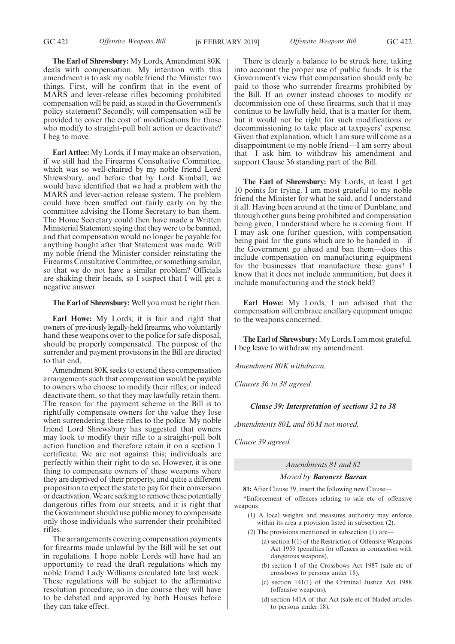**The Earl of Shrewsbury:** My Lords, Amendment 80K deals with compensation. My intention with this amendment is to ask my noble friend the Minister two things. First, will he confirm that in the event of MARS and lever-release rifles becoming prohibited compensation will be paid, as stated in the Government's policy statement? Secondly, will compensation will be provided to cover the cost of modifications for those who modify to straight-pull bolt action or deactivate? I beg to move.

**Earl Attlee:** My Lords, if I may make an observation, if we still had the Firearms Consultative Committee, which was so well-chaired by my noble friend Lord Shrewsbury, and before that by Lord Kimball, we would have identified that we had a problem with the MARS and lever-action release system. The problem could have been snuffed out fairly early on by the committee advising the Home Secretary to ban them. The Home Secretary could then have made a Written Ministerial Statement saying that they were to be banned, and that compensation would no longer be payable for anything bought after that Statement was made. Will my noble friend the Minister consider reinstating the Firearms Consultative Committee, or something similar, so that we do not have a similar problem? Officials are shaking their heads, so I suspect that I will get a negative answer.

**The Earl of Shrewsbury:** Well you must be right then.

**Earl Howe:** My Lords, it is fair and right that owners of previously legally-held firearms, who voluntarily hand these weapons over to the police for safe disposal, should be properly compensated. The purpose of the surrender and payment provisions in the Bill are directed to that end.

Amendment 80K seeks to extend these compensation arrangements such that compensation would be payable to owners who choose to modify their rifles, or indeed deactivate them, so that they may lawfully retain them. The reason for the payment scheme in the Bill is to rightfully compensate owners for the value they lose when surrendering these rifles to the police. My noble friend Lord Shrewsbury has suggested that owners may look to modify their rifle to a straight-pull bolt action function and therefore retain it on a section 1 certificate. We are not against this; individuals are perfectly within their right to do so. However, it is one thing to compensate owners of these weapons where they are deprived of their property, and quite a different proposition to expect the state to pay for their conversion or deactivation. We are seeking to remove these potentially dangerous rifles from our streets, and it is right that the Government should use public money to compensate only those individuals who surrender their prohibited rifles.

The arrangements covering compensation payments for firearms made unlawful by the Bill will be set out in regulations. I hope noble Lords will have had an opportunity to read the draft regulations which my noble friend Lady Williams circulated late last week. These regulations will be subject to the affirmative resolution procedure, so in due course they will have to be debated and approved by both Houses before they can take effect.

GC 421 *Offensive Weapons Bill* [6 FEBRUARY 2019] *Offensive Weapons Bill* GC 422

There is clearly a balance to be struck here, taking into account the proper use of public funds. It is the Government's view that compensation should only be paid to those who surrender firearms prohibited by the Bill. If an owner instead chooses to modify or decommission one of these firearms, such that it may continue to be lawfully held, that is a matter for them, but it would not be right for such modifications or decommissioning to take place at taxpayers' expense. Given that explanation, which I am sure will come as a disappointment to my noble friend—I am sorry about that—I ask him to withdraw his amendment and support Clause 36 standing part of the Bill.

**The Earl of Shrewsbury:** My Lords, at least I get 10 points for trying. I am most grateful to my noble friend the Minister for what he said, and I understand it all. Having been around at the time of Dunblane, and through other guns being prohibited and compensation being given, I understand where he is coming from. If I may ask one further question, with compensation being paid for the guns which are to be handed in—if the Government go ahead and ban them—does this include compensation on manufacturing equipment for the businesses that manufacture these guns? I know that it does not include ammunition, but does it include manufacturing and the stock held?

**Earl Howe:** My Lords, I am advised that the compensation will embrace ancillary equipment unique to the weapons concerned.

**The Earl of Shrewsbury:**My Lords, I am most grateful. I beg leave to withdraw my amendment.

*Amendment 80K withdrawn.*

*Clauses 36 to 38 agreed.*

*Clause 39: Interpretation of sections 32 to 38*

*Amendments 80L and 80M not moved.*

*Clause 39 agreed.*

*Amendments 81 and 82*

## *Moved by Baroness Barran*

**81:** After Clause 39, insert the following new Clause—

"Enforcement of offences relating to sale etc of offensive weapons

- (1) A local weights and measures authority may enforce within its area a provision listed in subsection (2).
- $(2)$  The provisions mentioned in subsection  $(1)$  are
	- (a) section 1(1) of the Restriction of Offensive Weapons Act 1959 (penalties for offences in connection with dangerous weapons),
	- (b) section 1 of the Crossbows Act 1987 (sale etc of crossbows to persons under 18),
	- (c) section 141(1) of the Criminal Justice Act 1988 (offensive weapons),
	- (d) section 141A of that Act (sale etc of bladed articles to persons under 18),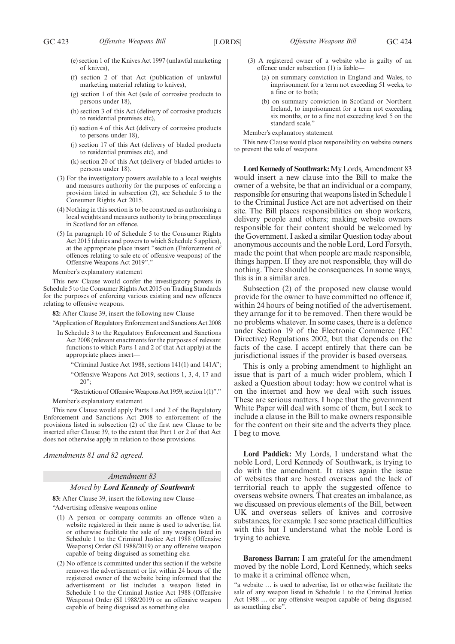- (e) section 1 of the Knives Act 1997 (unlawful marketing of knives),
- (f) section 2 of that Act (publication of unlawful marketing material relating to knives),
- (g) section 1 of this Act (sale of corrosive products to persons under 18),
- (h) section 3 of this Act (delivery of corrosive products to residential premises etc),
- (i) section 4 of this Act (delivery of corrosive products to persons under 18),
- (j) section 17 of this Act (delivery of bladed products to residential premises etc), and
- (k) section 20 of this Act (delivery of bladed articles to persons under 18).
- (3) For the investigatory powers available to a local weights and measures authority for the purposes of enforcing a provision listed in subsection (2), see Schedule 5 to the Consumer Rights Act 2015.
- (4) Nothing in this section is to be construed as authorising a local weights and measures authority to bring proceedings in Scotland for an offence.
- (5) In paragraph 10 of Schedule 5 to the Consumer Rights Act 2015 (duties and powers to which Schedule 5 applies), at the appropriate place insert "section (Enforcement of offences relating to sale etc of offensive weapons) of the Offensive Weapons Act 2019"."

Member's explanatory statement

This new Clause would confer the investigatory powers in Schedule 5 to the Consumer Rights Act 2015 on Trading Standards for the purposes of enforcing various existing and new offences relating to offensive weapons.

**82:** After Clause 39, insert the following new Clause—

"Application of Regulatory Enforcement and Sanctions Act 2008

- In Schedule 3 to the Regulatory Enforcement and Sanctions Act 2008 (relevant enactments for the purposes of relevant functions to which Parts 1 and 2 of that Act apply) at the appropriate places insert—
	- Criminal Justice Act 1988, sections  $141(1)$  and  $141A$ ";
	- "Offensive Weapons Act 2019, sections 1, 3, 4, 17 and 20";

"Restriction of Offensive Weapons Act 1959, section 1(1)"." Member's explanatory statement

This new Clause would apply Parts 1 and 2 of the Regulatory Enforcement and Sanctions Act 2008 to enforcement of the provisions listed in subsection (2) of the first new Clause to be inserted after Clause 39, to the extent that Part 1 or 2 of that Act does not otherwise apply in relation to those provisions.

*Amendments 81 and 82 agreed.*

# *Amendment 83*

# *Moved by Lord Kennedy of Southwark*

**83:** After Clause 39, insert the following new Clause— "Advertising offensive weapons online

- (1) A person or company commits an offence when a website registered in their name is used to advertise, list or otherwise facilitate the sale of any weapon listed in Schedule 1 to the Criminal Justice Act 1988 (Offensive Weapons) Order (SI 1988/2019) or any offensive weapon capable of being disguised as something else.
- (2) No offence is committed under this section if the website removes the advertisement or list within 24 hours of the registered owner of the website being informed that the advertisement or list includes a weapon listed in Schedule 1 to the Criminal Justice Act 1988 (Offensive Weapons) Order (SI 1988/2019) or an offensive weapon capable of being disguised as something else.
- (3) A registered owner of a website who is guilty of an offence under subsection (1) is liable—
	- (a) on summary conviction in England and Wales, to imprisonment for a term not exceeding 51 weeks, to a fine or to both;
	- (b) on summary conviction in Scotland or Northern Ireland, to imprisonment for a term not exceeding six months, or to a fine not exceeding level 5 on the standard scale."

Member's explanatory statement

This new Clause would place responsibility on website owners to prevent the sale of weapons.

**Lord Kennedy of Southwark:**My Lords, Amendment 83 would insert a new clause into the Bill to make the owner of a website, be that an individual or a company, responsible for ensuring that weapons listed in Schedule 1 to the Criminal Justice Act are not advertised on their site. The Bill places responsibilities on shop workers, delivery people and others; making website owners responsible for their content should be welcomed by the Government. I asked a similar Question today about anonymous accounts and the noble Lord, Lord Forsyth, made the point that when people are made responsible, things happen. If they are not responsible, they will do nothing. There should be consequences. In some ways, this is in a similar area.

Subsection (2) of the proposed new clause would provide for the owner to have committed no offence if, within 24 hours of being notified of the advertisement, they arrange for it to be removed. Then there would be no problems whatever. In some cases, there is a defence under Section 19 of the Electronic Commerce (EC Directive) Regulations 2002, but that depends on the facts of the case. I accept entirely that there can be jurisdictional issues if the provider is based overseas.

This is only a probing amendment to highlight an issue that is part of a much wider problem, which I asked a Question about today: how we control what is on the internet and how we deal with such issues. These are serious matters. I hope that the government White Paper will deal with some of them, but I seek to include a clause in the Bill to make owners responsible for the content on their site and the adverts they place. I beg to move.

**Lord Paddick:** My Lords, I understand what the noble Lord, Lord Kennedy of Southwark, is trying to do with the amendment. It raises again the issue of websites that are hosted overseas and the lack of territorial reach to apply the suggested offence to overseas website owners. That creates an imbalance, as we discussed on previous elements of the Bill, between UK and overseas sellers of knives and corrosive substances, for example. I see some practical difficulties with this but I understand what the noble Lord is trying to achieve.

**Baroness Barran:** I am grateful for the amendment moved by the noble Lord, Lord Kennedy, which seeks to make it a criminal offence when,

"a website … is used to advertise, list or otherwise facilitate the sale of any weapon listed in Schedule 1 to the Criminal Justice Act 1988 … or any offensive weapon capable of being disguised as something else".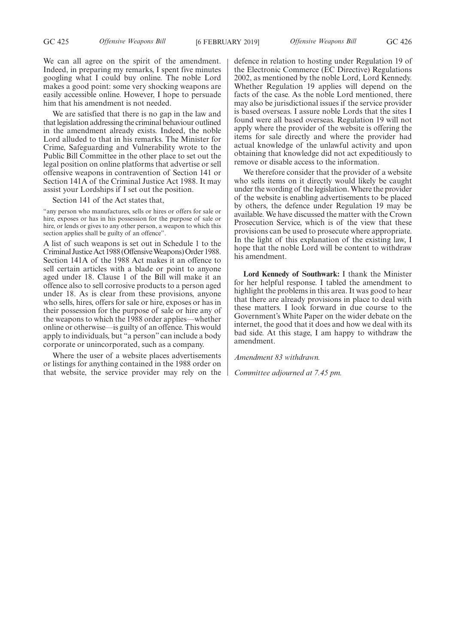We can all agree on the spirit of the amendment. Indeed, in preparing my remarks, I spent five minutes googling what I could buy online. The noble Lord makes a good point: some very shocking weapons are easily accessible online. However, I hope to persuade him that his amendment is not needed.

We are satisfied that there is no gap in the law and that legislation addressing the criminal behaviour outlined in the amendment already exists. Indeed, the noble Lord alluded to that in his remarks. The Minister for Crime, Safeguarding and Vulnerability wrote to the Public Bill Committee in the other place to set out the legal position on online platforms that advertise or sell offensive weapons in contravention of Section 141 or Section 141A of the Criminal Justice Act 1988. It may assist your Lordships if I set out the position.

Section 141 of the Act states that,

"any person who manufactures, sells or hires or offers for sale or hire, exposes or has in his possession for the purpose of sale or hire, or lends or gives to any other person, a weapon to which this section applies shall be guilty of an offence".

A list of such weapons is set out in Schedule 1 to the Criminal Justice Act 1988 (Offensive Weapons) Order 1988. Section 141A of the 1988 Act makes it an offence to sell certain articles with a blade or point to anyone aged under 18. Clause 1 of the Bill will make it an offence also to sell corrosive products to a person aged under 18. As is clear from these provisions, anyone who sells, hires, offers for sale or hire, exposes or has in their possession for the purpose of sale or hire any of the weapons to which the 1988 order applies—whether online or otherwise—is guilty of an offence. This would apply to individuals, but "a person" can include a body corporate or unincorporated, such as a company.

Where the user of a website places advertisements or listings for anything contained in the 1988 order on that website, the service provider may rely on the defence in relation to hosting under Regulation 19 of the Electronic Commerce (EC Directive) Regulations 2002, as mentioned by the noble Lord, Lord Kennedy. Whether Regulation 19 applies will depend on the facts of the case. As the noble Lord mentioned, there may also be jurisdictional issues if the service provider is based overseas. I assure noble Lords that the sites I found were all based overseas. Regulation 19 will not apply where the provider of the website is offering the items for sale directly and where the provider had actual knowledge of the unlawful activity and upon obtaining that knowledge did not act expeditiously to remove or disable access to the information.

We therefore consider that the provider of a website who sells items on it directly would likely be caught under the wording of the legislation. Where the provider of the website is enabling advertisements to be placed by others, the defence under Regulation 19 may be available. We have discussed the matter with the Crown Prosecution Service, which is of the view that these provisions can be used to prosecute where appropriate. In the light of this explanation of the existing law, I hope that the noble Lord will be content to withdraw his amendment.

**Lord Kennedy of Southwark:** I thank the Minister for her helpful response. I tabled the amendment to highlight the problems in this area. It was good to hear that there are already provisions in place to deal with these matters. I look forward in due course to the Government's White Paper on the wider debate on the internet, the good that it does and how we deal with its bad side. At this stage, I am happy to withdraw the amendment.

*Amendment 83 withdrawn.*

*Committee adjourned at 7.45 pm.*